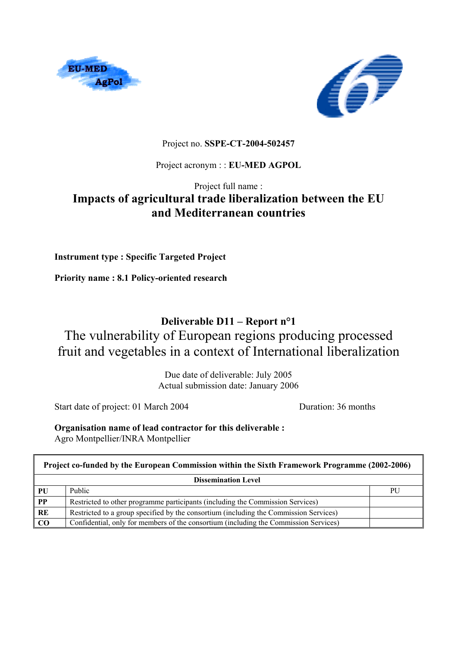



## Project no. **SSPE-CT-2004-502457**

## Project acronym : : **EU-MED AGPOL**

# Project full name : **Impacts of agricultural trade liberalization between the EU and Mediterranean countries**

**Instrument type : Specific Targeted Project** 

**Priority name : 8.1 Policy-oriented research** 

# **Deliverable D11 – Report n°1**

# The vulnerability of European regions producing processed fruit and vegetables in a context of International liberalization

Due date of deliverable: July 2005 Actual submission date: January 2006

Start date of project: 01 March 2004 Duration: 36 months

**Organisation name of lead contractor for this deliverable :**  Agro Montpellier/INRA Montpellier

| Project co-funded by the European Commission within the Sixth Framework Programme (2002-2006) |                                                                                       |    |  |  |
|-----------------------------------------------------------------------------------------------|---------------------------------------------------------------------------------------|----|--|--|
| <b>Dissemination Level</b>                                                                    |                                                                                       |    |  |  |
| PU                                                                                            | Public                                                                                | PU |  |  |
| $\overline{PP}$                                                                               | Restricted to other programme participants (including the Commission Services)        |    |  |  |
| RE                                                                                            | Restricted to a group specified by the consortium (including the Commission Services) |    |  |  |
| $\overline{C}$                                                                                | Confidential, only for members of the consortium (including the Commission Services)  |    |  |  |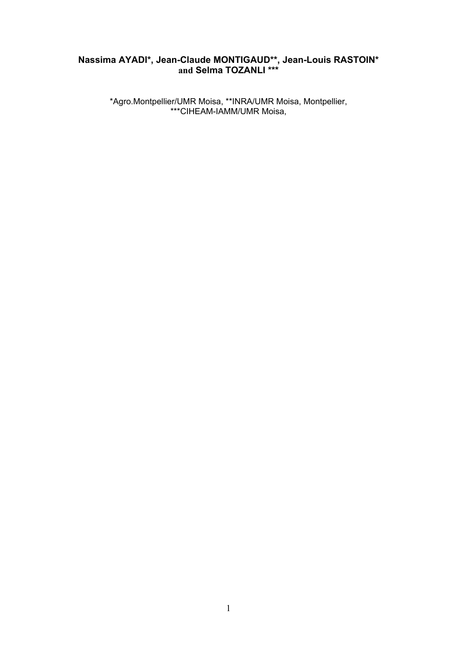## **Nassima AYADI\*, Jean-Claude MONTIGAUD\*\*, Jean-Louis RASTOIN\* and Selma TOZANLI \*\*\***

\*Agro.Montpellier/UMR Moisa, \*\*INRA/UMR Moisa, Montpellier, \*\*\*CIHEAM-IAMM/UMR Moisa,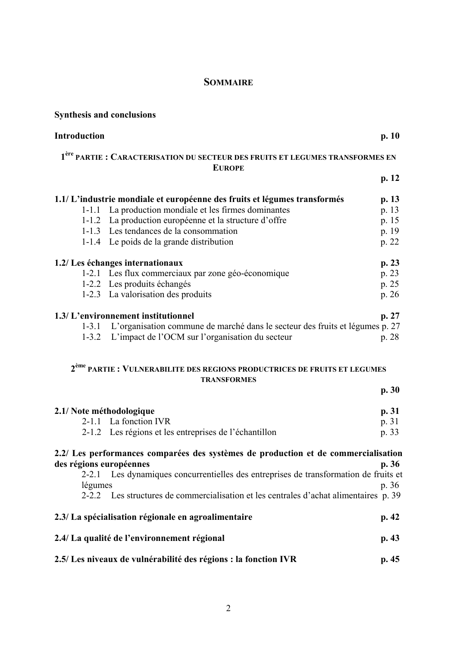## **SOMMAIRE**

| <b>Synthesis and conclusions</b> |                                                                                                            |       |
|----------------------------------|------------------------------------------------------------------------------------------------------------|-------|
| <b>Introduction</b>              |                                                                                                            | p. 10 |
|                                  | 1 <sup>ère</sup> PARTIE : CARACTERISATION DU SECTEUR DES FRUITS ET LEGUMES TRANSFORMES EN<br><b>EUROPE</b> |       |
|                                  |                                                                                                            | p. 12 |
|                                  | 1.1/L'industrie mondiale et européenne des fruits et légumes transformés                                   | p. 13 |
|                                  | 1-1.1 La production mondiale et les firmes dominantes                                                      | p. 13 |
|                                  | 1-1.2 La production européenne et la structure d'offre                                                     | p. 15 |
|                                  | 1-1.3 Les tendances de la consommation                                                                     | p. 19 |
|                                  | 1-1.4 Le poids de la grande distribution                                                                   | p. 22 |
|                                  | 1.2/ Les échanges internationaux                                                                           | p.23  |
|                                  | 1-2.1 Les flux commerciaux par zone géo-économique                                                         | p. 23 |
|                                  | 1-2.2 Les produits échangés                                                                                | p. 25 |
|                                  | 1-2.3 La valorisation des produits                                                                         | p. 26 |
|                                  | 1.3/ L'environnement institutionnel                                                                        | p. 27 |
|                                  | 1-3.1 L'organisation commune de marché dans le secteur des fruits et légumes p. 27                         |       |
|                                  | 1-3.2 L'impact de l'OCM sur l'organisation du secteur                                                      | p. 28 |
|                                  | 2 <sup>ème</sup> PARTIE : VULNERABILITE DES REGIONS PRODUCTRICES DE FRUITS ET LEGUMES                      |       |
|                                  | <b>TRANSFORMES</b>                                                                                         |       |
|                                  |                                                                                                            | p.30  |
| 2.1/ Note méthodologique         |                                                                                                            | p.31  |
|                                  | 2-1.1 La fonction IVR                                                                                      | p. 31 |
|                                  | 2-1.2 Les régions et les entreprises de l'échantillon                                                      | p. 33 |
|                                  | 2.2/ Les performances comparées des systèmes de production et de commercialisation                         |       |
| des régions européennes          |                                                                                                            | p.36  |
| $2 - 2.1$                        | Les dynamiques concurrentielles des entreprises de transformation de fruits et                             |       |
| légumes                          |                                                                                                            | p.36  |
|                                  | 2-2.2 Les structures de commercialisation et les centrales d'achat alimentaires p. 39                      |       |
|                                  | 2.3/ La spécialisation régionale en agroalimentaire                                                        | p.42  |
|                                  | 2.4/ La qualité de l'environnement régional                                                                | p.43  |
|                                  | 2.5/ Les niveaux de vulnérabilité des régions : la fonction IVR                                            | p.45  |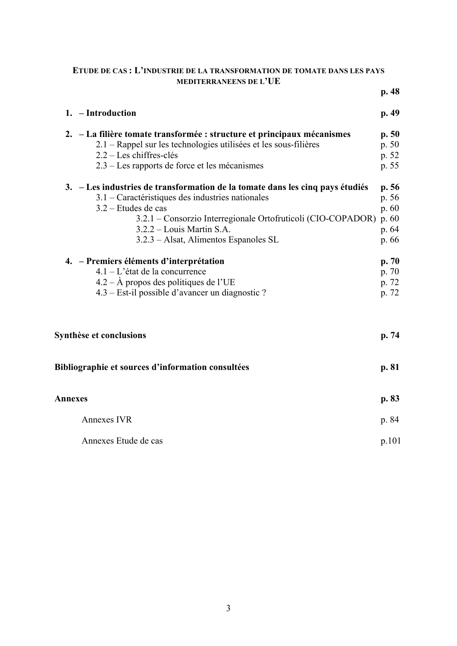### **ETUDE DE CAS : L'INDUSTRIE DE LA TRANSFORMATION DE TOMATE DANS LES PAYS MEDITERRANEENS DE L'UE**

|                                                                               | p.48  |
|-------------------------------------------------------------------------------|-------|
| 1. - Introduction                                                             | p.49  |
| 2. – La filière tomate transformée : structure et principaux mécanismes       | p.50  |
| 2.1 – Rappel sur les technologies utilisées et les sous-filières              | p. 50 |
| $2.2 -$ Les chiffres-clés                                                     | p. 52 |
| 2.3 – Les rapports de force et les mécanismes                                 | p. 55 |
| 3. – Les industries de transformation de la tomate dans les cinq pays étudiés | p.56  |
| 3.1 – Caractéristiques des industries nationales                              | p. 56 |
| 3.2 – Etudes de cas                                                           | p. 60 |
| 3.2.1 – Consorzio Interregionale Ortofruticoli (CIO-COPADOR) p. 60            |       |
| 3.2.2 – Louis Martin S.A.                                                     | p. 64 |
| 3.2.3 - Alsat, Alimentos Espanoles SL                                         | p. 66 |
| 4. – Premiers éléments d'interprétation                                       | p.70  |
| $4.1 - L'$ état de la concurrence                                             | p. 70 |
| $4.2 - \text{Å}$ propos des politiques de l'UE                                | p. 72 |
| 4.3 – Est-il possible d'avancer un diagnostic ?                               | p. 72 |
|                                                                               |       |
| Synthèse et conclusions                                                       | p. 74 |
| Bibliographie et sources d'information consultées                             | p. 81 |
| Annexes                                                                       | p. 83 |
| <b>Annexes IVR</b>                                                            | p. 84 |
| Annexes Etude de cas                                                          | p.101 |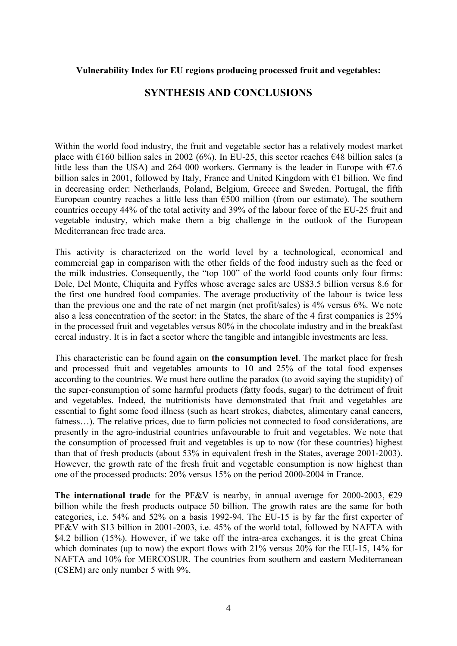#### **Vulnerability Index for EU regions producing processed fruit and vegetables:**

## **SYNTHESIS AND CONCLUSIONS**

Within the world food industry, the fruit and vegetable sector has a relatively modest market place with  $\epsilon$ 160 billion sales in 2002 (6%). In EU-25, this sector reaches  $\epsilon$ 48 billion sales (a little less than the USA) and 264 000 workers. Germany is the leader in Europe with  $\epsilon$ 7.6 billion sales in 2001, followed by Italy, France and United Kingdom with €1 billion. We find in decreasing order: Netherlands, Poland, Belgium, Greece and Sweden. Portugal, the fifth European country reaches a little less than  $\epsilon$ 500 million (from our estimate). The southern countries occupy 44% of the total activity and 39% of the labour force of the EU-25 fruit and vegetable industry, which make them a big challenge in the outlook of the European Mediterranean free trade area.

This activity is characterized on the world level by a technological, economical and commercial gap in comparison with the other fields of the food industry such as the feed or the milk industries. Consequently, the "top 100" of the world food counts only four firms: Dole, Del Monte, Chiquita and Fyffes whose average sales are US\$3.5 billion versus 8.6 for the first one hundred food companies. The average productivity of the labour is twice less than the previous one and the rate of net margin (net profit/sales) is 4% versus 6%. We note also a less concentration of the sector: in the States, the share of the 4 first companies is 25% in the processed fruit and vegetables versus 80% in the chocolate industry and in the breakfast cereal industry. It is in fact a sector where the tangible and intangible investments are less.

This characteristic can be found again on **the consumption level**. The market place for fresh and processed fruit and vegetables amounts to 10 and 25% of the total food expenses according to the countries. We must here outline the paradox (to avoid saying the stupidity) of the super-consumption of some harmful products (fatty foods, sugar) to the detriment of fruit and vegetables. Indeed, the nutritionists have demonstrated that fruit and vegetables are essential to fight some food illness (such as heart strokes, diabetes, alimentary canal cancers, fatness...). The relative prices, due to farm policies not connected to food considerations, are presently in the agro-industrial countries unfavourable to fruit and vegetables. We note that the consumption of processed fruit and vegetables is up to now (for these countries) highest than that of fresh products (about 53% in equivalent fresh in the States, average 2001-2003). However, the growth rate of the fresh fruit and vegetable consumption is now highest than one of the processed products: 20% versus 15% on the period 2000-2004 in France.

The international trade for the PF&V is nearby, in annual average for 2000-2003,  $\epsilon$ 29 billion while the fresh products outpace 50 billion. The growth rates are the same for both categories, i.e. 54% and 52% on a basis 1992-94. The EU-15 is by far the first exporter of PF&V with \$13 billion in 2001-2003, i.e. 45% of the world total, followed by NAFTA with \$4.2 billion (15%). However, if we take off the intra-area exchanges, it is the great China which dominates (up to now) the export flows with 21% versus 20% for the EU-15, 14% for NAFTA and 10% for MERCOSUR. The countries from southern and eastern Mediterranean (CSEM) are only number 5 with 9%.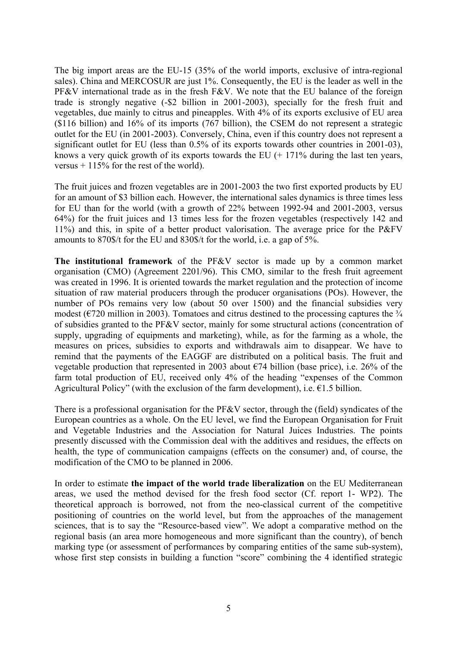The big import areas are the EU-15 (35% of the world imports, exclusive of intra-regional sales). China and MERCOSUR are just 1%. Consequently, the EU is the leader as well in the PF&V international trade as in the fresh F&V. We note that the EU balance of the foreign trade is strongly negative (-\$2 billion in 2001-2003), specially for the fresh fruit and vegetables, due mainly to citrus and pineapples. With 4% of its exports exclusive of EU area (\$116 billion) and 16% of its imports (767 billion), the CSEM do not represent a strategic outlet for the EU (in 2001-2003). Conversely, China, even if this country does not represent a significant outlet for EU (less than 0.5% of its exports towards other countries in 2001-03), knows a very quick growth of its exports towards the EU  $(+ 171\%$  during the last ten years, versus  $+115\%$  for the rest of the world).

The fruit juices and frozen vegetables are in 2001-2003 the two first exported products by EU for an amount of \$3 billion each. However, the international sales dynamics is three times less for EU than for the world (with a growth of 22% between 1992-94 and 2001-2003, versus 64%) for the fruit juices and 13 times less for the frozen vegetables (respectively 142 and 11%) and this, in spite of a better product valorisation. The average price for the P&FV amounts to 870\$/t for the EU and 830\$/t for the world, i.e. a gap of 5%.

**The institutional framework** of the PF&V sector is made up by a common market organisation (CMO) (Agreement 2201/96). This CMO, similar to the fresh fruit agreement was created in 1996. It is oriented towards the market regulation and the protection of income situation of raw material producers through the producer organisations (POs). However, the number of POs remains very low (about 50 over 1500) and the financial subsidies very modest ( $\epsilon$ 720 million in 2003). Tomatoes and citrus destined to the processing captures the  $\frac{3}{4}$ of subsidies granted to the PF&V sector, mainly for some structural actions (concentration of supply, upgrading of equipments and marketing), while, as for the farming as a whole, the measures on prices, subsidies to exports and withdrawals aim to disappear. We have to remind that the payments of the EAGGF are distributed on a political basis. The fruit and vegetable production that represented in 2003 about  $\epsilon$ 74 billion (base price), i.e. 26% of the farm total production of EU, received only 4% of the heading "expenses of the Common Agricultural Policy" (with the exclusion of the farm development), i.e.  $\epsilon$ 1.5 billion.

There is a professional organisation for the PF&V sector, through the (field) syndicates of the European countries as a whole. On the EU level, we find the European Organisation for Fruit and Vegetable Industries and the Association for Natural Juices Industries. The points presently discussed with the Commission deal with the additives and residues, the effects on health, the type of communication campaigns (effects on the consumer) and, of course, the modification of the CMO to be planned in 2006.

In order to estimate **the impact of the world trade liberalization** on the EU Mediterranean areas, we used the method devised for the fresh food sector (Cf. report 1- WP2). The theoretical approach is borrowed, not from the neo-classical current of the competitive positioning of countries on the world level, but from the approaches of the management sciences, that is to say the "Resource-based view". We adopt a comparative method on the regional basis (an area more homogeneous and more significant than the country), of bench marking type (or assessment of performances by comparing entities of the same sub-system), whose first step consists in building a function "score" combining the 4 identified strategic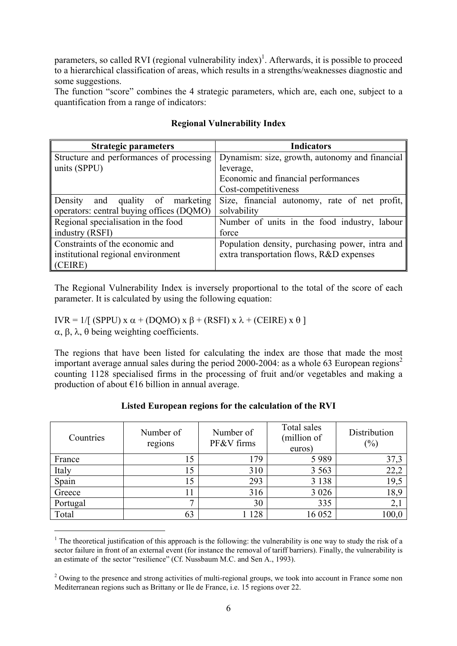parameters, so called RVI (regional vulnerability index)<sup>1</sup>. Afterwards, it is possible to proceed to a hierarchical classification of areas, which results in a strengths/weaknesses diagnostic and some suggestions.

The function "score" combines the 4 strategic parameters, which are, each one, subject to a quantification from a range of indicators:

| <b>Strategic parameters</b>              | <b>Indicators</b>                               |
|------------------------------------------|-------------------------------------------------|
| Structure and performances of processing | Dynamism: size, growth, autonomy and financial  |
| units (SPPU)                             | leverage,                                       |
|                                          | Economic and financial performances             |
|                                          | Cost-competitiveness                            |
| Density<br>and quality of marketing      | Size, financial autonomy, rate of net profit,   |
| operators: central buying offices (DQMO) | solvability                                     |
| Regional specialisation in the food      | Number of units in the food industry, labour    |
| industry (RSFI)                          | force                                           |
| Constraints of the economic and          | Population density, purchasing power, intra and |
| institutional regional environment       | extra transportation flows, R&D expenses        |
| (CEIRE)                                  |                                                 |

## **Regional Vulnerability Index**

The Regional Vulnerability Index is inversely proportional to the total of the score of each parameter. It is calculated by using the following equation:

IVR = 1/[ (SPPU) x  $\alpha$  + (DQMO) x  $\beta$  + (RSFI) x  $\lambda$  + (CEIRE) x  $\theta$ ] α, β, λ, θ being weighting coefficients.

 $\overline{a}$ 

The regions that have been listed for calculating the index are those that made the most important average annual sales during the period 2000-2004: as a whole 63 European regions<sup>2</sup> counting 1128 specialised firms in the processing of fruit and/or vegetables and making a production of about €16 billion in annual average.

| Countries | Number of<br>regions | Number of<br>PF&V firms | Total sales<br>(million of<br>euros) | Distribution<br>(%) |
|-----------|----------------------|-------------------------|--------------------------------------|---------------------|
| France    |                      | 179                     | 5989                                 | 37,3                |
| Italy     |                      | 310                     | 3 5 6 3                              | 22,2                |
| Spain     |                      | 293                     | 3 1 3 8                              | 19,5                |
| Greece    |                      | 316                     | 3 0 2 6                              | 18,9                |
| Portugal  |                      | 30                      | 335                                  | 2,1                 |
| Total     | 63                   | 128                     | 16 052                               | 100,0               |

#### **Listed European regions for the calculation of the RVI**

<sup>&</sup>lt;sup>1</sup> The theoretical justification of this approach is the following: the vulnerability is one way to study the risk of a sector failure in front of an external event (for instance the removal of tariff barriers). Finally, the vulnerability is an estimate of the sector "resilience" (Cf. Nussbaum M.C. and Sen A., 1993).

<sup>&</sup>lt;sup>2</sup> Owing to the presence and strong activities of multi-regional groups, we took into account in France some non Mediterranean regions such as Brittany or Ile de France, i.e. 15 regions over 22.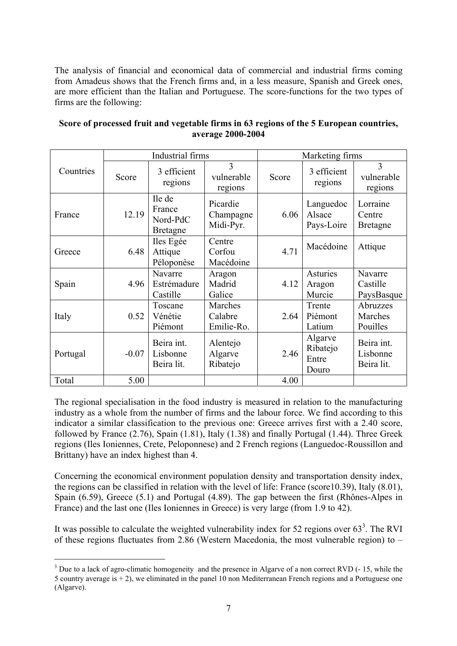The analysis of financial and economical data of commercial and industrial firms coming from Amadeus shows that the French firms and, in a less measure, Spanish and Greek ones, are more efficient than the Italian and Portuguese. The score-functions for the two types of firms are the following:

|           | Industrial firms |                                                 |                                    | Marketing firms |                                       |                                       |
|-----------|------------------|-------------------------------------------------|------------------------------------|-----------------|---------------------------------------|---------------------------------------|
| Countries | Score            | 3 efficient<br>regions                          | 3<br>vulnerable<br>regions         | Score           | 3 efficient<br>regions                | 3<br>vulnerable<br>regions            |
| France    | 12.19            | Ile de<br>France<br>Nord-PdC<br><b>Bretagne</b> | Picardie<br>Champagne<br>Midi-Pyr. | 6.06            | Languedoc<br>Alsace<br>Pays-Loire     | Lorraine<br>Centre<br><b>Bretagne</b> |
| Greece    | 6.48             | Iles Egée<br>Attique<br>Péloponèse              | Centre<br>Corfou<br>Macédoine      | 4.71            | Macédoine                             | Attique                               |
| Spain     | 4.96             | Navarre<br>Estrémadure<br>Castille              | Aragon<br>Madrid<br>Galice         | 4.12            | Asturies<br>Aragon<br>Murcie          | Navarre<br>Castille<br>PaysBasque     |
| Italy     | 0.52             | Toscane<br>Vénétie<br>Piémont                   | Marches<br>Calabre<br>Emilie-Ro.   | 2.64            | Trente<br>Piémont<br>Latium           | Abruzzes<br>Marches<br>Pouilles       |
| Portugal  | $-0.07$          | Beira int.<br>Lisbonne<br>Beira lit.            | Alentejo<br>Algarve<br>Ribatejo    | 2.46            | Algarve<br>Ribatejo<br>Entre<br>Douro | Beira int.<br>Lisbonne<br>Beira lit.  |
| Total     | 5.00             |                                                 |                                    | 4.00            |                                       |                                       |

## **Score of processed fruit and vegetable firms in 63 regions of the 5 European countries, average 2000-2004**

The regional specialisation in the food industry is measured in relation to the manufacturing industry as a whole from the number of firms and the labour force. We find according to this indicator a similar classification to the previous one: Greece arrives first with a 2.40 score, followed by France (2.76), Spain (1.81), Italy (1.38) and finally Portugal (1.44). Three Greek regions (Iles Ioniennes, Crete, Peloponnese) and 2 French regions (Languedoc-Roussillon and Brittany) have an index highest than 4.

Concerning the economical environment population density and transportation density index, the regions can be classified in relation with the level of life: France (score10.39), Italy (8.01), Spain (6.59), Greece (5.1) and Portugal (4.89). The gap between the first (Rhônes-Alpes in France) and the last one (Iles Ioniennes in Greece) is very large (from 1.9 to 42).

It was possible to calculate the weighted vulnerability index for 52 regions over  $63<sup>3</sup>$ . The RVI of these regions fluctuates from 2.86 (Western Macedonia, the most vulnerable region) to –

 $3$  Due to a lack of agro-climatic homogeneity and the presence in Algarve of a non correct RVD ( $-15$ , while the 5 country average is + 2), we eliminated in the panel 10 non Mediterranean French regions and a Portuguese one (Algarve).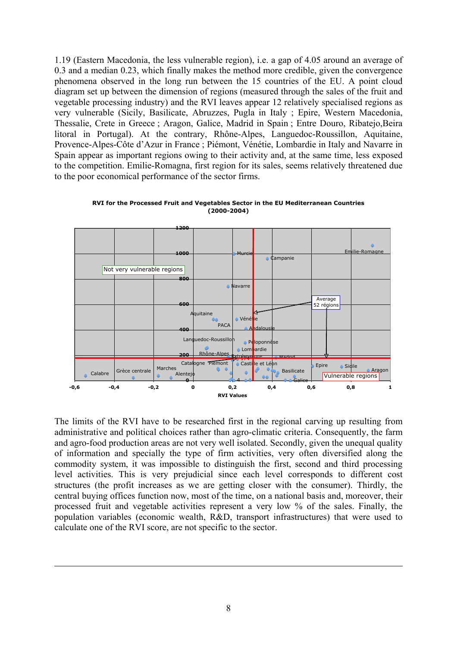1.19 (Eastern Macedonia, the less vulnerable region), i.e. a gap of 4.05 around an average of 0.3 and a median 0.23, which finally makes the method more credible, given the convergence phenomena observed in the long run between the 15 countries of the EU. A point cloud diagram set up between the dimension of regions (measured through the sales of the fruit and vegetable processing industry) and the RVI leaves appear 12 relatively specialised regions as very vulnerable (Sicily, Basilicate, Abruzzes, Pugla in Italy ; Epire, Western Macedonia, Thessalie, Crete in Greece ; Aragon, Galice, Madrid in Spain ; Entre Douro, Ribatejo,Beira litoral in Portugal). At the contrary, Rhône-Alpes, Languedoc-Roussillon, Aquitaine, Provence-Alpes-Côte d'Azur in France ; Piémont, Vénétie, Lombardie in Italy and Navarre in Spain appear as important regions owing to their activity and, at the same time, less exposed to the competition. Emilie-Romagna, first region for its sales, seems relatively threatened due to the poor economical performance of the sector firms.



**RVI for the Processed Fruit and Vegetables Sector in the EU Mediterranean Countries (2000-2004)**

The limits of the RVI have to be researched first in the regional carving up resulting from administrative and political choices rather than agro-climatic criteria. Consequently, the farm and agro-food production areas are not very well isolated. Secondly, given the unequal quality of information and specially the type of firm activities, very often diversified along the commodity system, it was impossible to distinguish the first, second and third processing level activities. This is very prejudicial since each level corresponds to different cost structures (the profit increases as we are getting closer with the consumer). Thirdly, the central buying offices function now, most of the time, on a national basis and, moreover, their processed fruit and vegetable activities represent a very low % of the sales. Finally, the population variables (economic wealth, R&D, transport infrastructures) that were used to calculate one of the RVI score, are not specific to the sector.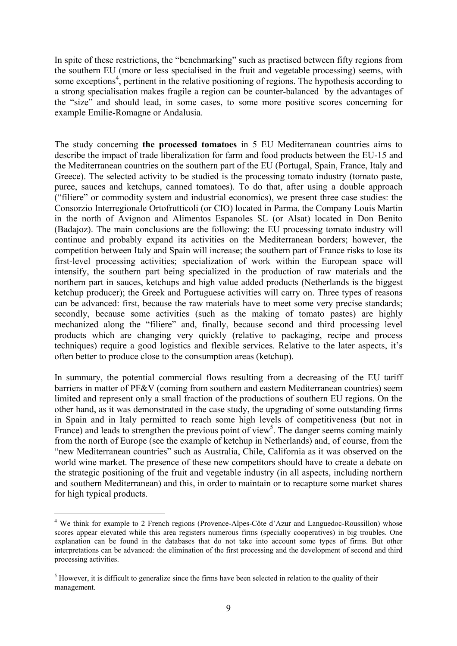In spite of these restrictions, the "benchmarking" such as practised between fifty regions from the southern EU (more or less specialised in the fruit and vegetable processing) seems, with some exceptions<sup>4</sup>, pertinent in the relative positioning of regions. The hypothesis according to a strong specialisation makes fragile a region can be counter-balanced by the advantages of the "size" and should lead, in some cases, to some more positive scores concerning for example Emilie-Romagne or Andalusia.

The study concerning **the processed tomatoes** in 5 EU Mediterranean countries aims to describe the impact of trade liberalization for farm and food products between the EU-15 and the Mediterranean countries on the southern part of the EU (Portugal, Spain, France, Italy and Greece). The selected activity to be studied is the processing tomato industry (tomato paste, puree, sauces and ketchups, canned tomatoes). To do that, after using a double approach ("filiere" or commodity system and industrial economics), we present three case studies: the Consorzio Interregionale Ortofrutticoli (or CIO) located in Parma, the Company Louis Martin in the north of Avignon and Alimentos Espanoles SL (or Alsat) located in Don Benito (Badajoz). The main conclusions are the following: the EU processing tomato industry will continue and probably expand its activities on the Mediterranean borders; however, the competition between Italy and Spain will increase; the southern part of France risks to lose its first-level processing activities; specialization of work within the European space will intensify, the southern part being specialized in the production of raw materials and the northern part in sauces, ketchups and high value added products (Netherlands is the biggest ketchup producer); the Greek and Portuguese activities will carry on. Three types of reasons can be advanced: first, because the raw materials have to meet some very precise standards; secondly, because some activities (such as the making of tomato pastes) are highly mechanized along the "filiere" and, finally, because second and third processing level products which are changing very quickly (relative to packaging, recipe and process techniques) require a good logistics and flexible services. Relative to the later aspects, it's often better to produce close to the consumption areas (ketchup).

In summary, the potential commercial flows resulting from a decreasing of the EU tariff barriers in matter of PF&V (coming from southern and eastern Mediterranean countries) seem limited and represent only a small fraction of the productions of southern EU regions. On the other hand, as it was demonstrated in the case study, the upgrading of some outstanding firms in Spain and in Italy permitted to reach some high levels of competitiveness (but not in France) and leads to strengthen the previous point of view<sup>5</sup>. The danger seems coming mainly from the north of Europe (see the example of ketchup in Netherlands) and, of course, from the "new Mediterranean countries" such as Australia, Chile, California as it was observed on the world wine market. The presence of these new competitors should have to create a debate on the strategic positioning of the fruit and vegetable industry (in all aspects, including northern and southern Mediterranean) and this, in order to maintain or to recapture some market shares for high typical products.

<sup>&</sup>lt;sup>4</sup> We think for example to 2 French regions (Provence-Alpes-Côte d'Azur and Languedoc-Roussillon) whose scores appear elevated while this area registers numerous firms (specially cooperatives) in big troubles. One explanation can be found in the databases that do not take into account some types of firms. But other interpretations can be advanced: the elimination of the first processing and the development of second and third processing activities.

 $<sup>5</sup>$  However, it is difficult to generalize since the firms have been selected in relation to the quality of their</sup> management.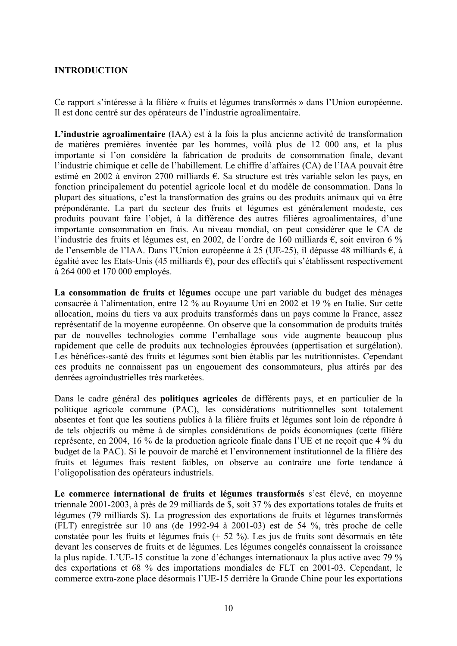## **INTRODUCTION**

Ce rapport s'intéresse à la filière « fruits et légumes transformés » dans l'Union européenne. Il est donc centré sur des opérateurs de l'industrie agroalimentaire.

**L'industrie agroalimentaire** (IAA) est à la fois la plus ancienne activité de transformation de matières premières inventée par les hommes, voilà plus de 12 000 ans, et la plus importante si l'on considère la fabrication de produits de consommation finale, devant l'industrie chimique et celle de l'habillement. Le chiffre d'affaires (CA) de l'IAA pouvait être estimé en 2002 à environ 2700 milliards €. Sa structure est très variable selon les pays, en fonction principalement du potentiel agricole local et du modèle de consommation. Dans la plupart des situations, c'est la transformation des grains ou des produits animaux qui va être prépondérante. La part du secteur des fruits et légumes est généralement modeste, ces produits pouvant faire l'objet, à la différence des autres filières agroalimentaires, d'une importante consommation en frais. Au niveau mondial, on peut considérer que le CA de l'industrie des fruits et légumes est, en 2002, de l'ordre de 160 milliards €, soit environ 6 % de l'ensemble de l'IAA. Dans l'Union européenne à 25 (UE-25), il dépasse 48 milliards €, à égalité avec les Etats-Unis (45 milliards €), pour des effectifs qui s'établissent respectivement à 264 000 et 170 000 employés.

**La consommation de fruits et légumes** occupe une part variable du budget des ménages consacrée à l'alimentation, entre 12 % au Royaume Uni en 2002 et 19 % en Italie. Sur cette allocation, moins du tiers va aux produits transformés dans un pays comme la France, assez représentatif de la moyenne européenne. On observe que la consommation de produits traités par de nouvelles technologies comme l'emballage sous vide augmente beaucoup plus rapidement que celle de produits aux technologies éprouvées (appertisation et surgélation). Les bénéfices-santé des fruits et légumes sont bien établis par les nutritionnistes. Cependant ces produits ne connaissent pas un engouement des consommateurs, plus attirés par des denrées agroindustrielles très marketées.

Dans le cadre général des **politiques agricoles** de différents pays, et en particulier de la politique agricole commune (PAC), les considérations nutritionnelles sont totalement absentes et font que les soutiens publics à la filière fruits et légumes sont loin de répondre à de tels objectifs ou même à de simples considérations de poids économiques (cette filière représente, en 2004, 16 % de la production agricole finale dans l'UE et ne reçoit que 4 % du budget de la PAC). Si le pouvoir de marché et l'environnement institutionnel de la filière des fruits et légumes frais restent faibles, on observe au contraire une forte tendance à l'oligopolisation des opérateurs industriels.

**Le commerce international de fruits et légumes transformés** s'est élevé, en moyenne triennale 2001-2003, à près de 29 milliards de \$, soit 37 % des exportations totales de fruits et légumes (79 milliards \$). La progression des exportations de fruits et légumes transformés (FLT) enregistrée sur 10 ans (de 1992-94 à 2001-03) est de 54 %, très proche de celle constatée pour les fruits et légumes frais (+ 52 %). Les jus de fruits sont désormais en tête devant les conserves de fruits et de légumes. Les légumes congelés connaissent la croissance la plus rapide. L'UE-15 constitue la zone d'échanges internationaux la plus active avec 79 % des exportations et 68 % des importations mondiales de FLT en 2001-03. Cependant, le commerce extra-zone place désormais l'UE-15 derrière la Grande Chine pour les exportations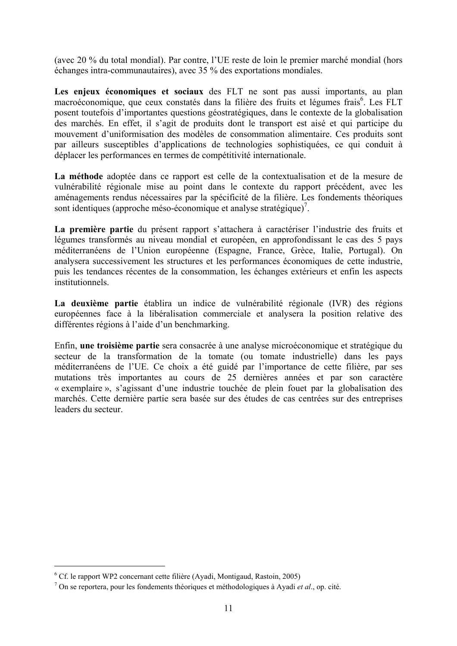(avec 20 % du total mondial). Par contre, l'UE reste de loin le premier marché mondial (hors échanges intra-communautaires), avec 35 % des exportations mondiales.

Les enjeux économiques et sociaux des FLT ne sont pas aussi importants, au plan macroéconomique, que ceux constatés dans la filière des fruits et légumes frais<sup>6</sup>. Les FLT posent toutefois d'importantes questions géostratégiques, dans le contexte de la globalisation des marchés. En effet, il s'agit de produits dont le transport est aisé et qui participe du mouvement d'uniformisation des modèles de consommation alimentaire. Ces produits sont par ailleurs susceptibles d'applications de technologies sophistiquées, ce qui conduit à déplacer les performances en termes de compétitivité internationale.

**La méthode** adoptée dans ce rapport est celle de la contextualisation et de la mesure de vulnérabilité régionale mise au point dans le contexte du rapport précédent, avec les aménagements rendus nécessaires par la spécificité de la filière. Les fondements théoriques sont identiques (approche méso-économique et analyse stratégique)<sup>7</sup>.

**La première partie** du présent rapport s'attachera à caractériser l'industrie des fruits et légumes transformés au niveau mondial et européen, en approfondissant le cas des 5 pays méditerranéens de l'Union européenne (Espagne, France, Grèce, Italie, Portugal). On analysera successivement les structures et les performances économiques de cette industrie, puis les tendances récentes de la consommation, les échanges extérieurs et enfin les aspects institutionnels.

**La deuxième partie** établira un indice de vulnérabilité régionale (IVR) des régions européennes face à la libéralisation commerciale et analysera la position relative des différentes régions à l'aide d'un benchmarking.

Enfin, **une troisième partie** sera consacrée à une analyse microéconomique et stratégique du secteur de la transformation de la tomate (ou tomate industrielle) dans les pays méditerranéens de l'UE. Ce choix a été guidé par l'importance de cette filière, par ses mutations très importantes au cours de 25 dernières années et par son caractère « exemplaire », s'agissant d'une industrie touchée de plein fouet par la globalisation des marchés. Cette dernière partie sera basée sur des études de cas centrées sur des entreprises leaders du secteur.

 $^6$  Cf. le rapport WP2 concernant cette filière (Ayadi, Montigaud, Rastoin, 2005)

On se reportera, pour les fondements théoriques et méthodologiques à Ayadi *et al*., op. cité.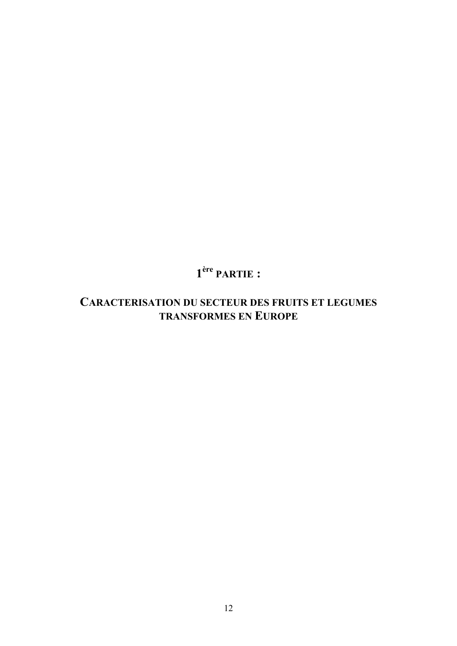# **1ère PARTIE :**

## **CARACTERISATION DU SECTEUR DES FRUITS ET LEGUMES TRANSFORMES EN EUROPE**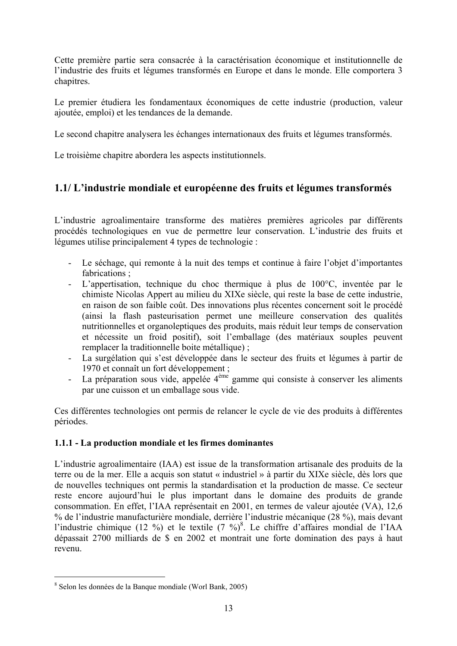Cette première partie sera consacrée à la caractérisation économique et institutionnelle de l'industrie des fruits et légumes transformés en Europe et dans le monde. Elle comportera 3 chapitres.

Le premier étudiera les fondamentaux économiques de cette industrie (production, valeur ajoutée, emploi) et les tendances de la demande.

Le second chapitre analysera les échanges internationaux des fruits et légumes transformés.

Le troisième chapitre abordera les aspects institutionnels.

## **1.1/ L'industrie mondiale et européenne des fruits et légumes transformés**

L'industrie agroalimentaire transforme des matières premières agricoles par différents procédés technologiques en vue de permettre leur conservation. L'industrie des fruits et légumes utilise principalement 4 types de technologie :

- Le séchage, qui remonte à la nuit des temps et continue à faire l'objet d'importantes fabrications ;
- L'appertisation, technique du choc thermique à plus de 100°C, inventée par le chimiste Nicolas Appert au milieu du XIXe siècle, qui reste la base de cette industrie, en raison de son faible coût. Des innovations plus récentes concernent soit le procédé (ainsi la flash pasteurisation permet une meilleure conservation des qualités nutritionnelles et organoleptiques des produits, mais réduit leur temps de conservation et nécessite un froid positif), soit l'emballage (des matériaux souples peuvent remplacer la traditionnelle boite métallique) ;
- La surgélation qui s'est développée dans le secteur des fruits et légumes à partir de 1970 et connaît un fort développement ;
- La préparation sous vide, appelée  $4^{\text{eme}}$  gamme qui consiste à conserver les aliments par une cuisson et un emballage sous vide.

Ces différentes technologies ont permis de relancer le cycle de vie des produits à différentes périodes.

## **1.1.1 - La production mondiale et les firmes dominantes**

L'industrie agroalimentaire (IAA) est issue de la transformation artisanale des produits de la terre ou de la mer. Elle a acquis son statut « industriel » à partir du XIXe siècle, dès lors que de nouvelles techniques ont permis la standardisation et la production de masse. Ce secteur reste encore aujourd'hui le plus important dans le domaine des produits de grande consommation. En effet, l'IAA représentait en 2001, en termes de valeur ajoutée (VA), 12,6 % de l'industrie manufacturière mondiale, derrière l'industrie mécanique (28 %), mais devant l'industrie chimique (12 %) et le textile  $(7 \%)^8$ . Le chiffre d'affaires mondial de l'IAA dépassait 2700 milliards de \$ en 2002 et montrait une forte domination des pays à haut revenu.

<sup>8</sup> Selon les données de la Banque mondiale (Worl Bank, 2005)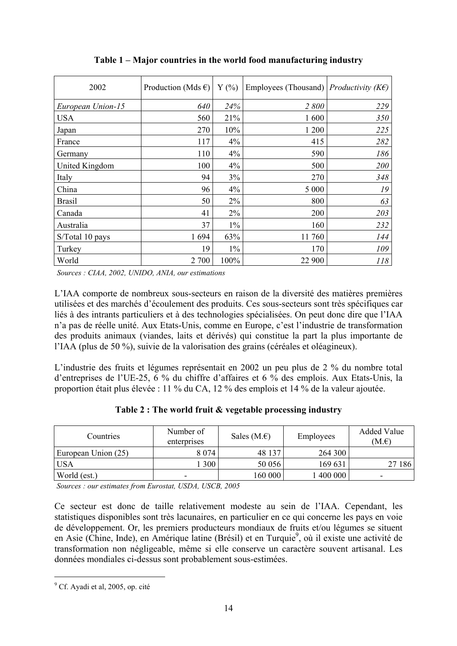| 2002              | Production (Mds $\epsilon$ ) | Y(%   | Employees (Thousand) <i>Productivity (KE)</i> |     |
|-------------------|------------------------------|-------|-----------------------------------------------|-----|
| European Union-15 | 640                          | 24%   | 2800                                          | 229 |
| <b>USA</b>        | 560                          | 21%   | 1600                                          | 350 |
| Japan             | 270                          | 10%   | 1 200                                         | 225 |
| France            | 117                          | 4%    | 415                                           | 282 |
| Germany           | 110                          | 4%    | 590                                           | 186 |
| United Kingdom    | 100                          | 4%    | 500                                           | 200 |
| Italy             | 94                           | 3%    | 270                                           | 348 |
| China             | 96                           | 4%    | 5 0 0 0                                       | 19  |
| <b>Brasil</b>     | 50                           | 2%    | 800                                           | 63  |
| Canada            | 41                           | 2%    | 200                                           | 203 |
| Australia         | 37                           | $1\%$ | 160                                           | 232 |
| S/Total 10 pays   | 1694                         | 63%   | 11760                                         | 144 |
| Turkey            | 19                           | $1\%$ | 170                                           | 109 |
| World             | 2 700                        | 100%  | 22 900                                        | 118 |

**Table 1 – Major countries in the world food manufacturing industry** 

*Sources : CIAA, 2002, UNIDO, ANIA, our estimations*

L'IAA comporte de nombreux sous-secteurs en raison de la diversité des matières premières utilisées et des marchés d'écoulement des produits. Ces sous-secteurs sont très spécifiques car liés à des intrants particuliers et à des technologies spécialisées. On peut donc dire que l'IAA n'a pas de réelle unité. Aux Etats-Unis, comme en Europe, c'est l'industrie de transformation des produits animaux (viandes, laits et dérivés) qui constitue la part la plus importante de l'IAA (plus de 50 %), suivie de la valorisation des grains (céréales et oléagineux).

L'industrie des fruits et légumes représentait en 2002 un peu plus de 2 % du nombre total d'entreprises de l'UE-25, 6 % du chiffre d'affaires et 6 % des emplois. Aux Etats-Unis, la proportion était plus élevée : 11 % du CA, 12 % des emplois et 14 % de la valeur ajoutée.

| Table 2 : The world fruit & vegetable processing industry |  |  |
|-----------------------------------------------------------|--|--|
|-----------------------------------------------------------|--|--|

| Countries           | Number of<br>enterprises | Sales $(M.E)$ | Employees | <b>Added Value</b><br>(M.E) |
|---------------------|--------------------------|---------------|-----------|-----------------------------|
| European Union (25) | 8 0 7 4                  | 48 137        | 264 300   |                             |
| <b>USA</b>          | 300                      | 50 056        | 169 631   | 27 186                      |
| World (est.)        | -                        | 160 000       | 400 000   | -                           |

*Sources : our estimates from Eurostat, USDA, USCB, 2005*

Ce secteur est donc de taille relativement modeste au sein de l'IAA. Cependant, les statistiques disponibles sont très lacunaires, en particulier en ce qui concerne les pays en voie de développement. Or, les premiers producteurs mondiaux de fruits et/ou légumes se situent en Asie (Chine, Inde), en Amérique latine (Brésil) et en Turquie<sup>9</sup>, où il existe une activité de transformation non négligeable, même si elle conserve un caractère souvent artisanal. Les données mondiales ci-dessus sont probablement sous-estimées.

<sup>&</sup>lt;sup>9</sup> Cf. Ayadi et al, 2005, op. cité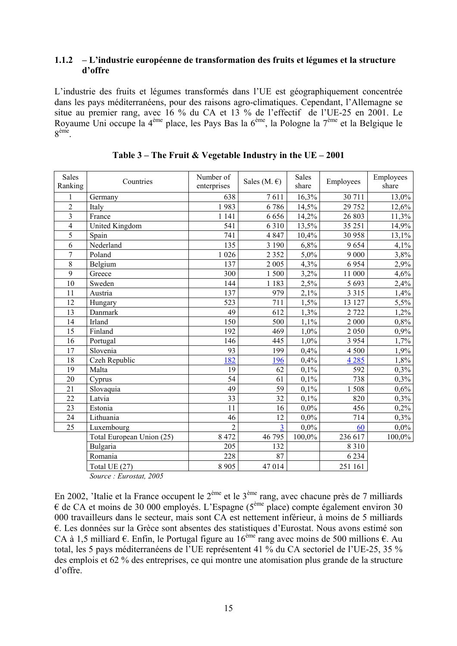#### **1.1.2 – L'industrie européenne de transformation des fruits et légumes et la structure d'offre**

L'industrie des fruits et légumes transformés dans l'UE est géographiquement concentrée dans les pays méditerranéens, pour des raisons agro-climatiques. Cependant, l'Allemagne se situe au premier rang, avec 16 % du CA et 13 % de l'effectif de l'UE-25 en 2001. Le Royaume Uni occupe la 4<sup>ème</sup> place, les Pays Bas la 6<sup>ème</sup>, la Pologne la 7<sup>ème</sup> et la Belgique le  $8^{\text{eme}}$ 

| <b>Sales</b><br>Ranking | Countries                 | Number of<br>enterprises | Sales (M. $\epsilon$ ) | <b>Sales</b><br>share | Employees | Employees<br>share |
|-------------------------|---------------------------|--------------------------|------------------------|-----------------------|-----------|--------------------|
| 1                       | Germany                   | 638                      | 7611                   | 16,3%                 | 30 711    | 13,0%              |
| $\overline{2}$          | Italy                     | 1983                     | 6786                   | 14,5%                 | 29 752    | 12,6%              |
| 3                       | France                    | 1 1 4 1                  | 6656                   | 14,2%                 | 26 803    | 11,3%              |
| 4                       | United Kingdom            | 541                      | 6310                   | 13,5%                 | 35 25 1   | 14,9%              |
| 5                       | Spain                     | 741                      | 4847                   | 10,4%                 | 30 958    | 13,1%              |
| 6                       | Nederland                 | 135                      | 3 1 9 0                | 6,8%                  | 9654      | 4,1%               |
| 7                       | Poland                    | 1 0 2 6                  | 2 3 5 2                | 5,0%                  | 9 0 0 0   | 3,8%               |
| 8                       | Belgium                   | 137                      | 2 0 0 5                | 4,3%                  | 6954      | 2,9%               |
| $\overline{9}$          | Greece                    | 300                      | 1500                   | 3,2%                  | 11 000    | 4,6%               |
| 10                      | Sweden                    | 144                      | 1 1 8 3                | 2,5%                  | 5 6 9 3   | 2,4%               |
| 11                      | Austria                   | 137                      | 979                    | 2,1%                  | 3 3 1 5   | 1,4%               |
| 12                      | Hungary                   | 523                      | 711                    | 1,5%                  | 13 127    | 5,5%               |
| 13                      | Danmark                   | 49                       | 612                    | 1,3%                  | 2 7 2 2   | 1,2%               |
| 14                      | Irland                    | 150                      | 500                    | 1,1%                  | 2 000     | 0,8%               |
| 15                      | Finland                   | 192                      | 469                    | 1,0%                  | 2 0 5 0   | 0,9%               |
| 16                      | Portugal                  | 146                      | 445                    | 1,0%                  | 3 9 5 4   | 1,7%               |
| 17                      | Slovenia                  | 93                       | 199                    | 0,4%                  | 4 500     | 1,9%               |
| 18                      | Czeh Republic             | 182                      | 196                    | 0,4%                  | 4 2 8 5   | 1,8%               |
| 19                      | Malta                     | 19                       | 62                     | 0,1%                  | 592       | 0,3%               |
| 20                      | Cyprus                    | 54                       | 61                     | 0,1%                  | 738       | 0,3%               |
| 21                      | Slovaquia                 | 49                       | 59                     | 0,1%                  | 1508      | 0,6%               |
| 22                      | Latvia                    | 33                       | 32                     | 0,1%                  | 820       | 0,3%               |
| 23                      | Estonia                   | $\overline{11}$          | 16                     | 0,0%                  | 456       | 0,2%               |
| 24                      | Lithuania                 | 46                       | 12                     | 0,0%                  | 714       | 0,3%               |
| 25                      | Luxembourg                | $\overline{2}$           | $\overline{3}$         | 0,0%                  | 60        | $0,0\%$            |
|                         | Total European Union (25) | 8 4 7 2                  | 46 795                 | 100,0%                | 236 617   | 100,0%             |
|                         | Bulgaria                  | 205                      | 132                    |                       | 8 3 1 0   |                    |
|                         | Romania                   | 228                      | 87                     |                       | 6 2 3 4   |                    |
|                         | Total UE (27)             | 8 9 0 5                  | 47014                  |                       | 251 161   |                    |

| Table 3 – The Fruit & Vegetable Industry in the UE – 2001 |  |  |
|-----------------------------------------------------------|--|--|
|-----------------------------------------------------------|--|--|

*Source : Eurostat, 2005*

En 2002, 'Italie et la France occupent le 2ème et le 3ème rang, avec chacune près de 7 milliards € de CA et moins de 30 000 employés. L'Espagne (5ème place) compte également environ 30 000 travailleurs dans le secteur, mais sont CA est nettement inférieur, à moins de 5 milliards €. Les données sur la Grèce sont absentes des statistiques d'Eurostat. Nous avons estimé son CA à 1,5 milliard  $\epsilon$ . Enfin, le Portugal figure au 16<sup>ème</sup> rang avec moins de 500 millions  $\epsilon$ . Au total, les 5 pays méditerranéens de l'UE représentent 41 % du CA sectoriel de l'UE-25, 35 % des emplois et 62 % des entreprises, ce qui montre une atomisation plus grande de la structure d'offre.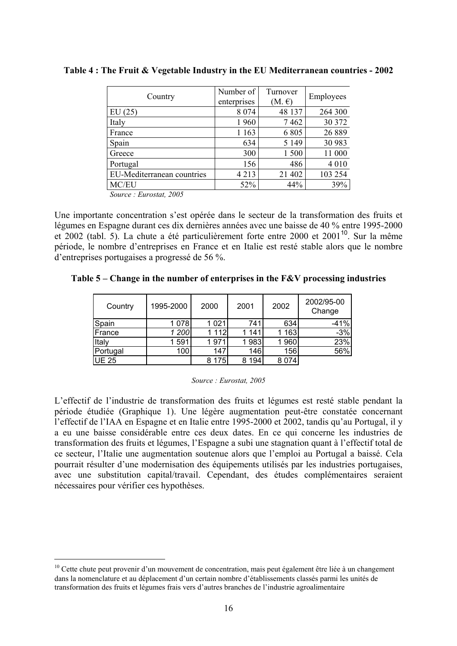| Country                    | Number of<br>enterprises | Turnover<br>$(M, \mathcal{E})$ | Employees |
|----------------------------|--------------------------|--------------------------------|-----------|
| EU(25)                     | 8 0 7 4                  | 48 137                         | 264 300   |
| Italy                      | 1960                     | 7462                           | 30 372    |
| France                     | 1 1 6 3                  | 6805                           | 26 889    |
| Spain                      | 634                      | 5 1 4 9                        | 30 983    |
| Greece                     | 300                      | 1500                           | 11 000    |
| Portugal                   | 156                      | 486                            | 4 0 1 0   |
| EU-Mediterranean countries | 4 2 1 3                  | 21 402                         | 103 254   |
| MC/EU                      | 52%                      | 44%                            | 39%       |

**Table 4 : The Fruit & Vegetable Industry in the EU Mediterranean countries - 2002** 

*Source : Eurostat, 2005* 

 $\overline{a}$ 

Une importante concentration s'est opérée dans le secteur de la transformation des fruits et légumes en Espagne durant ces dix dernières années avec une baisse de 40 % entre 1995-2000 et 2002 (tabl. 5). La chute a été particulièrement forte entre 2000 et 2001<sup>10</sup>. Sur la même période, le nombre d'entreprises en France et en Italie est resté stable alors que le nombre d'entreprises portugaises a progressé de 56 %.

**Table 5 – Change in the number of enterprises in the F&V processing industries** 

| Country      | 1995-2000 | 2000      | 2001     | 2002 | 2002/95-00<br>Change |
|--------------|-----------|-----------|----------|------|----------------------|
| Spain        | 1078      | 1 0 2 1   | 741      | 634  | $-41%$               |
| France       | 1 200     | 1 1 1 2 1 | 141      | 163  | $-3%$                |
| <b>Italy</b> | 591       | 1971      | 1983     | 1960 | 23%                  |
| Portugal     | 100       | 147       | 146      | 156  | 56%                  |
| <b>UE 25</b> |           | 8 1 7 5   | 194<br>8 | 8074 |                      |

*Source : Eurostat, 2005* 

L'effectif de l'industrie de transformation des fruits et légumes est resté stable pendant la période étudiée (Graphique 1). Une légère augmentation peut-être constatée concernant l'effectif de l'IAA en Espagne et en Italie entre 1995-2000 et 2002, tandis qu'au Portugal, il y a eu une baisse considérable entre ces deux dates. En ce qui concerne les industries de transformation des fruits et légumes, l'Espagne a subi une stagnation quant à l'effectif total de ce secteur, l'Italie une augmentation soutenue alors que l'emploi au Portugal a baissé. Cela pourrait résulter d'une modernisation des équipements utilisés par les industries portugaises, avec une substitution capital/travail. Cependant, des études complémentaires seraient nécessaires pour vérifier ces hypothèses.

<sup>&</sup>lt;sup>10</sup> Cette chute peut provenir d'un mouvement de concentration, mais peut également être liée à un changement dans la nomenclature et au déplacement d'un certain nombre d'établissements classés parmi les unités de transformation des fruits et légumes frais vers d'autres branches de l'industrie agroalimentaire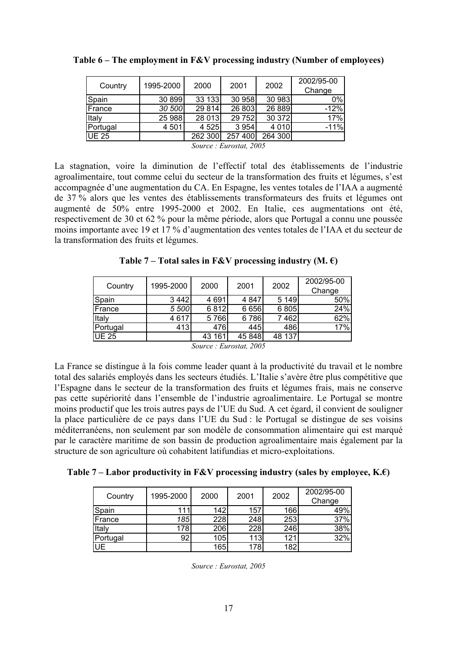| Country  | 1995-2000 | 2000    | 2001                                               | 2002    | 2002/95-00 |
|----------|-----------|---------|----------------------------------------------------|---------|------------|
|          |           |         |                                                    |         | Change     |
| Spain    | 30 899    | 33 133  | 30 958                                             | 30 983  | $0\%$      |
| France   | 30 500    | 29 8 14 | 26 803                                             | 26 889  | $-12%$     |
| Italy    | 25 988    | 28 013  | 29 752                                             | 30 372  | 17%        |
| Portugal | 4 5 0 1   | 4 5 25  | 3 9 5 4                                            | 4 0 1 0 | $-11%$     |
| UE 25    |           | 262 300 | 257 400                                            | 264 300 |            |
|          |           | $\sim$  | $\sim$ $\sim$ $\sim$ $\sim$ $\sim$<br>$\mathbf{r}$ |         |            |

|  |  |  | Table $6$ – The employment in F&V processing industry (Number of employees) |  |
|--|--|--|-----------------------------------------------------------------------------|--|
|  |  |  |                                                                             |  |
|  |  |  |                                                                             |  |

*Source : Eurostat, 2005* 

La stagnation, voire la diminution de l'effectif total des établissements de l'industrie agroalimentaire, tout comme celui du secteur de la transformation des fruits et légumes, s'est accompagnée d'une augmentation du CA. En Espagne, les ventes totales de l'IAA a augmenté de 37 % alors que les ventes des établissements transformateurs des fruits et légumes ont augmenté de 50% entre 1995-2000 et 2002. En Italie, ces augmentations ont été, respectivement de 30 et 62 % pour la même période, alors que Portugal a connu une poussée moins importante avec 19 et 17 % d'augmentation des ventes totales de l'IAA et du secteur de la transformation des fruits et légumes.

Table 7 – Total sales in F&V processing industry  $(M, \epsilon)$ 

|               | 1995-2000 | 2000   |         | 2002    | 2002/95-00 |
|---------------|-----------|--------|---------|---------|------------|
| Country       |           |        | 2001    |         | Change     |
| Spain         | 3442      | 4691   | 4 8 4 7 | 5 149   | 50%        |
| France        | 5 500     | 6812   | 6 6 5 6 | 6 8 0 5 | 24%        |
| <b>Italy</b>  | 4617      | 5766   | 6786    | 7462    | 62%        |
| Portugal      | 413'      | 476    | 445     | 486     | 17%        |
| <b>IUE 25</b> |           | 43 161 | 45 848  | 48 137  |            |

*Source : Eurostat, 2005* 

La France se distingue à la fois comme leader quant à la productivité du travail et le nombre total des salariés employés dans les secteurs étudiés. L'Italie s'avère être plus compétitive que l'Espagne dans le secteur de la transformation des fruits et légumes frais, mais ne conserve pas cette supériorité dans l'ensemble de l'industrie agroalimentaire. Le Portugal se montre moins productif que les trois autres pays de l'UE du Sud. A cet égard, il convient de souligner la place particulière de ce pays dans l'UE du Sud : le Portugal se distingue de ses voisins méditerranéens, non seulement par son modèle de consommation alimentaire qui est marqué par le caractère maritime de son bassin de production agroalimentaire mais également par la structure de son agriculture où cohabitent latifundias et micro-exploitations.

**Table 7 – Labor productivity in F&V processing industry (sales by employee, K.€)**

| Country      | 1995-2000 | 2000             | 2001 | 2002 | 2002/95-00 |
|--------------|-----------|------------------|------|------|------------|
|              |           |                  |      |      | Change     |
| Spain        | 111       | 142 <sub>1</sub> | 157  | 166  | 49%        |
| France       | 185       | 228              | 248  | 253  | 37%        |
| <b>Italy</b> | 178       | 206              | 228  | 246  | 38%        |
| Portugal     | 92        | 105              | 113  | 121  | 32%        |
| UE           |           | 165              | 178  | 182  |            |

*Source : Eurostat, 2005*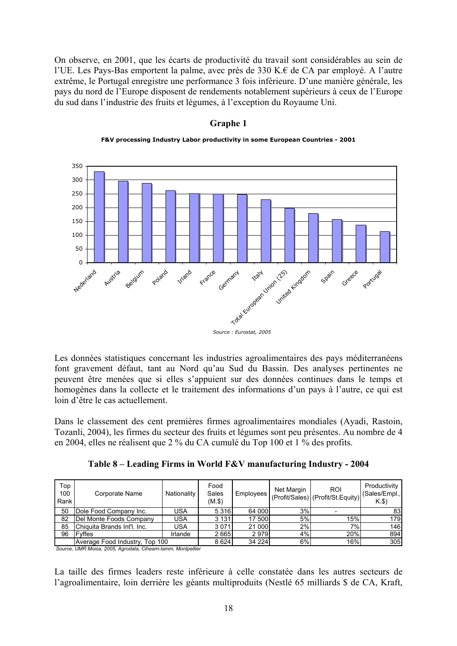On observe, en 2001, que les écarts de productivité du travail sont considérables au sein de l'UE. Les Pays-Bas emportent la palme, avec près de 330 K.€ de CA par employé. A l'autre extrême, le Portugal enregistre une performance 3 fois inférieure. D'une manière générale, les pays du nord de l'Europe disposent de rendements notablement supérieurs à ceux de l'Europe du sud dans l'industrie des fruits et légumes, à l'exception du Royaume Uni.

#### **Graphe 1**



**F&V processing Industry Labor productivity in some European Countries - 2001**

*Source : Eurostat, 2005*

Les données statistiques concernant les industries agroalimentaires des pays méditerranéens font gravement défaut, tant au Nord qu'au Sud du Bassin. Des analyses pertinentes ne peuvent être menées que si elles s'appuient sur des données continues dans le temps et homogènes dans la collecte et le traitement des informations d'un pays à l'autre, ce qui est loin d'être le cas actuellement.

Dans le classement des cent premières firmes agroalimentaires mondiales (Ayadi, Rastoin, Tozanli, 2004), les firmes du secteur des fruits et légumes sont peu présentes. Au nombre de 4 en 2004, elles ne réalisent que 2 % du CA cumulé du Top 100 et 1 % des profits.

**Table 8 – Leading Firms in World F&V manufacturing Industry - 2004** 

| Top<br>100<br>Rank | Corporate Name                 | Nationality | Food<br>Sales<br>$(M.$ \$) | Employees | Net Margin | <b>ROI</b><br>(Profit/Sales) (Profit/St.Equity) | Productivity<br>(Sales/Empl.,<br>K.S |
|--------------------|--------------------------------|-------------|----------------------------|-----------|------------|-------------------------------------------------|--------------------------------------|
| 50                 | Dole Food Company Inc.         | <b>USA</b>  | 5 3 1 6                    | 64 000    | 3%         |                                                 | 831                                  |
| 82                 | Del Monte Foods Company        | <b>USA</b>  | 3 1 3 1                    | 17 500    | 5%         | 15%.                                            | 179I                                 |
| 85                 | Chiquita Brands Int'l. Inc.    | <b>USA</b>  | 3071                       | 21 000    | 2%         | 7%                                              | 146 l                                |
| 96                 | <b>IFvffes</b>                 | Irlande     | 2665                       | 2979      | 4%         | 20%                                             | 894                                  |
|                    | Average Food Industry, Top 100 |             |                            | 34 224    | 6%l        | 16%                                             | 305                                  |

*Source, UMR Moisa, 2005, Agrodata, Ciheam-Iamm, Montpellier*

La taille des firmes leaders reste inférieure à celle constatée dans les autres secteurs de l'agroalimentaire, loin derrière les géants multiproduits (Nestlé 65 milliards \$ de CA, Kraft,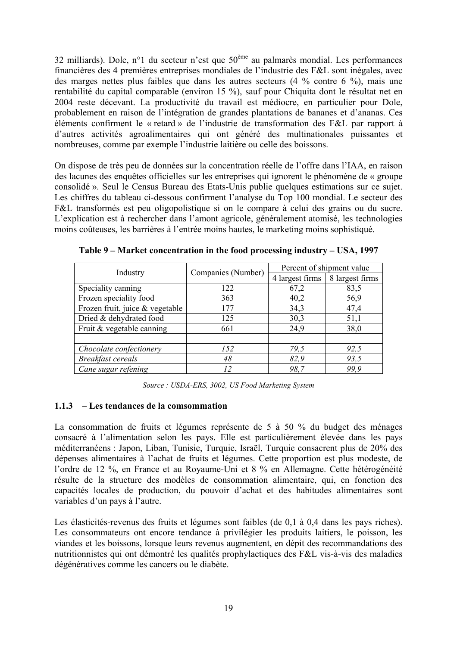32 milliards). Dole, n°1 du secteur n'est que 50ème au palmarès mondial. Les performances financières des 4 premières entreprises mondiales de l'industrie des F&L sont inégales, avec des marges nettes plus faibles que dans les autres secteurs (4 % contre 6 %), mais une rentabilité du capital comparable (environ 15 %), sauf pour Chiquita dont le résultat net en 2004 reste décevant. La productivité du travail est médiocre, en particulier pour Dole, probablement en raison de l'intégration de grandes plantations de bananes et d'ananas. Ces éléments confirment le « retard » de l'industrie de transformation des F&L par rapport à d'autres activités agroalimentaires qui ont généré des multinationales puissantes et nombreuses, comme par exemple l'industrie laitière ou celle des boissons.

On dispose de très peu de données sur la concentration réelle de l'offre dans l'IAA, en raison des lacunes des enquêtes officielles sur les entreprises qui ignorent le phénomène de « groupe consolidé ». Seul le Census Bureau des Etats-Unis publie quelques estimations sur ce sujet. Les chiffres du tableau ci-dessous confirment l'analyse du Top 100 mondial. Le secteur des F&L transformés est peu oligopolistique si on le compare à celui des grains ou du sucre. L'explication est à rechercher dans l'amont agricole, généralement atomisé, les technologies moins coûteuses, les barrières à l'entrée moins hautes, le marketing moins sophistiqué.

| Industry                        | Companies (Number) | Percent of shipment value |                 |  |  |
|---------------------------------|--------------------|---------------------------|-----------------|--|--|
|                                 |                    | 4 largest firms           | 8 largest firms |  |  |
| Speciality canning              | 122                | 67,2                      | 83,5            |  |  |
| Frozen speciality food          | 363                | 40,2                      | 56,9            |  |  |
| Frozen fruit, juice & vegetable | 177                | 34,3                      | 47,4            |  |  |
| Dried & dehydrated food         | 125                | 30,3                      | 51,1            |  |  |
| Fruit & vegetable canning       | 661                | 24,9                      | 38,0            |  |  |
|                                 |                    |                           |                 |  |  |
| Chocolate confectionery         | 152                | 79,5                      | 92,5            |  |  |
| <b>Breakfast cereals</b>        | 48                 | 82,9                      | 93,5            |  |  |
| Cane sugar refening             |                    | 98.7                      | 99.9            |  |  |

**Table 9 – Market concentration in the food processing industry – USA, 1997** 

*Source : USDA-ERS, 3002, US Food Marketing System* 

#### **1.1.3 – Les tendances de la comsommation**

La consommation de fruits et légumes représente de 5 à 50 % du budget des ménages consacré à l'alimentation selon les pays. Elle est particulièrement élevée dans les pays méditerranéens : Japon, Liban, Tunisie, Turquie, Israël, Turquie consacrent plus de 20% des dépenses alimentaires à l'achat de fruits et légumes. Cette proportion est plus modeste, de l'ordre de 12 %, en France et au Royaume-Uni et 8 % en Allemagne. Cette hétérogénéité résulte de la structure des modèles de consommation alimentaire, qui, en fonction des capacités locales de production, du pouvoir d'achat et des habitudes alimentaires sont variables d'un pays à l'autre.

Les élasticités-revenus des fruits et légumes sont faibles (de 0,1 à 0,4 dans les pays riches). Les consommateurs ont encore tendance à privilégier les produits laitiers, le poisson, les viandes et les boissons, lorsque leurs revenus augmentent, en dépit des recommandations des nutritionnistes qui ont démontré les qualités prophylactiques des F&L vis-à-vis des maladies dégénératives comme les cancers ou le diabète.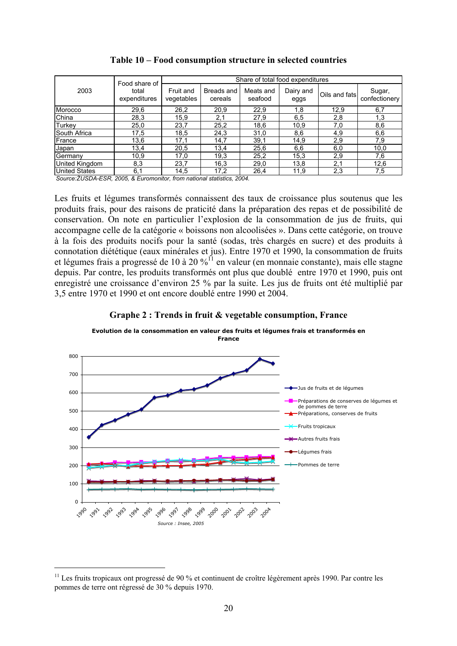|                | Food share of         | Share of total food expenditures |                       |                      |                   |               |                         |  |  |  |
|----------------|-----------------------|----------------------------------|-----------------------|----------------------|-------------------|---------------|-------------------------|--|--|--|
| 2003           | total<br>expenditures | Fruit and<br>vegetables          | Breads and<br>cereals | Meats and<br>seafood | Dairy and<br>eggs | Oils and fats | Sugar,<br>confectionery |  |  |  |
| Morocco        | 29,6                  | 26,2                             | 20,9                  | 22,9                 | 1,8               | 12,9          | 6,7                     |  |  |  |
| China          | 28,3                  | 15,9                             | 2,1                   | 27,9                 | 6,5               | 2,8           | 1,3                     |  |  |  |
| Turkey         | 25,0                  | 23,7                             | 25,2                  | 18,6                 | 10,9              | 7,0           | 8,6                     |  |  |  |
| South Africa   | 17,5                  | 18,5                             | 24,3                  | 31,0                 | 8,6               | 4,9           | 6,6                     |  |  |  |
| France         | 13,6                  | 17,1                             | 14,7                  | 39,1                 | 14,9              | 2,9           | 7,9                     |  |  |  |
| Japan          | 13,4                  | 20,5                             | 13,4                  | 25,6                 | 6,6               | 6,0           | 10,0                    |  |  |  |
| Germany        | 10,9                  | 17,0                             | 19,3                  | 25,2                 | 15,3              | 2,9           | 7,6                     |  |  |  |
| United Kingdom | 8,3                   | 23,7                             | 16,3                  | 29,0                 | 13,8              | 2,1           | 12,6                    |  |  |  |
| United States  | 6,1                   | 14,5                             | 17,2                  | 26.4                 | 11,9              | 2,3           | 7,5                     |  |  |  |

#### **Table 10 – Food consumption structure in selected countries**

*Source:ŹUSDA-ESR, 2005, & Euromonitor, from national statistics, 2004.*

Les fruits et légumes transformés connaissent des taux de croissance plus soutenus que les produits frais, pour des raisons de praticité dans la préparation des repas et de possibilité de conservation. On note en particulier l'explosion de la consommation de jus de fruits, qui accompagne celle de la catégorie « boissons non alcoolisées ». Dans cette catégorie, on trouve à la fois des produits nocifs pour la santé (sodas, très chargés en sucre) et des produits à connotation diététique (eaux minérales et jus). Entre 1970 et 1990, la consommation de fruits et légumes frais a progressé de 10 à 20 %<sup>11</sup> en valeur (en monnaie constante), mais elle stagne depuis. Par contre, les produits transformés ont plus que doublé entre 1970 et 1990, puis ont enregistré une croissance d'environ 25 % par la suite. Les jus de fruits ont été multiplié par 3,5 entre 1970 et 1990 et ont encore doublé entre 1990 et 2004.





<sup>&</sup>lt;sup>11</sup> Les fruits tropicaux ont progressé de 90 % et continuent de croître légèrement après 1990. Par contre les pommes de terre ont régressé de 30 % depuis 1970.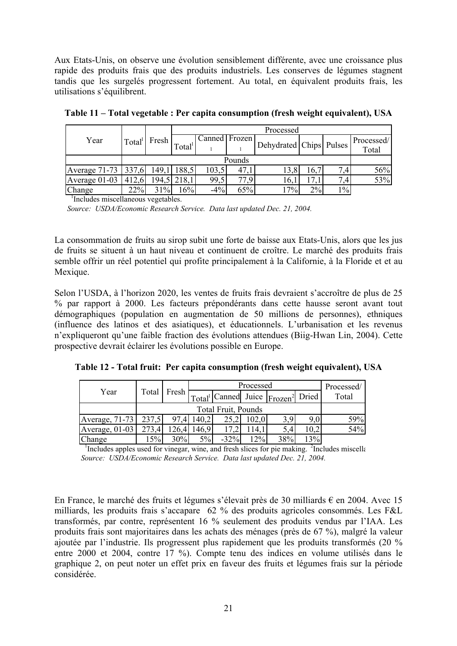Aux Etats-Unis, on observe une évolution sensiblement différente, avec une croissance plus rapide des produits frais que des produits industriels. Les conserves de légumes stagnent tandis que les surgelés progressent fortement. Au total, en équivalent produits frais, les utilisations s'équilibrent.

|                       |                    |        | Processed          |               |      |                         |       |                  |            |  |
|-----------------------|--------------------|--------|--------------------|---------------|------|-------------------------|-------|------------------|------------|--|
| Year                  | Total <sup>1</sup> | Fresh  |                    | Canned Frozen |      |                         |       |                  | Processed/ |  |
|                       |                    |        | Total <sup>1</sup> |               |      | Dehydrated Chips Pulses |       |                  | Total      |  |
|                       |                    | Pounds |                    |               |      |                         |       |                  |            |  |
| Average 71-73   337,6 |                    | 149.1  | 188.5              | 103.5         | 47   | 13,8                    | 16.   | 7.4 <sub>1</sub> | 56%        |  |
| Average $01-03$       | 412.6              |        | 194,5 218,1        | 99,5          | 77 Q | 16,1                    |       | 7,4              | 53%        |  |
| <b>Change</b>         | 22%                | 31%    | 16%                | $-4%$         | 65%  | $.7\%$                  | $2\%$ | $1\%$            |            |  |

**Table 11 – Total vegetable : Per capita consumption (fresh weight equivalent), USA** 

<sup>1</sup>Includes miscellaneous vegetables.

*Source: USDA/Economic Research Service. Data last updated Dec. 21, 2004.*

La consommation de fruits au sirop subit une forte de baisse aux Etats-Unis, alors que les jus de fruits se situent à un haut niveau et continuent de croître. Le marché des produits frais semble offrir un réel potentiel qui profite principalement à la Californie, à la Floride et et au Mexique.

Selon l'USDA, à l'horizon 2020, les ventes de fruits frais devraient s'accroître de plus de 25 % par rapport à 2000. Les facteurs prépondérants dans cette hausse seront avant tout démographiques (population en augmentation de 50 millions de personnes), ethniques (influence des latinos et des asiatiques), et éducationnels. L'urbanisation et les revenus n'expliqueront qu'une faible fraction des évolutions attendues (Biig-Hwan Lin, 2004). Cette prospective devrait éclairer les évolutions possible en Europe.

| Table 12 - Total fruit: Per capita consumption (fresh weight equivalent), USA |  |  |  |
|-------------------------------------------------------------------------------|--|--|--|
|                                                                               |  |  |  |

|                    |       |                            |        | Processed |       |                                                       |      |       |  |
|--------------------|-------|----------------------------|--------|-----------|-------|-------------------------------------------------------|------|-------|--|
| Year               | Total | Fresh                      |        |           |       | $\text{Total}^1$ Canned Juice $\text{Frozen}^2$ Dried |      | Total |  |
|                    |       | <b>Total Fruit, Pounds</b> |        |           |       |                                                       |      |       |  |
| $ Average, 71-73 $ | 237,5 |                            | 140.2' |           | 102,0 | 3.9                                                   | 9.0. | 59%   |  |
| Average, $01-03$   | 273.4 | 126.4                      | 146,9  |           | 14,1  | 5,4                                                   | 10.2 | 54%   |  |
| Change             | 15%   | 30%                        | $5\%$  | $-32%$    | 12%   | 38%                                                   | 13%  |       |  |

<sup>1</sup>Includes apples used for vinegar, wine, and fresh slices for pie making. <sup>2</sup>Includes miscella *Source: USDA/Economic Research Service. Data last updated Dec. 21, 2004.*

En France, le marché des fruits et légumes s'élevait près de 30 milliards  $\epsilon$  en 2004. Avec 15 milliards, les produits frais s'accapare 62 % des produits agricoles consommés. Les F&L transformés, par contre, représentent 16 % seulement des produits vendus par l'IAA. Les produits frais sont majoritaires dans les achats des ménages (près de 67 %), malgré la valeur ajoutée par l'industrie. Ils progressent plus rapidement que les produits transformés (20 % entre 2000 et 2004, contre 17 %). Compte tenu des indices en volume utilisés dans le graphique 2, on peut noter un effet prix en faveur des fruits et légumes frais sur la période considérée.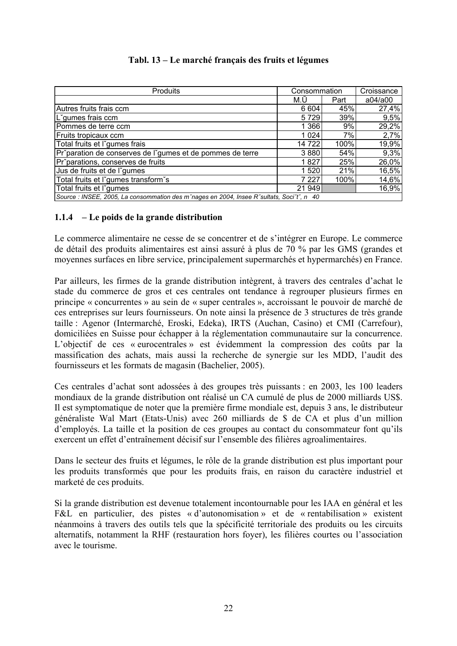| <b>Produits</b>                                                                           | Consommation |      | Croissance |
|-------------------------------------------------------------------------------------------|--------------|------|------------|
|                                                                                           | M.U          | Part | a04/a00    |
| Autres fruits frais ccm                                                                   | 6 604        | 45%  | 27,4%      |
| L'gumes frais ccm                                                                         | 5729         | 39%  | 9,5%       |
| Pommes de terre ccm                                                                       | 1 366        | 9%   | 29,2%      |
| Fruits tropicaux ccm                                                                      | 1 0 24       | 7%   | 2,7%       |
| Total fruits et l'gumes frais                                                             | 14 722       | 100% | 19,9%      |
| Pr <sup>o</sup> paration de conserves de l'gumes et de pommes de terre                    | 3880         | 54%  | 9,3%       |
| Pr <sup>o</sup> parations, conserves de fruits                                            | 1827         | 25%  | 26,0%      |
| Jus de fruits et de l'gumes                                                               | 1 5 2 0      | 21%  | 16,5%      |
| Total fruits et l'gumes transform's                                                       | 7 2 2 7      | 100% | 14,6%      |
| Total fruits et l'gumes                                                                   | 21 949       |      | 16,9%      |
| Source : INSEE, 2005, La consommation des m'nages en 2004, Insee R'sultats, Soci't', n 40 |              |      |            |

## **Tabl. 13 – Le marché français des fruits et légumes**

## **1.1.4 – Le poids de la grande distribution**

Le commerce alimentaire ne cesse de se concentrer et de s'intégrer en Europe. Le commerce de détail des produits alimentaires est ainsi assuré à plus de 70 % par les GMS (grandes et moyennes surfaces en libre service, principalement supermarchés et hypermarchés) en France.

Par ailleurs, les firmes de la grande distribution intègrent, à travers des centrales d'achat le stade du commerce de gros et ces centrales ont tendance à regrouper plusieurs firmes en principe « concurrentes » au sein de « super centrales », accroissant le pouvoir de marché de ces entreprises sur leurs fournisseurs. On note ainsi la présence de 3 structures de très grande taille : Agenor (Intermarché, Eroski, Edeka), IRTS (Auchan, Casino) et CMI (Carrefour), domiciliées en Suisse pour échapper à la réglementation communautaire sur la concurrence. L'objectif de ces « eurocentrales » est évidemment la compression des coûts par la massification des achats, mais aussi la recherche de synergie sur les MDD, l'audit des fournisseurs et les formats de magasin (Bachelier, 2005).

Ces centrales d'achat sont adossées à des groupes très puissants : en 2003, les 100 leaders mondiaux de la grande distribution ont réalisé un CA cumulé de plus de 2000 milliards US\$. Il est symptomatique de noter que la première firme mondiale est, depuis 3 ans, le distributeur généraliste Wal Mart (Etats-Unis) avec 260 milliards de \$ de CA et plus d'un million d'employés. La taille et la position de ces groupes au contact du consommateur font qu'ils exercent un effet d'entraînement décisif sur l'ensemble des filières agroalimentaires.

Dans le secteur des fruits et légumes, le rôle de la grande distribution est plus important pour les produits transformés que pour les produits frais, en raison du caractère industriel et marketé de ces produits.

Si la grande distribution est devenue totalement incontournable pour les IAA en général et les F&L en particulier, des pistes « d'autonomisation » et de « rentabilisation » existent néanmoins à travers des outils tels que la spécificité territoriale des produits ou les circuits alternatifs, notamment la RHF (restauration hors foyer), les filières courtes ou l'association avec le tourisme.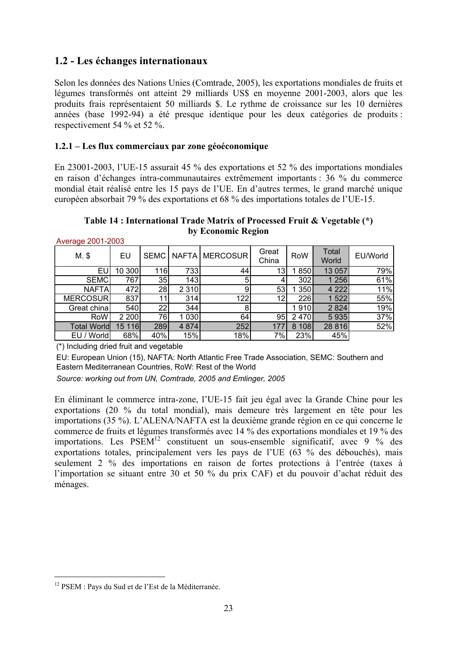## **1.2 - Les échanges internationaux**

Selon les données des Nations Unies (Comtrade, 2005), les exportations mondiales de fruits et légumes transformés ont atteint 29 milliards US\$ en moyenne 2001-2003, alors que les produits frais représentaient 50 milliards \$. Le rythme de croissance sur les 10 dernières années (base 1992-94) a été presque identique pour les deux catégories de produits : respectivement 54 % et 52 %.

## **1.2.1 – Les flux commerciaux par zone géoéconomique**

En 23001-2003, l'UE-15 assurait 45 % des exportations et 52 % des importations mondiales en raison d'échanges intra-communautaires extrêmement importants : 36 % du commerce mondial était réalisé entre les 15 pays de l'UE. En d'autres termes, le grand marché unique européen absorbait 79 % des exportations et 68 % des importations totales de l'UE-15.

**Table 14 : International Trade Matrix of Processed Fruit & Vegetable (\*) by Economic Region** 

| $M.$ \$         | EU     | SEMC |         | NAFTA   MERCOSUR | Great<br>China | RoW   | Total<br>World | EU/World |
|-----------------|--------|------|---------|------------------|----------------|-------|----------------|----------|
| EU              | 10 300 | 116  | 733     | 44               | 13             | 850   | 13 057         | 79%      |
| <b>SEMC</b>     | 767    | 35   | 143     | 5                |                | 302   | 1 256          | 61%      |
| <b>NAFTA</b>    | 472    | 28   | 2 3 1 0 | 9 <sub>l</sub>   | 53             | 1 350 | 4 2 2 2        | 11%      |
| <b>MERCOSUR</b> | 837    | 11   | 314     | 122              | 12             | 226   | 1 522          | 55%      |
| Great china     | 540    | 22   | 344     | 8                |                | 1910  | 2 8 2 4        | 19%      |
| RoW             | 2 200  | 76   | 1 0 3 0 | 64               | 95             | 2470  | 5935           | 37%      |
| Total World     | 15 116 | 289  | 4 8 7 4 | 252              | 177            | 8 108 | 28 8 16        | 52%      |
| EU / World      | 68%    | 40%  | 15%     | 18%              | 7%             | 23%   | 45%            |          |

(\*) Including dried fruit and vegetable

EU: European Union (15), NAFTA: North Atlantic Free Trade Association, SEMC: Southern and Eastern Mediterranean Countries, RoW: Rest of the World

*Source: working out from UN, Comtrade, 2005 and Emlinger, 2005*

En éliminant le commerce intra-zone, l'UE-15 fait jeu égal avec la Grande Chine pour les exportations (20 % du total mondial), mais demeure très largement en tête pour les importations (35 %). L'ALENA/NAFTA est la deuxième grande région en ce qui concerne le commerce de fruits et légumes transformés avec 14 % des exportations mondiales et 19 % des importations. Les  $PSEM<sup>12</sup>$  constituent un sous-ensemble significatif, avec 9 % des exportations totales, principalement vers les pays de l'UE (63 % des débouchés), mais seulement 2 % des importations en raison de fortes protections à l'entrée (taxes à l'importation se situant entre 30 et 50 % du prix CAF) et du pouvoir d'achat réduit des ménages.

<sup>&</sup>lt;sup>12</sup> PSEM : Pays du Sud et de l'Est de la Méditerranée.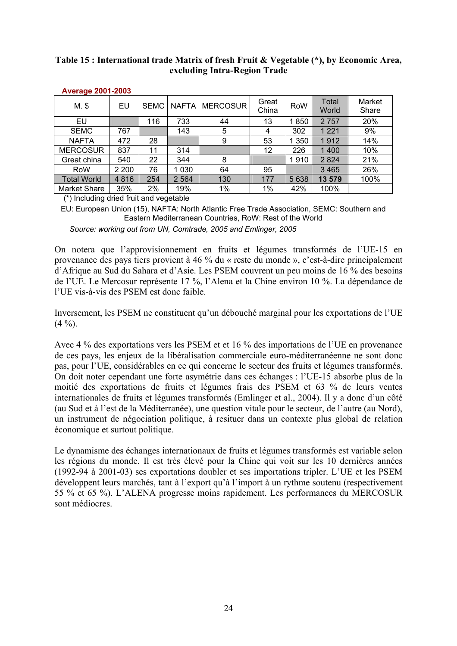## **Table 15 : International trade Matrix of fresh Fruit & Vegetable (\*), by Economic Area, excluding Intra-Region Trade**

| n                   |       |             |              |                 |                |         |                |                 |
|---------------------|-------|-------------|--------------|-----------------|----------------|---------|----------------|-----------------|
| M. \$               | EU    | <b>SEMC</b> | <b>NAFTA</b> | <b>MERCOSUR</b> | Great<br>China | RoW     | Total<br>World | Market<br>Share |
| EU                  |       | 116         | 733          | 44              | 13             | 850     | 2757           | 20%             |
| <b>SEMC</b>         | 767   |             | 143          | 5               | 4              | 302     | 1 2 2 1        | 9%              |
| <b>NAFTA</b>        | 472   | 28          |              | 9               | 53             | 1 350   | 1912           | 14%             |
| <b>MERCOSUR</b>     | 837   | 11          | 314          |                 | 12             | 226     | 1400           | 10%             |
| Great china         | 540   | 22          | 344          | 8               |                | 1910    | 2 8 2 4        | 21%             |
| RoW                 | 2 200 | 76          | 1 0 3 0      | 64              | 95             |         | 3 4 6 5        | 26%             |
| <b>Total World</b>  | 4816  | 254         | 2 5 6 4      | 130             | 177            | 5 6 3 8 | 13 579         | 100%            |
| <b>Market Share</b> | 35%   | 2%          | 19%          | $1\%$           | $1\%$          | 42%     | 100%           |                 |

#### **Average 2001-2003**

(\*) Including dried fruit and vegetable

EU: European Union (15), NAFTA: North Atlantic Free Trade Association, SEMC: Southern and Eastern Mediterranean Countries, RoW: Rest of the World

*Source: working out from UN, Comtrade, 2005 and Emlinger, 2005* 

On notera que l'approvisionnement en fruits et légumes transformés de l'UE-15 en provenance des pays tiers provient à 46 % du « reste du monde », c'est-à-dire principalement d'Afrique au Sud du Sahara et d'Asie. Les PSEM couvrent un peu moins de 16 % des besoins de l'UE. Le Mercosur représente 17 %, l'Alena et la Chine environ 10 %. La dépendance de l'UE vis-à-vis des PSEM est donc faible.

Inversement, les PSEM ne constituent qu'un débouché marginal pour les exportations de l'UE  $(4 \frac{9}{0})$ .

Avec 4 % des exportations vers les PSEM et et 16 % des importations de l'UE en provenance de ces pays, les enjeux de la libéralisation commerciale euro-méditerranéenne ne sont donc pas, pour l'UE, considérables en ce qui concerne le secteur des fruits et légumes transformés. On doit noter cependant une forte asymétrie dans ces échanges : l'UE-15 absorbe plus de la moitié des exportations de fruits et légumes frais des PSEM et 63 % de leurs ventes internationales de fruits et légumes transformés (Emlinger et al., 2004). Il y a donc d'un côté (au Sud et à l'est de la Méditerranée), une question vitale pour le secteur, de l'autre (au Nord), un instrument de négociation politique, à resituer dans un contexte plus global de relation économique et surtout politique.

Le dynamisme des échanges internationaux de fruits et légumes transformés est variable selon les régions du monde. Il est très élevé pour la Chine qui voit sur les 10 dernières années (1992-94 à 2001-03) ses exportations doubler et ses importations tripler. L'UE et les PSEM développent leurs marchés, tant à l'export qu'à l'import à un rythme soutenu (respectivement 55 % et 65 %). L'ALENA progresse moins rapidement. Les performances du MERCOSUR sont médiocres.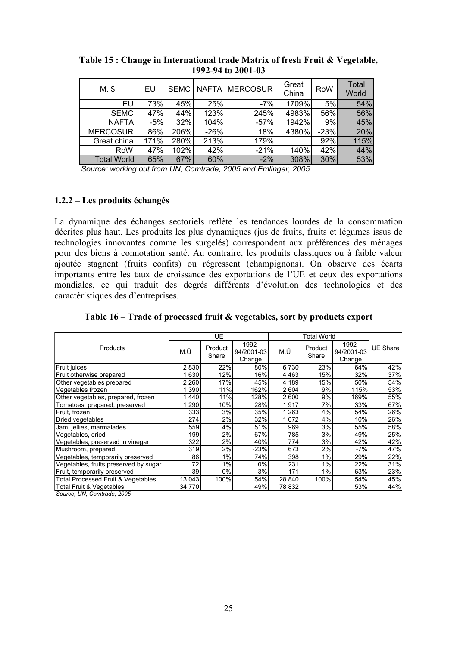| $M.$ \$            | EU    | <b>SEMC</b> |        | NAFTA   MERCOSUR | Great<br>China | <b>RoW</b> | Total<br>World |
|--------------------|-------|-------------|--------|------------------|----------------|------------|----------------|
| EU                 | 73%   | 45%         | 25%    | $-7%$            | 1709%          | 5%         | 54%            |
| <b>SEMC</b>        | 47%   | 44%         | 123%   | 245%             | 4983%          | 56%        | 56%            |
| <b>NAFTA</b>       | $-5%$ | 32%         | 104%   | $-57%$           | 1942%          | 9%         | 45%            |
| MERCOSUR           | 86%   | 206%        | $-26%$ | 18%              | 4380%          | $-23%$     | 20%            |
| Great china        | 171%  | 280%        | 213%   | 179%             |                | 92%        | 115%           |
| RoW                | 47%   | 102%        | 42%    | $-21%$           | 140%           | 42%        | 44%            |
| <b>Total World</b> | 65%   | 67%         | 60%    | $-2%$            | 308%           | 30%        | 53%            |

**Table 15 : Change in International trade Matrix of fresh Fruit & Vegetable, 1992-94 to 2001-03** 

*Source: working out from UN, Comtrade, 2005 and Emlinger, 2005*

#### **1.2.2 – Les produits échangés**

La dynamique des échanges sectoriels reflète les tendances lourdes de la consommation décrites plus haut. Les produits les plus dynamiques (jus de fruits, fruits et légumes issus de technologies innovantes comme les surgelés) correspondent aux préférences des ménages pour des biens à connotation santé. Au contraire, les produits classiques ou à faible valeur ajoutée stagnent (fruits confits) ou régressent (champignons). On observe des écarts importants entre les taux de croissance des exportations de l'UE et ceux des exportations mondiales, ce qui traduit des degrés différents d'évolution des technologies et des caractéristiques des d'entreprises.

| Table 16 – Trade of processed fruit & vegetables, sort by products export |
|---------------------------------------------------------------------------|
|---------------------------------------------------------------------------|

|                                               |         | UE               |                               |         | <b>Total World</b> |                               |          |
|-----------------------------------------------|---------|------------------|-------------------------------|---------|--------------------|-------------------------------|----------|
| Products                                      | M.Ū     | Product<br>Share | 1992-<br>94/2001-03<br>Change | M.Ū     | Product<br>Share   | 1992-<br>94/2001-03<br>Change | UE Share |
| Fruit juices                                  | 2830    | 22%              | 80%                           | 6730    | 23%                | 64%                           | 42%      |
| Fruit otherwise prepared                      | 630     | 12%              | 16%                           | 4 4 6 3 | 15%                | 32%                           | 37%      |
| Other vegetables prepared                     | 2 2 6 0 | 17%              | 45%                           | 4 189   | 15%                | 50%                           | 54%      |
| Vegetables frozen                             | 390     | 11%              | 162%                          | 2 604   | 9%                 | 115%                          | 53%      |
| Other vegetables, prepared, frozen            | 440     | 11%              | 128%                          | 2600    | 9%                 | 169%                          | 55%      |
| Tomatoes, prepared, preserved                 | 290     | 10%              | 28%                           | 1917    | 7%                 | 33%                           | 67%      |
| Fruit, frozen                                 | 333     | 3%               | 35%                           | 1 263   | 4%                 | 54%                           | 26%      |
| Dried vegetables                              | 274     | 2%               | 32%                           | 1072    | 4%                 | 10%                           | 26%      |
| Jam, jellies, marmalades                      | 559     | 4%               | 51%                           | 969     | 3%                 | 55%                           | 58%      |
| Vegetables, dried                             | 199     | 2%               | 67%                           | 785     | 3%                 | 49%                           | 25%      |
| Vegetables, preserved in vinegar              | 322     | 2%               | 40%                           | 774     | 3%                 | 42%                           | 42%      |
| Mushroom, prepared                            | 319     | 2%               | $-23%$                        | 673     | 2%                 | -7%                           | 47%      |
| Vegetables, temporarily preserved             | 86      | 1%               | 74%                           | 398     | 1%                 | 29%                           | 22%      |
| Vegetables, fruits preserved by sugar         | 72      | 1%               | $0\%$                         | 231     | 1%                 | 22%                           | 31%      |
| Fruit, temporarily preserved                  | 39      | 0%               | 3%                            | 171     | 1%                 | 63%                           | 23%      |
| <b>Total Processed Fruit &amp; Vegetables</b> | 13 043  | 100%             | 54%                           | 28 840  | 100%               | 54%                           | 45%      |
| <b>Total Fruit &amp; Vegetables</b>           | 34 770  |                  | 49%                           | 78 832  |                    | 53%                           | 44%      |

*Source, UN, Comtrade, 2005*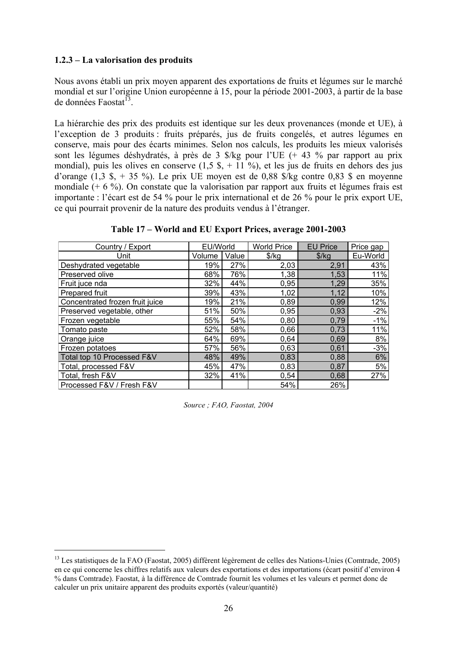## **1.2.3 – La valorisation des produits**

 $\overline{a}$ 

Nous avons établi un prix moyen apparent des exportations de fruits et légumes sur le marché mondial et sur l'origine Union européenne à 15, pour la période 2001-2003, à partir de la base de données Faostat $^{13}$ .

La hiérarchie des prix des produits est identique sur les deux provenances (monde et UE), à l'exception de 3 produits : fruits préparés, jus de fruits congelés, et autres légumes en conserve, mais pour des écarts minimes. Selon nos calculs, les produits les mieux valorisés sont les légumes déshydratés, à près de 3 \$/kg pour l'UE (+ 43 % par rapport au prix mondial), puis les olives en conserve  $(1.5 \text{ s.} + 11 \text{ %})$ , et les jus de fruits en dehors des jus d'orange  $(1,3 \text{ s}, +35 \text{ %})$ . Le prix UE moyen est de 0,88 \$/kg contre 0,83 \$ en moyenne mondiale (+ 6 %). On constate que la valorisation par rapport aux fruits et légumes frais est importante : l'écart est de 54 % pour le prix international et de 26 % pour le prix export UE, ce qui pourrait provenir de la nature des produits vendus à l'étranger.

| Table 17 – World and EU Export Prices, average 2001-2003 |  |  |
|----------------------------------------------------------|--|--|
|----------------------------------------------------------|--|--|

| Country / Export                | EU/World |       | <b>World Price</b> | <b>EU Price</b> | Price gap |
|---------------------------------|----------|-------|--------------------|-----------------|-----------|
| Unit                            | Volume   | Value | $\frac{1}{2}$      | \$/kg           | Eu-World  |
| Deshydrated vegetable           | 19%      | 27%   | 2,03               | 2,91            | 43%       |
| Preserved olive                 | 68%      | 76%   | 1,38               | 1,53            | 11%       |
| Fruit juce nda                  | 32%      | 44%   | 0,95               | 1,29            | 35%       |
| Prepared fruit                  | 39%      | 43%   | 1,02               | 1,12            | 10%       |
| Concentrated frozen fruit juice | 19%      | 21%   | 0,89               | 0,99            | 12%       |
| Preserved vegetable, other      | 51%      | 50%   | 0,95               | 0,93            | $-2%$     |
| Frozen vegetable                | 55%      | 54%   | 0,80               | 0,79            | $-1%$     |
| Tomato paste                    | 52%      | 58%   | 0,66               | 0,73            | 11%       |
| Orange juice                    | 64%      | 69%   | 0,64               | 0,69            | 8%        |
| Frozen potatoes                 | 57%      | 56%   | 0,63               | 0,61            | $-3%$     |
| Total top 10 Processed F&V      | 48%      | 49%   | 0,83               | 0,88            | 6%        |
| Total, processed F&V            | 45%      | 47%   | 0,83               | 0,87            | 5%        |
| Total, fresh F&V                | 32%      | 41%   | 0,54               | 0,68            | 27%       |
| Processed F&V / Fresh F&V       |          |       | 54%                | 26%             |           |

*Source ; FAO, Faostat, 2004* 

<sup>&</sup>lt;sup>13</sup> Les statistiques de la FAO (Faostat, 2005) diffèrent légèrement de celles des Nations-Unies (Comtrade, 2005) en ce qui concerne les chiffres relatifs aux valeurs des exportations et des importations (écart positif d'environ 4 % dans Comtrade). Faostat, à la différence de Comtrade fournit les volumes et les valeurs et permet donc de calculer un prix unitaire apparent des produits exportés (valeur/quantité)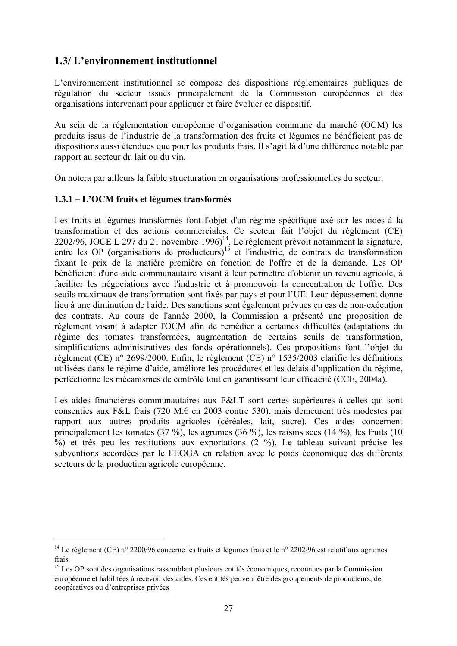## **1.3/ L'environnement institutionnel**

L'environnement institutionnel se compose des dispositions réglementaires publiques de régulation du secteur issues principalement de la Commission européennes et des organisations intervenant pour appliquer et faire évoluer ce dispositif.

Au sein de la réglementation européenne d'organisation commune du marché (OCM) les produits issus de l'industrie de la transformation des fruits et légumes ne bénéficient pas de dispositions aussi étendues que pour les produits frais. Il s'agit là d'une différence notable par rapport au secteur du lait ou du vin.

On notera par ailleurs la faible structuration en organisations professionnelles du secteur.

## **1.3.1 – L'OCM fruits et légumes transformés**

 $\overline{a}$ 

Les fruits et légumes transformés font l'objet d'un régime spécifique axé sur les aides à la transformation et des actions commerciales. Ce secteur fait l'objet du règlement (CE) 2202/96, JOCE L 297 du 21 novembre 1996)<sup>14</sup>. Le règlement prévoit notamment la signature, entre les OP (organisations de producteurs)<sup>15</sup> et l'industrie, de contrats de transformation fixant le prix de la matière première en fonction de l'offre et de la demande. Les OP bénéficient d'une aide communautaire visant à leur permettre d'obtenir un revenu agricole, à faciliter les négociations avec l'industrie et à promouvoir la concentration de l'offre. Des seuils maximaux de transformation sont fixés par pays et pour l'UE. Leur dépassement donne lieu à une diminution de l'aide. Des sanctions sont également prévues en cas de non-exécution des contrats. Au cours de l'année 2000, la Commission a présenté une proposition de règlement visant à adapter l'OCM afin de remédier à certaines difficultés (adaptations du régime des tomates transformées, augmentation de certains seuils de transformation, simplifications administratives des fonds opérationnels). Ces propositions font l'objet du règlement (CE) n° 2699/2000. Enfin, le règlement (CE) n° 1535/2003 clarifie les définitions utilisées dans le régime d'aide, améliore les procédures et les délais d'application du régime, perfectionne les mécanismes de contrôle tout en garantissant leur efficacité (CCE, 2004a).

Les aides financières communautaires aux F&LT sont certes supérieures à celles qui sont consenties aux F&L frais (720 M.€ en 2003 contre 530), mais demeurent très modestes par rapport aux autres produits agricoles (céréales, lait, sucre). Ces aides concernent principalement les tomates (37 %), les agrumes (36 %), les raisins secs (14 %), les fruits (10 %) et très peu les restitutions aux exportations (2 %). Le tableau suivant précise les subventions accordées par le FEOGA en relation avec le poids économique des différents secteurs de la production agricole européenne.

<sup>&</sup>lt;sup>14</sup> Le règlement (CE) n° 2200/96 concerne les fruits et légumes frais et le n° 2202/96 est relatif aux agrumes frais.

<sup>&</sup>lt;sup>15</sup> Les OP sont des organisations rassemblant plusieurs entités économiques, reconnues par la Commission européenne et habilitées à recevoir des aides. Ces entités peuvent être des groupements de producteurs, de coopératives ou d'entreprises privées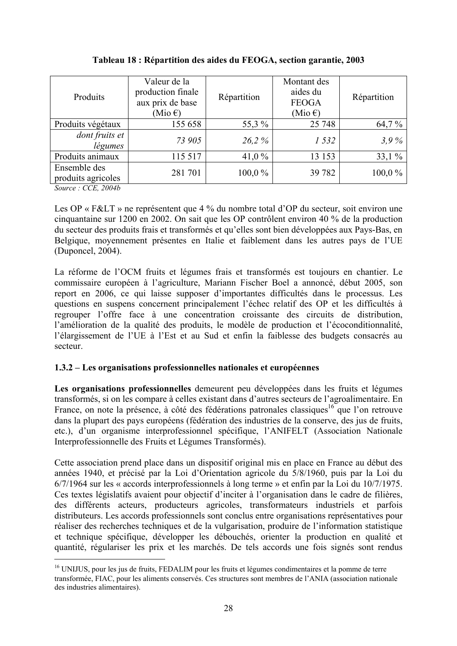| Produits                                                                     | Valeur de la<br>production finale<br>aux prix de base<br>(Mio $\epsilon$ ) | Répartition | Montant des<br>aides du<br><b>FEOGA</b><br>(Mio $\epsilon$ ) | Répartition |
|------------------------------------------------------------------------------|----------------------------------------------------------------------------|-------------|--------------------------------------------------------------|-------------|
| Produits végétaux                                                            | 155 658                                                                    | 55,3 %      | 25 748                                                       | 64,7%       |
| dont fruits et<br>légumes                                                    | 73 905                                                                     | 26.2%       | 1 532                                                        | 3.9%        |
| Produits animaux                                                             | 115 517                                                                    | 41,0 $%$    | 13 153                                                       | 33,1%       |
| Ensemble des<br>produits agricoles<br>$\alpha$ $\alpha\pi$ $\alpha\alpha\mu$ | 281 701                                                                    | 100,0%      | 39 7 82                                                      | 100,0%      |

## **Tableau 18 : Répartition des aides du FEOGA, section garantie, 2003**

*Source : CCE, 2004b* 

 $\overline{a}$ 

Les OP « F&LT » ne représentent que 4 % du nombre total d'OP du secteur, soit environ une cinquantaine sur 1200 en 2002. On sait que les OP contrôlent environ 40 % de la production du secteur des produits frais et transformés et qu'elles sont bien développées aux Pays-Bas, en Belgique, moyennement présentes en Italie et faiblement dans les autres pays de l'UE (Duponcel, 2004).

La réforme de l'OCM fruits et légumes frais et transformés est toujours en chantier. Le commissaire européen à l'agriculture, Mariann Fischer Boel a annoncé, début 2005, son report en 2006, ce qui laisse supposer d'importantes difficultés dans le processus. Les questions en suspens concernent principalement l'échec relatif des OP et les difficultés à regrouper l'offre face à une concentration croissante des circuits de distribution, l'amélioration de la qualité des produits, le modèle de production et l'écoconditionnalité, l'élargissement de l'UE à l'Est et au Sud et enfin la faiblesse des budgets consacrés au secteur.

## **1.3.2 – Les organisations professionnelles nationales et européennes**

Les organisations professionnelles demeurent peu développées dans les fruits et légumes transformés, si on les compare à celles existant dans d'autres secteurs de l'agroalimentaire. En France, on note la présence, à côté des fédérations patronales classiques<sup>16</sup> que l'on retrouve dans la plupart des pays européens (fédération des industries de la conserve, des jus de fruits, etc.), d'un organisme interprofessionnel spécifique, l'ANIFELT (Association Nationale Interprofessionnelle des Fruits et Légumes Transformés).

Cette association prend place dans un dispositif original mis en place en France au début des années 1940, et précisé par la Loi d'Orientation agricole du 5/8/1960, puis par la Loi du 6/7/1964 sur les « accords interprofessionnels à long terme » et enfin par la Loi du 10/7/1975. Ces textes législatifs avaient pour objectif d'inciter à l'organisation dans le cadre de filières, des différents acteurs, producteurs agricoles, transformateurs industriels et parfois distributeurs. Les accords professionnels sont conclus entre organisations représentatives pour réaliser des recherches techniques et de la vulgarisation, produire de l'information statistique et technique spécifique, développer les débouchés, orienter la production en qualité et quantité, régulariser les prix et les marchés. De tels accords une fois signés sont rendus

<sup>&</sup>lt;sup>16</sup> UNIJUS, pour les jus de fruits, FEDALIM pour les fruits et légumes condimentaires et la pomme de terre transformée, FIAC, pour les aliments conservés. Ces structures sont membres de l'ANIA (association nationale des industries alimentaires).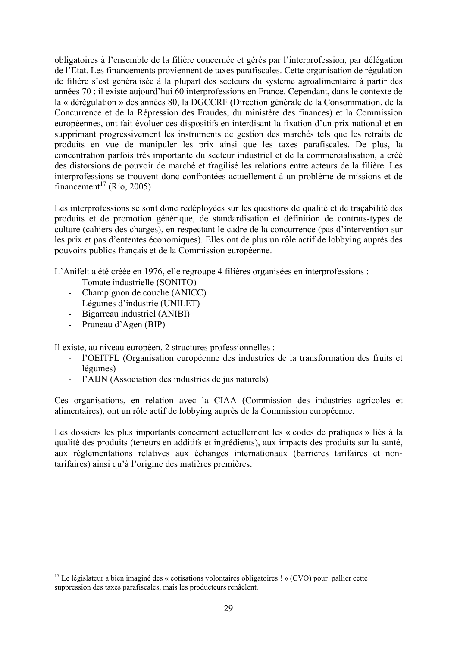obligatoires à l'ensemble de la filière concernée et gérés par l'interprofession, par délégation de l'Etat. Les financements proviennent de taxes parafiscales. Cette organisation de régulation de filière s'est généralisée à la plupart des secteurs du système agroalimentaire à partir des années 70 : il existe aujourd'hui 60 interprofessions en France. Cependant, dans le contexte de la « dérégulation » des années 80, la DGCCRF (Direction générale de la Consommation, de la Concurrence et de la Répression des Fraudes, du ministère des finances) et la Commission européennes, ont fait évoluer ces dispositifs en interdisant la fixation d'un prix national et en supprimant progressivement les instruments de gestion des marchés tels que les retraits de produits en vue de manipuler les prix ainsi que les taxes parafiscales. De plus, la concentration parfois très importante du secteur industriel et de la commercialisation, a créé des distorsions de pouvoir de marché et fragilisé les relations entre acteurs de la filière. Les interprofessions se trouvent donc confrontées actuellement à un problème de missions et de financement<sup>17</sup> (Rio, 2005)

Les interprofessions se sont donc redéployées sur les questions de qualité et de tracabilité des produits et de promotion générique, de standardisation et définition de contrats-types de culture (cahiers des charges), en respectant le cadre de la concurrence (pas d'intervention sur les prix et pas d'ententes économiques). Elles ont de plus un rôle actif de lobbying auprès des pouvoirs publics français et de la Commission européenne.

L'Anifelt a été créée en 1976, elle regroupe 4 filières organisées en interprofessions :

- Tomate industrielle (SONITO)
- Champignon de couche (ANICC)
- Légumes d'industrie (UNILET)
- Bigarreau industriel (ANIBI)
- Pruneau d'Agen (BIP)

 $\overline{a}$ 

Il existe, au niveau européen, 2 structures professionnelles :

- l'OEITFL (Organisation européenne des industries de la transformation des fruits et légumes)
- l'AIJN (Association des industries de jus naturels)

Ces organisations, en relation avec la CIAA (Commission des industries agricoles et alimentaires), ont un rôle actif de lobbying auprès de la Commission européenne.

Les dossiers les plus importants concernent actuellement les « codes de pratiques » liés à la qualité des produits (teneurs en additifs et ingrédients), aux impacts des produits sur la santé, aux réglementations relatives aux échanges internationaux (barrières tarifaires et nontarifaires) ainsi qu'à l'origine des matières premières.

 $17$  Le législateur a bien imaginé des « cotisations volontaires obligatoires ! » (CVO) pour pallier cette suppression des taxes parafiscales, mais les producteurs renâclent.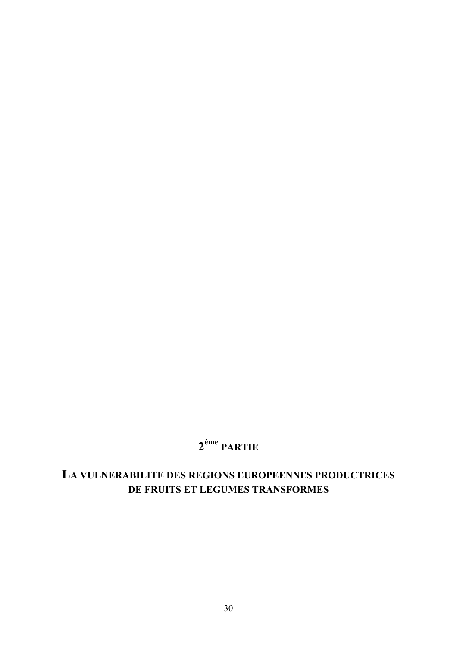# **2ème PARTIE**

# **LA VULNERABILITE DES REGIONS EUROPEENNES PRODUCTRICES DE FRUITS ET LEGUMES TRANSFORMES**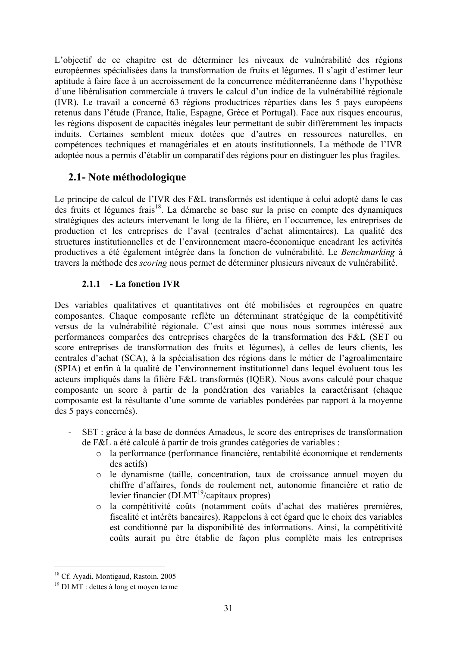L'objectif de ce chapitre est de déterminer les niveaux de vulnérabilité des régions européennes spécialisées dans la transformation de fruits et légumes. Il s'agit d'estimer leur aptitude à faire face à un accroissement de la concurrence méditerranéenne dans l'hypothèse d'une libéralisation commerciale à travers le calcul d'un indice de la vulnérabilité régionale (IVR). Le travail a concerné 63 régions productrices réparties dans les 5 pays européens retenus dans l'étude (France, Italie, Espagne, Grèce et Portugal). Face aux risques encourus, les régions disposent de capacités inégales leur permettant de subir différemment les impacts induits. Certaines semblent mieux dotées que d'autres en ressources naturelles, en compétences techniques et managériales et en atouts institutionnels. La méthode de l'IVR adoptée nous a permis d'établir un comparatif des régions pour en distinguer les plus fragiles.

## **2.1 - Note méthodologique**

Le principe de calcul de l'IVR des F&L transformés est identique à celui adopté dans le cas des fruits et légumes frais<sup>18</sup>. La démarche se base sur la prise en compte des dynamiques stratégiques des acteurs intervenant le long de la filière, en l'occurrence, les entreprises de production et les entreprises de l'aval (centrales d'achat alimentaires). La qualité des structures institutionnelles et de l'environnement macro-économique encadrant les activités productives a été également intégrée dans la fonction de vulnérabilité. Le *Benchmarking* à travers la méthode des *scoring* nous permet de déterminer plusieurs niveaux de vulnérabilité.

## **2.1.1 - La fonction IVR**

Des variables qualitatives et quantitatives ont été mobilisées et regroupées en quatre composantes. Chaque composante reflète un déterminant stratégique de la compétitivité versus de la vulnérabilité régionale. C'est ainsi que nous nous sommes intéressé aux performances comparées des entreprises chargées de la transformation des F&L (SET ou score entreprises de transformation des fruits et légumes), à celles de leurs clients, les centrales d'achat (SCA), à la spécialisation des régions dans le métier de l'agroalimentaire (SPIA) et enfin à la qualité de l'environnement institutionnel dans lequel évoluent tous les acteurs impliqués dans la filière F&L transformés (IQER). Nous avons calculé pour chaque composante un score à partir de la pondération des variables la caractérisant (chaque composante est la résultante d'une somme de variables pondérées par rapport à la moyenne des 5 pays concernés).

- SET : grâce à la base de données Amadeus, le score des entreprises de transformation de F&L a été calculé à partir de trois grandes catégories de variables :
	- o la performance (performance financière, rentabilité économique et rendements des actifs)
	- o le dynamisme (taille, concentration, taux de croissance annuel moyen du chiffre d'affaires, fonds de roulement net, autonomie financière et ratio de levier financier ( $\text{DLMT}^{19}/\text{capitaux}$  propres)
	- o la compétitivité coûts (notamment coûts d'achat des matières premières, fiscalité et intérêts bancaires). Rappelons à cet égard que le choix des variables est conditionné par la disponibilité des informations. Ainsi, la compétitivité coûts aurait pu être établie de façon plus complète mais les entreprises

<sup>&</sup>lt;sup>18</sup> Cf. Ayadi, Montigaud, Rastoin, 2005

<sup>19</sup> DLMT : dettes à long et moyen terme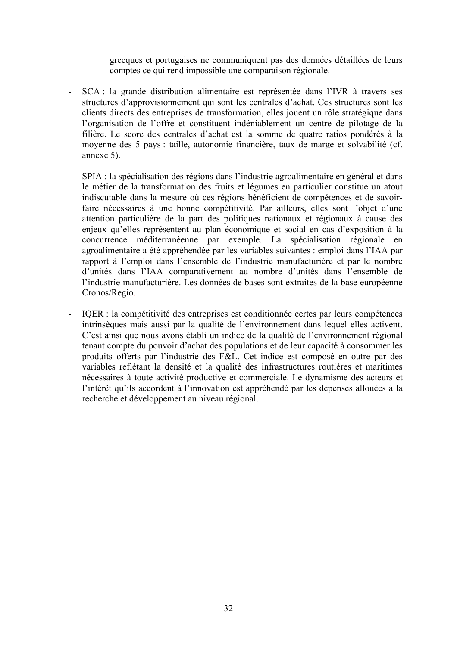grecques et portugaises ne communiquent pas des données détaillées de leurs comptes ce qui rend impossible une comparaison régionale.

- SCA : la grande distribution alimentaire est représentée dans l'IVR à travers ses structures d'approvisionnement qui sont les centrales d'achat. Ces structures sont les clients directs des entreprises de transformation, elles jouent un rôle stratégique dans l'organisation de l'offre et constituent indéniablement un centre de pilotage de la filière. Le score des centrales d'achat est la somme de quatre ratios pondérés à la moyenne des 5 pays : taille, autonomie financière, taux de marge et solvabilité (cf. annexe 5).
- SPIA : la spécialisation des régions dans l'industrie agroalimentaire en général et dans le métier de la transformation des fruits et légumes en particulier constitue un atout indiscutable dans la mesure où ces régions bénéficient de compétences et de savoirfaire nécessaires à une bonne compétitivité. Par ailleurs, elles sont l'objet d'une attention particulière de la part des politiques nationaux et régionaux à cause des enjeux qu'elles représentent au plan économique et social en cas d'exposition à la concurrence méditerranéenne par exemple. La spécialisation régionale en agroalimentaire a été appréhendée par les variables suivantes : emploi dans l'IAA par rapport à l'emploi dans l'ensemble de l'industrie manufacturière et par le nombre d'unités dans l'IAA comparativement au nombre d'unités dans l'ensemble de l'industrie manufacturière. Les données de bases sont extraites de la base européenne Cronos/Regio.
- IQER : la compétitivité des entreprises est conditionnée certes par leurs compétences intrinsèques mais aussi par la qualité de l'environnement dans lequel elles activent. C'est ainsi que nous avons établi un indice de la qualité de l'environnement régional tenant compte du pouvoir d'achat des populations et de leur capacité à consommer les produits offerts par l'industrie des F&L. Cet indice est composé en outre par des variables reflétant la densité et la qualité des infrastructures routières et maritimes nécessaires à toute activité productive et commerciale. Le dynamisme des acteurs et l'intérêt qu'ils accordent à l'innovation est appréhendé par les dépenses allouées à la recherche et développement au niveau régional.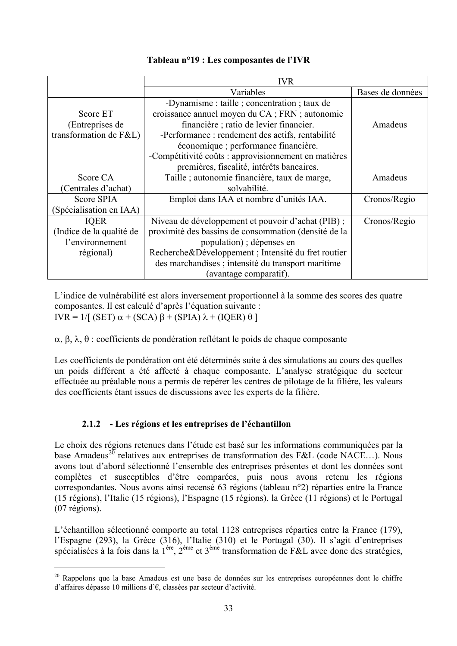|                          | <b>IVR</b>                                           |                  |
|--------------------------|------------------------------------------------------|------------------|
|                          | Variables                                            | Bases de données |
|                          | -Dynamisme : taille ; concentration ; taux de        |                  |
| Score ET                 | croissance annuel moyen du CA; FRN; autonomie        |                  |
| (Entreprises de          | financière ; ratio de levier financier.              | Amadeus          |
| transformation de F&L)   | -Performance : rendement des actifs, rentabilité     |                  |
|                          | économique ; performance financière.                 |                  |
|                          | -Compétitivité coûts : approvisionnement en matières |                  |
|                          | premières, fiscalité, intérêts bancaires.            |                  |
| Score CA                 | Taille ; autonomie financière, taux de marge,        | Amadeus          |
| (Centrales d'achat)      | solvabilité.                                         |                  |
| Score SPIA               | Emploi dans IAA et nombre d'unités IAA.              | Cronos/Regio     |
| (Spécialisation en IAA)  |                                                      |                  |
| <b>IQER</b>              | Niveau de développement et pouvoir d'achat (PIB);    | Cronos/Regio     |
| (Indice de la qualité de | proximité des bassins de consommation (densité de la |                  |
| l'environnement          | population); dépenses en                             |                  |
| régional)                | Recherche&Développement ; Intensité du fret routier  |                  |
|                          | des marchandises ; intensité du transport maritime   |                  |
|                          | (avantage comparatif).                               |                  |

## **Tableau n°19 : Les composantes de l'IVR**

L'indice de vulnérabilité est alors inversement proportionnel à la somme des scores des quatre composantes. Il est calculé d'après l'équation suivante : IVR = 1/[ (SET)  $\alpha$  + (SCA)  $\beta$  + (SPIA)  $\lambda$  + (IQER)  $\theta$ ]

α, β, λ, θ : coefficients de pondération reflétant le poids de chaque composante

Les coefficients de pondération ont été déterminés suite à des simulations au cours des quelles un poids différent a été affecté à chaque composante. L'analyse stratégique du secteur effectuée au préalable nous a permis de repérer les centres de pilotage de la filière, les valeurs des coefficients étant issues de discussions avec les experts de la filière.

## **2.1.2 - Les régions et les entreprises de l'échantillon**

 $\overline{a}$ 

Le choix des régions retenues dans l'étude est basé sur les informations communiquées par la base Amadeus<sup>20</sup> relatives aux entreprises de transformation des F&L (code NACE...). Nous avons tout d'abord sélectionné l'ensemble des entreprises présentes et dont les données sont complètes et susceptibles d'être comparées, puis nous avons retenu les régions correspondantes. Nous avons ainsi recensé 63 régions (tableau n°2) réparties entre la France (15 régions), l'Italie (15 régions), l'Espagne (15 régions), la Grèce (11 régions) et le Portugal (07 régions).

L'échantillon sélectionné comporte au total 1128 entreprises réparties entre la France (179), l'Espagne (293), la Grèce (316), l'Italie (310) et le Portugal (30). Il s'agit d'entreprises spécialisées à la fois dans la 1<sup>ère</sup>, 2<sup>ème</sup> et 3<sup>ème</sup> transformation de F&L avec donc des stratégies,

<sup>&</sup>lt;sup>20</sup> Rappelons que la base Amadeus est une base de données sur les entreprises européennes dont le chiffre d'affaires dépasse 10 millions d'€, classées par secteur d'activité.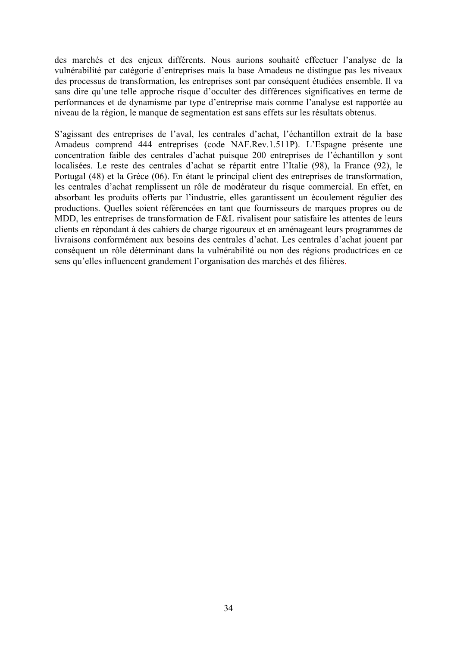des marchés et des enjeux différents. Nous aurions souhaité effectuer l'analyse de la vulnérabilité par catégorie d'entreprises mais la base Amadeus ne distingue pas les niveaux des processus de transformation, les entreprises sont par conséquent étudiées ensemble. Il va sans dire qu'une telle approche risque d'occulter des différences significatives en terme de performances et de dynamisme par type d'entreprise mais comme l'analyse est rapportée au niveau de la région, le manque de segmentation est sans effets sur les résultats obtenus.

S'agissant des entreprises de l'aval, les centrales d'achat, l'échantillon extrait de la base Amadeus comprend 444 entreprises (code NAF.Rev.1.511P). L'Espagne présente une concentration faible des centrales d'achat puisque 200 entreprises de l'échantillon y sont localisées. Le reste des centrales d'achat se répartit entre l'Italie (98), la France (92), le Portugal (48) et la Grèce (06). En étant le principal client des entreprises de transformation, les centrales d'achat remplissent un rôle de modérateur du risque commercial. En effet, en absorbant les produits offerts par l'industrie, elles garantissent un écoulement régulier des productions. Quelles soient référencées en tant que fournisseurs de marques propres ou de MDD, les entreprises de transformation de F&L rivalisent pour satisfaire les attentes de leurs clients en répondant à des cahiers de charge rigoureux et en aménageant leurs programmes de livraisons conformément aux besoins des centrales d'achat. Les centrales d'achat jouent par conséquent un rôle déterminant dans la vulnérabilité ou non des régions productrices en ce sens qu'elles influencent grandement l'organisation des marchés et des filières.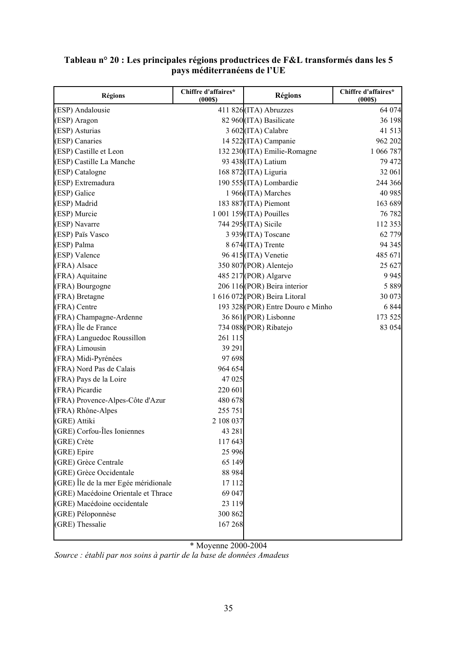| <b>Régions</b>                       | Chiffre d'affaires*<br>(000S) | <b>Régions</b>                    | Chiffre d'affaires*<br>(000S) |
|--------------------------------------|-------------------------------|-----------------------------------|-------------------------------|
| (ESP) Andalousie                     |                               | 411 826 (ITA) Abruzzes            | 64 074                        |
| (ESP) Aragon                         |                               | 82 960 (ITA) Basilicate           | 36 198                        |
| (ESP) Asturias                       |                               | 3 602 (ITA) Calabre               | 41 513                        |
| (ESP) Canaries                       |                               | 14 522 (ITA) Campanie             | 962 202                       |
| (ESP) Castille et Leon               |                               | 132 230 (ITA) Emilie-Romagne      | 1 066 787                     |
| (ESP) Castille La Manche             |                               | 93 438 (ITA) Latium               | 79 472                        |
| (ESP) Catalogne                      |                               | 168 872 (ITA) Liguria             | 32 061                        |
| (ESP) Extremadura                    |                               | 190 555 (ITA) Lombardie           | 244 366                       |
| (ESP) Galice                         |                               | 1 966(ITA) Marches                | 40 985                        |
| (ESP) Madrid                         |                               | 183 887 (ITA) Piemont             | 163 689                       |
| (ESP) Murcie                         |                               | 1 001 159 (ITA) Pouilles          | 76 782                        |
| (ESP) Navarre                        |                               | 744 295 (ITA) Sicile              | 112 353                       |
| (ESP) Païs Vasco                     |                               | 3 939 (ITA) Toscane               | 62 779                        |
| (ESP) Palma                          |                               | 8 674 (ITA) Trente                | 94 345                        |
| (ESP) Valence                        |                               | 96 415 (ITA) Venetie              | 485 671                       |
| (FRA) Alsace                         |                               | 350 807 (POR) Alentejo            | 25 627                        |
| (FRA) Aquitaine                      |                               | 485 217 (POR) Algarve             | 9 9 4 5                       |
| (FRA) Bourgogne                      |                               | 206 116(POR) Beira interior       | 5 8 8 9                       |
| (FRA) Bretagne                       |                               | 1 616 072 (POR) Beira Litoral     | 30 073                        |
| (FRA) Centre                         |                               | 193 328 (POR) Entre Douro e Minho | 6 8 4 4                       |
| (FRA) Champagne-Ardenne              |                               | 36 861 (POR) Lisbonne             | 173 525                       |
| (FRA) Île de France                  |                               | 734 088 (POR) Ribatejo            | 83 054                        |
| (FRA) Languedoc Roussillon           | 261 115                       |                                   |                               |
| (FRA) Limousin                       | 39 29 1                       |                                   |                               |
| (FRA) Midi-Pyrénées                  | 97 698                        |                                   |                               |
| (FRA) Nord Pas de Calais             | 964 654                       |                                   |                               |
| (FRA) Pays de la Loire               | 47 025                        |                                   |                               |
| (FRA) Picardie                       | 220 601                       |                                   |                               |
| (FRA) Provence-Alpes-Côte d'Azur     | 480 678                       |                                   |                               |
| (FRA) Rhône-Alpes                    | 255 751                       |                                   |                               |
| (GRE) Attiki                         | 2 108 037                     |                                   |                               |
| (GRE) Corfou-Îles Ioniennes          | 43 281                        |                                   |                               |
| (GRE) Crète                          | 117 643                       |                                   |                               |
| (GRE) Epire                          | 25 9 96                       |                                   |                               |
| (GRE) Grèce Centrale                 | 65 149                        |                                   |                               |
| (GRE) Grèce Occidentale              | 88 9 84                       |                                   |                               |
| (GRE) Île de la mer Egée méridionale | 17 112                        |                                   |                               |
| (GRE) Macédoine Orientale et Thrace  | 69 047                        |                                   |                               |
| (GRE) Macédoine occidentale          | 23 119                        |                                   |                               |
| (GRE) Péloponnèse                    | 300 862                       |                                   |                               |
| (GRE) Thessalie                      | 167 268                       |                                   |                               |

## **Tableau n° 20 : Les principales régions productrices de F&L transformés dans les 5 pays méditerranéens de l'UE**

\* Moyenne 2000-2004

*Source : établi par nos soins à partir de la base de données Amadeus*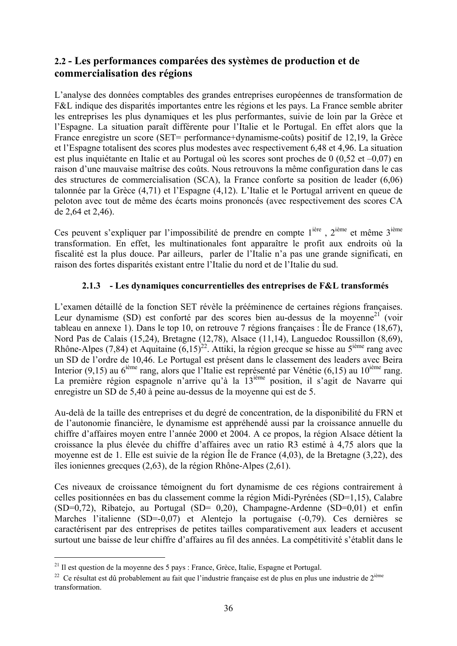# **2.2 - Les performances comparées des systèmes de production et de commercialisation des régions**

L'analyse des données comptables des grandes entreprises européennes de transformation de F&L indique des disparités importantes entre les régions et les pays. La France semble abriter les entreprises les plus dynamiques et les plus performantes, suivie de loin par la Grèce et l'Espagne. La situation paraît différente pour l'Italie et le Portugal. En effet alors que la France enregistre un score (SET= performance+dynamisme-coûts) positif de 12,19, la Grèce et l'Espagne totalisent des scores plus modestes avec respectivement 6,48 et 4,96. La situation est plus inquiétante en Italie et au Portugal où les scores sont proches de 0 (0,52 et –0,07) en raison d'une mauvaise maîtrise des coûts. Nous retrouvons la même configuration dans le cas des structures de commercialisation (SCA), la France conforte sa position de leader (6,06) talonnée par la Grèce (4,71) et l'Espagne (4,12). L'Italie et le Portugal arrivent en queue de peloton avec tout de même des écarts moins prononcés (avec respectivement des scores CA de 2,64 et 2,46).

Ces peuvent s'expliquer par l'impossibilité de prendre en compte l<sup>ière</sup>, 2<sup>ième</sup> et même 3<sup>ième</sup> transformation. En effet, les multinationales font apparaître le profit aux endroits où la fiscalité est la plus douce. Par ailleurs, parler de l'Italie n'a pas une grande significati, en raison des fortes disparités existant entre l'Italie du nord et de l'Italie du sud.

#### **2.1.3 - Les dynamiques concurrentielles des entreprises de F&L transformés**

L'examen détaillé de la fonction SET révèle la prééminence de certaines régions françaises. Leur dynamisme (SD) est conforté par des scores bien au-dessus de la moyenne<sup>21</sup> (voir tableau en annexe 1). Dans le top 10, on retrouve 7 régions françaises : Île de France (18,67), Nord Pas de Calais (15,24), Bretagne (12,78), Alsace (11,14), Languedoc Roussillon (8,69), Rhône-Alpes (7,84) et Aquitaine  $(6,15)^{22}$ . Attiki, la région grecque se hisse au 5<sup>ième</sup> rang avec un SD de l'ordre de 10,46. Le Portugal est présent dans le classement des leaders avec Beira Interior (9,15) au 6<sup>ième</sup> rang, alors que l'Italie est représenté par Vénétie (6,15) au 10<sup>ième</sup> rang. La première région espagnole n'arrive qu'à la 13<sup>ième</sup> position, il s'agit de Navarre qui enregistre un SD de 5,40 à peine au-dessus de la moyenne qui est de 5.

Au-delà de la taille des entreprises et du degré de concentration, de la disponibilité du FRN et de l'autonomie financière, le dynamisme est appréhendé aussi par la croissance annuelle du chiffre d'affaires moyen entre l'année 2000 et 2004. A ce propos, la région Alsace détient la croissance la plus élevée du chiffre d'affaires avec un ratio R3 estimé à 4,75 alors que la moyenne est de 1. Elle est suivie de la région Île de France (4,03), de la Bretagne (3,22), des îles ioniennes grecques (2,63), de la région Rhône-Alpes (2,61).

Ces niveaux de croissance témoignent du fort dynamisme de ces régions contrairement à celles positionnées en bas du classement comme la région Midi-Pyrénées (SD=1,15), Calabre (SD=0,72), Ribatejo, au Portugal (SD= 0.20), Champagne-Ardenne (SD=0,01) et enfin Marches l'italienne (SD=-0,07) et Alentejo la portugaise (-0,79). Ces dernières se caractérisent par des entreprises de petites tailles comparativement aux leaders et accusent surtout une baisse de leur chiffre d'affaires au fil des années. La compétitivité s'établit dans le

<sup>&</sup>lt;sup>21</sup> Il est question de la moyenne des 5 pays : France, Grèce, Italie, Espagne et Portugal.<br><sup>22</sup> Ce résultat est dû probablement au fait que l'industrie française est de plus en plus une industrie de 2<sup>ième</sup> transformation.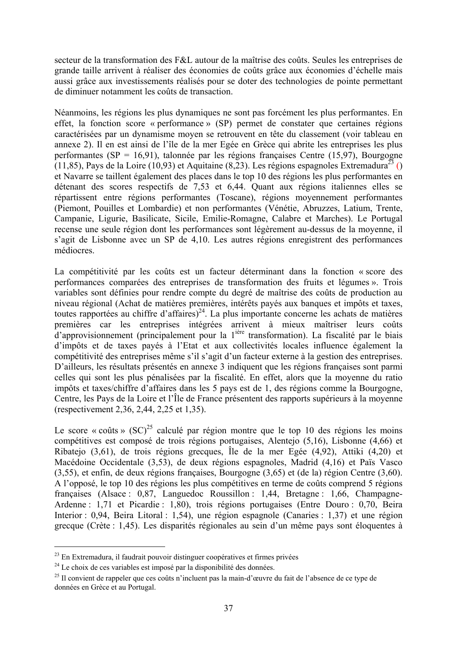secteur de la transformation des F&L autour de la maîtrise des coûts. Seules les entreprises de grande taille arrivent à réaliser des économies de coûts grâce aux économies d'échelle mais aussi grâce aux investissements réalisés pour se doter des technologies de pointe permettant de diminuer notamment les coûts de transaction.

Néanmoins, les régions les plus dynamiques ne sont pas forcément les plus performantes. En effet, la fonction score « performance » (SP) permet de constater que certaines régions caractérisées par un dynamisme moyen se retrouvent en tête du classement (voir tableau en annexe 2). Il en est ainsi de l'île de la mer Egée en Grèce qui abrite les entreprises les plus performantes (SP = 16,91), talonnée par les régions françaises Centre (15,97), Bourgogne (11,85), Pays de la Loire (10,93) et Aquitaine (8,23). Les régions espagnoles Extremadura<sup>23</sup> () et Navarre se taillent également des places dans le top 10 des régions les plus performantes en détenant des scores respectifs de 7,53 et 6,44. Quant aux régions italiennes elles se répartissent entre régions performantes (Toscane), régions moyennement performantes (Piemont, Pouilles et Lombardie) et non performantes (Vénétie, Abruzzes, Latium, Trente, Campanie, Ligurie, Basilicate, Sicile, Emilie-Romagne, Calabre et Marches). Le Portugal recense une seule région dont les performances sont légèrement au-dessus de la moyenne, il s'agit de Lisbonne avec un SP de 4,10. Les autres régions enregistrent des performances médiocres.

La compétitivité par les coûts est un facteur déterminant dans la fonction « score des performances comparées des entreprises de transformation des fruits et légumes ». Trois variables sont définies pour rendre compte du degré de maîtrise des coûts de production au niveau régional (Achat de matières premières, intérêts payés aux banques et impôts et taxes, toutes rapportées au chiffre d'affaires)<sup>24</sup>. La plus importante concerne les achats de matières premières car les entreprises intégrées arrivent à mieux maîtriser leurs coûts d'approvisionnement (principalement pour la 1ière transformation). La fiscalité par le biais d'impôts et de taxes payés à l'Etat et aux collectivités locales influence également la compétitivité des entreprises même s'il s'agit d'un facteur externe à la gestion des entreprises. D'ailleurs, les résultats présentés en annexe 3 indiquent que les régions françaises sont parmi celles qui sont les plus pénalisées par la fiscalité. En effet, alors que la moyenne du ratio impôts et taxes/chiffre d'affaires dans les 5 pays est de 1, des régions comme la Bourgogne, Centre, les Pays de la Loire et l'Île de France présentent des rapports supérieurs à la moyenne (respectivement 2,36, 2,44, 2,25 et 1,35).

Le score « coûts »  $(SC)^{25}$  calculé par région montre que le top 10 des régions les moins compétitives est composé de trois régions portugaises, Alentejo (5,16), Lisbonne (4,66) et Ribatejo (3,61), de trois régions grecques, Île de la mer Egée (4,92), Attiki (4,20) et Macédoine Occidentale (3,53), de deux régions espagnoles, Madrid (4,16) et Païs Vasco (3,55), et enfin, de deux régions françaises, Bourgogne (3,65) et (de la) région Centre (3,60). A l'opposé, le top 10 des régions les plus compétitives en terme de coûts comprend 5 régions françaises (Alsace : 0,87, Languedoc Roussillon : 1,44, Bretagne : 1,66, Champagne-Ardenne : 1,71 et Picardie : 1,80), trois régions portugaises (Entre Douro : 0,70, Beira Interior : 0,94, Beira Litoral : 1,54), une région espagnole (Canaries : 1,37) et une région grecque (Crète : 1,45). Les disparités régionales au sein d'un même pays sont éloquentes à

<sup>&</sup>lt;sup>23</sup> En Extremadura, il faudrait pouvoir distinguer coopératives et firmes privées<br><sup>24</sup> Le choix de ces variables est imposé par la disponibilité des données.<br><sup>25</sup> Il convient de rappeler que ces coûts n'incluent pas la m données en Grèce et au Portugal.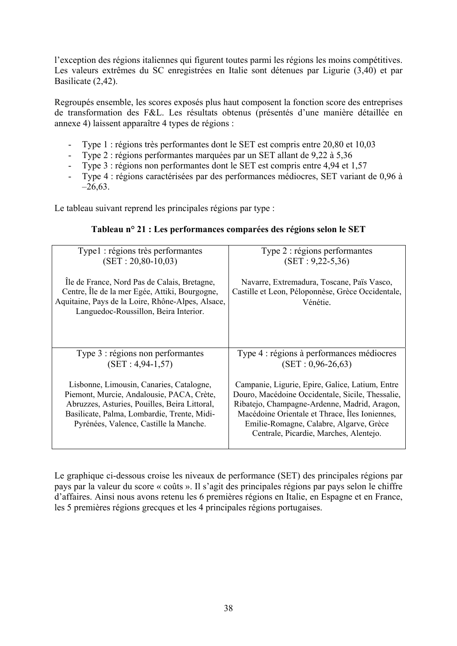l'exception des régions italiennes qui figurent toutes parmi les régions les moins compétitives. Les valeurs extrêmes du SC enregistrées en Italie sont détenues par Ligurie (3,40) et par Basilicate (2,42).

Regroupés ensemble, les scores exposés plus haut composent la fonction score des entreprises de transformation des F&L. Les résultats obtenus (présentés d'une manière détaillée en annexe 4) laissent apparaître 4 types de régions :

- Type 1 : régions très performantes dont le SET est compris entre 20,80 et 10,03
- Type 2 : régions performantes marquées par un SET allant de 9,22 à 5,36
- Type 3 : régions non performantes dont le SET est compris entre 4,94 et 1,57
- Type 4 : régions caractérisées par des performances médiocres, SET variant de 0,96 à  $-26,63$ .

Le tableau suivant reprend les principales régions par type :

| Type1 : régions très performantes                                                                                                                                                                                               | Type 2 : régions performantes                                                                                                                                                                                                                                                              |
|---------------------------------------------------------------------------------------------------------------------------------------------------------------------------------------------------------------------------------|--------------------------------------------------------------------------------------------------------------------------------------------------------------------------------------------------------------------------------------------------------------------------------------------|
| $(SET: 20, 80-10, 03)$                                                                                                                                                                                                          | $(SET : 9,22-5,36)$                                                                                                                                                                                                                                                                        |
|                                                                                                                                                                                                                                 |                                                                                                                                                                                                                                                                                            |
| Île de France, Nord Pas de Calais, Bretagne,<br>Centre, Île de la mer Egée, Attiki, Bourgogne,<br>Aquitaine, Pays de la Loire, Rhône-Alpes, Alsace,<br>Languedoc-Roussillon, Beira Interior.                                    | Navarre, Extremadura, Toscane, Païs Vasco,<br>Castille et Leon, Péloponnèse, Grèce Occidentale,<br>Vénétie.                                                                                                                                                                                |
|                                                                                                                                                                                                                                 |                                                                                                                                                                                                                                                                                            |
|                                                                                                                                                                                                                                 |                                                                                                                                                                                                                                                                                            |
|                                                                                                                                                                                                                                 |                                                                                                                                                                                                                                                                                            |
| Type 3 : régions non performantes<br>$(SET: 4, 94-1, 57)$                                                                                                                                                                       | Type 4 : régions à performances médiocres<br>$(SET: 0.96-26.63)$                                                                                                                                                                                                                           |
|                                                                                                                                                                                                                                 |                                                                                                                                                                                                                                                                                            |
| Lisbonne, Limousin, Canaries, Catalogne,<br>Piemont, Murcie, Andalousie, PACA, Crète,<br>Abruzzes, Asturies, Pouilles, Beira Littoral,<br>Basilicate, Palma, Lombardie, Trente, Midi-<br>Pyrénées, Valence, Castille la Manche. | Campanie, Ligurie, Epire, Galice, Latium, Entre<br>Douro, Macédoine Occidentale, Sicile, Thessalie,<br>Ribatejo, Champagne-Ardenne, Madrid, Aragon,<br>Macédoine Orientale et Thrace, Îles Ioniennes,<br>Emilie-Romagne, Calabre, Algarve, Grèce<br>Centrale, Picardie, Marches, Alentejo. |

### **Tableau n° 21 : Les performances comparées des régions selon le SET**

Le graphique ci-dessous croise les niveaux de performance (SET) des principales régions par pays par la valeur du score « coûts ». Il s'agit des principales régions par pays selon le chiffre d'affaires. Ainsi nous avons retenu les 6 premières régions en Italie, en Espagne et en France, les 5 premières régions grecques et les 4 principales régions portugaises.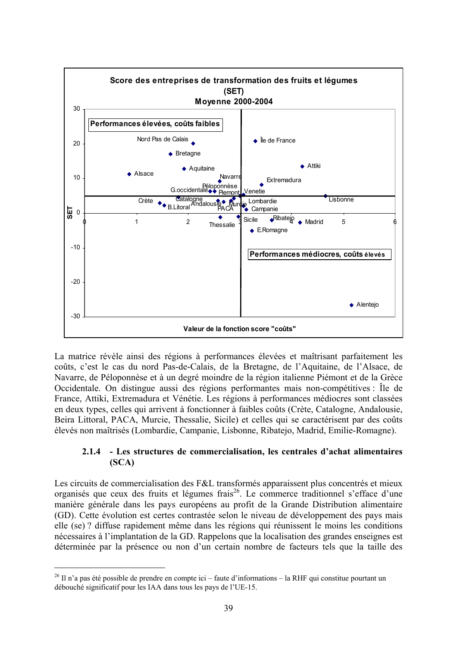

La matrice révèle ainsi des régions à performances élevées et maîtrisant parfaitement les coûts, c'est le cas du nord Pas-de-Calais, de la Bretagne, de l'Aquitaine, de l'Alsace, de Navarre, de Péloponnèse et à un degré moindre de la région italienne Piémont et de la Grèce Occidentale. On distingue aussi des régions performantes mais non-compétitives : Île de France, Attiki, Extremadura et Vénétie. Les régions à performances médiocres sont classées en deux types, celles qui arrivent à fonctionner à faibles coûts (Crète, Catalogne, Andalousie, Beira Littoral, PACA, Murcie, Thessalie, Sicile) et celles qui se caractérisent par des coûts élevés non maîtrisés (Lombardie, Campanie, Lisbonne, Ribatejo, Madrid, Emilie-Romagne).

### **2.1.4 - Les structures de commercialisation, les centrales d'achat alimentaires (SCA)**

Les circuits de commercialisation des F&L transformés apparaissent plus concentrés et mieux organisés que ceux des fruits et légumes frais26. Le commerce traditionnel s'efface d'une manière générale dans les pays européens au profit de la Grande Distribution alimentaire (GD). Cette évolution est certes contrastée selon le niveau de développement des pays mais elle (se) ? diffuse rapidement même dans les régions qui réunissent le moins les conditions nécessaires à l'implantation de la GD. Rappelons que la localisation des grandes enseignes est déterminée par la présence ou non d'un certain nombre de facteurs tels que la taille des

 $^{26}$  Il n'a pas été possible de prendre en compte ici – faute d'informations – la RHF qui constitue pourtant un débouché significatif pour les IAA dans tous les pays de l'UE-15.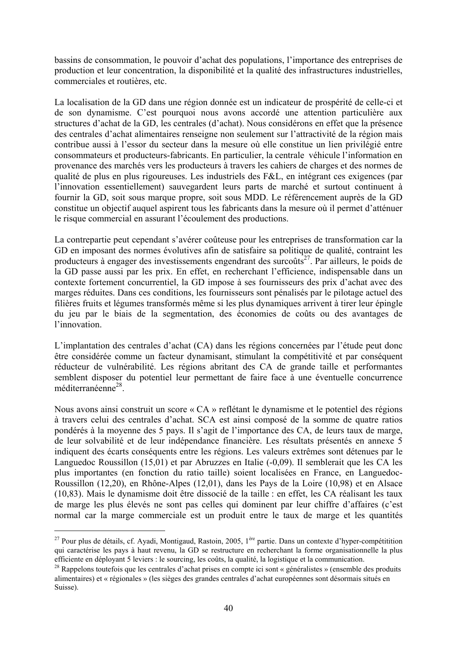bassins de consommation, le pouvoir d'achat des populations, l'importance des entreprises de production et leur concentration, la disponibilité et la qualité des infrastructures industrielles, commerciales et routières, etc.

La localisation de la GD dans une région donnée est un indicateur de prospérité de celle-ci et de son dynamisme. C'est pourquoi nous avons accordé une attention particulière aux structures d'achat de la GD, les centrales (d'achat). Nous considérons en effet que la présence des centrales d'achat alimentaires renseigne non seulement sur l'attractivité de la région mais contribue aussi à l'essor du secteur dans la mesure où elle constitue un lien privilégié entre consommateurs et producteurs-fabricants. En particulier, la centrale véhicule l'information en provenance des marchés vers les producteurs à travers les cahiers de charges et des normes de qualité de plus en plus rigoureuses. Les industriels des F&L, en intégrant ces exigences (par l'innovation essentiellement) sauvegardent leurs parts de marché et surtout continuent à fournir la GD, soit sous marque propre, soit sous MDD. Le référencement auprès de la GD constitue un objectif auquel aspirent tous les fabricants dans la mesure où il permet d'atténuer le risque commercial en assurant l'écoulement des productions.

La contrepartie peut cependant s'avérer coûteuse pour les entreprises de transformation car la GD en imposant des normes évolutives afin de satisfaire sa politique de qualité, contraint les producteurs à engager des investissements engendrant des surcoûts<sup>27</sup>. Par ailleurs, le poids de la GD passe aussi par les prix. En effet, en recherchant l'efficience, indispensable dans un contexte fortement concurrentiel, la GD impose à ses fournisseurs des prix d'achat avec des marges réduites. Dans ces conditions, les fournisseurs sont pénalisés par le pilotage actuel des filières fruits et légumes transformés même si les plus dynamiques arrivent à tirer leur épingle du jeu par le biais de la segmentation, des économies de coûts ou des avantages de l'innovation.

L'implantation des centrales d'achat (CA) dans les régions concernées par l'étude peut donc être considérée comme un facteur dynamisant, stimulant la compétitivité et par conséquent réducteur de vulnérabilité. Les régions abritant des CA de grande taille et performantes semblent disposer du potentiel leur permettant de faire face à une éventuelle concurrence méditerranéenne28.

Nous avons ainsi construit un score « CA » reflétant le dynamisme et le potentiel des régions à travers celui des centrales d'achat. SCA est ainsi composé de la somme de quatre ratios pondérés à la moyenne des 5 pays. Il s'agit de l'importance des CA, de leurs taux de marge, de leur solvabilité et de leur indépendance financière. Les résultats présentés en annexe 5 indiquent des écarts conséquents entre les régions. Les valeurs extrêmes sont détenues par le Languedoc Roussillon (15,01) et par Abruzzes en Italie (-0,09). Il semblerait que les CA les plus importantes (en fonction du ratio taille) soient localisées en France, en Languedoc-Roussillon (12,20), en Rhône-Alpes (12,01), dans les Pays de la Loire (10,98) et en Alsace (10,83). Mais le dynamisme doit être dissocié de la taille : en effet, les CA réalisant les taux de marge les plus élevés ne sont pas celles qui dominent par leur chiffre d'affaires (c'est normal car la marge commerciale est un produit entre le taux de marge et les quantités

<sup>&</sup>lt;sup>27</sup> Pour plus de détails, cf. Ayadi, Montigaud, Rastoin, 2005, 1<sup>ère</sup> partie. Dans un contexte d'hyper-compétitition qui caractérise les pays à haut revenu, la GD se restructure en recherchant la forme organisationnelle la plus efficiente en déployant 5 leviers : le sourcing, les coûts, la qualité, la logistique et la communication.

<sup>&</sup>lt;sup>28</sup> Rappelons toutefois que les centrales d'achat prises en compte ici sont « généralistes » (ensemble des produits alimentaires) et « régionales » (les sièges des grandes centrales d'achat européennes sont désormais situés en Suisse).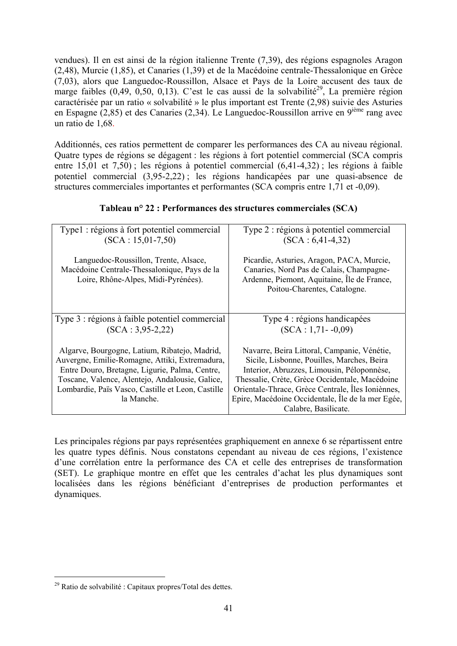vendues). Il en est ainsi de la région italienne Trente (7,39), des régions espagnoles Aragon (2,48), Murcie (1,85), et Canaries (1,39) et de la Macédoine centrale-Thessalonique en Grèce (7,03), alors que Languedoc-Roussillon, Alsace et Pays de la Loire accusent des taux de marge faibles  $(0,49, 0,50, 0,13)$ . C'est le cas aussi de la solvabilité<sup>29</sup>, La première région caractérisée par un ratio « solvabilité » le plus important est Trente (2,98) suivie des Asturies en Espagne (2,85) et des Canaries (2,34). Le Languedoc-Roussillon arrive en  $9^{i\text{eme}}$  rang avec un ratio de 1,68.

Additionnés, ces ratios permettent de comparer les performances des CA au niveau régional. Quatre types de régions se dégagent : les régions à fort potentiel commercial (SCA compris entre 15,01 et 7,50) ; les régions à potentiel commercial (6,41-4,32) ; les régions à faible potentiel commercial (3,95-2,22) ; les régions handicapées par une quasi-absence de structures commerciales importantes et performantes (SCA compris entre 1,71 et -0,09).

| Type1 : régions à fort potentiel commercial<br>$(SCA: 15, 01-7, 50)$                                                         | Type 2 : régions à potentiel commercial<br>$(SCA: 6, 41-4, 32)$                                                                                                      |
|------------------------------------------------------------------------------------------------------------------------------|----------------------------------------------------------------------------------------------------------------------------------------------------------------------|
| Languedoc-Roussillon, Trente, Alsace,<br>Macédoine Centrale-Thessalonique, Pays de la<br>Loire, Rhône-Alpes, Midi-Pyrénées). | Picardie, Asturies, Aragon, PACA, Murcie,<br>Canaries, Nord Pas de Calais, Champagne-<br>Ardenne, Piemont, Aquitaine, Île de France,<br>Poitou-Charentes, Catalogne. |
| Type 3 : régions à faible potentiel commercial                                                                               | Type 4 : régions handicapées                                                                                                                                         |
| $(SCA: 3.95-2.22)$                                                                                                           | $(SCA: 1, 71 - 0, 09)$                                                                                                                                               |
| Algarve, Bourgogne, Latium, Ribatejo, Madrid,                                                                                | Navarre, Beira Littoral, Campanie, Vénétie,                                                                                                                          |
| Auvergne, Emilie-Romagne, Attiki, Extremadura,                                                                               | Sicile, Lisbonne, Pouilles, Marches, Beira                                                                                                                           |
| Entre Douro, Bretagne, Ligurie, Palma, Centre,                                                                               | Interior, Abruzzes, Limousin, Péloponnèse,                                                                                                                           |
| Toscane, Valence, Alentejo, Andalousie, Galice,                                                                              | Thessalie, Crète, Grèce Occidentale, Macédoine                                                                                                                       |
| Lombardie, Païs Vasco, Castille et Leon, Castille                                                                            | Orientale-Thrace, Grèce Centrale, Îles Ioniènnes,                                                                                                                    |
| la Manche.                                                                                                                   | Epire, Macédoine Occidentale, Île de la mer Egée,                                                                                                                    |
|                                                                                                                              | Calabre, Basilicate.                                                                                                                                                 |

### **Tableau n° 22 : Performances des structures commerciales (SCA)**

Les principales régions par pays représentées graphiquement en annexe 6 se répartissent entre les quatre types définis. Nous constatons cependant au niveau de ces régions, l'existence d'une corrélation entre la performance des CA et celle des entreprises de transformation (SET). Le graphique montre en effet que les centrales d'achat les plus dynamiques sont localisées dans les régions bénéficiant d'entreprises de production performantes et dynamiques.

 $29$  Ratio de solvabilité : Capitaux propres/Total des dettes.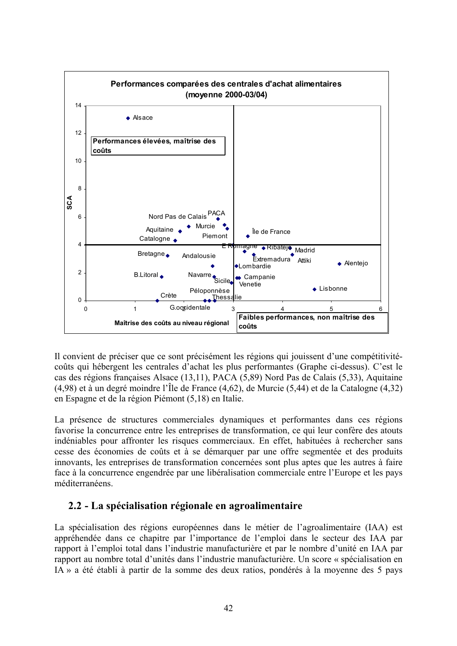

Il convient de préciser que ce sont précisément les régions qui jouissent d'une compétitivitécoûts qui hébergent les centrales d'achat les plus performantes (Graphe ci-dessus). C'est le cas des régions françaises Alsace (13,11), PACA (5,89) Nord Pas de Calais (5,33), Aquitaine (4,98) et à un degré moindre l'Île de France (4,62), de Murcie (5,44) et de la Catalogne (4,32) en Espagne et de la région Piémont (5,18) en Italie.

La présence de structures commerciales dynamiques et performantes dans ces régions favorise la concurrence entre les entreprises de transformation, ce qui leur confère des atouts indéniables pour affronter les risques commerciaux. En effet, habituées à rechercher sans cesse des économies de coûts et à se démarquer par une offre segmentée et des produits innovants, les entreprises de transformation concernées sont plus aptes que les autres à faire face à la concurrence engendrée par une libéralisation commerciale entre l'Europe et les pays méditerranéens.

## **2.2 - La spécialisation régionale en agroalimentaire**

La spécialisation des régions européennes dans le métier de l'agroalimentaire (IAA) est appréhendée dans ce chapitre par l'importance de l'emploi dans le secteur des IAA par rapport à l'emploi total dans l'industrie manufacturière et par le nombre d'unité en IAA par rapport au nombre total d'unités dans l'industrie manufacturière. Un score « spécialisation en IA » a été établi à partir de la somme des deux ratios, pondérés à la moyenne des 5 pays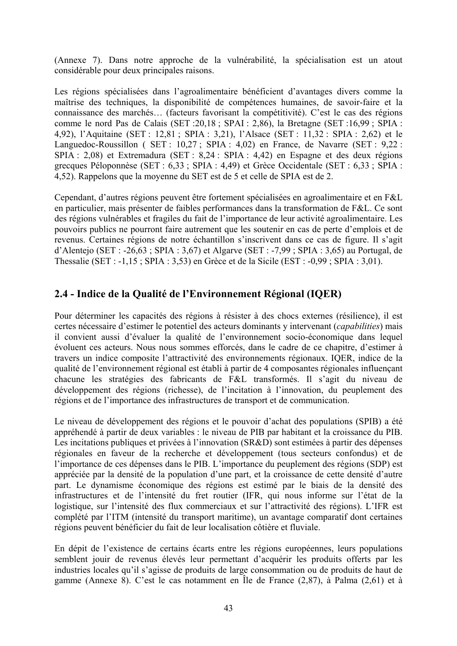(Annexe 7). Dans notre approche de la vulnérabilité, la spécialisation est un atout considérable pour deux principales raisons.

Les régions spécialisées dans l'agroalimentaire bénéficient d'avantages divers comme la maîtrise des techniques, la disponibilité de compétences humaines, de savoir-faire et la connaissance des marchés… (facteurs favorisant la compétitivité). C'est le cas des régions comme le nord Pas de Calais (SET :20,18 ; SPAI : 2,86), la Bretagne (SET :16,99 ; SPIA : 4,92), l'Aquitaine (SET : 12,81 ; SPIA : 3,21), l'Alsace (SET : 11,32 : SPIA : 2,62) et le Languedoc-Roussillon ( SET : 10,27 ; SPIA : 4,02) en France, de Navarre (SET : 9,22 : SPIA : 2,08) et Extremadura (SET : 8,24 : SPIA : 4,42) en Espagne et des deux régions grecques Péloponnèse (SET : 6,33 ; SPIA : 4,49) et Grèce Occidentale (SET : 6,33 ; SPIA : 4,52). Rappelons que la moyenne du SET est de 5 et celle de SPIA est de 2.

Cependant, d'autres régions peuvent être fortement spécialisées en agroalimentaire et en F&L en particulier, mais présenter de faibles performances dans la transformation de F&L. Ce sont des régions vulnérables et fragiles du fait de l'importance de leur activité agroalimentaire. Les pouvoirs publics ne pourront faire autrement que les soutenir en cas de perte d'emplois et de revenus. Certaines régions de notre échantillon s'inscrivent dans ce cas de figure. Il s'agit d'Alentejo (SET : -26,63 ; SPIA : 3,67) et Algarve (SET : -7,99 ; SPIA : 3,65) au Portugal, de Thessalie (SET : -1,15 ; SPIA : 3,53) en Grèce et de la Sicile (EST : -0,99 ; SPIA : 3,01).

## **2.4 - Indice de la Qualité de l'Environnement Régional (IQER)**

Pour déterminer les capacités des régions à résister à des chocs externes (résilience), il est certes nécessaire d'estimer le potentiel des acteurs dominants y intervenant (*capabilities*) mais il convient aussi d'évaluer la qualité de l'environnement socio-économique dans lequel évoluent ces acteurs. Nous nous sommes efforcés, dans le cadre de ce chapitre, d'estimer à travers un indice composite l'attractivité des environnements régionaux. IQER, indice de la qualité de l'environnement régional est établi à partir de 4 composantes régionales influençant chacune les stratégies des fabricants de F&L transformés. Il s'agit du niveau de développement des régions (richesse), de l'incitation à l'innovation, du peuplement des régions et de l'importance des infrastructures de transport et de communication.

Le niveau de développement des régions et le pouvoir d'achat des populations (SPIB) a été appréhendé à partir de deux variables : le niveau de PIB par habitant et la croissance du PIB. Les incitations publiques et privées à l'innovation (SR&D) sont estimées à partir des dépenses régionales en faveur de la recherche et développement (tous secteurs confondus) et de l'importance de ces dépenses dans le PIB. L'importance du peuplement des régions (SDP) est appréciée par la densité de la population d'une part, et la croissance de cette densité d'autre part. Le dynamisme économique des régions est estimé par le biais de la densité des infrastructures et de l'intensité du fret routier (IFR, qui nous informe sur l'état de la logistique, sur l'intensité des flux commerciaux et sur l'attractivité des régions). L'IFR est complété par l'ITM (intensité du transport maritime), un avantage comparatif dont certaines régions peuvent bénéficier du fait de leur localisation côtière et fluviale.

En dépit de l'existence de certains écarts entre les régions européennes, leurs populations semblent jouir de revenus élevés leur permettant d'acquérir les produits offerts par les industries locales qu'il s'agisse de produits de large consommation ou de produits de haut de gamme (Annexe 8). C'est le cas notamment en Île de France (2,87), à Palma (2,61) et à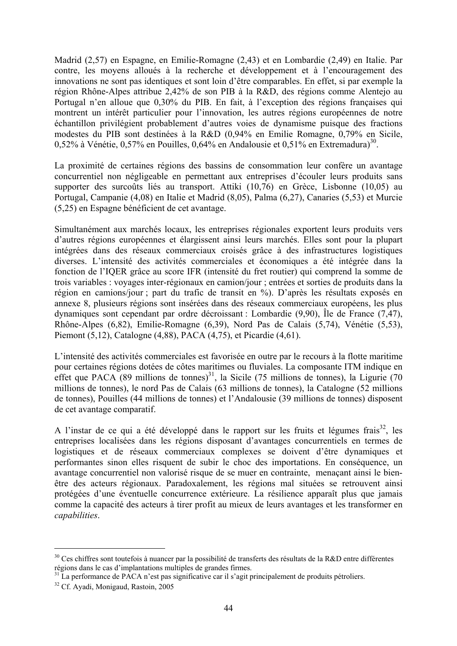Madrid (2,57) en Espagne, en Emilie-Romagne (2,43) et en Lombardie (2,49) en Italie. Par contre, les moyens alloués à la recherche et développement et à l'encouragement des innovations ne sont pas identiques et sont loin d'être comparables. En effet, si par exemple la région Rhône-Alpes attribue 2,42% de son PIB à la R&D, des régions comme Alentejo au Portugal n'en alloue que 0,30% du PIB. En fait, à l'exception des régions françaises qui montrent un intérêt particulier pour l'innovation, les autres régions européennes de notre échantillon privilégient probablement d'autres voies de dynamisme puisque des fractions modestes du PIB sont destinées à la R&D (0,94% en Emilie Romagne, 0,79% en Sicile, 0,52% à Vénétie, 0,57% en Pouilles, 0,64% en Andalousie et 0,51% en Extremadura)<sup>30</sup>.

La proximité de certaines régions des bassins de consommation leur confère un avantage concurrentiel non négligeable en permettant aux entreprises d'écouler leurs produits sans supporter des surcoûts liés au transport. Attiki (10,76) en Grèce, Lisbonne (10,05) au Portugal, Campanie (4,08) en Italie et Madrid (8,05), Palma (6,27), Canaries (5,53) et Murcie (5,25) en Espagne bénéficient de cet avantage.

Simultanément aux marchés locaux, les entreprises régionales exportent leurs produits vers d'autres régions européennes et élargissent ainsi leurs marchés. Elles sont pour la plupart intégrées dans des réseaux commerciaux croisés grâce à des infrastructures logistiques diverses. L'intensité des activités commerciales et économiques a été intégrée dans la fonction de l'IQER grâce au score IFR (intensité du fret routier) qui comprend la somme de trois variables : voyages inter-régionaux en camion/jour ; entrées et sorties de produits dans la région en camions/jour ; part du trafic de transit en %). D'après les résultats exposés en annexe 8, plusieurs régions sont insérées dans des réseaux commerciaux européens, les plus dynamiques sont cependant par ordre décroissant : Lombardie (9,90), Île de France (7,47), Rhône-Alpes (6,82), Emilie-Romagne (6,39), Nord Pas de Calais (5,74), Vénétie (5,53), Piemont (5,12), Catalogne (4,88), PACA (4,75), et Picardie (4,61).

L'intensité des activités commerciales est favorisée en outre par le recours à la flotte maritime pour certaines régions dotées de côtes maritimes ou fluviales. La composante ITM indique en effet que PACA (89 millions de tonnes)<sup>31</sup>, la Sicile (75 millions de tonnes), la Ligurie (70 millions de tonnes), le nord Pas de Calais (63 millions de tonnes), la Catalogne (52 millions de tonnes), Pouilles (44 millions de tonnes) et l'Andalousie (39 millions de tonnes) disposent de cet avantage comparatif.

A l'instar de ce qui a été développé dans le rapport sur les fruits et légumes frais<sup>32</sup>, les entreprises localisées dans les régions disposant d'avantages concurrentiels en termes de logistiques et de réseaux commerciaux complexes se doivent d'être dynamiques et performantes sinon elles risquent de subir le choc des importations. En conséquence, un avantage concurrentiel non valorisé risque de se muer en contrainte, menaçant ainsi le bienêtre des acteurs régionaux. Paradoxalement, les régions mal situées se retrouvent ainsi protégées d'une éventuelle concurrence extérieure. La résilience apparaît plus que jamais comme la capacité des acteurs à tirer profit au mieux de leurs avantages et les transformer en *capabilities*.

 $30$  Ces chiffres sont toutefois à nuancer par la possibilité de transferts des résultats de la R&D entre différentes régions dans le cas d'implantations multiples de grandes firmes.

<sup>&</sup>lt;sup>31</sup> La performance de PACA n'est pas significative car il s'agit principalement de produits pétroliers.

<sup>&</sup>lt;sup>32</sup> Cf. Ayadi, Monigaud, Rastoin, 2005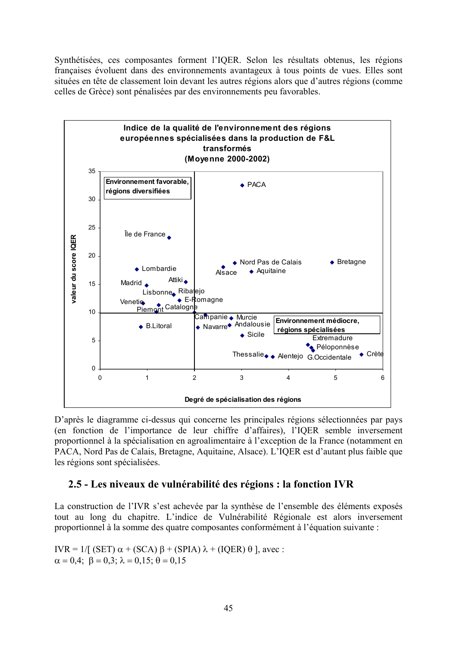Synthétisées, ces composantes forment l'IQER. Selon les résultats obtenus, les régions françaises évoluent dans des environnements avantageux à tous points de vues. Elles sont situées en tête de classement loin devant les autres régions alors que d'autres régions (comme celles de Grèce) sont pénalisées par des environnements peu favorables.



D'après le diagramme ci-dessus qui concerne les principales régions sélectionnées par pays (en fonction de l'importance de leur chiffre d'affaires), l'IQER semble inversement proportionnel à la spécialisation en agroalimentaire à l'exception de la France (notamment en PACA, Nord Pas de Calais, Bretagne, Aquitaine, Alsace). L'IQER est d'autant plus faible que les régions sont spécialisées.

## **2.5 - Les niveaux de vulnérabilité des régions : la fonction IVR**

La construction de l'IVR s'est achevée par la synthèse de l'ensemble des éléments exposés tout au long du chapitre. L'indice de Vulnérabilité Régionale est alors inversement proportionnel à la somme des quatre composantes conformément à l'équation suivante :

IVR = 1/[ (SET)  $\alpha$  + (SCA)  $\beta$  + (SPIA)  $\lambda$  + (IQER)  $\theta$  ], avec :  $\alpha = 0.4$ ;  $\beta = 0.3$ ;  $\lambda = 0.15$ ;  $\theta = 0.15$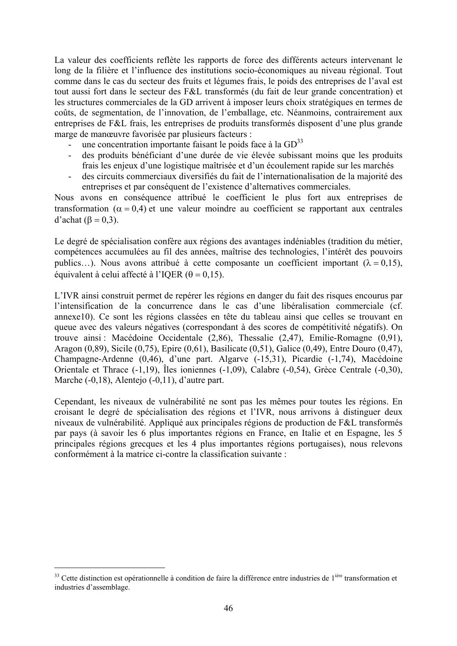La valeur des coefficients reflète les rapports de force des différents acteurs intervenant le long de la filière et l'influence des institutions socio-économiques au niveau régional. Tout comme dans le cas du secteur des fruits et légumes frais, le poids des entreprises de l'aval est tout aussi fort dans le secteur des F&L transformés (du fait de leur grande concentration) et les structures commerciales de la GD arrivent à imposer leurs choix stratégiques en termes de coûts, de segmentation, de l'innovation, de l'emballage, etc. Néanmoins, contrairement aux entreprises de F&L frais, les entreprises de produits transformés disposent d'une plus grande marge de manœuvre favorisée par plusieurs facteurs :

- une concentration importante faisant le poids face à la  $GD^{33}$
- des produits bénéficiant d'une durée de vie élevée subissant moins que les produits frais les enjeux d'une logistique maîtrisée et d'un écoulement rapide sur les marchés
- des circuits commerciaux diversifiés du fait de l'internationalisation de la majorité des entreprises et par conséquent de l'existence d'alternatives commerciales.

Nous avons en conséquence attribué le coefficient le plus fort aux entreprises de transformation ( $\alpha = 0.4$ ) et une valeur moindre au coefficient se rapportant aux centrales d'achat ( $\beta = 0.3$ ).

Le degré de spécialisation confère aux régions des avantages indéniables (tradition du métier, compétences accumulées au fil des années, maîtrise des technologies, l'intérêt des pouvoirs publics…). Nous avons attribué à cette composante un coefficient important ( $\lambda = 0.15$ ), équivalent à celui affecté à l'IQER ( $\theta = 0.15$ ).

L'IVR ainsi construit permet de repérer les régions en danger du fait des risques encourus par l'intensification de la concurrence dans le cas d'une libéralisation commerciale (cf. annexe10). Ce sont les régions classées en tête du tableau ainsi que celles se trouvant en queue avec des valeurs négatives (correspondant à des scores de compétitivité négatifs). On trouve ainsi : Macédoine Occidentale (2,86), Thessalie (2,47), Emilie-Romagne (0,91), Aragon (0,89), Sicile (0,75), Epire (0,61), Basilicate (0,51), Galice (0,49), Entre Douro (0,47), Champagne-Ardenne (0,46), d'une part. Algarve (-15,31), Picardie (-1,74), Macédoine Orientale et Thrace (-1,19), Îles ioniennes (-1,09), Calabre (-0,54), Grèce Centrale (-0,30), Marche (-0,18), Alentejo (-0,11), d'autre part.

Cependant, les niveaux de vulnérabilité ne sont pas les mêmes pour toutes les régions. En croisant le degré de spécialisation des régions et l'IVR, nous arrivons à distinguer deux niveaux de vulnérabilité. Appliqué aux principales régions de production de F&L transformés par pays (à savoir les 6 plus importantes régions en France, en Italie et en Espagne, les 5 principales régions grecques et les 4 plus importantes régions portugaises), nous relevons conformément à la matrice ci-contre la classification suivante :

 $33$  Cette distinction est opérationnelle à condition de faire la différence entre industries de  $1^{i\text{ère}}$  transformation et industries d'assemblage.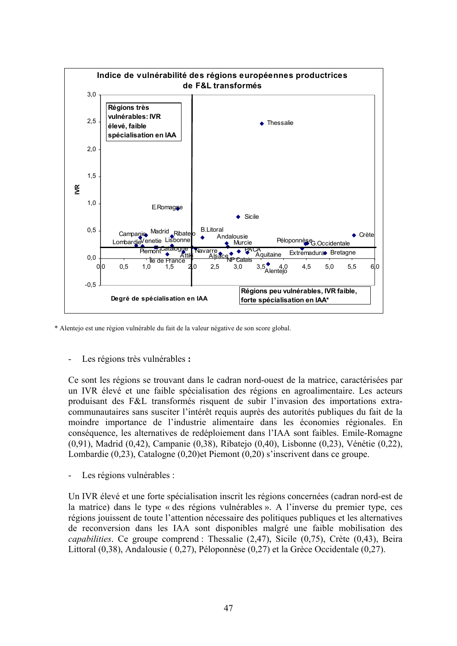

\* Alentejo est une région vulnérable du fait de la valeur négative de son score global.

- Les régions très vulnérables **:** 

Ce sont les régions se trouvant dans le cadran nord-ouest de la matrice, caractérisées par un IVR élevé et une faible spécialisation des régions en agroalimentaire. Les acteurs produisant des F&L transformés risquent de subir l'invasion des importations extracommunautaires sans susciter l'intérêt requis auprès des autorités publiques du fait de la moindre importance de l'industrie alimentaire dans les économies régionales. En conséquence, les alternatives de redéploiement dans l'IAA sont faibles. Emile-Romagne (0,91), Madrid (0,42), Campanie (0,38), Ribatejo (0,40), Lisbonne (0,23), Vénétie (0,22), Lombardie (0,23), Catalogne (0,20)et Piemont (0,20) s'inscrivent dans ce groupe.

- Les régions vulnérables :

Un IVR élevé et une forte spécialisation inscrit les régions concernées (cadran nord-est de la matrice) dans le type « des régions vulnérables ». A l'inverse du premier type, ces régions jouissent de toute l'attention nécessaire des politiques publiques et les alternatives de reconversion dans les IAA sont disponibles malgré une faible mobilisation des *capabilities*. Ce groupe comprend : Thessalie (2,47), Sicile (0,75), Crète (0,43), Beira Littoral (0,38), Andalousie ( 0,27), Péloponnèse (0,27) et la Grèce Occidentale (0,27).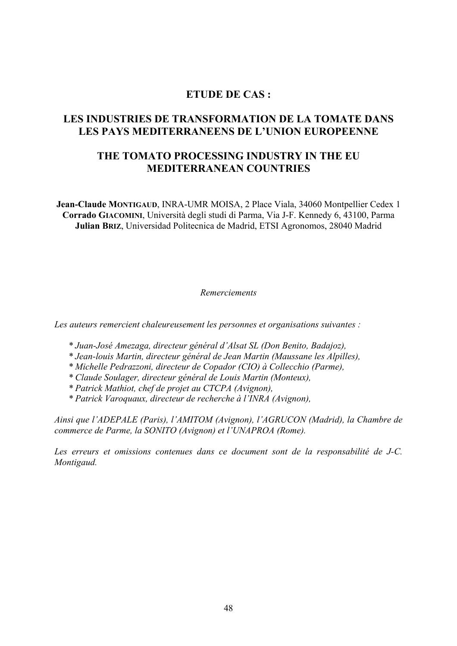## **ETUDE DE CAS :**

# **LES INDUSTRIES DE TRANSFORMATION DE LA TOMATE DANS LES PAYS MEDITERRANEENS DE L'UNION EUROPEENNE**

## **THE TOMATO PROCESSING INDUSTRY IN THE EU MEDITERRANEAN COUNTRIES**

**Jean-Claude MONTIGAUD**, INRA-UMR MOISA, 2 Place Viala, 34060 Montpellier Cedex 1 **Corrado GIACOMINI**, Università degli studi di Parma, Via J-F. Kennedy 6, 43100, Parma **Julian BRIZ**, Universidad Politecnica de Madrid, ETSI Agronomos, 28040 Madrid

#### *Remerciements*

*Les auteurs remercient chaleureusement les personnes et organisations suivantes :* 

- *\* Juan-José Amezaga, directeur général d'Alsat SL (Don Benito, Badajoz),*
- *\* Jean-louis Martin, directeur général de Jean Martin (Maussane les Alpilles),*
- *\* Michelle Pedrazzoni, directeur de Copador (CIO) à Collecchio (Parme),*
- *\* Claude Soulager, directeur général de Louis Martin (Monteux),*
- *\* Patrick Mathiot, chef de projet au CTCPA (Avignon),*
- *\* Patrick Varoquaux, directeur de recherche à l'INRA (Avignon),*

*Ainsi que l'ADEPALE (Paris), l'AMITOM (Avignon), l'AGRUCON (Madrid), la Chambre de commerce de Parme, la SONITO (Avignon) et l'UNAPROA (Rome).* 

Les erreurs et omissions contenues dans ce document sont de la responsabilité de J-C. *Montigaud.*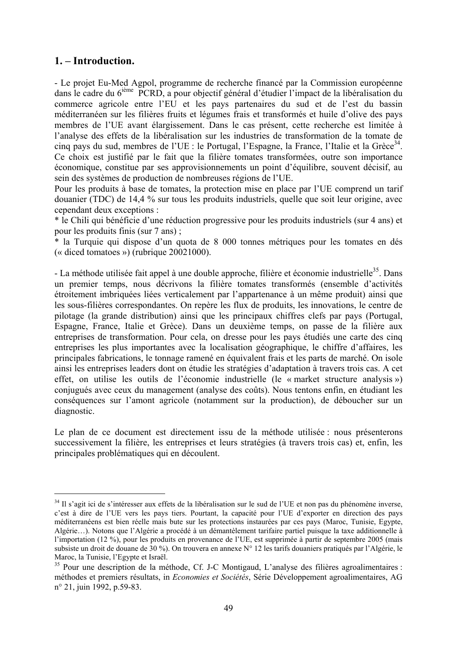## **1. – Introduction.**

 $\overline{a}$ 

- Le projet Eu-Med Agpol, programme de recherche financé par la Commission européenne dans le cadre du 6<sup>ième</sup> PCRD, a pour objectif général d'étudier l'impact de la libéralisation du commerce agricole entre l'EU et les pays partenaires du sud et de l'est du bassin méditerranéen sur les filières fruits et légumes frais et transformés et huile d'olive des pays membres de l'UE avant élargissement. Dans le cas présent, cette recherche est limitée à l'analyse des effets de la libéralisation sur les industries de transformation de la tomate de cinq pays du sud, membres de l'UE : le Portugal, l'Espagne, la France, l'Italie et la Grèce<sup>34</sup>. Ce choix est justifié par le fait que la filière tomates transformées, outre son importance économique, constitue par ses approvisionnements un point d'équilibre, souvent décisif, au sein des systèmes de production de nombreuses régions de l'UE.

Pour les produits à base de tomates, la protection mise en place par l'UE comprend un tarif douanier (TDC) de 14,4 % sur tous les produits industriels, quelle que soit leur origine, avec cependant deux exceptions :

\* le Chili qui bénéficie d'une réduction progressive pour les produits industriels (sur 4 ans) et pour les produits finis (sur 7 ans) ;

\* la Turquie qui dispose d'un quota de 8 000 tonnes métriques pour les tomates en dés (« diced tomatoes ») (rubrique 20021000).

- La méthode utilisée fait appel à une double approche, filière et économie industrielle<sup>35</sup>. Dans un premier temps, nous décrivons la filière tomates transformés (ensemble d'activités étroitement imbriquées liées verticalement par l'appartenance à un même produit) ainsi que les sous-filières correspondantes. On repère les flux de produits, les innovations, le centre de pilotage (la grande distribution) ainsi que les principaux chiffres clefs par pays (Portugal, Espagne, France, Italie et Grèce). Dans un deuxième temps, on passe de la filière aux entreprises de transformation. Pour cela, on dresse pour les pays étudiés une carte des cinq entreprises les plus importantes avec la localisation géographique, le chiffre d'affaires, les principales fabrications, le tonnage ramené en équivalent frais et les parts de marché. On isole ainsi les entreprises leaders dont on étudie les stratégies d'adaptation à travers trois cas. A cet effet, on utilise les outils de l'économie industrielle (le « market structure analysis ») conjugués avec ceux du management (analyse des coûts). Nous tentons enfin, en étudiant les conséquences sur l'amont agricole (notamment sur la production), de déboucher sur un diagnostic.

Le plan de ce document est directement issu de la méthode utilisée : nous présenterons successivement la filière, les entreprises et leurs stratégies (à travers trois cas) et, enfin, les principales problématiques qui en découlent.

<sup>&</sup>lt;sup>34</sup> Il s'agit ici de s'intéresser aux effets de la libéralisation sur le sud de l'UE et non pas du phénomène inverse, c'est à dire de l'UE vers les pays tiers. Pourtant, la capacité pour l'UE d'exporter en direction des pays méditerranéens est bien réelle mais bute sur les protections instaurées par ces pays (Maroc, Tunisie, Egypte, Algérie…). Notons que l'Algérie a procédé à un démantèlement tarifaire partiel puisque la taxe additionnelle à l'importation (12 %), pour les produits en provenance de l'UE, est supprimée à partir de septembre 2005 (mais subsiste un droit de douane de 30 %). On trouvera en annexe N° 12 les tarifs douaniers pratiqués par l'Algérie, le Maroc, la Tunisie, l'Egypte et Israël.

<sup>&</sup>lt;sup>35</sup> Pour une description de la méthode, Cf. J-C Montigaud, L'analyse des filières agroalimentaires : méthodes et premiers résultats, in *Economies et Sociétés*, Série Développement agroalimentaires, AG n° 21, juin 1992, p.59-83.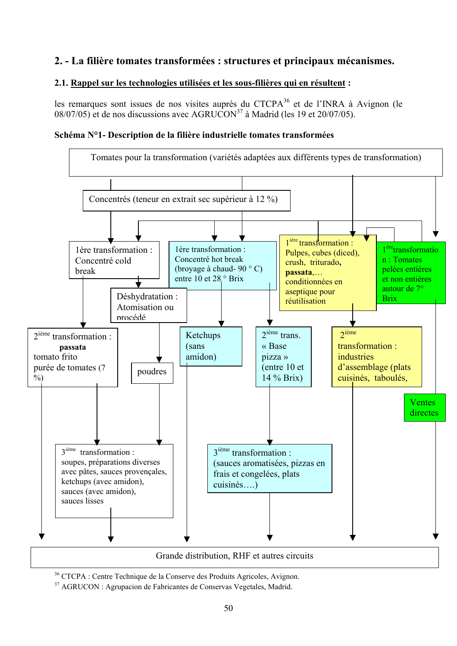# **2. - La filière tomates transformées : structures et principaux mécanismes.**

### **2.1. Rappel sur les technologies utilisées et les sous-filières qui en résultent :**

les remarques sont issues de nos visites auprès du CTCP $A^{36}$  et de l'INRA à Avignon (le  $08/07/05$  et de nos discussions avec AGRUCON<sup>37</sup> à Madrid (les 19 et 20/07/05).

#### **Schéma N°1- Description de la filière industrielle tomates transformées**



36 CTCPA : Centre Technique de la Conserve des Produits Agricoles, Avignon.

37 AGRUCON : Agrupacion de Fabricantes de Conservas Vegetales, Madrid.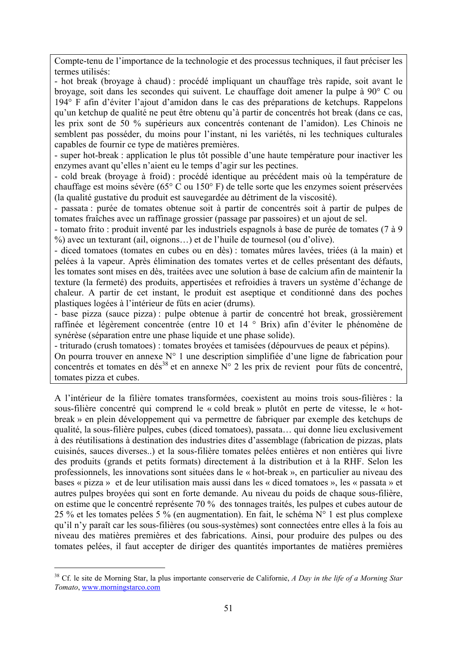Compte-tenu de l'importance de la technologie et des processus techniques, il faut préciser les termes utilisés:

- hot break (broyage à chaud) : procédé impliquant un chauffage très rapide, soit avant le broyage, soit dans les secondes qui suivent. Le chauffage doit amener la pulpe à 90° C ou 194° F afin d'éviter l'ajout d'amidon dans le cas des préparations de ketchups. Rappelons qu'un ketchup de qualité ne peut être obtenu qu'à partir de concentrés hot break (dans ce cas, les prix sont de 50 % supérieurs aux concentrés contenant de l'amidon). Les Chinois ne semblent pas posséder, du moins pour l'instant, ni les variétés, ni les techniques culturales capables de fournir ce type de matières premières.

- super hot-break : application le plus tôt possible d'une haute température pour inactiver les enzymes avant qu'elles n'aient eu le temps d'agir sur les pectines.

- cold break (broyage à froid) : procédé identique au précédent mais où la température de chauffage est moins sévère (65° C ou 150° F) de telle sorte que les enzymes soient préservées (la qualité gustative du produit est sauvegardée au détriment de la viscosité).

- passata : purée de tomates obtenue soit à partir de concentrés soit à partir de pulpes de tomates fraîches avec un raffinage grossier (passage par passoires) et un ajout de sel.

- tomato frito : produit inventé par les industriels espagnols à base de purée de tomates (7 à 9 %) avec un texturant (ail, oignons…) et de l'huile de tournesol (ou d'olive).

- diced tomatoes (tomates en cubes ou en dès) : tomates mûres lavées, triées (à la main) et pelées à la vapeur. Après élimination des tomates vertes et de celles présentant des défauts, les tomates sont mises en dès, traitées avec une solution à base de calcium afin de maintenir la texture (la fermeté) des produits, appertisées et refroidies à travers un système d'échange de chaleur. A partir de cet instant, le produit est aseptique et conditionné dans des poches plastiques logées à l'intérieur de fûts en acier (drums).

- base pizza (sauce pizza) : pulpe obtenue à partir de concentré hot break, grossièrement raffinée et légèrement concentrée (entre 10 et 14 ° Brix) afin d'éviter le phénomène de synérèse (séparation entre une phase liquide et une phase solide).

- triturado (crush tomatoes) : tomates broyées et tamisées (dépourvues de peaux et pépins).

On pourra trouver en annexe N° 1 une description simplifiée d'une ligne de fabrication pour concentrés et tomates en dés<sup>38</sup> et en annexe  $N^{\circ}$  2 les prix de revient pour fûts de concentré, tomates pizza et cubes.

A l'intérieur de la filière tomates transformées, coexistent au moins trois sous-filières : la sous-filière concentré qui comprend le « cold break » plutôt en perte de vitesse, le « hotbreak » en plein développement qui va permettre de fabriquer par exemple des ketchups de qualité, la sous-filière pulpes, cubes (diced tomatoes), passata… qui donne lieu exclusivement à des réutilisations à destination des industries dites d'assemblage (fabrication de pizzas, plats cuisinés, sauces diverses..) et la sous-filière tomates pelées entières et non entières qui livre des produits (grands et petits formats) directement à la distribution et à la RHF. Selon les professionnels, les innovations sont situées dans le « hot-break », en particulier au niveau des bases « pizza » et de leur utilisation mais aussi dans les « diced tomatoes », les « passata » et autres pulpes broyées qui sont en forte demande. Au niveau du poids de chaque sous-filière, on estime que le concentré représente 70 % des tonnages traités, les pulpes et cubes autour de 25 % et les tomates pelées 5 % (en augmentation). En fait, le schéma N° 1 est plus complexe qu'il n'y paraît car les sous-filières (ou sous-systèmes) sont connectées entre elles à la fois au niveau des matières premières et des fabrications. Ainsi, pour produire des pulpes ou des tomates pelées, il faut accepter de diriger des quantités importantes de matières premières

<sup>38</sup> Cf. le site de Morning Star, la plus importante conserverie de Californie, *A Day in the life of a Morning Star Tomato*, www.morningstarco.com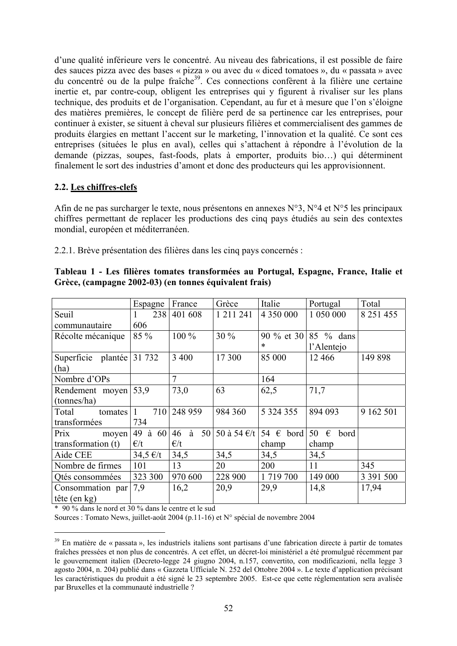d'une qualité inférieure vers le concentré. Au niveau des fabrications, il est possible de faire des sauces pizza avec des bases « pizza » ou avec du « diced tomatoes », du « passata » avec du concentré ou de la pulpe fraîche<sup>39</sup>. Ces connections confèrent à la filière une certaine inertie et, par contre-coup, obligent les entreprises qui y figurent à rivaliser sur les plans technique, des produits et de l'organisation. Cependant, au fur et à mesure que l'on s'éloigne des matières premières, le concept de filière perd de sa pertinence car les entreprises, pour continuer à exister, se situent à cheval sur plusieurs filières et commercialisent des gammes de produits élargies en mettant l'accent sur le marketing, l'innovation et la qualité. Ce sont ces entreprises (situées le plus en aval), celles qui s'attachent à répondre à l'évolution de la demande (pizzas, soupes, fast-foods, plats à emporter, produits bio…) qui déterminent finalement le sort des industries d'amont et donc des producteurs qui les approvisionnent.

### **2.2. Les chiffres-clefs**

Afin de ne pas surcharger le texte, nous présentons en annexes N°3, N°4 et N°5 les principaux chiffres permettant de replacer les productions des cinq pays étudiés au sein des contextes mondial, européen et méditerranéen.

2.2.1. Brève présentation des filières dans les cinq pays concernés :

|                           | Espagne          | France         | Grèce         | Italie             | Portugal        | Total         |
|---------------------------|------------------|----------------|---------------|--------------------|-----------------|---------------|
| Seuil                     | 238              | 401 608        | 1 2 1 1 2 4 1 | 4 3 5 0 0 0 0      | 1 050 000       | 8 2 5 1 4 5 5 |
| communautaire             | 606              |                |               |                    |                 |               |
| Récolte mécanique         | 85 %             | $100\%$        | 30 %          | 90 % et 30         | 85 % dans       |               |
|                           |                  |                |               | $\ast$             | l'Alentejo      |               |
| Superficie plantée 31 732 |                  | 3 4 0 0        | 17 300        | 85 000             | 12 4 6 6        | 149 898       |
| (ha)                      |                  |                |               |                    |                 |               |
| Nombre d'OPs              |                  | $\overline{7}$ |               | 164                |                 |               |
| Rendement moyen           | 53.9             | 73,0           | 63            | 62,5               | 71,7            |               |
| (tonnes/ha)               |                  |                |               |                    |                 |               |
| Total<br>tomates          | 710              | 248 959        | 984 360       | 5 3 2 4 3 5 5      | 894 093         | 9 162 501     |
| transformées              | 734              |                |               |                    |                 |               |
| Prix<br>moyen             | à<br>60<br>49    | à<br>46<br>50  | 50 à 54 €/t   | 54 $\epsilon$ bord | 50<br>€<br>bord |               |
| transformation (t)        | $\epsilon/t$     | $\epsilon/t$   |               | champ              | champ           |               |
| Aide CEE                  | $34,5 \notin /t$ | 34,5           | 34,5          | 34,5               | 34,5            |               |
| Nombre de firmes          | 101              | 13             | 20            | 200                | 11              | 345           |
| Otés consommées           | 323 300          | 970 600        | 228 900       | 1 719 700          | 149 000         | 3 391 500     |
| Consommation par          | 7,9              | 16,2           | 20,9          | 29,9               | 14,8            | 17,94         |
| tête (en kg)              |                  |                |               |                    |                 |               |

| Tableau 1 - Les filières tomates transformées au Portugal, Espagne, France, Italie et |  |  |
|---------------------------------------------------------------------------------------|--|--|
| Grèce, (campagne 2002-03) (en tonnes équivalent frais)                                |  |  |

\* 90 % dans le nord et 30 % dans le centre et le sud

 $\overline{a}$ 

Sources : Tomato News, juillet-août 2004 (p.11-16) et N° spécial de novembre 2004

<sup>&</sup>lt;sup>39</sup> En matière de « passata », les industriels italiens sont partisans d'une fabrication directe à partir de tomates fraîches pressées et non plus de concentrés. A cet effet, un décret-loi ministériel a été promulgué récemment par le gouvernement italien (Decreto-legge 24 giugno 2004, n.157, convertito, con modificazioni, nella legge 3 agosto 2004, n. 204) publié dans « Gazzeta Ufficiale N. 252 del Ottobre 2004 ». Le texte d'application précisant les caractéristiques du produit a été signé le 23 septembre 2005. Est-ce que cette réglementation sera avalisée par Bruxelles et la communauté industrielle ?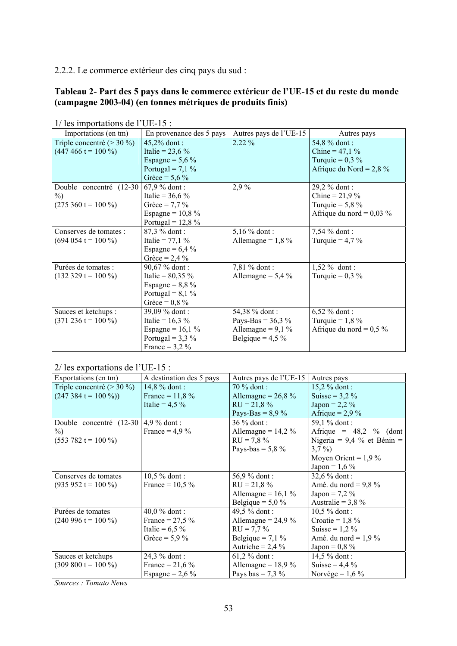2.2.2. Le commerce extérieur des cinq pays du sud :

#### **Tableau 2- Part des 5 pays dans le commerce extérieur de l'UE-15 et du reste du monde (campagne 2003-04) (en tonnes métriques de produits finis)**

| Importations (en tm)                | En provenance des 5 pays | Autres pays de l'UE-15 | Autres pays                 |
|-------------------------------------|--------------------------|------------------------|-----------------------------|
| Triple concentré (> 30 %)           | 45,2% dont:              | $2.22\%$               | 54,8 % dont:                |
| $(447\,466\,\mathrm{t} = 100\,\% )$ | Italie = $23,6%$         |                        | Chine = $47,1%$             |
|                                     | Espagne = $5,6\%$        |                        | Turquie = $0.3\%$           |
|                                     | Portugal = $7,1\%$       |                        | Afrique du Nord = $2,8\%$   |
|                                     | Grèce = $5,6\%$          |                        |                             |
| Double concentré (12-30)            | $67.9 \%$ dont:          | 2,9%                   | 29,2 % dont:                |
| $\%$                                | Italie = $36,6%$         |                        | Chine = $21,9%$             |
| $(275\ 360\ t = 100\%)$             | Grèce = $7.7\%$          |                        | Turquie = $5,8\%$           |
|                                     | Espagne = $10,8%$        |                        | Afrique du nord = $0.03 \%$ |
|                                     | Portugal = $12,8%$       |                        |                             |
| Conserves de tomates :              | 87,3 % dont:             | 5,16 $%$ dont:         | 7,54 % dont :               |
| $(694 054 t = 100 %$                | Italie = $77,1%$         | Allemagne = $1,8\%$    | Turquie = $4.7\%$           |
|                                     | Espagne = $6,4\%$        |                        |                             |
|                                     | Grèce = $2,4%$           |                        |                             |
| Purées de tomates :                 | 90,67 % dont :           | 7,81 % dont:           | $1,52 \%$ dont:             |
| $(132 329 t = 100 %$                | Italie = $80,35\%$       | Allemagne = $5,4\%$    | Turquie = $0.3\%$           |
|                                     | Espagne = $8,8\%$        |                        |                             |
|                                     | Portugal = $8,1\%$       |                        |                             |
|                                     | Grèce = $0.8 \%$         |                        |                             |
| Sauces et ketchups :                | 39,09 % dont :           | 54,38 % dont:          | $6,52 \%$ dont:             |
| $(371\ 236\ t = 100\ \%)$           | Italie = $16,3%$         | Pays-Bas = $36,3\%$    | Turquie = $1,8\%$           |
|                                     | Espagne = $16,1%$        | Allemagne = $9,1\%$    | Afrique du nord = $0.5\%$   |
|                                     | Portugal = $3,3\%$       | Belgique = $4,5\%$     |                             |
|                                     | France = $3,2\%$         |                        |                             |

1/ les importations de l'UE-15 :

2/ les exportations de l'UE-15 :

| Exportations (en tm)                         | A destination des 5 pays | Autres pays de l'UE-15 | Autres pays                  |
|----------------------------------------------|--------------------------|------------------------|------------------------------|
| Triple concentré (> 30 %)                    | $14,8%$ dont:            | $70\%$ dont :          | $15,2%$ dont:                |
| $(247\,384\,\mathrm{t} = 100\,\mathrm{\%}))$ | France = $11,8%$         | Allemagne = $26,8%$    | Suisse = $3,2\%$             |
|                                              | Italie = $4.5 \%$        | $RU = 21.8 \%$         | $Japan = 2,2\%$              |
|                                              |                          | Pays-Bas = $8,9%$      | Afrique = $2.9\%$            |
| Double concentré (12-30)                     | $4.9\%$ dont :           | $36\%$ dont :          | 59,1 % dont :                |
| $\%$                                         | France = $4.9 \%$        | Allemagne = $14.2 \%$  | Afrique = $48,2$ % (dont)    |
| $(553\,782\,\mathrm{t} = 100\,\% )$          |                          | $RU = 7.8 \%$          | Nigeria = $9,4\%$ et Bénin = |
|                                              |                          | Pays-bas = $5,8\%$     | $3,7\%$                      |
|                                              |                          |                        | Moyen Orient = $1,9\%$       |
|                                              |                          |                        | $Japan = 1,6\%$              |
| Conserves de tomates                         | $10,5%$ dont:            | 56,9 $%$ dont :        | $32,6%$ dont:                |
| $(935\,952\,\mathrm{t} = 100\,\% )$          | France = $10,5\%$        | $RU = 21,8%$           | Amé. du nord = $9,8\%$       |
|                                              |                          | Allemagne = $16,1%$    | $Japan = 7.2 \%$             |
|                                              |                          | Belgique = $5.0\%$     | Australie = $3,8\%$          |
| Purées de tomates                            | 40,0 $%$ dont :          | 49,5 % dont:           | $10,5%$ dont:                |
| $(240\,996\,\mathrm{t} = 100\,\% )$          | France = $27.5 \%$       | Allemagne = $24.9\%$   | Croatie = $1,8\%$            |
|                                              | Italie = $6,5\%$         | $RU = 7.7\%$           | Suisse = $1,2\%$             |
|                                              | Grèce = $5.9 \%$         | Belgique = $7,1\%$     | Amé. du nord = $1.9\%$       |
|                                              |                          | Autriche = $2,4\%$     | Japon = $0,8\%$              |
| Sauces et ketchups                           | 24,3 % dont :            | $61,2%$ dont:          | $14,5%$ dont:                |
| $(309 800 t = 100 %$                         | France = $21,6%$         | Allemagne = $18.9\%$   | Suisse = $4.4\%$             |
|                                              | Espagne = $2,6\%$        | Pays bas = 7,3 $\%$    | Norvège = $1,6\%$            |

*Sources : Tomato News*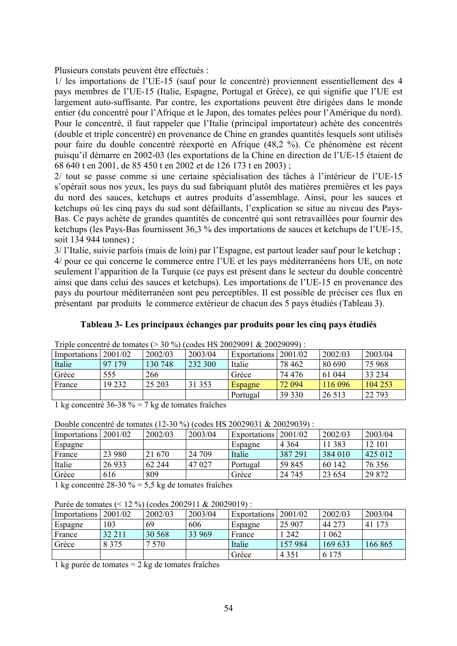Plusieurs constats peuvent être effectués :

1/ les importations de l'UE-15 (sauf pour le concentré) proviennent essentiellement des 4 pays membres de l'UE-15 (Italie, Espagne, Portugal et Grèce), ce qui signifie que l'UE est largement auto-suffisante. Par contre, les exportations peuvent être dirigées dans le monde entier (du concentré pour l'Afrique et le Japon, des tomates pelées pour l'Amérique du nord). Pour le concentré, il faut rappeler que l'Italie (principal importateur) achète des concentrés (double et triple concentré) en provenance de Chine en grandes quantités lesquels sont utilisés pour faire du double concentré réexporté en Afrique (48,2 %). Ce phénomène est récent puisqu'il démarre en 2002-03 (les exportations de la Chine en direction de l'UE-15 étaient de 68 640 t en 2001, de 85 450 t en 2002 et de 126 173 t en 2003) ;

2/ tout se passe comme si une certaine spécialisation des tâches à l'intérieur de l'UE-15 s'opérait sous nos yeux, les pays du sud fabriquant plutôt des matières premières et les pays du nord des sauces, ketchups et autres produits d'assemblage. Ainsi, pour les sauces et ketchups où les cinq pays du sud sont défaillants, l'explication se situe au niveau des Pays-Bas. Ce pays achète de grandes quantités de concentré qui sont retravaillées pour fournir des ketchups (les Pays-Bas fournissent 36,3 % des importations de sauces et ketchups de l'UE-15, soit 134 944 tonnes) ;

3/ l'Italie, suivie parfois (mais de loin) par l'Espagne, est partout leader sauf pour le ketchup ; 4/ pour ce qui concerne le commerce entre l'UE et les pays méditerranéens hors UE, on note seulement l'apparition de la Turquie (ce pays est présent dans le secteur du double concentré ainsi que dans celui des sauces et ketchups). Les importations de l'UE-15 en provenance des pays du pourtour méditerranéen sont peu perceptibles. Il est possible de préciser ces flux en présentant par produits le commerce extérieur de chacun des 5 pays étudiés (Tableau 3).

### **Tableau 3- Les principaux échanges par produits pour les cinq pays étudiés**

Triple concentré de tomates (> 30 %) (codes HS 20029091 & 20029099) :

| Importations | 2001/02 | 2002/03 | 2003/04 | Exportations   2001/02 |         | 2002/03 | 2003/04 |
|--------------|---------|---------|---------|------------------------|---------|---------|---------|
| Italie       | 97 179  | 130 748 | 232 300 | Italie                 | 78 4 62 | 80 690  | 75 968  |
| Grèce        | 555     | 266     |         | Grèce                  | 74 476  | 61 044  | 33 234  |
| France       | 19 23 2 | 25 203  | 31 353  | Espagne                | 72 094  | 116 096 | 104 253 |
|              |         |         |         | Portugal               | 39 330  | 26 5 13 | 22 7 93 |
|              |         |         |         |                        |         |         |         |

1 kg concentré 36-38 % = 7 kg de tomates fraîches

| Double concentre de tomates (12-30 $\%$ ) (codes HS 20029031 & 20029039) |         |         |         |                        |         |          |         |
|--------------------------------------------------------------------------|---------|---------|---------|------------------------|---------|----------|---------|
| Importations                                                             | 2001/02 | 2002/03 | 2003/04 | Exportations   2001/02 |         | 2002/03  | 2003/04 |
| Espagne                                                                  |         |         |         | Espagne                | 4 3 6 4 | 11 3 8 3 | 12 101  |
| France                                                                   | 23 980  | 21 670  | 24 709  | Italie                 | 387 291 | 384 010  | 425 012 |
| Italie                                                                   | 26 9 33 | 62 244  | 47 027  | Portugal               | 59 845  | 60 142   | 76 35 6 |
| Grèce                                                                    | 616     | 809     |         | Grèce                  | 24 745  | 23 6 5 4 | 29 872  |
| 11 $\sqrt{20.200}$ $\sqrt{51}$ $\sqrt{21}$ $\sqrt{21}$                   |         |         |         |                        |         |          |         |

Double concentré de tomates (12-30 %) (codes HS 20029031 & 20029039) :

1 kg concentré 28-30 % = 5,5 kg de tomates fraîches

Purée de tomates (< 12 %) (codes 2002911 & 20029019) :

| Importations | 2001/02 | 2002/03 | 2003/04 | Exportations | 2001/02 | 2002/03 | 2003/04    |
|--------------|---------|---------|---------|--------------|---------|---------|------------|
| Espagne      | 103     | 69      | 606     | Espagne      | 25 907  | 44 273  | -173<br>41 |
| France       | 32 211  | 30 568  | 33 969  | France       | 242     | 062     |            |
| Grèce        | 8 375   | 570     |         | Italie       | 157 984 | 169 633 | 166 865    |
|              |         |         |         | Grèce        | 4 3 5 1 | 6 1 7 5 |            |

1 kg purée de tomates = 2 kg de tomates fraîches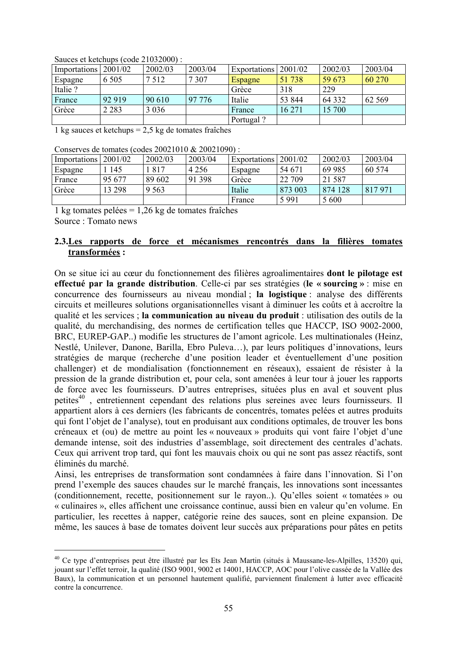| Importations | 2001/02 | 2002/03 | 2003/04 | Exportations | 2001/02 | 2002/03  | 2003/04 |
|--------------|---------|---------|---------|--------------|---------|----------|---------|
| Espagne      | 6 5 0 5 | 7 5 1 2 | 7 3 0 7 | Espagne      | 51738   | 59 673   | 60 270  |
| Italie?      |         |         |         | Grèce        | 318     | 229      |         |
| France       | 92 919  | 90 610  | 97 776  | Italie       | 53 844  | 64 3 3 2 | 62 5 69 |
| Grèce        | 2 2 8 3 | 3 0 3 6 |         | France       | 16 271  | 15 700   |         |
|              |         |         |         | Portugal?    |         |          |         |

Sauces et ketchups (code 21032000) :

1 kg sauces et ketchups = 2,5 kg de tomates fraîches

Conserves de tomates (codes 20021010 & 20021090) :

| Importations | 2001/02 | 2002/03 | 2003/04 | Exportations   2001/02 |         | 2002/03  | 2003/04 |
|--------------|---------|---------|---------|------------------------|---------|----------|---------|
| Espagne      | 145     | 817     | 4 2 5 6 | Espagne                | 54 671  | 69 985   | 60 574  |
| France       | 95 677  | 89 602  | 91 398  | Grèce                  | 22 709  | 21 5 8 7 |         |
| Grèce        | 13 298  | 9 5 6 3 |         | Italie                 | 873 003 | 874 128  | 817971  |
|              |         |         |         | France                 | 5991    | 5 600    |         |

1 kg tomates pelées = 1,26 kg de tomates fraîches Source : Tomato news

 $\overline{a}$ 

#### **2.3.Les rapports de force et mécanismes rencontrés dans la filières tomates transformées :**

On se situe ici au cœur du fonctionnement des filières agroalimentaires **dont le pilotage est effectué par la grande distribution**. Celle-ci par ses stratégies (**le « sourcing »** : mise en concurrence des fournisseurs au niveau mondial ; **la logistique** : analyse des différents circuits et meilleures solutions organisationnelles visant à diminuer les coûts et à accroître la qualité et les services ; **la communication au niveau du produit** : utilisation des outils de la qualité, du merchandising, des normes de certification telles que HACCP, ISO 9002-2000, BRC, EUREP-GAP..) modifie les structures de l'amont agricole. Les multinationales (Heinz, Nestlé, Unilever, Danone, Barilla, Ebro Puleva…), par leurs politiques d'innovations, leurs stratégies de marque (recherche d'une position leader et éventuellement d'une position challenger) et de mondialisation (fonctionnement en réseaux), essaient de résister à la pression de la grande distribution et, pour cela, sont amenées à leur tour à jouer les rapports de force avec les fournisseurs. D'autres entreprises, situées plus en aval et souvent plus petites<sup>40</sup>, entretiennent cependant des relations plus sereines avec leurs fournisseurs. Il appartient alors à ces derniers (les fabricants de concentrés, tomates pelées et autres produits qui font l'objet de l'analyse), tout en produisant aux conditions optimales, de trouver les bons créneaux et (ou) de mettre au point les « nouveaux » produits qui vont faire l'objet d'une demande intense, soit des industries d'assemblage, soit directement des centrales d'achats. Ceux qui arrivent trop tard, qui font les mauvais choix ou qui ne sont pas assez réactifs, sont éliminés du marché.

Ainsi, les entreprises de transformation sont condamnées à faire dans l'innovation. Si l'on prend l'exemple des sauces chaudes sur le marché français, les innovations sont incessantes (conditionnement, recette, positionnement sur le rayon..). Qu'elles soient « tomatées » ou « culinaires », elles affichent une croissance continue, aussi bien en valeur qu'en volume. En particulier, les recettes à napper, catégorie reine des sauces, sont en pleine expansion. De même, les sauces à base de tomates doivent leur succès aux préparations pour pâtes en petits

<sup>40</sup> Ce type d'entreprises peut être illustré par les Ets Jean Martin (situés à Maussane-les-Alpilles, 13520) qui, jouant sur l'effet terroir, la qualité (ISO 9001, 9002 et 14001, HACCP, AOC pour l'olive cassée de la Vallée des Baux), la communication et un personnel hautement qualifié, parviennent finalement à lutter avec efficacité contre la concurrence.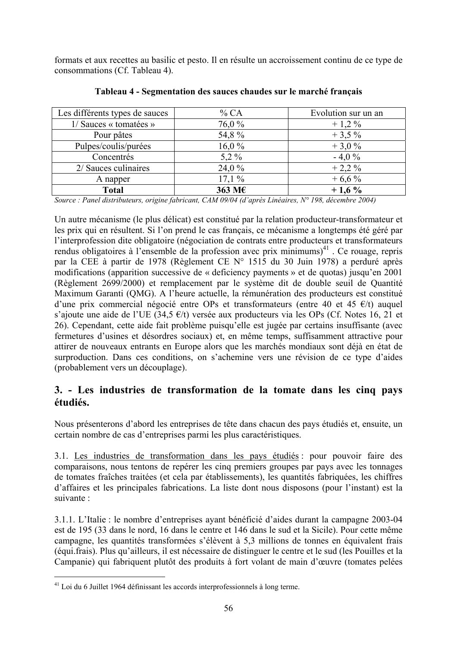formats et aux recettes au basilic et pesto. Il en résulte un accroissement continu de ce type de consommations (Cf. Tableau 4).

| Les différents types de sauces | % CA    | Evolution sur un an |
|--------------------------------|---------|---------------------|
| 1/ Sauces « tomatées »         | 76,0%   | $+1,2\%$            |
| Pour pâtes                     | 54,8%   | $+3,5%$             |
| Pulpes/coulis/purées           | 16,0%   | $+3.0%$             |
| Concentrés                     | $5.2\%$ | $-4.0%$             |
| 2/ Sauces culinaires           | 24,0%   | $+2,2\%$            |
| A napper                       | 17.1%   | $+6,6%$             |
| <b>Total</b>                   | 363 M€  | $+1,6%$             |

**Tableau 4 - Segmentation des sauces chaudes sur le marché français** 

*Source : Panel distributeurs, origine fabricant, CAM 09/04 (d'après Linéaires, N° 198, décembre 2004)* 

Un autre mécanisme (le plus délicat) est constitué par la relation producteur-transformateur et les prix qui en résultent. Si l'on prend le cas français, ce mécanisme a longtemps été géré par l'interprofession dite obligatoire (négociation de contrats entre producteurs et transformateurs rendus obligatoires à l'ensemble de la profession avec prix minimums $)^{41}$ . Ce rouage, repris par la CEE à partir de 1978 (Règlement CE N° 1515 du 30 Juin 1978) a perduré après modifications (apparition successive de « deficiency payments » et de quotas) jusqu'en 2001 (Règlement 2699/2000) et remplacement par le système dit de double seuil de Quantité Maximum Garanti (QMG). A l'heure actuelle, la rémunération des producteurs est constitué d'une prix commercial négocié entre OPs et transformateurs (entre 40 et 45  $\epsilon/t$ ) auquel s'ajoute une aide de l'UE (34,5 €/t) versée aux producteurs via les OPs (Cf. Notes 16, 21 et 26). Cependant, cette aide fait problème puisqu'elle est jugée par certains insuffisante (avec fermetures d'usines et désordres sociaux) et, en même temps, suffisamment attractive pour attirer de nouveaux entrants en Europe alors que les marchés mondiaux sont déjà en état de surproduction. Dans ces conditions, on s'achemine vers une révision de ce type d'aides (probablement vers un découplage).

## **3. - Les industries de transformation de la tomate dans les cinq pays étudiés.**

Nous présenterons d'abord les entreprises de tête dans chacun des pays étudiés et, ensuite, un certain nombre de cas d'entreprises parmi les plus caractéristiques.

3.1. Les industries de transformation dans les pays étudiés : pour pouvoir faire des comparaisons, nous tentons de repérer les cinq premiers groupes par pays avec les tonnages de tomates fraîches traitées (et cela par établissements), les quantités fabriquées, les chiffres d'affaires et les principales fabrications. La liste dont nous disposons (pour l'instant) est la suivante :

3.1.1. L'Italie : le nombre d'entreprises ayant bénéficié d'aides durant la campagne 2003-04 est de 195 (33 dans le nord, 16 dans le centre et 146 dans le sud et la Sicile). Pour cette même campagne, les quantités transformées s'élèvent à 5,3 millions de tonnes en équivalent frais (équi.frais). Plus qu'ailleurs, il est nécessaire de distinguer le centre et le sud (les Pouilles et la Campanie) qui fabriquent plutôt des produits à fort volant de main d'œuvre (tomates pelées

<sup>41</sup> Loi du 6 Juillet 1964 définissant les accords interprofessionnels à long terme.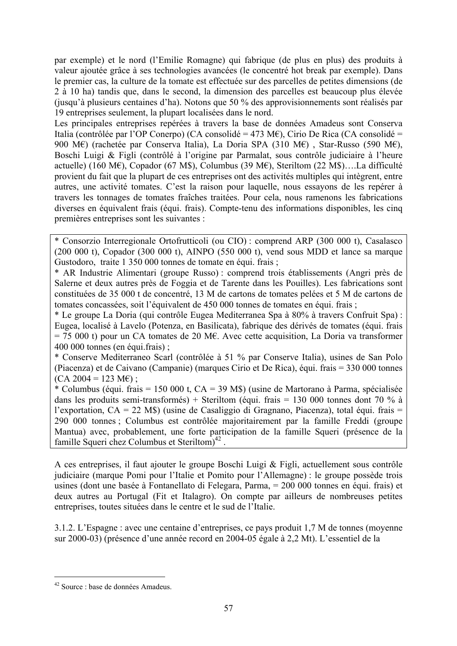par exemple) et le nord (l'Emilie Romagne) qui fabrique (de plus en plus) des produits à valeur ajoutée grâce à ses technologies avancées (le concentré hot break par exemple). Dans le premier cas, la culture de la tomate est effectuée sur des parcelles de petites dimensions (de 2 à 10 ha) tandis que, dans le second, la dimension des parcelles est beaucoup plus élevée (jusqu'à plusieurs centaines d'ha). Notons que 50 % des approvisionnements sont réalisés par 19 entreprises seulement, la plupart localisées dans le nord.

Les principales entreprises repérées à travers la base de données Amadeus sont Conserva Italia (contrôlée par l'OP Conerpo) (CA consolidé = 473 M€), Cirio De Rica (CA consolidé = 900 M€) (rachetée par Conserva Italia), La Doria SPA (310 M€) , Star-Russo (590 M€), Boschi Luigi & Figli (contrôlé à l'origine par Parmalat, sous contrôle judiciaire à l'heure actuelle) (160 M€), Copador (67 M\$), Columbus (39 M€), Steriltom (22 M\$)….La difficulté provient du fait que la plupart de ces entreprises ont des activités multiples qui intègrent, entre autres, une activité tomates. C'est la raison pour laquelle, nous essayons de les repérer à travers les tonnages de tomates fraîches traitées. Pour cela, nous ramenons les fabrications diverses en équivalent frais (équi. frais). Compte-tenu des informations disponibles, les cinq premières entreprises sont les suivantes :

\* Consorzio Interregionale Ortofrutticoli (ou CIO) : comprend ARP (300 000 t), Casalasco (200 000 t), Copador (300 000 t), AINPO (550 000 t), vend sous MDD et lance sa marque Gustodoro, traite 1 350 000 tonnes de tomate en équi. frais ;

\* AR Industrie Alimentari (groupe Russo) : comprend trois établissements (Angri près de Salerne et deux autres près de Foggia et de Tarente dans les Pouilles). Les fabrications sont constituées de 35 000 t de concentré, 13 M de cartons de tomates pelées et 5 M de cartons de tomates concassées, soit l'équivalent de 450 000 tonnes de tomates en équi. frais ;

\* Le groupe La Doria (qui contrôle Eugea Mediterranea Spa à 80% à travers Confruit Spa) : Eugea, localisé à Lavelo (Potenza, en Basilicata), fabrique des dérivés de tomates (équi. frais = 75 000 t) pour un CA tomates de 20 M€. Avec cette acquisition, La Doria va transformer 400 000 tonnes (en équi.frais) ;

\* Conserve Mediterraneo Scarl (contrôlée à 51 % par Conserve Italia), usines de San Polo (Piacenza) et de Caivano (Campanie) (marques Cirio et De Rica), équi. frais = 330 000 tonnes  $(CA 2004 = 123 \text{ M}\epsilon)$ ;

\* Columbus (équi. frais = 150 000 t, CA = 39 M\$) (usine de Martorano à Parma, spécialisée dans les produits semi-transformés) + Steriltom (équi. frais = 130 000 tonnes dont 70 % à l'exportation, CA = 22 M\$) (usine de Casaliggio di Gragnano, Piacenza), total équi. frais = 290 000 tonnes ; Columbus est contrôlée majoritairement par la famille Freddi (groupe Mantua) avec, probablement, une forte participation de la famille Squeri (présence de la famille Squeri chez Columbus et Steriltom)<sup>42</sup>.

A ces entreprises, il faut ajouter le groupe Boschi Luigi & Figli, actuellement sous contrôle judiciaire (marque Pomi pour l'Italie et Pomito pour l'Allemagne) : le groupe possède trois usines (dont une basée à Fontanellato di Felegara, Parma, = 200 000 tonnes en équi. frais) et deux autres au Portugal (Fit et Italagro). On compte par ailleurs de nombreuses petites entreprises, toutes situées dans le centre et le sud de l'Italie.

3.1.2. L'Espagne : avec une centaine d'entreprises, ce pays produit 1,7 M de tonnes (moyenne sur 2000-03) (présence d'une année record en 2004-05 égale à 2,2 Mt). L'essentiel de la

<sup>42</sup> Source : base de données Amadeus.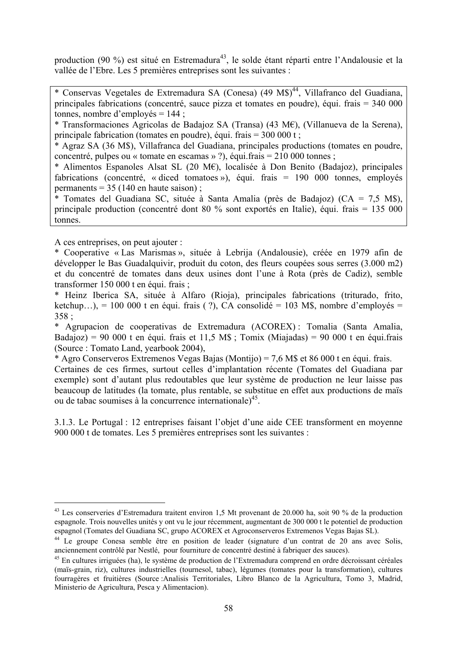production (90 %) est situé en Estremadura<sup>43</sup>, le solde étant réparti entre l'Andalousie et la vallée de l'Ebre. Les 5 premières entreprises sont les suivantes :

\* Conservas Vegetales de Extremadura SA (Conesa) (49 M\$)<sup>44</sup>, Villafranco del Guadiana, principales fabrications (concentré, sauce pizza et tomates en poudre), équi. frais = 340 000 tonnes, nombre d'employés = 144 ;

\* Transformaciones Agricolas de Badajoz SA (Transa) (43 M€), (Villanueva de la Serena), principale fabrication (tomates en poudre), équi. frais = 300 000 t ;

\* Agraz SA (36 M\$), Villafranca del Guadiana, principales productions (tomates en poudre, concentré, pulpes ou « tomate en escamas » ?), équi.frais = 210 000 tonnes ;

\* Alimentos Espanoles Alsat SL (20 M€), localisée à Don Benito (Badajoz), principales fabrications (concentré, « diced tomatoes »), équi. frais = 190 000 tonnes, employés permanents  $= 35$  (140 en haute saison);

\* Tomates del Guadiana SC, située à Santa Amalia (près de Badajoz) (CA = 7,5 M\$), principale production (concentré dont 80 % sont exportés en Italie), équi. frais = 135 000 tonnes.

A ces entreprises, on peut ajouter :

 $\overline{a}$ 

\* Cooperative « Las Marismas », située à Lebrija (Andalousie), créée en 1979 afin de développer le Bas Guadalquivir, produit du coton, des fleurs coupées sous serres (3.000 m2) et du concentré de tomates dans deux usines dont l'une à Rota (près de Cadiz), semble transformer 150 000 t en équi. frais ;

\* Heinz Iberica SA, située à Alfaro (Rioja), principales fabrications (triturado, frito, ketchup…), = 100 000 t en équi. frais (?), CA consolidé = 103 M\$, nombre d'employés = 358 ;

\* Agrupacion de cooperativas de Extremadura (ACOREX) : Tomalia (Santa Amalia, Badajoz) = 90 000 t en équi. frais et 11,5 M\$ ; Tomix (Miajadas) = 90 000 t en équi. frais (Source : Tomato Land, yearbook 2004),

\* Agro Conserveros Extremenos Vegas Bajas (Montijo) = 7,6 M\$ et 86 000 t en équi. frais.

Certaines de ces firmes, surtout celles d'implantation récente (Tomates del Guadiana par exemple) sont d'autant plus redoutables que leur système de production ne leur laisse pas beaucoup de latitudes (la tomate, plus rentable, se substitue en effet aux productions de maïs ou de tabac soumises à la concurrence internationale)45.

3.1.3. Le Portugal : 12 entreprises faisant l'objet d'une aide CEE transforment en moyenne 900 000 t de tomates. Les 5 premières entreprises sont les suivantes :

<sup>43</sup> Les conserveries d'Estremadura traitent environ 1,5 Mt provenant de 20.000 ha, soit 90 % de la production espagnole. Trois nouvelles unités y ont vu le jour récemment, augmentant de 300 000 t le potentiel de production espagnol (Tomates del Guadiana SC, grupo ACOREX et Agroconserveros Extremenos Vegas Bajas SL).

<sup>&</sup>lt;sup>44</sup> Le groupe Conesa semble être en position de leader (signature d'un contrat de 20 ans avec Solis, anciennement contrôlé par Nestlé, pour fourniture de concentré destiné à fabriquer des sauces).

 $45$  En cultures irriguées (ha), le système de production de l'Extremadura comprend en ordre décroissant céréales (maïs-grain, riz), cultures industrielles (tournesol, tabac), légumes (tomates pour la transformation), cultures fourragères et fruitières (Source :Analisis Territoriales, Libro Blanco de la Agricultura, Tomo 3, Madrid, Ministerio de Agricultura, Pesca y Alimentacion).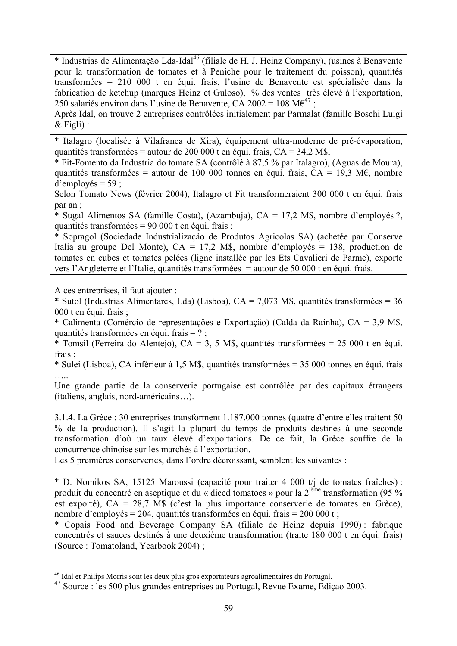\* Industrias de Alimentaçäo Lda-Idal46 (filiale de H. J. Heinz Company), (usines à Benavente pour la transformation de tomates et à Peniche pour le traitement du poisson), quantités transformées = 210 000 t en équi. frais, l'usine de Benavente est spécialisée dans la fabrication de ketchup (marques Heinz et Guloso), % des ventes très élevé à l'exportation, 250 salariés environ dans l'usine de Benavente, CA 2002 = 108 M $\varepsilon^{47}$ ;

Après Idal, on trouve 2 entreprises contrôlées initialement par Parmalat (famille Boschi Luigi  $&$  Figli) :

\* Italagro (localisée à Vilafranca de Xira), équipement ultra-moderne de pré-évaporation, quantités transformées = autour de 200 000 t en équi. frais,  $CA = 34.2$  M\$,

\* Fit-Fomento da Industria do tomate SA (contrôlé à 87,5 % par Italagro), (Aguas de Moura), quantités transformées = autour de 100 000 tonnes en équi. frais,  $CA = 19.3$  M $\epsilon$ , nombre d'employés =  $59$  ;

Selon Tomato News (février 2004), Italagro et Fit transformeraient 300 000 t en équi. frais par an ;

\* Sugal Alimentos SA (famille Costa), (Azambuja), CA = 17,2 M\$, nombre d'employés ?, quantités transformées = 90 000 t en équi. frais ;

\* Sopragol (Sociedade Industrializaçäo de Produtos Agricolas SA) (achetée par Conserve Italia au groupe Del Monte), CA = 17,2 M\$, nombre d'employés = 138, production de tomates en cubes et tomates pelées (ligne installée par les Ets Cavalieri de Parme), exporte vers l'Angleterre et l'Italie, quantités transformées = autour de 50 000 t en équi. frais.

A ces entreprises, il faut ajouter :

 $\overline{a}$ 

\* Sutol (Industrias Alimentares, Lda) (Lisboa), CA = 7,073 M\$, quantités transformées = 36 000 t en équi. frais ;

\* Calimenta (Comércio de representaçöes e Exportaçäo) (Calda da Rainha), CA = 3,9 M\$, quantités transformées en équi. frais = ? ;

\* Tomsil (Ferreira do Alentejo), CA = 3, 5 M\$, quantités transformées = 25 000 t en équi. frais ;

\* Sulei (Lisboa), CA inférieur à 1,5 M\$, quantités transformées = 35 000 tonnes en équi. frais …..

Une grande partie de la conserverie portugaise est contrôlée par des capitaux étrangers (italiens, anglais, nord-américains…).

3.1.4. La Grèce : 30 entreprises transforment 1.187.000 tonnes (quatre d'entre elles traitent 50 % de la production). Il s'agit la plupart du temps de produits destinés à une seconde transformation d'où un taux élevé d'exportations. De ce fait, la Grèce souffre de la concurrence chinoise sur les marchés à l'exportation.

Les 5 premières conserveries, dans l'ordre décroissant, semblent les suivantes :

\* D. Nomikos SA, 15125 Maroussi (capacité pour traiter 4 000 t/j de tomates fraîches) : produit du concentré en aseptique et du « diced tomatoes » pour la 2ième transformation (95 % est exporté), CA = 28,7 M\$ (c'est la plus importante conserverie de tomates en Grèce), nombre d'employés = 204, quantités transformées en équi. frais = 200 000 t ;

\* Copais Food and Beverage Company SA (filiale de Heinz depuis 1990) : fabrique concentrés et sauces destinés à une deuxième transformation (traite 180 000 t en équi. frais) (Source : Tomatoland, Yearbook 2004) ;

<sup>46</sup> Idal et Philips Morris sont les deux plus gros exportateurs agroalimentaires du Portugal.

<sup>47</sup> Source : les 500 plus grandes entreprises au Portugal, Revue Exame, Ediçao 2003.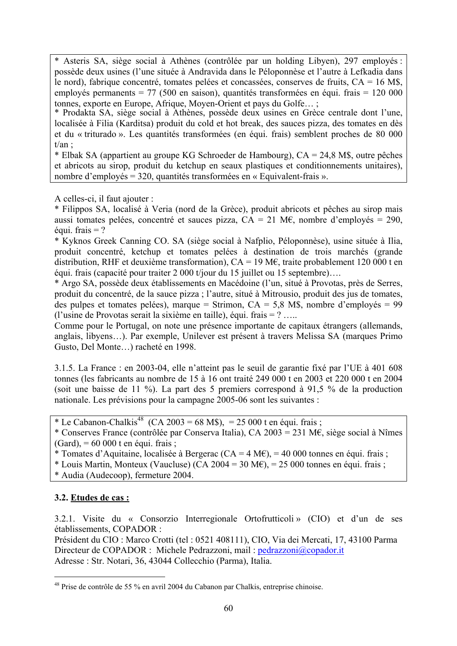\* Asteris SA, siège social à Athènes (contrôlée par un holding Libyen), 297 employés : possède deux usines (l'une située à Andravida dans le Péloponnèse et l'autre à Lefkadia dans le nord), fabrique concentré, tomates pelées et concassées, conserves de fruits, CA = 16 M\$, employés permanents = 77 (500 en saison), quantités transformées en équi. frais = 120 000 tonnes, exporte en Europe, Afrique, Moyen-Orient et pays du Golfe… ;

\* Prodakta SA, siège social à Athènes, possède deux usines en Grèce centrale dont l'une, localisée à Filia (Karditsa) produit du cold et hot break, des sauces pizza, des tomates en dès et du « triturado ». Les quantités transformées (en équi. frais) semblent proches de 80 000  $t/an$ .

\* Elbak SA (appartient au groupe KG Schroeder de Hambourg), CA = 24,8 M\$, outre pêches et abricots au sirop, produit du ketchup en seaux plastiques et conditionnements unitaires), nombre d'employés = 320, quantités transformées en « Equivalent-frais ».

A celles-ci, il faut ajouter :

\* Filippos SA, localisé à Veria (nord de la Grèce), produit abricots et pêches au sirop mais aussi tomates pelées, concentré et sauces pizza,  $CA = 21$  M $\epsilon$ , nombre d'employés = 290. équi. frais = ?

\* Kyknos Greek Canning CO. SA (siège social à Nafplio, Péloponnèse), usine située à Ilia, produit concentré, ketchup et tomates pelées à destination de trois marchés (grande distribution, RHF et deuxième transformation),  $CA = 19$  M $\epsilon$ , traite probablement 120 000 t en équi. frais (capacité pour traiter 2 000 t/jour du 15 juillet ou 15 septembre)….

\* Argo SA, possède deux établissements en Macédoine (l'un, situé à Provotas, près de Serres, produit du concentré, de la sauce pizza ; l'autre, situé à Mitrousio, produit des jus de tomates, des pulpes et tomates pelées), marque = Strimon, CA = 5,8 M\$, nombre d'employés = 99 (l'usine de Provotas serait la sixième en taille), équi. frais = ? …..

Comme pour le Portugal, on note une présence importante de capitaux étrangers (allemands, anglais, libyens…). Par exemple, Unilever est présent à travers Melissa SA (marques Primo Gusto, Del Monte…) racheté en 1998.

3.1.5. La France : en 2003-04, elle n'atteint pas le seuil de garantie fixé par l'UE à 401 608 tonnes (les fabricants au nombre de 15 à 16 ont traité 249 000 t en 2003 et 220 000 t en 2004 (soit une baisse de 11 %). La part des 5 premiers correspond à 91,5 % de la production nationale. Les prévisions pour la campagne 2005-06 sont les suivantes :

\* Le Cabanon-Chalkis<sup>48</sup> (CA 2003 = 68 M\$), = 25 000 t en équi. frais ;

\* Conserves France (contrôlée par Conserva Italia), CA 2003 = 231 M€, siège social à Nîmes  $(Gard) = 60,000$  t en équi. frais :

\* Tomates d'Aquitaine, localisée à Bergerac (CA = 4 ME), = 40 000 tonnes en équi. frais ;

\* Louis Martin, Monteux (Vaucluse) (CA 2004 = 30 M $\epsilon$ ), = 25 000 tonnes en équi. frais ;

\* Audia (Audecoop), fermeture 2004.

## **3.2. Etudes de cas :**

3.2.1. Visite du « Consorzio Interregionale Ortofrutticoli » (CIO) et d'un de ses établissements, COPADOR :

Président du CIO : Marco Crotti (tel : 0521 408111), CIO, Via dei Mercati, 17, 43100 Parma Directeur de COPADOR : Michele Pedrazzoni, mail : pedrazzoni@copador.it Adresse : Str. Notari, 36, 43044 Collecchio (Parma), Italia.

<sup>48</sup> Prise de contrôle de 55 % en avril 2004 du Cabanon par Chalkis, entreprise chinoise.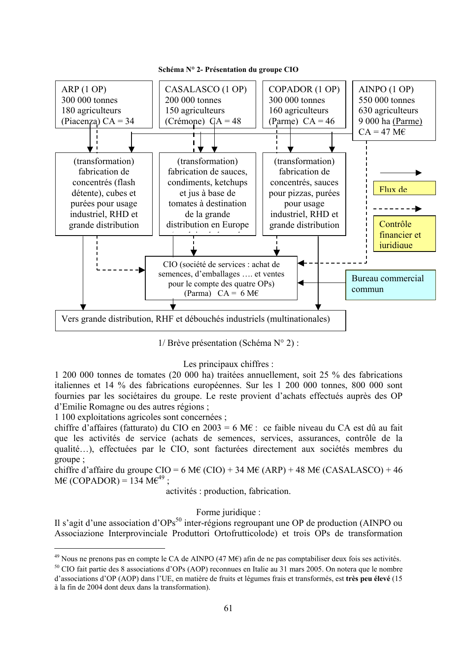

1/ Brève présentation (Schéma N° 2) :

#### Les principaux chiffres :

1 200 000 tonnes de tomates (20 000 ha) traitées annuellement, soit 25 % des fabrications italiennes et 14 % des fabrications européennes. Sur les 1 200 000 tonnes, 800 000 sont fournies par les sociétaires du groupe. Le reste provient d'achats effectués auprès des OP d'Emilie Romagne ou des autres régions ;

1 100 exploitations agricoles sont concernées ;

 $\overline{a}$ 

chiffre d'affaires (fatturato) du CIO en 2003 = 6 M $\epsilon$ : ce faible niveau du CA est dû au fait que les activités de service (achats de semences, services, assurances, contrôle de la qualité…), effectuées par le CIO, sont facturées directement aux sociétés membres du groupe ;

chiffre d'affaire du groupe CIO = 6 M€ (CIO) + 34 M€ (ARP) + 48 M€ (CASALASCO) + 46  $M\epsilon$  (COPADOR) = 134  $M\epsilon^{49}$ ;

activités : production, fabrication.

Forme juridique :

Il s'agit d'une association d'OPs<sup>50</sup> inter-régions regroupant une OP de production (AINPO ou Associazione Interprovinciale Produttori Ortofrutticolode) et trois OPs de transformation

<sup>&</sup>lt;sup>49</sup> Nous ne prenons pas en compte le CA de AINPO (47 M€) afin de ne pas comptabiliser deux fois ses activités.<br><sup>50</sup> CIO fait partie des 8 associations d'OPs (AOP) reconnues en Italie au 31 mars 2005. On notera que le nom

d'associations d'OP (AOP) dans l'UE, en matière de fruits et légumes frais et transformés, est **très peu élevé** (15 à la fin de 2004 dont deux dans la transformation).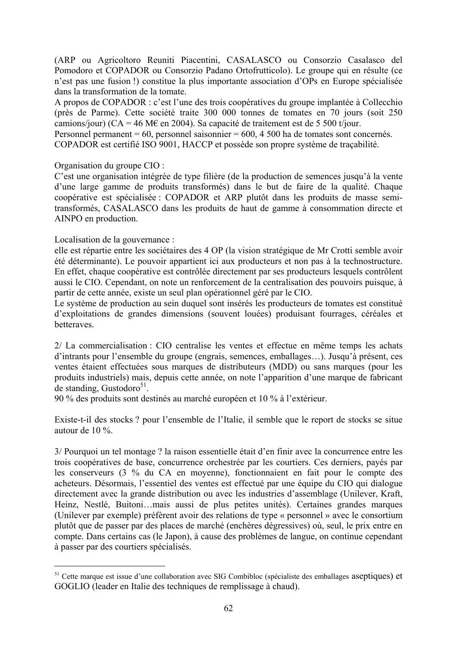(ARP ou Agricoltoro Reuniti Piacentini, CASALASCO ou Consorzio Casalasco del Pomodoro et COPADOR ou Consorzio Padano Ortofrutticolo). Le groupe qui en résulte (ce n'est pas une fusion !) constitue la plus importante association d'OPs en Europe spécialisée dans la transformation de la tomate.

A propos de COPADOR : c'est l'une des trois coopératives du groupe implantée à Collecchio (près de Parme). Cette société traite 300 000 tonnes de tomates en 70 jours (soit 250 camions/jour) ( $CA = 46$  M $\epsilon$  en 2004). Sa capacité de traitement est de 5 500 t/jour.

Personnel permanent = 60, personnel saisonnier = 600, 4 500 ha de tomates sont concernés. COPADOR est certifié ISO 9001, HACCP et possède son propre système de traçabilité.

Organisation du groupe CIO :

C'est une organisation intégrée de type filière (de la production de semences jusqu'à la vente d'une large gamme de produits transformés) dans le but de faire de la qualité. Chaque coopérative est spécialisée : COPADOR et ARP plutôt dans les produits de masse semitransformés, CASALASCO dans les produits de haut de gamme à consommation directe et AINPO en production.

Localisation de la gouvernance :

 $\overline{a}$ 

elle est répartie entre les sociétaires des 4 OP (la vision stratégique de Mr Crotti semble avoir été déterminante). Le pouvoir appartient ici aux producteurs et non pas à la technostructure. En effet, chaque coopérative est contrôlée directement par ses producteurs lesquels contrôlent aussi le CIO. Cependant, on note un renforcement de la centralisation des pouvoirs puisque, à partir de cette année, existe un seul plan opérationnel géré par le CIO.

Le système de production au sein duquel sont insérés les producteurs de tomates est constitué d'exploitations de grandes dimensions (souvent louées) produisant fourrages, céréales et betteraves.

2/ La commercialisation : CIO centralise les ventes et effectue en même temps les achats d'intrants pour l'ensemble du groupe (engrais, semences, emballages…). Jusqu'à présent, ces ventes étaient effectuées sous marques de distributeurs (MDD) ou sans marques (pour les produits industriels) mais, depuis cette année, on note l'apparition d'une marque de fabricant  $de$  standing, Gustodoro<sup>51</sup>.

90 % des produits sont destinés au marché européen et 10 % à l'extérieur.

Existe-t-il des stocks ? pour l'ensemble de l'Italie, il semble que le report de stocks se situe autour de 10 %.

3/ Pourquoi un tel montage ? la raison essentielle était d'en finir avec la concurrence entre les trois coopératives de base, concurrence orchestrée par les courtiers. Ces derniers, payés par les conserveurs (3 % du CA en moyenne), fonctionnaient en fait pour le compte des acheteurs. Désormais, l'essentiel des ventes est effectué par une équipe du CIO qui dialogue directement avec la grande distribution ou avec les industries d'assemblage (Unilever, Kraft, Heinz, Nestlé, Buitoni…mais aussi de plus petites unités). Certaines grandes marques (Unilever par exemple) préfèrent avoir des relations de type « personnel » avec le consortium plutôt que de passer par des places de marché (enchères dégressives) où, seul, le prix entre en compte. Dans certains cas (le Japon), à cause des problèmes de langue, on continue cependant à passer par des courtiers spécialisés.

<sup>&</sup>lt;sup>51</sup> Cette marque est issue d'une collaboration avec SIG Combibloc (spécialiste des emballages aseptiques) et GOGLIO (leader en Italie des techniques de remplissage à chaud).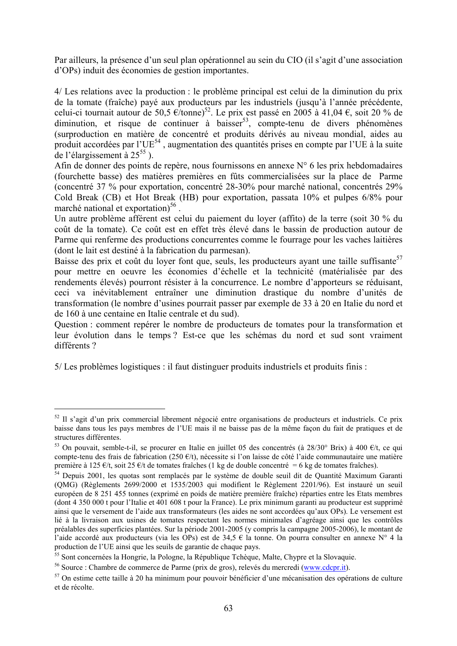Par ailleurs, la présence d'un seul plan opérationnel au sein du CIO (il s'agit d'une association d'OPs) induit des économies de gestion importantes.

4/ Les relations avec la production : le problème principal est celui de la diminution du prix de la tomate (fraîche) payé aux producteurs par les industriels (jusqu'à l'année précédente, celui-ci tournait autour de 50,5  $\epsilon$ /tonne)<sup>52</sup>. Le prix est passé en 2005 à 41,04  $\epsilon$ , soit 20 % de diminution, et risque de continuer à baisser<sup>53</sup>, compte-tenu de divers phénomènes (surproduction en matière de concentré et produits dérivés au niveau mondial, aides au produit accordées par l'UE<sup>54</sup>, augmentation des quantités prises en compte par l'UE à la suite de l'élargissement à  $25^{55}$ ).

Afin de donner des points de repère, nous fournissons en annexe N° 6 les prix hebdomadaires (fourchette basse) des matières premières en fûts commercialisées sur la place de Parme (concentré 37 % pour exportation, concentré 28-30% pour marché national, concentrés 29% Cold Break (CB) et Hot Break (HB) pour exportation, passata 10% et pulpes 6/8% pour marché national et exportation $)^{56}$ .

Un autre problème afférent est celui du paiement du loyer (affito) de la terre (soit 30 % du coût de la tomate). Ce coût est en effet très élevé dans le bassin de production autour de Parme qui renferme des productions concurrentes comme le fourrage pour les vaches laitières (dont le lait est destiné à la fabrication du parmesan).

Baisse des prix et coût du loyer font que, seuls, les producteurs ayant une taille suffisante<sup>57</sup> pour mettre en oeuvre les économies d'échelle et la technicité (matérialisée par des rendements élevés) pourront résister à la concurrence. Le nombre d'apporteurs se réduisant, ceci va inévitablement entraîner une diminution drastique du nombre d'unités de transformation (le nombre d'usines pourrait passer par exemple de 33 à 20 en Italie du nord et de 160 à une centaine en Italie centrale et du sud).

Question : comment repérer le nombre de producteurs de tomates pour la transformation et leur évolution dans le temps ? Est-ce que les schémas du nord et sud sont vraiment différents ?

5/ Les problèmes logistiques : il faut distinguer produits industriels et produits finis :

<sup>52</sup> Il s'agit d'un prix commercial librement négocié entre organisations de producteurs et industriels. Ce prix baisse dans tous les pays membres de l'UE mais il ne baisse pas de la même façon du fait de pratiques et de structures différentes.

<sup>&</sup>lt;sup>53</sup> On pouvait, semble-t-il, se procurer en Italie en juillet 05 des concentrés (à 28/30° Brix) à 400 €/t, ce qui compte-tenu des frais de fabrication (250 €/t), nécessite si l'on laisse de côté l'aide communautaire une matière première à 125 €/t, soit 25 €/t de tomates fraîches (1 kg de double concentré = 6 kg de tomates fraîches).

<sup>&</sup>lt;sup>54</sup> Depuis 2001, les quotas sont remplacés par le système de double seuil dit de Quantité Maximum Garanti (QMG) (Règlements 2699/2000 et 1535/2003 qui modifient le Règlement 2201/96). Est instauré un seuil européen de 8 251 455 tonnes (exprimé en poids de matière première fraîche) réparties entre les Etats membres (dont 4 350 000 t pour l'Italie et 401 608 t pour la France). Le prix minimum garanti au producteur est supprimé ainsi que le versement de l'aide aux transformateurs (les aides ne sont accordées qu'aux OPs). Le versement est lié à la livraison aux usines de tomates respectant les normes minimales d'agréage ainsi que les contrôles préalables des superficies plantées. Sur la période 2001-2005 (y compris la campagne 2005-2006), le montant de l'aide accordé aux producteurs (via les OPs) est de 34,5 € la tonne. On pourra consulter en annexe N° 4 la production de l'UE ainsi que les seuils de garantie de chaque pays.

<sup>&</sup>lt;sup>55</sup> Sont concernées la Hongrie, la Pologne, la République Tchèque, Malte, Chypre et la Slovaquie.

<sup>&</sup>lt;sup>56</sup> Source : Chambre de commerce de Parme (prix de gros), relevés du mercredi ( $\frac{www.cdepr.it}{www.cdepr.it}$ ).<br><sup>57</sup> On estime cette taille à 20 ha minimum pour pouvoir bénéficier d'une mécanisation des opérations de culture et de récolte.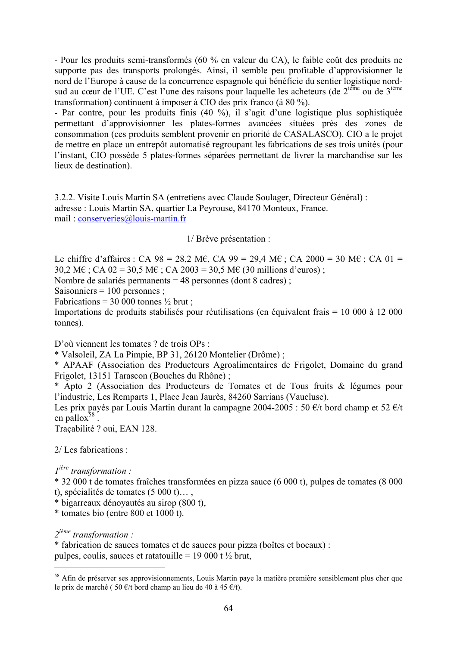- Pour les produits semi-transformés (60 % en valeur du CA), le faible coût des produits ne supporte pas des transports prolongés. Ainsi, il semble peu profitable d'approvisionner le nord de l'Europe à cause de la concurrence espagnole qui bénéficie du sentier logistique nordsud au cœur de l'UE. C'est l'une des raisons pour laquelle les acheteurs (de 2<sup>ième</sup> ou de 3<sup>ième</sup> transformation) continuent à imposer à CIO des prix franco (à 80 %).

- Par contre, pour les produits finis (40 %), il s'agit d'une logistique plus sophistiquée permettant d'approvisionner les plates-formes avancées situées près des zones de consommation (ces produits semblent provenir en priorité de CASALASCO). CIO a le projet de mettre en place un entrepôt automatisé regroupant les fabrications de ses trois unités (pour l'instant, CIO possède 5 plates-formes séparées permettant de livrer la marchandise sur les lieux de destination).

3.2.2. Visite Louis Martin SA (entretiens avec Claude Soulager, Directeur Général) : adresse : Louis Martin SA, quartier La Peyrouse, 84170 Monteux, France. mail : conserveries@louis-martin.fr

1/ Brève présentation :

Le chiffre d'affaires : CA 98 = 28,2 M€, CA 99 = 29,4 M€ ; CA 2000 = 30 M€ ; CA 01 = 30,2 M€ ; CA 02 = 30,5 M€ ; CA 2003 = 30,5 M€ (30 millions d'euros) ;

Nombre de salariés permanents = 48 personnes (dont 8 cadres) ;

Saisonniers = 100 personnes ;

Fabrications = 30 000 tonnes  $\frac{1}{2}$  brut ;

Importations de produits stabilisés pour réutilisations (en équivalent frais = 10 000 à 12 000 tonnes).

D'où viennent les tomates ? de trois OPs :

\* Valsoleil, ZA La Pimpie, BP 31, 26120 Montelier (Drôme) ;

\* APAAF (Association des Producteurs Agroalimentaires de Frigolet, Domaine du grand Frigolet, 13151 Tarascon (Bouches du Rhône) ;

\* Apto 2 (Association des Producteurs de Tomates et de Tous fruits & légumes pour l'industrie, Les Remparts 1, Place Jean Jaurès, 84260 Sarrians (Vaucluse).

Les prix payés par Louis Martin durant la campagne 2004-2005 : 50  $\epsilon/t$  bord champ et 52  $\epsilon/t$ en pallo $x^{58}$ .

Traçabilité ? oui, EAN 128.

2/ Les fabrications :

*1ière transformation :* 

\* 32 000 t de tomates fraîches transformées en pizza sauce (6 000 t), pulpes de tomates (8 000 t), spécialités de tomates (5 000 t)… ,

\* bigarreaux dénoyautés au sirop (800 t),

\* tomates bio (entre 800 et 1000 t).

*2ième transformation :* 

 $\overline{a}$ 

\* fabrication de sauces tomates et de sauces pour pizza (boîtes et bocaux) : pulpes, coulis, sauces et ratatouille = 19 000 t  $\frac{1}{2}$  brut,

<sup>&</sup>lt;sup>58</sup> Afin de préserver ses approvisionnements, Louis Martin paye la matière première sensiblement plus cher que le prix de marché (  $50 \text{ } \infty$ /t bord champ au lieu de 40 à 45  $\infty$ /t).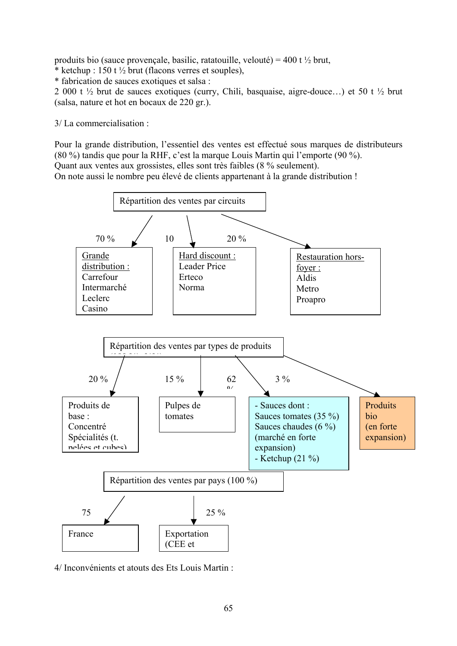produits bio (sauce provençale, basilic, ratatouille, velouté) = 400 t  $\frac{1}{2}$  brut,

\* ketchup :  $150$  t  $\frac{1}{2}$  brut (flacons verres et souples),

\* fabrication de sauces exotiques et salsa :

2 000 t ½ brut de sauces exotiques (curry, Chili, basquaise, aigre-douce…) et 50 t ½ brut (salsa, nature et hot en bocaux de 220 gr.).

3/ La commercialisation :

Pour la grande distribution, l'essentiel des ventes est effectué sous marques de distributeurs (80 %) tandis que pour la RHF, c'est la marque Louis Martin qui l'emporte (90 %). Quant aux ventes aux grossistes, elles sont très faibles (8 % seulement).

On note aussi le nombre peu élevé de clients appartenant à la grande distribution !



4/ Inconvénients et atouts des Ets Louis Martin :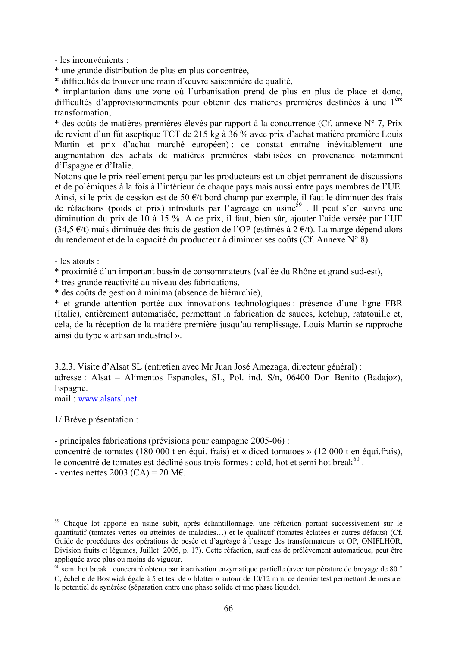- les inconvénients :

\* une grande distribution de plus en plus concentrée,

\* difficultés de trouver une main d'œuvre saisonnière de qualité,

\* implantation dans une zone où l'urbanisation prend de plus en plus de place et donc, difficultés d'approvisionnements pour obtenir des matières premières destinées à une l<sup>ère</sup> transformation,

\* des coûts de matières premières élevés par rapport à la concurrence (Cf. annexe  $N^{\circ}$  7, Prix de revient d'un fût aseptique TCT de 215 kg à 36 % avec prix d'achat matière première Louis Martin et prix d'achat marché européen) : ce constat entraîne inévitablement une augmentation des achats de matières premières stabilisées en provenance notamment d'Espagne et d'Italie.

Notons que le prix réellement perçu par les producteurs est un objet permanent de discussions et de polémiques à la fois à l'intérieur de chaque pays mais aussi entre pays membres de l'UE. Ainsi, si le prix de cession est de 50  $\epsilon/t$  bord champ par exemple, il faut le diminuer des frais de réfactions (poids et prix) introduits par l'agréage en usine<sup>59</sup>. Il peut s'en suivre une diminution du prix de 10 à 15 %. A ce prix, il faut, bien sûr, ajouter l'aide versée par l'UE (34,5  $\epsilon$ /t) mais diminuée des frais de gestion de l'OP (estimés à 2  $\epsilon$ /t). La marge dépend alors du rendement et de la capacité du producteur à diminuer ses coûts (Cf. Annexe N° 8).

- les atouts :

\* proximité d'un important bassin de consommateurs (vallée du Rhône et grand sud-est),

\* très grande réactivité au niveau des fabrications,

\* des coûts de gestion à minima (absence de hiérarchie),

\* et grande attention portée aux innovations technologiques : présence d'une ligne FBR (Italie), entièrement automatisée, permettant la fabrication de sauces, ketchup, ratatouille et, cela, de la réception de la matière première jusqu'au remplissage. Louis Martin se rapproche ainsi du type « artisan industriel ».

3.2.3. Visite d'Alsat SL (entretien avec Mr Juan José Amezaga, directeur général) : adresse : Alsat – Alimentos Espanoles, SL, Pol. ind. S/n, 06400 Don Benito (Badajoz), Espagne.

mail : www.alsatsl.net

1/ Brève présentation :

 $\overline{a}$ 

- principales fabrications (prévisions pour campagne 2005-06) :

concentré de tomates (180 000 t en équi. frais) et « diced tomatoes » (12 000 t en équi.frais), le concentré de tomates est décliné sous trois formes : cold, hot et semi hot break $^{60}$ . - ventes nettes 2003 (CA) = 20 M $\epsilon$ .

<sup>&</sup>lt;sup>59</sup> Chaque lot apporté en usine subit, après échantillonnage, une réfaction portant successivement sur le quantitatif (tomates vertes ou atteintes de maladies…) et le qualitatif (tomates éclatées et autres défauts) (Cf. Guide de procédures des opérations de pesée et d'agréage à l'usage des transformateurs et OP, ONIFLHOR, Division fruits et légumes, Juillet 2005, p. 17). Cette réfaction, sauf cas de prélèvement automatique, peut être appliquée avec plus ou moins de vigueur.

 $\frac{60}{10}$  semi hot break : concentré obtenu par inactivation enzymatique partielle (avec température de broyage de 80 ° C, échelle de Bostwick égale à 5 et test de « blotter » autour de 10/12 mm, ce dernier test permettant de mesurer le potentiel de synérèse (séparation entre une phase solide et une phase liquide).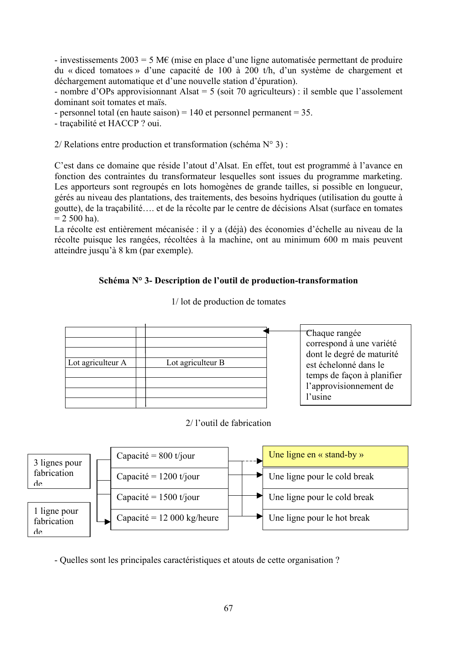- investissements  $2003 = 5$  M $\epsilon$  (mise en place d'une ligne automatisée permettant de produire du « diced tomatoes » d'une capacité de 100 à 200 t/h, d'un système de chargement et déchargement automatique et d'une nouvelle station d'épuration).

- nombre d'OPs approvisionnant Alsat = 5 (soit 70 agriculteurs) : il semble que l'assolement dominant soit tomates et maïs.

- personnel total (en haute saison) =  $140$  et personnel permanent = 35.

- traçabilité et HACCP ? oui.

2/ Relations entre production et transformation (schéma  $N^{\circ}$  3) :

C'est dans ce domaine que réside l'atout d'Alsat. En effet, tout est programmé à l'avance en fonction des contraintes du transformateur lesquelles sont issues du programme marketing. Les apporteurs sont regroupés en lots homogènes de grande tailles, si possible en longueur, gérés au niveau des plantations, des traitements, des besoins hydriques (utilisation du goutte à goutte), de la traçabilité…. et de la récolte par le centre de décisions Alsat (surface en tomates  $= 2500$  ha).

La récolte est entièrement mécanisée : il y a (déjà) des économies d'échelle au niveau de la récolte puisque les rangées, récoltées à la machine, ont au minimum 600 m mais peuvent atteindre jusqu'à 8 km (par exemple).

### **Schéma N° 3- Description de l'outil de production-transformation**

Lot agriculteur  $A \parallel$  Lot agriculteur B Chaque rangée correspond à une variété dont le degré de maturité est échelonné dans le temps de façon à planifier l'approvisionnement de l'usine

1/ lot de production de tomates

### 2/ l'outil de fabrication



- Quelles sont les principales caractéristiques et atouts de cette organisation ?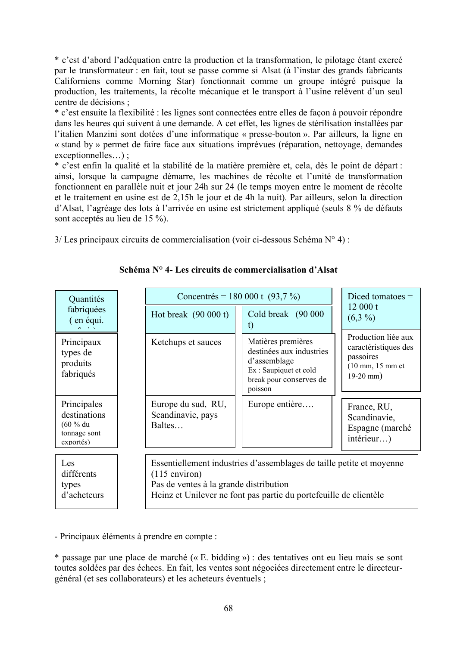\* c'est d'abord l'adéquation entre la production et la transformation, le pilotage étant exercé par le transformateur : en fait, tout se passe comme si Alsat (à l'instar des grands fabricants Californiens comme Morning Star) fonctionnait comme un groupe intégré puisque la production, les traitements, la récolte mécanique et le transport à l'usine relèvent d'un seul centre de décisions ;

\* c'est ensuite la flexibilité : les lignes sont connectées entre elles de façon à pouvoir répondre dans les heures qui suivent à une demande. A cet effet, les lignes de stérilisation installées par l'italien Manzini sont dotées d'une informatique « presse-bouton ». Par ailleurs, la ligne en « stand by » permet de faire face aux situations imprévues (réparation, nettoyage, demandes exceptionnelles…) ;

\* c'est enfin la qualité et la stabilité de la matière première et, cela, dès le point de départ : ainsi, lorsque la campagne démarre, les machines de récolte et l'unité de transformation fonctionnent en parallèle nuit et jour 24h sur 24 (le temps moyen entre le moment de récolte et le traitement en usine est de 2,15h le jour et de 4h la nuit). Par ailleurs, selon la direction d'Alsat, l'agréage des lots à l'arrivée en usine est strictement appliqué (seuls 8 % de défauts sont acceptés au lieu de 15 %).

 $3$ / Les principaux circuits de commercialisation (voir ci-dessous Schéma N° 4) :

| Quantités                                                              |                                                   | Concentrés = 180 000 t $(93,7\%)$                                                                                                                                                                      |                                                                                                                               |                                                                                                               |  |
|------------------------------------------------------------------------|---------------------------------------------------|--------------------------------------------------------------------------------------------------------------------------------------------------------------------------------------------------------|-------------------------------------------------------------------------------------------------------------------------------|---------------------------------------------------------------------------------------------------------------|--|
| fabriquées<br>(en équi.                                                | Hot break $(90 000 t)$                            |                                                                                                                                                                                                        | Cold break (90 000<br>t)                                                                                                      | 12000 t<br>$(6,3\%)$                                                                                          |  |
| Principaux<br>types de<br>produits<br>fabriqués                        | Ketchups et sauces                                |                                                                                                                                                                                                        | Matières premières<br>destinées aux industries<br>d'assemblage<br>Ex: Saupiquet et cold<br>break pour conserves de<br>poisson | Production liée aux<br>caractéristiques des<br>passoires<br>$(10 \text{ mm}, 15 \text{ mm}$ et<br>$19-20$ mm) |  |
| Principales<br>destinations<br>$(60 %$ du<br>tonnage sont<br>exportés) | Europe du sud, RU,<br>Scandinavie, pays<br>Baltes |                                                                                                                                                                                                        | Europe entière                                                                                                                | France, RU,<br>Scandinavie,<br>Espagne (marché<br>$interieur$ )                                               |  |
| Les<br>différents<br>types<br>d'acheteurs                              |                                                   | Essentiellement industries d'assemblages de taille petite et moyenne<br>$(115$ environ)<br>Pas de ventes à la grande distribution<br>Heinz et Unilever ne font pas partie du portefeuille de clientèle |                                                                                                                               |                                                                                                               |  |

**Schéma N° 4- Les circuits de commercialisation d'Alsat** 

- Principaux éléments à prendre en compte :

\* passage par une place de marché (« E. bidding ») : des tentatives ont eu lieu mais se sont toutes soldées par des échecs. En fait, les ventes sont négociées directement entre le directeurgénéral (et ses collaborateurs) et les acheteurs éventuels ;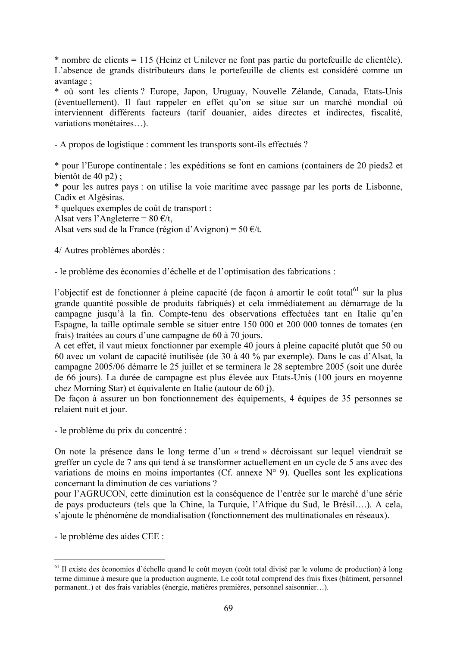\* nombre de clients = 115 (Heinz et Unilever ne font pas partie du portefeuille de clientèle). L'absence de grands distributeurs dans le portefeuille de clients est considéré comme un avantage ;

\* où sont les clients ? Europe, Japon, Uruguay, Nouvelle Zélande, Canada, Etats-Unis (éventuellement). Il faut rappeler en effet qu'on se situe sur un marché mondial où interviennent différents facteurs (tarif douanier, aides directes et indirectes, fiscalité, variations monétaires…).

- A propos de logistique : comment les transports sont-ils effectués ?

\* pour l'Europe continentale : les expéditions se font en camions (containers de 20 pieds2 et bientôt de 40 p2) ;

\* pour les autres pays : on utilise la voie maritime avec passage par les ports de Lisbonne, Cadix et Algésiras.

\* quelques exemples de coût de transport :

Alsat vers l'Angleterre =  $80 \text{ } \infty$ /t,

Alsat vers sud de la France (région d'Avignon) = 50 €/t.

4/ Autres problèmes abordés :

- le problème des économies d'échelle et de l'optimisation des fabrications :

l'objectif est de fonctionner à pleine capacité (de façon à amortir le coût total<sup>61</sup> sur la plus grande quantité possible de produits fabriqués) et cela immédiatement au démarrage de la campagne jusqu'à la fin. Compte-tenu des observations effectuées tant en Italie qu'en Espagne, la taille optimale semble se situer entre 150 000 et 200 000 tonnes de tomates (en frais) traitées au cours d'une campagne de 60 à 70 jours.

A cet effet, il vaut mieux fonctionner par exemple 40 jours à pleine capacité plutôt que 50 ou 60 avec un volant de capacité inutilisée (de 30 à 40 % par exemple). Dans le cas d'Alsat, la campagne 2005/06 démarre le 25 juillet et se terminera le 28 septembre 2005 (soit une durée de 66 jours). La durée de campagne est plus élevée aux Etats-Unis (100 jours en moyenne chez Morning Star) et équivalente en Italie (autour de 60 j).

De façon à assurer un bon fonctionnement des équipements, 4 équipes de 35 personnes se relaient nuit et jour.

- le problème du prix du concentré :

On note la présence dans le long terme d'un « trend » décroissant sur lequel viendrait se greffer un cycle de 7 ans qui tend à se transformer actuellement en un cycle de 5 ans avec des variations de moins en moins importantes (Cf. annexe N° 9). Quelles sont les explications concernant la diminution de ces variations ?

pour l'AGRUCON, cette diminution est la conséquence de l'entrée sur le marché d'une série de pays producteurs (tels que la Chine, la Turquie, l'Afrique du Sud, le Brésil….). A cela, s'ajoute le phénomène de mondialisation (fonctionnement des multinationales en réseaux).

- le problème des aides CEE :

 $<sup>61</sup>$  Il existe des économies d'échelle quand le coût moyen (coût total divisé par le volume de production) à long</sup> terme diminue à mesure que la production augmente. Le coût total comprend des frais fixes (bâtiment, personnel permanent..) et des frais variables (énergie, matières premières, personnel saisonnier…).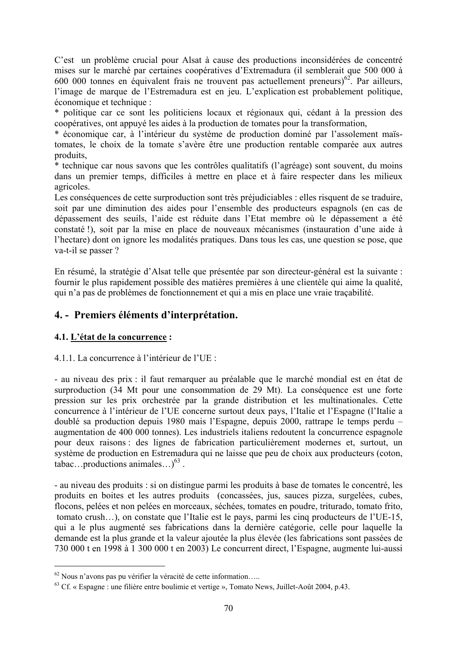C'est un problème crucial pour Alsat à cause des productions inconsidérées de concentré mises sur le marché par certaines coopératives d'Extremadura (il semblerait que 500 000 à 600 000 tonnes en équivalent frais ne trouvent pas actuellement preneurs) $62$ . Par ailleurs, l'image de marque de l'Estremadura est en jeu. L'explication est probablement politique, économique et technique :

\* politique car ce sont les politiciens locaux et régionaux qui, cédant à la pression des coopératives, ont appuyé les aides à la production de tomates pour la transformation,

\* économique car, à l'intérieur du système de production dominé par l'assolement maïstomates, le choix de la tomate s'avère être une production rentable comparée aux autres produits,

\* technique car nous savons que les contrôles qualitatifs (l'agréage) sont souvent, du moins dans un premier temps, difficiles à mettre en place et à faire respecter dans les milieux agricoles.

Les conséquences de cette surproduction sont très préjudiciables : elles risquent de se traduire, soit par une diminution des aides pour l'ensemble des producteurs espagnols (en cas de dépassement des seuils, l'aide est réduite dans l'Etat membre où le dépassement a été constaté !), soit par la mise en place de nouveaux mécanismes (instauration d'une aide à l'hectare) dont on ignore les modalités pratiques. Dans tous les cas, une question se pose, que va-t-il se passer ?

En résumé, la stratégie d'Alsat telle que présentée par son directeur-général est la suivante : fournir le plus rapidement possible des matières premières à une clientèle qui aime la qualité, qui n'a pas de problèmes de fonctionnement et qui a mis en place une vraie traçabilité.

# **4. - Premiers éléments d'interprétation.**

## **4.1. L'état de la concurrence :**

 $\overline{a}$ 

### 4.1.1. La concurrence à l'intérieur de l'UE :

- au niveau des prix : il faut remarquer au préalable que le marché mondial est en état de surproduction (34 Mt pour une consommation de 29 Mt). La conséquence est une forte pression sur les prix orchestrée par la grande distribution et les multinationales. Cette concurrence à l'intérieur de l'UE concerne surtout deux pays, l'Italie et l'Espagne (l'Italie a doublé sa production depuis 1980 mais l'Espagne, depuis 2000, rattrape le temps perdu – augmentation de 400 000 tonnes). Les industriels italiens redoutent la concurrence espagnole pour deux raisons : des lignes de fabrication particulièrement modernes et, surtout, un système de production en Estremadura qui ne laisse que peu de choix aux producteurs (coton, tabac…productions animales…) $^{63}$ .

- au niveau des produits : si on distingue parmi les produits à base de tomates le concentré, les produits en boites et les autres produits (concassées, jus, sauces pizza, surgelées, cubes, flocons, pelées et non pelées en morceaux, séchées, tomates en poudre, triturado, tomato frito, tomato crush…), on constate que l'Italie est le pays, parmi les cinq producteurs de l'UE-15, qui a le plus augmenté ses fabrications dans la dernière catégorie, celle pour laquelle la demande est la plus grande et la valeur ajoutée la plus élevée (les fabrications sont passées de 730 000 t en 1998 à 1 300 000 t en 2003) Le concurrent direct, l'Espagne, augmente lui-aussi

<sup>&</sup>lt;sup>62</sup> Nous n'avons pas pu vérifier la véracité de cette information…..<br><sup>63</sup> Cf. « Espagne : une filière entre boulimie et vertige », Tomato News, Juillet-Août 2004, p.43.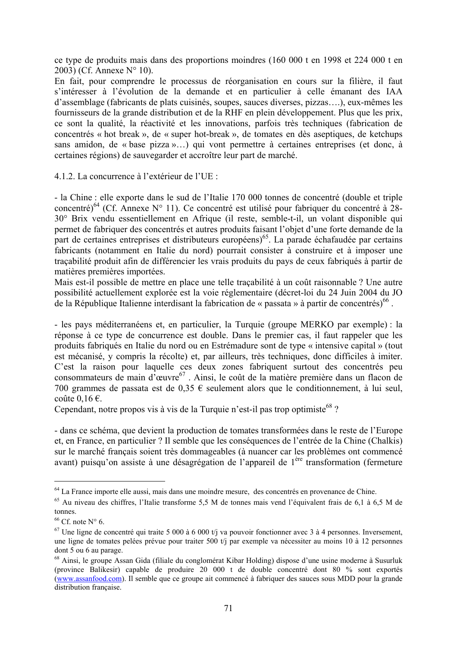ce type de produits mais dans des proportions moindres (160 000 t en 1998 et 224 000 t en 2003) (Cf. Annexe N° 10).

En fait, pour comprendre le processus de réorganisation en cours sur la filière, il faut s'intéresser à l'évolution de la demande et en particulier à celle émanant des IAA d'assemblage (fabricants de plats cuisinés, soupes, sauces diverses, pizzas….), eux-mêmes les fournisseurs de la grande distribution et de la RHF en plein développement. Plus que les prix, ce sont la qualité, la réactivité et les innovations, parfois très techniques (fabrication de concentrés « hot break », de « super hot-break », de tomates en dès aseptiques, de ketchups sans amidon, de « base pizza »…) qui vont permettre à certaines entreprises (et donc, à certaines régions) de sauvegarder et accroître leur part de marché.

4.1.2. La concurrence à l'extérieur de l'UE :

- la Chine : elle exporte dans le sud de l'Italie 170 000 tonnes de concentré (double et triple concentré)<sup>64</sup> (Cf. Annexe N° 11). Ce concentré est utilisé pour fabriquer du concentré à 28-30° Brix vendu essentiellement en Afrique (il reste, semble-t-il, un volant disponible qui permet de fabriquer des concentrés et autres produits faisant l'objet d'une forte demande de la part de certaines entreprises et distributeurs européens)<sup>65</sup>. La parade échafaudée par certains fabricants (notamment en Italie du nord) pourrait consister à construire et à imposer une traçabilité produit afin de différencier les vrais produits du pays de ceux fabriqués à partir de matières premières importées.

Mais est-il possible de mettre en place une telle traçabilité à un coût raisonnable ? Une autre possibilité actuellement explorée est la voie réglementaire (décret-loi du 24 Juin 2004 du JO de la République Italienne interdisant la fabrication de « passata » à partir de concentrés)<sup>66</sup>.

- les pays méditerranéens et, en particulier, la Turquie (groupe MERKO par exemple) : la réponse à ce type de concurrence est double. Dans le premier cas, il faut rappeler que les produits fabriqués en Italie du nord ou en Estrémadure sont de type « intensive capital » (tout est mécanisé, y compris la récolte) et, par ailleurs, très techniques, donc difficiles à imiter. C'est la raison pour laquelle ces deux zones fabriquent surtout des concentrés peu consommateurs de main d'œuvre67 . Ainsi, le coût de la matière première dans un flacon de 700 grammes de passata est de 0,35 € seulement alors que le conditionnement, à lui seul, coûte  $0.16 \in$ .

Cependant, notre propos vis à vis de la Turquie n'est-il pas trop optimiste  $68$  ?

- dans ce schéma, que devient la production de tomates transformées dans le reste de l'Europe et, en France, en particulier ? Il semble que les conséquences de l'entrée de la Chine (Chalkis) sur le marché français soient très dommageables (à nuancer car les problèmes ont commencé avant) puisqu'on assiste à une désagrégation de l'appareil de 1ère transformation (fermeture

<sup>64</sup> La France importe elle aussi, mais dans une moindre mesure, des concentrés en provenance de Chine.

<sup>65</sup> Au niveau des chiffres, l'Italie transforme 5,5 M de tonnes mais vend l'équivalent frais de 6,1 à 6,5 M de tonnes.

 $66$  Cf. note N° 6.

<sup>&</sup>lt;sup>67</sup> Une ligne de concentré qui traite 5 000 à 6 000 t/j va pouvoir fonctionner avec 3 à 4 personnes. Inversement, une ligne de tomates pelées prévue pour traiter 500 t/j par exemple va nécessiter au moins 10 à 12 personnes dont 5 ou 6 au parage.

<sup>68</sup> Ainsi, le groupe Assan Gida (filiale du conglomérat Kibar Holding) dispose d'une usine moderne à Susurluk (province Balikesir) capable de produire 20 000 t de double concentré dont 80 % sont exportés (www.assanfood.com). Il semble que ce groupe ait commencé à fabriquer des sauces sous MDD pour la grande distribution française.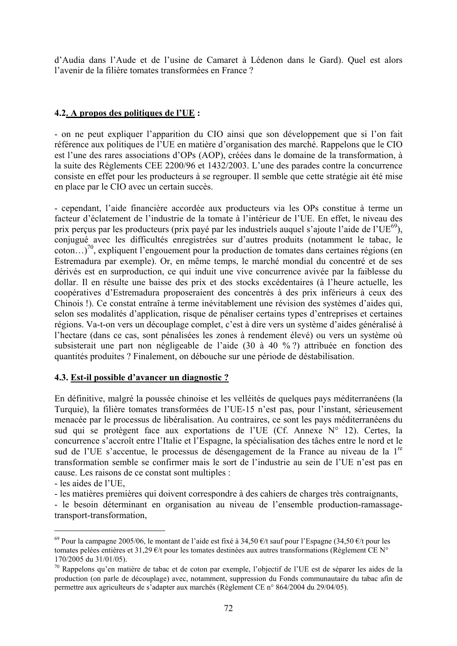d'Audia dans l'Aude et de l'usine de Camaret à Lédenon dans le Gard). Quel est alors l'avenir de la filière tomates transformées en France ?

#### **4.2. A propos des politiques de l'UE :**

- on ne peut expliquer l'apparition du CIO ainsi que son développement que si l'on fait référence aux politiques de l'UE en matière d'organisation des marché. Rappelons que le CIO est l'une des rares associations d'OPs (AOP), créées dans le domaine de la transformation, à la suite des Règlements CEE 2200/96 et 1432/2003. L'une des parades contre la concurrence consiste en effet pour les producteurs à se regrouper. Il semble que cette stratégie ait été mise en place par le CIO avec un certain succès.

- cependant, l'aide financière accordée aux producteurs via les OPs constitue à terme un facteur d'éclatement de l'industrie de la tomate à l'intérieur de l'UE. En effet, le niveau des prix perçus par les producteurs (prix payé par les industriels auquel s'ajoute l'aide de l'UE<sup>69</sup>), conjugué avec les difficultés enregistrées sur d'autres produits (notamment le tabac, le coton...)<sup>70</sup>, expliquent l'engouement pour la production de tomates dans certaines régions (en Estremadura par exemple). Or, en même temps, le marché mondial du concentré et de ses dérivés est en surproduction, ce qui induit une vive concurrence avivée par la faiblesse du dollar. Il en résulte une baisse des prix et des stocks excédentaires (à l'heure actuelle, les coopératives d'Estremadura proposeraient des concentrés à des prix inférieurs à ceux des Chinois !). Ce constat entraîne à terme inévitablement une révision des systèmes d'aides qui, selon ses modalités d'application, risque de pénaliser certains types d'entreprises et certaines régions. Va-t-on vers un découplage complet, c'est à dire vers un système d'aides généralisé à l'hectare (dans ce cas, sont pénalisées les zones à rendement élevé) ou vers un système où subsisterait une part non négligeable de l'aide (30 à 40 % ?) attribuée en fonction des quantités produites ? Finalement, on débouche sur une période de déstabilisation.

#### **4.3. Est-il possible d'avancer un diagnostic ?**

En définitive, malgré la poussée chinoise et les velléités de quelques pays méditerranéens (la Turquie), la filière tomates transformées de l'UE-15 n'est pas, pour l'instant, sérieusement menacée par le processus de libéralisation. Au contraires, ce sont les pays méditerranéens du sud qui se protègent face aux exportations de l'UE (Cf. Annexe N° 12). Certes, la concurrence s'accroît entre l'Italie et l'Espagne, la spécialisation des tâches entre le nord et le sud de l'UE s'accentue, le processus de désengagement de la France au niveau de la 1<sup>re</sup> transformation semble se confirmer mais le sort de l'industrie au sein de l'UE n'est pas en cause. Les raisons de ce constat sont multiples :

- les aides de l'UE,

 $\overline{a}$ 

- les matières premières qui doivent correspondre à des cahiers de charges très contraignants,

- le besoin déterminant en organisation au niveau de l'ensemble production-ramassagetransport-transformation,

<sup>&</sup>lt;sup>69</sup> Pour la campagne 2005/06, le montant de l'aide est fixé à 34,50 €/t sauf pour l'Espagne (34,50 €/t pour les tomates pelées entières et 31,29 €/t pour les tomates destinées aux autres transformations (Règlement CE N° 170/2005 du 31/01/05).

<sup>&</sup>lt;sup>70</sup> Rappelons qu'en matière de tabac et de coton par exemple, l'objectif de l'UE est de séparer les aides de la production (on parle de découplage) avec, notamment, suppression du Fonds communautaire du tabac afin de permettre aux agriculteurs de s'adapter aux marchés (Règlement CE n° 864/2004 du 29/04/05).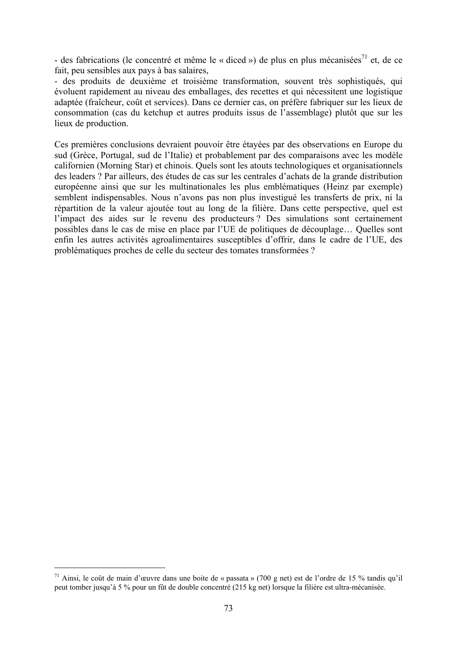- des fabrications (le concentré et même le « diced ») de plus en plus mécanisées<sup>71</sup> et, de ce fait, peu sensibles aux pays à bas salaires,

- des produits de deuxième et troisième transformation, souvent très sophistiqués, qui évoluent rapidement au niveau des emballages, des recettes et qui nécessitent une logistique adaptée (fraîcheur, coût et services). Dans ce dernier cas, on préfère fabriquer sur les lieux de consommation (cas du ketchup et autres produits issus de l'assemblage) plutôt que sur les lieux de production.

Ces premières conclusions devraient pouvoir être étayées par des observations en Europe du sud (Grèce, Portugal, sud de l'Italie) et probablement par des comparaisons avec les modèle californien (Morning Star) et chinois. Quels sont les atouts technologiques et organisationnels des leaders ? Par ailleurs, des études de cas sur les centrales d'achats de la grande distribution européenne ainsi que sur les multinationales les plus emblématiques (Heinz par exemple) semblent indispensables. Nous n'avons pas non plus investigué les transferts de prix, ni la répartition de la valeur ajoutée tout au long de la filière. Dans cette perspective, quel est l'impact des aides sur le revenu des producteurs ? Des simulations sont certainement possibles dans le cas de mise en place par l'UE de politiques de découplage… Quelles sont enfin les autres activités agroalimentaires susceptibles d'offrir, dans le cadre de l'UE, des problématiques proches de celle du secteur des tomates transformées ?

<sup>71</sup> Ainsi, le coût de main d'œuvre dans une boite de « passata » (700 g net) est de l'ordre de 15 % tandis qu'il peut tomber jusqu'à 5 % pour un fût de double concentré (215 kg net) lorsque la filière est ultra-mécanisée.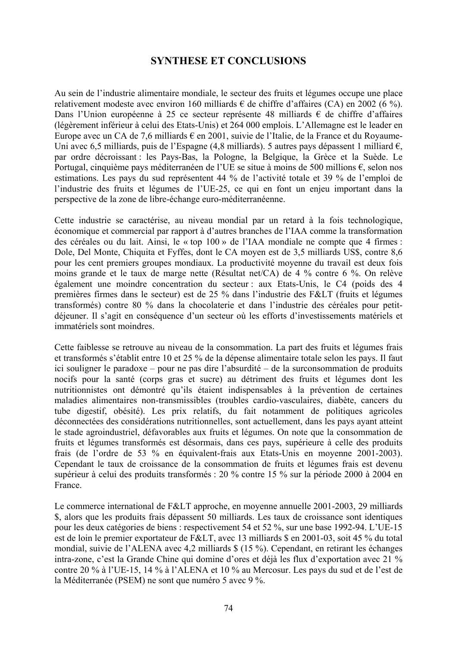## **SYNTHESE ET CONCLUSIONS**

Au sein de l'industrie alimentaire mondiale, le secteur des fruits et légumes occupe une place relativement modeste avec environ 160 milliards  $\epsilon$  de chiffre d'affaires (CA) en 2002 (6 %). Dans l'Union européenne à 25 ce secteur représente 48 milliards  $\epsilon$  de chiffre d'affaires (légèrement inférieur à celui des Etats-Unis) et 264 000 emplois. L'Allemagne est le leader en Europe avec un CA de 7,6 milliards  $\epsilon$  en 2001, suivie de l'Italie, de la France et du Royaume-Uni avec 6,5 milliards, puis de l'Espagne (4,8 milliards). 5 autres pays dépassent 1 milliard  $\epsilon$ , par ordre décroissant : les Pays-Bas, la Pologne, la Belgique, la Grèce et la Suède. Le Portugal, cinquième pays méditerranéen de l'UE se situe à moins de 500 millions €, selon nos estimations. Les pays du sud représentent 44 % de l'activité totale et 39 % de l'emploi de l'industrie des fruits et légumes de l'UE-25, ce qui en font un enjeu important dans la perspective de la zone de libre-échange euro-méditerranéenne.

Cette industrie se caractérise, au niveau mondial par un retard à la fois technologique, économique et commercial par rapport à d'autres branches de l'IAA comme la transformation des céréales ou du lait. Ainsi, le « top 100 » de l'IAA mondiale ne compte que 4 firmes : Dole, Del Monte, Chiquita et Fyffes, dont le CA moyen est de 3,5 milliards US\$, contre 8,6 pour les cent premiers groupes mondiaux. La productivité moyenne du travail est deux fois moins grande et le taux de marge nette (Résultat net/CA) de 4 % contre 6 %. On relève également une moindre concentration du secteur : aux Etats-Unis, le C4 (poids des 4 premières firmes dans le secteur) est de 25 % dans l'industrie des F&LT (fruits et légumes transformés) contre 80 % dans la chocolaterie et dans l'industrie des céréales pour petitdéjeuner. Il s'agit en conséquence d'un secteur où les efforts d'investissements matériels et immatériels sont moindres.

Cette faiblesse se retrouve au niveau de la consommation. La part des fruits et légumes frais et transformés s'établit entre 10 et 25 % de la dépense alimentaire totale selon les pays. Il faut ici souligner le paradoxe – pour ne pas dire l'absurdité – de la surconsommation de produits nocifs pour la santé (corps gras et sucre) au détriment des fruits et légumes dont les nutritionnistes ont démontré qu'ils étaient indispensables à la prévention de certaines maladies alimentaires non-transmissibles (troubles cardio-vasculaires, diabète, cancers du tube digestif, obésité). Les prix relatifs, du fait notamment de politiques agricoles déconnectées des considérations nutritionnelles, sont actuellement, dans les pays ayant atteint le stade agroindustriel, défavorables aux fruits et légumes. On note que la consommation de fruits et légumes transformés est désormais, dans ces pays, supérieure à celle des produits frais (de l'ordre de 53 % en équivalent-frais aux Etats-Unis en moyenne 2001-2003). Cependant le taux de croissance de la consommation de fruits et légumes frais est devenu supérieur à celui des produits transformés : 20 % contre 15 % sur la période 2000 à 2004 en France.

Le commerce international de F&LT approche, en moyenne annuelle  $2001-2003$ ,  $29$  milliards \$, alors que les produits frais dépassent 50 milliards. Les taux de croissance sont identiques pour les deux catégories de biens : respectivement 54 et 52 %, sur une base 1992-94. L'UE-15 est de loin le premier exportateur de F&LT, avec 13 milliards  $\$  en 2001-03, soit 45 % du total mondial, suivie de l'ALENA avec 4,2 milliards \$ (15 %). Cependant, en retirant les échanges intra-zone, c'est la Grande Chine qui domine d'ores et déjà les flux d'exportation avec 21 % contre 20 % à l'UE-15, 14 % à l'ALENA et 10 % au Mercosur. Les pays du sud et de l'est de la Méditerranée (PSEM) ne sont que numéro 5 avec 9 %.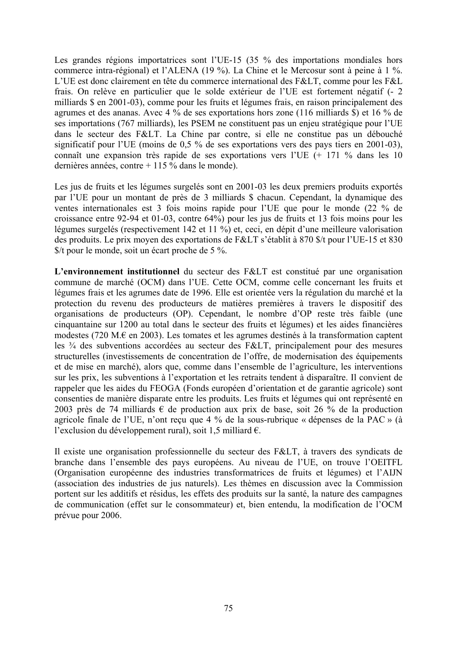Les grandes régions importatrices sont l'UE-15 (35 % des importations mondiales hors commerce intra-régional) et l'ALENA (19 %). La Chine et le Mercosur sont à peine à 1 %. L'UE est donc clairement en tête du commerce international des F&LT, comme pour les F&L frais. On relève en particulier que le solde extérieur de l'UE est fortement négatif (- 2 milliards \$ en 2001-03), comme pour les fruits et légumes frais, en raison principalement des agrumes et des ananas. Avec 4 % de ses exportations hors zone (116 milliards \$) et 16 % de ses importations (767 milliards), les PSEM ne constituent pas un enjeu stratégique pour l'UE dans le secteur des F&LT. La Chine par contre, si elle ne constitue pas un débouché significatif pour l'UE (moins de 0,5 % de ses exportations vers des pays tiers en 2001-03), connaît une expansion très rapide de ses exportations vers l'UE (+ 171 % dans les 10 dernières années, contre + 115 % dans le monde).

Les jus de fruits et les légumes surgelés sont en 2001-03 les deux premiers produits exportés par l'UE pour un montant de près de 3 milliards \$ chacun. Cependant, la dynamique des ventes internationales est 3 fois moins rapide pour l'UE que pour le monde (22 % de croissance entre 92-94 et 01-03, contre 64%) pour les jus de fruits et 13 fois moins pour les légumes surgelés (respectivement 142 et 11 %) et, ceci, en dépit d'une meilleure valorisation des produits. Le prix moyen des exportations de F&LT s'établit à 870 \$/t pour l'UE-15 et 830 \$/t pour le monde, soit un écart proche de 5 %.

**L'environnement institutionnel** du secteur des F&LT est constitué par une organisation commune de marché (OCM) dans l'UE. Cette OCM, comme celle concernant les fruits et légumes frais et les agrumes date de 1996. Elle est orientée vers la régulation du marché et la protection du revenu des producteurs de matières premières à travers le dispositif des organisations de producteurs (OP). Cependant, le nombre d'OP reste très faible (une cinquantaine sur 1200 au total dans le secteur des fruits et légumes) et les aides financières modestes (720 M.€ en 2003). Les tomates et les agrumes destinés à la transformation captent les  $\frac{3}{4}$  des subventions accordées au secteur des F&LT, principalement pour des mesures structurelles (investissements de concentration de l'offre, de modernisation des équipements et de mise en marché), alors que, comme dans l'ensemble de l'agriculture, les interventions sur les prix, les subventions à l'exportation et les retraits tendent à disparaître. Il convient de rappeler que les aides du FEOGA (Fonds européen d'orientation et de garantie agricole) sont consenties de manière disparate entre les produits. Les fruits et légumes qui ont représenté en 2003 près de 74 milliards  $\epsilon$  de production aux prix de base, soit 26 % de la production agricole finale de l'UE, n'ont reçu que 4 % de la sous-rubrique « dépenses de la PAC » (à l'exclusion du développement rural), soit 1,5 milliard €.

Il existe une organisation professionnelle du secteur des F&LT, à travers des syndicats de branche dans l'ensemble des pays européens. Au niveau de l'UE, on trouve l'OEITFL (Organisation européenne des industries transformatrices de fruits et légumes) et l'AIJN (association des industries de jus naturels). Les thèmes en discussion avec la Commission portent sur les additifs et résidus, les effets des produits sur la santé, la nature des campagnes de communication (effet sur le consommateur) et, bien entendu, la modification de l'OCM prévue pour 2006.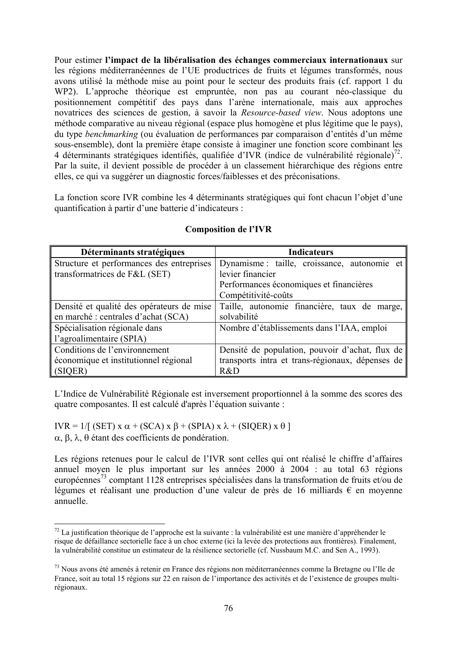Pour estimer **l'impact de la libéralisation des échanges commerciaux internationaux** sur les régions méditerranéennes de l'UE productrices de fruits et légumes transformés, nous avons utilisé la méthode mise au point pour le secteur des produits frais (cf. rapport 1 du WP2). L'approche théorique est empruntée, non pas au courant néo-classique du positionnement compétitif des pays dans l'arène internationale, mais aux approches novatrices des sciences de gestion, à savoir la *Resource-based view*. Nous adoptons une méthode comparative au niveau régional (espace plus homogène et plus légitime que le pays), du type *benchmarking* (ou évaluation de performances par comparaison d'entités d'un même sous-ensemble), dont la première étape consiste à imaginer une fonction score combinant les 4 déterminants stratégiques identifiés, qualifiée d'IVR (indice de vulnérabilité régionale)<sup>72</sup>. Par la suite, il devient possible de procéder à un classement hiérarchique des régions entre elles, ce qui va suggérer un diagnostic forces/faiblesses et des préconisations.

La fonction score IVR combine les 4 déterminants stratégiques qui font chacun l'objet d'une quantification à partir d'une batterie d'indicateurs :

| Déterminants stratégiques                 | <b>Indicateurs</b>                               |  |  |  |  |  |
|-------------------------------------------|--------------------------------------------------|--|--|--|--|--|
| Structure et performances des entreprises | Dynamisme : taille, croissance, autonomie et     |  |  |  |  |  |
| transformatrices de F&L (SET)             | levier financier                                 |  |  |  |  |  |
|                                           | Performances économiques et financières          |  |  |  |  |  |
|                                           | Compétitivité-coûts                              |  |  |  |  |  |
| Densité et qualité des opérateurs de mise | Taille, autonomie financière, taux de marge,     |  |  |  |  |  |
| en marché : centrales d'achat (SCA)       | solvabilité                                      |  |  |  |  |  |
| Spécialisation régionale dans             | Nombre d'établissements dans l'IAA, emploi       |  |  |  |  |  |
| l'agroalimentaire (SPIA)                  |                                                  |  |  |  |  |  |
| Conditions de l'environnement             | Densité de population, pouvoir d'achat, flux de  |  |  |  |  |  |
| économique et institutionnel régional     | transports intra et trans-régionaux, dépenses de |  |  |  |  |  |
| (SIQER)                                   | R&D                                              |  |  |  |  |  |

#### **Composition de l'IVR**

L'Indice de Vulnérabilité Régionale est inversement proportionnel à la somme des scores des quatre composantes. Il est calculé d'après l'équation suivante :

IVR = 1/[ (SET) x  $\alpha$  + (SCA) x  $\beta$  + (SPIA) x  $\lambda$  + (SIQER) x  $\theta$  ] α, β, λ, θ étant des coefficients de pondération.

 $\overline{a}$ 

Les régions retenues pour le calcul de l'IVR sont celles qui ont réalisé le chiffre d'affaires annuel moyen le plus important sur les années 2000 à 2004 : au total 63 régions européennes73 comptant 1128 entreprises spécialisées dans la transformation de fruits et/ou de légumes et réalisant une production d'une valeur de près de 16 milliards  $\epsilon$  en moyenne annuelle.

 $^{72}$  La justification théorique de l'approche est la suivante : la vulnérabilité est une manière d'appréhender le risque de défaillance sectorielle face à un choc externe (ici la levée des protections aux frontières). Finalement, la vulnérabilité constitue un estimateur de la résilience sectorielle (cf. Nussbaum M.C. and Sen A., 1993).

<sup>73</sup> Nous avons été amenés à retenir en France des régions non méditerranéennes comme la Bretagne ou l'Ile de France, soit au total 15 régions sur 22 en raison de l'importance des activités et de l'existence de groupes multirégionaux.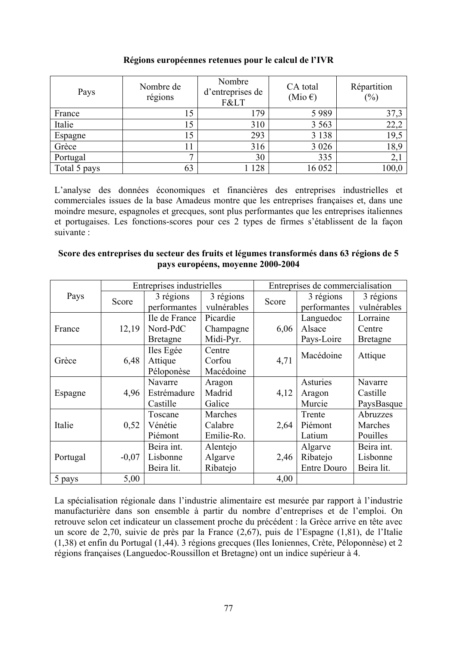| Pays         | Nombre de<br>régions | Nombre<br>d'entreprises de<br>F< | CA total<br>(Mio $\epsilon$ ) | Répartition<br>$(\%)$ |
|--------------|----------------------|----------------------------------|-------------------------------|-----------------------|
| France       |                      | 179                              | 5989                          | 37,3                  |
| Italie       |                      | 310                              | 3 5 6 3                       | 22,2                  |
| Espagne      |                      | 293                              | 3 1 3 8                       | 19,5                  |
| Grèce        |                      | 316                              | 3 0 2 6                       | 18,9                  |
| Portugal     |                      | 30                               | 335                           | 2,1                   |
| Total 5 pays | 63                   | 128                              | 16 052                        | 100,0                 |

#### **Régions européennes retenues pour le calcul de l'IVR**

L'analyse des données économiques et financières des entreprises industrielles et commerciales issues de la base Amadeus montre que les entreprises françaises et, dans une moindre mesure, espagnoles et grecques, sont plus performantes que les entreprises italiennes et portugaises. Les fonctions-scores pour ces 2 types de firmes s'établissent de la façon suivante :

#### **Score des entreprises du secteur des fruits et légumes transformés dans 63 régions de 5 pays européens, moyenne 2000-2004**

|               |         | Entreprises industrielles |             | Entreprises de commercialisation |                    |                 |
|---------------|---------|---------------------------|-------------|----------------------------------|--------------------|-----------------|
| Pays          | Score   | 3 régions<br>3 régions    |             | Score                            | 3 régions          | 3 régions       |
|               |         | performantes              | vulnérables |                                  | performantes       | vulnérables     |
|               |         | Ile de France             | Picardie    |                                  | Languedoc          | Lorraine        |
| France        | 12,19   | Nord-PdC                  | Champagne   | 6,06                             | Alsace             | Centre          |
|               |         | <b>Bretagne</b>           | Midi-Pyr.   |                                  | Pays-Loire         | <b>Bretagne</b> |
|               |         | Iles Egée                 | Centre      |                                  |                    |                 |
| 6,48<br>Grèce |         | Attique                   | Corfou      | 4,71                             | Macédoine          | Attique         |
|               |         | Péloponèse                | Macédoine   |                                  |                    |                 |
|               |         | Navarre                   | Aragon      |                                  | Asturies           | Navarre         |
| Espagne       | 4,96    | Estrémadure               | Madrid      | 4,12                             | Aragon             | Castille        |
|               |         | Castille                  | Galice      |                                  | Murcie             | PaysBasque      |
|               |         | Toscane                   | Marches     |                                  | Trente             | Abruzzes        |
| Italie        | 0,52    | Vénétie                   | Calabre     | 2,64                             | Piémont            | Marches         |
|               |         | Piémont                   | Emilie-Ro.  |                                  | Latium             | Pouilles        |
|               |         | Beira int.                | Alentejo    |                                  | Algarve            | Beira int.      |
| Portugal      | $-0.07$ | Lisbonne                  | Algarve     | 2,46                             | Ribatejo           | Lisbonne        |
|               |         | Beira lit.                | Ribatejo    |                                  | <b>Entre Douro</b> | Beira lit.      |
| 5 pays        | 5,00    |                           |             | 4,00                             |                    |                 |

La spécialisation régionale dans l'industrie alimentaire est mesurée par rapport à l'industrie manufacturière dans son ensemble à partir du nombre d'entreprises et de l'emploi. On retrouve selon cet indicateur un classement proche du précédent : la Grèce arrive en tête avec un score de 2,70, suivie de près par la France (2,67), puis de l'Espagne (1,81), de l'Italie (1,38) et enfin du Portugal (1,44). 3 régions grecques (Iles Ioniennes, Crète, Péloponnèse) et 2 régions françaises (Languedoc-Roussillon et Bretagne) ont un indice supérieur à 4.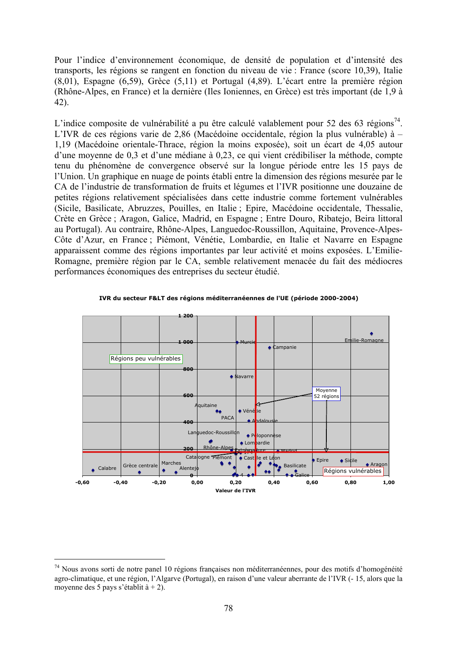Pour l'indice d'environnement économique, de densité de population et d'intensité des transports, les régions se rangent en fonction du niveau de vie : France (score 10,39), Italie (8,01), Espagne (6,59), Grèce (5,11) et Portugal (4,89). L'écart entre la première région (Rhône-Alpes, en France) et la dernière (Iles Ioniennes, en Grèce) est très important (de 1,9 à 42).

L'indice composite de vulnérabilité a pu être calculé valablement pour 52 des 63 régions<sup>74</sup>. L'IVR de ces régions varie de 2,86 (Macédoine occidentale, région la plus vulnérable) à – 1,19 (Macédoine orientale-Thrace, région la moins exposée), soit un écart de 4,05 autour d'une moyenne de 0,3 et d'une médiane à 0,23, ce qui vient crédibiliser la méthode, compte tenu du phénomène de convergence observé sur la longue période entre les 15 pays de l'Union. Un graphique en nuage de points établi entre la dimension des régions mesurée par le CA de l'industrie de transformation de fruits et légumes et l'IVR positionne une douzaine de petites régions relativement spécialisées dans cette industrie comme fortement vulnérables (Sicile, Basilicate, Abruzzes, Pouilles, en Italie ; Epire, Macédoine occidentale, Thessalie, Crète en Grèce ; Aragon, Galice, Madrid, en Espagne ; Entre Douro, Ribatejo, Beira littoral au Portugal). Au contraire, Rhône-Alpes, Languedoc-Roussillon, Aquitaine, Provence-Alpes-Côte d'Azur, en France ; Piémont, Vénétie, Lombardie, en Italie et Navarre en Espagne apparaissent comme des régions importantes par leur activité et moins exposées. L'Emilie-Romagne, première région par le CA, semble relativement menacée du fait des médiocres performances économiques des entreprises du secteur étudié.



IVR du secteur F&LT des régions méditerranéennes de l'UE (période 2000-2004)

<sup>74</sup> Nous avons sorti de notre panel 10 régions françaises non méditerranéennes, pour des motifs d'homogénéité agro-climatique, et une région, l'Algarve (Portugal), en raison d'une valeur aberrante de l'IVR (- 15, alors que la moyenne des 5 pays s'établit à + 2).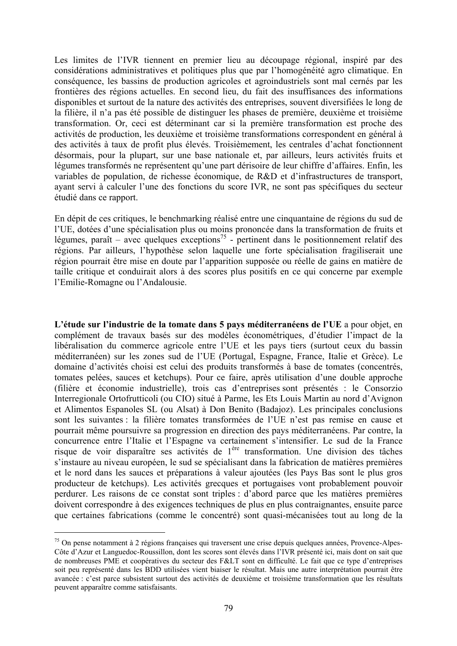Les limites de l'IVR tiennent en premier lieu au découpage régional, inspiré par des considérations administratives et politiques plus que par l'homogénéité agro climatique. En conséquence, les bassins de production agricoles et agroindustriels sont mal cernés par les frontières des régions actuelles. En second lieu, du fait des insuffisances des informations disponibles et surtout de la nature des activités des entreprises, souvent diversifiées le long de la filière, il n'a pas été possible de distinguer les phases de première, deuxième et troisième transformation. Or, ceci est déterminant car si la première transformation est proche des activités de production, les deuxième et troisième transformations correspondent en général à des activités à taux de profit plus élevés. Troisièmement, les centrales d'achat fonctionnent désormais, pour la plupart, sur une base nationale et, par ailleurs, leurs activités fruits et légumes transformés ne représentent qu'une part dérisoire de leur chiffre d'affaires. Enfin, les variables de population, de richesse économique, de R&D et d'infrastructures de transport, ayant servi à calculer l'une des fonctions du score IVR, ne sont pas spécifiques du secteur étudié dans ce rapport.

En dépit de ces critiques, le benchmarking réalisé entre une cinquantaine de régions du sud de l'UE, dotées d'une spécialisation plus ou moins prononcée dans la transformation de fruits et légumes, paraît – avec quelques exceptions<sup>75</sup> - pertinent dans le positionnement relatif des régions. Par ailleurs, l'hypothèse selon laquelle une forte spécialisation fragiliserait une région pourrait être mise en doute par l'apparition supposée ou réelle de gains en matière de taille critique et conduirait alors à des scores plus positifs en ce qui concerne par exemple l'Emilie-Romagne ou l'Andalousie.

**L'étude sur l'industrie de la tomate dans 5 pays méditerranéens de l'UE** a pour objet, en complément de travaux basés sur des modèles économétriques, d'étudier l'impact de la libéralisation du commerce agricole entre l'UE et les pays tiers (surtout ceux du bassin méditerranéen) sur les zones sud de l'UE (Portugal, Espagne, France, Italie et Grèce). Le domaine d'activités choisi est celui des produits transformés à base de tomates (concentrés, tomates pelées, sauces et ketchups). Pour ce faire, après utilisation d'une double approche (filière et économie industrielle), trois cas d'entreprises sont présentés : le Consorzio Interregionale Ortofrutticoli (ou CIO) situé à Parme, les Ets Louis Martin au nord d'Avignon et Alimentos Espanoles SL (ou Alsat) à Don Benito (Badajoz). Les principales conclusions sont les suivantes : la filière tomates transformées de l'UE n'est pas remise en cause et pourrait même poursuivre sa progression en direction des pays méditerranéens. Par contre, la concurrence entre l'Italie et l'Espagne va certainement s'intensifier. Le sud de la France risque de voir disparaître ses activités de 1ère transformation. Une division des tâches s'instaure au niveau européen, le sud se spécialisant dans la fabrication de matières premières et le nord dans les sauces et préparations à valeur ajoutées (les Pays Bas sont le plus gros producteur de ketchups). Les activités grecques et portugaises vont probablement pouvoir perdurer. Les raisons de ce constat sont triples : d'abord parce que les matières premières doivent correspondre à des exigences techniques de plus en plus contraignantes, ensuite parce que certaines fabrications (comme le concentré) sont quasi-mécanisées tout au long de la

<sup>75</sup> On pense notamment à 2 régions françaises qui traversent une crise depuis quelques années, Provence-Alpes-Côte d'Azur et Languedoc-Roussillon, dont les scores sont élevés dans l'IVR présenté ici, mais dont on sait que de nombreuses PME et coopératives du secteur des F&LT sont en difficulté. Le fait que ce type d'entreprises soit peu représenté dans les BDD utilisées vient biaiser le résultat. Mais une autre interprétation pourrait être avancée : c'est parce subsistent surtout des activités de deuxième et troisième transformation que les résultats peuvent apparaître comme satisfaisants.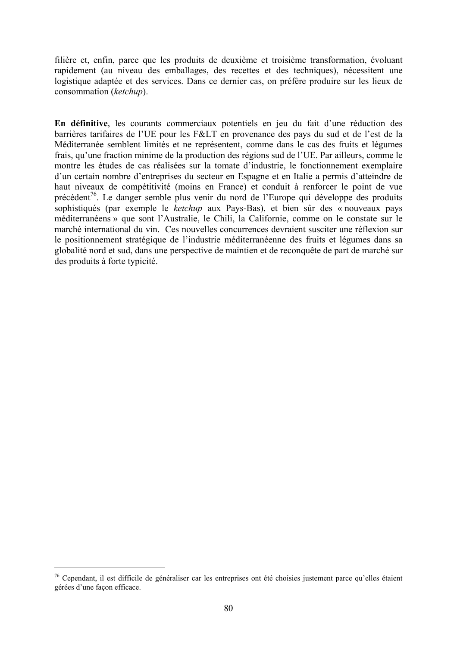filière et, enfin, parce que les produits de deuxième et troisième transformation, évoluant rapidement (au niveau des emballages, des recettes et des techniques), nécessitent une logistique adaptée et des services. Dans ce dernier cas, on préfère produire sur les lieux de consommation (*ketchup*).

**En définitive**, les courants commerciaux potentiels en jeu du fait d'une réduction des barrières tarifaires de l'UE pour les F&LT en provenance des pays du sud et de l'est de la Méditerranée semblent limités et ne représentent, comme dans le cas des fruits et légumes frais, qu'une fraction minime de la production des régions sud de l'UE. Par ailleurs, comme le montre les études de cas réalisées sur la tomate d'industrie, le fonctionnement exemplaire d'un certain nombre d'entreprises du secteur en Espagne et en Italie a permis d'atteindre de haut niveaux de compétitivité (moins en France) et conduit à renforcer le point de vue précédent<sup>76</sup>. Le danger semble plus venir du nord de l'Europe qui développe des produits sophistiqués (par exemple le *ketchup* aux Pays-Bas), et bien sûr des « nouveaux pays méditerranéens » que sont l'Australie, le Chili, la Californie, comme on le constate sur le marché international du vin. Ces nouvelles concurrences devraient susciter une réflexion sur le positionnement stratégique de l'industrie méditerranéenne des fruits et légumes dans sa globalité nord et sud, dans une perspective de maintien et de reconquête de part de marché sur des produits à forte typicité.

<sup>76</sup> Cependant, il est difficile de généraliser car les entreprises ont été choisies justement parce qu'elles étaient gérées d'une façon efficace.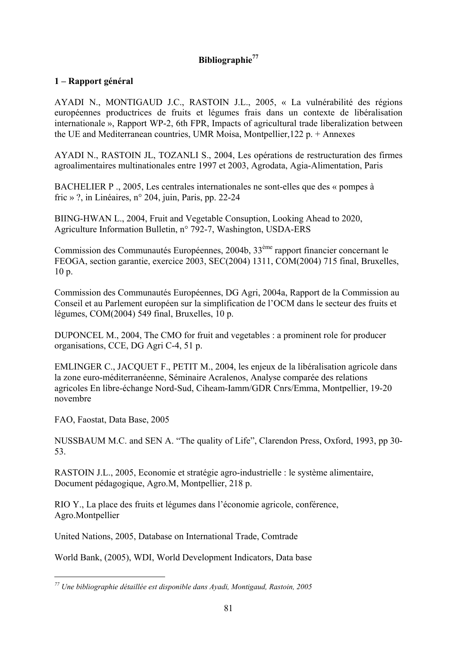### **Bibliographie<sup>77</sup>**

#### **1 – Rapport général**

AYADI N., MONTIGAUD J.C., RASTOIN J.L., 2005, « La vulnérabilité des régions européennes productrices de fruits et légumes frais dans un contexte de libéralisation internationale », Rapport WP-2, 6th FPR, Impacts of agricultural trade liberalization between the UE and Mediterranean countries, UMR Moisa, Montpellier,122 p. + Annexes

AYADI N., RASTOIN JL, TOZANLI S., 2004, Les opérations de restructuration des firmes agroalimentaires multinationales entre 1997 et 2003, Agrodata, Agia-Alimentation, Paris

BACHELIER P ., 2005, Les centrales internationales ne sont-elles que des « pompes à fric » ?, in Linéaires, n° 204, juin, Paris, pp. 22-24

BIING-HWAN L., 2004, Fruit and Vegetable Consuption, Looking Ahead to 2020, Agriculture Information Bulletin, n° 792-7, Washington, USDA-ERS

Commission des Communautés Européennes, 2004b, 33ème rapport financier concernant le FEOGA, section garantie, exercice 2003, SEC(2004) 1311, COM(2004) 715 final, Bruxelles, 10 p.

Commission des Communautés Européennes, DG Agri, 2004a, Rapport de la Commission au Conseil et au Parlement européen sur la simplification de l'OCM dans le secteur des fruits et légumes, COM(2004) 549 final, Bruxelles, 10 p.

DUPONCEL M., 2004, The CMO for fruit and vegetables : a prominent role for producer organisations, CCE, DG Agri C-4, 51 p.

EMLINGER C., JACQUET F., PETIT M., 2004, les enjeux de la libéralisation agricole dans la zone euro-méditerranéenne, Séminaire Acralenos, Analyse comparée des relations agricoles En libre-échange Nord-Sud, Ciheam-Iamm/GDR Cnrs/Emma, Montpellier, 19-20 novembre

FAO, Faostat, Data Base, 2005

NUSSBAUM M.C. and SEN A. "The quality of Life", Clarendon Press, Oxford, 1993, pp 30- 53.

RASTOIN J.L., 2005, Economie et stratégie agro-industrielle : le système alimentaire, Document pédagogique, Agro.M, Montpellier, 218 p.

RIO Y., La place des fruits et légumes dans l'économie agricole, conférence, Agro.Montpellier

United Nations, 2005, Database on International Trade, Comtrade

World Bank, (2005), WDI, World Development Indicators, Data base

*<sup>77</sup> Une bibliographie détaillée est disponible dans Ayadi, Montigaud, Rastoin, 2005*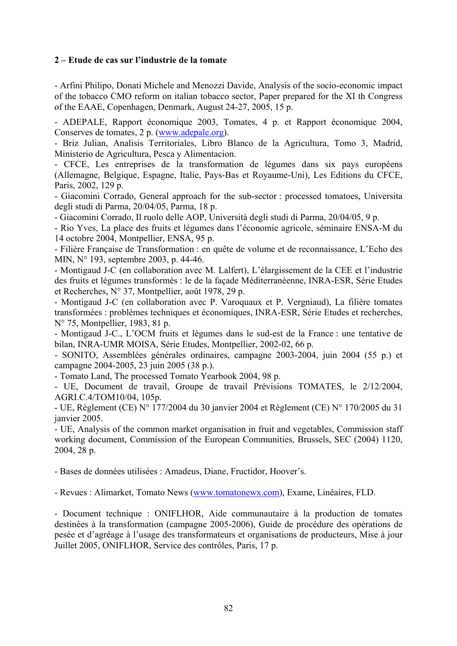#### **2 – Etude de cas sur l'industrie de la tomate**

- Arfini Philipo, Donati Michele and Menozzi Davide, Analysis of the socio-economic impact of the tobacco CMO reform on italian tobacco sector, Paper prepared for the XI th Congress of the EAAE, Copenhagen, Denmark, August 24-27, 2005, 15 p.

- ADEPALE, Rapport économique 2003, Tomates, 4 p. et Rapport économique 2004, Conserves de tomates, 2 p. (www.adepale.org).

- Briz Julian, Analisis Territoriales, Libro Blanco de la Agricultura, Tomo 3, Madrid, Ministerio de Agricultura, Pesca y Alimentacion.

- CFCE, Les entreprises de la transformation de légumes dans six pays européens (Allemagne, Belgique, Espagne, Italie, Pays-Bas et Royaume-Uni), Les Editions du CFCE, Paris, 2002, 129 p.

- Giacomini Corrado, General approach for the sub-sector : processed tomatoes, Universita degli studi di Parma, 20/04/05, Parma, 18 p.

- Giacomini Corrado, Il ruolo delle AOP, Università degli studi di Parma, 20/04/05, 9 p.

- Rio Yves, La place des fruits et légumes dans l'économie agricole, séminaire ENSA-M du 14 octobre 2004, Montpellier, ENSA, 95 p.

- Filière Française de Transformation : en quête de volume et de reconnaissance, L'Echo des MIN, N° 193, septembre 2003, p. 44-46.

- Montigaud J-C (en collaboration avec M. Lalfert), L'élargissement de la CEE et l'industrie des fruits et légumes transformés : le de la façade Méditerranéenne, INRA-ESR, Série Etudes et Recherches, N° 37, Montpellier, août 1978, 29 p.

- Montigaud J-C (en collaboration avec P. Varoquaux et P. Vergniaud), La filière tomates transformées : problèmes techniques et économiques, INRA-ESR, Série Etudes et recherches, N° 75, Montpellier, 1983, 81 p.

- Montigaud J-C., L'OCM fruits et légumes dans le sud-est de la France : une tentative de bilan, INRA-UMR MOISA, Série Etudes, Montpellier, 2002-02, 66 p.

- SONITO, Assemblées générales ordinaires, campagne 2003-2004, juin 2004 (55 p.) et campagne 2004-2005, 23 juin 2005 (38 p.).

- Tomato Land, The processed Tomato Yearbook 2004, 98 p.

- UE, Document de travail, Groupe de travail Prévisions TOMATES, le 2/12/2004, AGRI.C.4/TOM10/04, 105p.

- UE, Règlement (CE) N° 177/2004 du 30 janvier 2004 et Règlement (CE) N° 170/2005 du 31 janvier 2005.

- UE, Analysis of the common market organisation in fruit and vegetables, Commission staff working document, Commission of the European Communities, Brussels, SEC (2004) 1120, 2004, 28 p.

- Bases de données utilisées : Amadeus, Diane, Fructidor, Hoover's.

- Revues : Alimarket, Tomato News (www.tomatonewx.com), Exame, Linéaires, FLD.

- Document technique : ONIFLHOR, Aide communautaire à la production de tomates destinées à la transformation (campagne 2005-2006), Guide de procédure des opérations de pesée et d'agréage à l'usage des transformateurs et organisations de producteurs, Mise à jour Juillet 2005, ONIFLHOR, Service des contrôles, Paris, 17 p.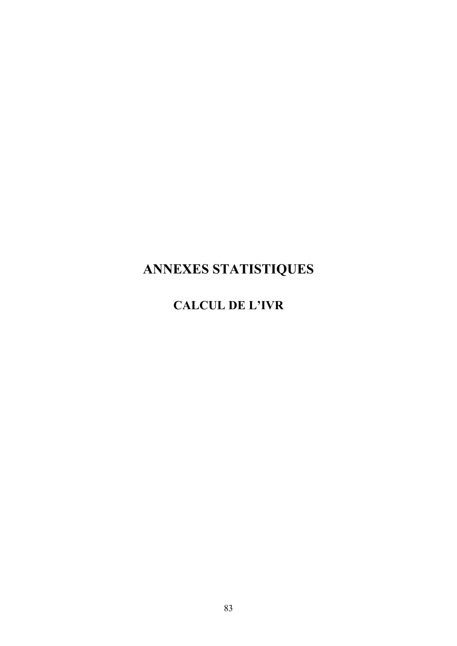# **ANNEXES STATISTIQUES**

# **CALCUL DE L'IVR**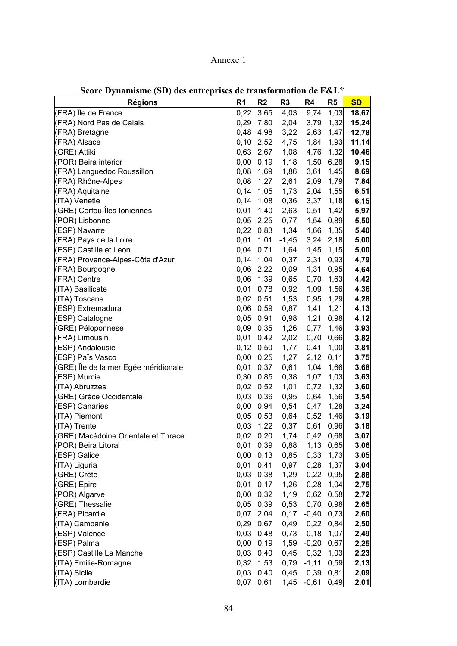| <b>Régions</b>                       | R <sub>1</sub> | R <sub>2</sub>      | R <sub>3</sub> | R4           | R <sub>5</sub> | <b>SD</b> |
|--------------------------------------|----------------|---------------------|----------------|--------------|----------------|-----------|
| (FRA) Île de France                  | 0,22           | 3,65                | 4,03           | 9,74         | 1,03           | 18,67     |
| (FRA) Nord Pas de Calais             | 0,29           | 7,80                | 2,04           | 3,79         | 1,32           | 15,24     |
| (FRA) Bretagne                       | 0,48           | 4,98                | 3,22           | 2,63         | 1,47           | 12,78     |
| (FRA) Alsace                         | 0, 10          | 2,52                | 4,75           | 1,84         | 1,93           | 11,14     |
| (GRE) Attiki                         |                | 0,63 2,67           | 1,08           | 4,76         | 1,32           | 10,46     |
| (POR) Beira interior                 | 0,00           | 0, 19               | 1,18           | 1,50         | 6,28           | 9,15      |
| (FRA) Languedoc Roussillon           | 0,08           | 1,69                | 1,86           | 3,61         | 1,45           | 8,69      |
| (FRA) Rhône-Alpes                    | 0,08           | 1,27                | 2,61           | 2,09         | 1,79           | 7,84      |
| (FRA) Aquitaine                      | 0,14           | 1,05                | 1,73           | 2,04         | 1,55           | 6,51      |
| (ITA) Venetie                        | 0,14           | 1,08                | 0,36           | 3,37         | 1,18           | 6, 15     |
| (GRE) Corfou-Îles Ioniennes          | 0,01           | 1,40                | 2,63           | 0,51         | 1,42           | 5,97      |
| (POR) Lisbonne                       |                | $0,05$ 2,25         | 0,77           | 1,54         | 0,89           | 5,50      |
| (ESP) Navarre                        |                | $0,22$ 0,83         | 1,34           | 1,66         | 1,35           | 5,40      |
| (FRA) Pays de la Loire               | 0,01           | 1,01                | $-1,45$        | 3,24         | 2,18           | 5,00      |
| (ESP) Castille et Leon               | 0,04           | 0,71                | 1,64           | 1,45         | 1,15           | 5,00      |
| (FRA) Provence-Alpes-Côte d'Azur     | 0,14           | 1,04                | 0,37           | 2,31         | 0,93           | 4,79      |
| (FRA) Bourgogne                      |                | 0,06 2,22           | 0,09           | 1,31         | 0,95           | 4,64      |
| (FRA) Centre                         | 0,06           | 1,39                | 0,65           | 0,70         | 1,63           | 4,42      |
| (ITA) Basilicate                     | 0,01           | 0,78                | 0,92           | 1,09         | 1,56           | 4,36      |
| (ITA) Toscane                        |                | 0,02 0,51           | 1,53           | 0,95         | 1,29           | 4,28      |
| (ESP) Extremadura                    |                | 0,06 0,59           | 0,87           | 1,41         | 1,21           |           |
|                                      |                | 0,05 0,91           | 0,98           | 1,21         | 0,98           | 4,13      |
| (ESP) Catalogne                      |                |                     |                |              | 1,46           | 4,12      |
| (GRE) Péloponnèse                    |                | 0,09 0,35           | 1,26           | 0,77         |                | 3,93      |
| (FRA) Limousin                       |                | 0,01 0,42           | 2,02           | 0,70         | 0,66           | 3,82      |
| (ESP) Andalousie                     |                | $0,12$ $0,50$       | 1,77           | 0,41         | 1,00<br>0,11   | 3,81      |
| (ESP) Païs Vasco                     | 0,00           | 0,25                | 1,27           | 2,12         |                | 3,75      |
| (GRE) Île de la mer Egée méridionale | 0,01<br>0,30   | 0,37                | 0,61           | 1,04         | 1,66           | 3,68      |
| (ESP) Murcie                         |                | 0,85<br>$0,02$ 0,52 | 0,38           | 1,07         | 1,03           | 3,63      |
| (ITA) Abruzzes                       |                |                     | 1,01           | 0,72         | 1,32           | 3,60      |
| (GRE) Grèce Occidentale              |                | 0,03 0,36           | 0,95           | 0,64         | 1,56           | 3,54      |
| (ESP) Canaries                       |                | 0,00 0,94           | 0,54           | 0,47         | 1,28           | 3,24      |
| (ITA) Piemont                        |                | $0,05$ 0,53         | 0,64           | 0,52         | 1,46           | 3,19      |
| (ITA) Trente                         | 0,03           | 1,22                | 0,37           | 0,61         | 0,96           | 3,18      |
| (GRE) Macédoine Orientale et Thrace  | 0,02           | 0,20                | 1,74           | 0,42         | 0,68           | 3,07      |
| (POR) Beira Litoral                  |                | 0,01 0,39           | 0,88           |              | 1,13 0,65      | 3,06      |
| (ESP) Galice                         |                | $0,00 \quad 0,13$   | 0,85           |              | 0,33 1,73      | 3,05      |
| (ITA) Liguria                        |                | $0,01$ 0,41         | 0,97           | 0,28         | 1,37           | 3,04      |
| (GRE) Crète                          |                | $0,03$ 0,38         | 1,29           |              | 0,22 0,95      | 2,88      |
| (GRE) Epire                          |                | $0,01$ 0,17         | 1,26           | 0,28         | 1,04           | 2,75      |
| (POR) Algarve                        |                | $0,00$ $0,32$       | 1,19           |              | 0,62 0,58      | 2,72      |
| (GRE) Thessalie                      |                | $0,05$ 0,39         | 0,53           |              | 0,70 0,98      | 2,65      |
| (FRA) Picardie                       |                | $0,07$ 2,04         | 0,17           | $-0,40$      | 0,73           | 2,60      |
| (ITA) Campanie                       |                | 0,29 0,67           | 0,49           | 0,22         | 0,84           | 2,50      |
| (ESP) Valence                        |                | $0,03$ 0,48         | 0,73           | 0,18         | 1,07           | 2,49      |
| (ESP) Palma                          |                | $0,00$ $0,19$       | 1,59           | $-0,20$      | 0,67           | 2,25      |
| (ESP) Castille La Manche             |                | $0,03$ 0,40         |                | $0,45$ 0,32  | 1,03           | 2,23      |
| (ITA) Emilie-Romagne                 |                | $0,32$ 1,53         |                | $0,79 -1,11$ | 0,59           | 2,13      |
| (ITA) Sicile                         |                | $0,03$ 0,40         |                | $0,45$ 0,39  | 0,81           | 2,09      |
| (ITA) Lombardie                      |                | 0,07 0,61           |                | $1,45 -0,61$ | 0,49           | 2,01      |

**Score Dynamisme (SD) des entreprises de transformation de F&L\***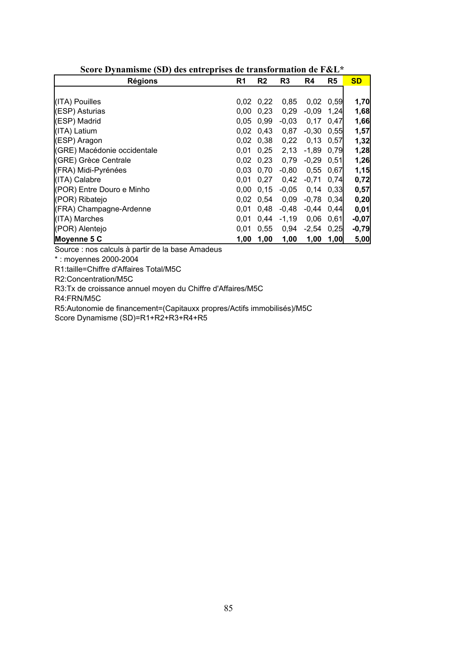| <b>Régions</b>              | R <sub>1</sub> | R <sub>2</sub>    | R <sub>3</sub> | R4      | R <sub>5</sub> | <b>SD</b> |
|-----------------------------|----------------|-------------------|----------------|---------|----------------|-----------|
|                             |                |                   |                |         |                |           |
| (ITA) Pouilles              | 0,02           | 0,22              | 0,85           | 0,02    | 0,59           | 1,70      |
| (ESP) Asturias              | 0.00           | 0,23              | 0,29           | $-0,09$ | 1,24           | 1,68      |
| (ESP) Madrid                | 0.05           | 0.99              | $-0,03$        | 0,17    | 0,47           | 1,66      |
| (ITA) Latium                | 0.02           | 0,43              | 0,87           | $-0,30$ | 0,55           | 1,57      |
| (ESP) Aragon                |                | $0.02 \quad 0.38$ | 0,22           | 0,13    | 0,57           | 1,32      |
| (GRE) Macédonie occidentale | 0.01           | 0,25              | 2,13           | $-1,89$ | 0,79           | 1,28      |
| (GRE) Grèce Centrale        | 0.02           | 0.23              | 0,79           | $-0.29$ | 0.51           | 1,26      |
| (FRA) Midi-Pyrénées         | 0.03           | 0,70              | $-0,80$        | 0,55    | 0,67           | 1,15      |
| (ITA) Calabre               | 0.01           | 0.27              | 0,42           | $-0,71$ | 0,74           | 0,72      |
| (POR) Entre Douro e Minho   | 0.00           | 0.15              | $-0,05$        | 0,14    | 0,33           | 0,57      |
| (POR) Ribatejo              | 0.02           | 0.54              | 0,09           | $-0,78$ | 0,34           | 0,20      |
| (FRA) Champagne-Ardenne     | 0.01           | 0.48              | $-0,48$        | $-0,44$ | 0,44           | 0,01      |
| (ITA) Marches               | 0.01           | 0.44              | $-1,19$        | 0,06    | 0,61           | $-0,07$   |
| (POR) Alentejo              | 0,01           | 0,55              | 0,94           | $-2,54$ | 0,25           | $-0,79$   |
| Moyenne 5 C                 | 1,00           | 1,00              | 1,00           | 1,00    | 1,00           | 5,00      |

**Score Dynamisme (SD) des entreprises de transformation de F&L\*** 

Source : nos calculs à partir de la base Amadeus

\* : moyennes 2000-2004

R1:taille=Chiffre d'Affaires Total/M5C

R2:Concentration/M5C

R3:Tx de croissance annuel moyen du Chiffre d'Affaires/M5C

R4:FRN/M5C

R5:Autonomie de financement=(Capitauxx propres/Actifs immobilisés)/M5C

Score Dynamisme (SD)=R1+R2+R3+R4+R5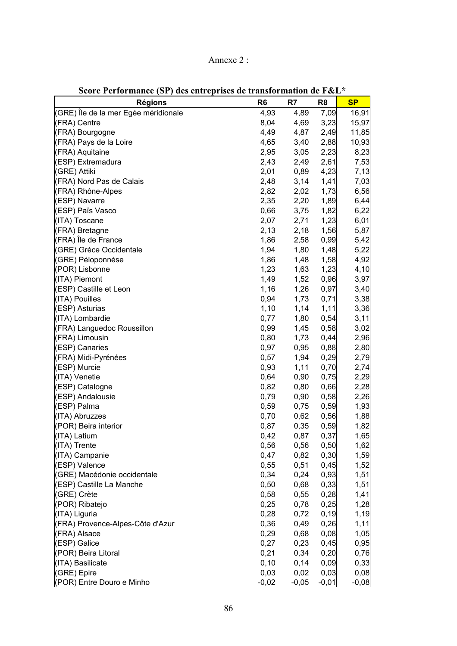| Annexe |  |
|--------|--|
|        |  |

| $\mathbf{U}$ $\mathbf{U}$ $\mathbf{U}$ $\mathbf{U}$ $\mathbf{U}$ $\mathbf{U}$ $\mathbf{U}$ $\mathbf{U}$ $\mathbf{U}$ $\mathbf{U}$ $\mathbf{U}$<br>acs chu cprises ac transiormation ac r &D<br><b>Régions</b> | R <sub>6</sub> | R7      | R <sub>8</sub> | <b>SP</b> |
|---------------------------------------------------------------------------------------------------------------------------------------------------------------------------------------------------------------|----------------|---------|----------------|-----------|
| (GRE) Île de la mer Egée méridionale                                                                                                                                                                          | 4,93           | 4,89    | 7,09           | 16,91     |
| (FRA) Centre                                                                                                                                                                                                  | 8,04           | 4,69    | 3,23           | 15,97     |
| (FRA) Bourgogne                                                                                                                                                                                               | 4,49           | 4,87    | 2,49           | 11,85     |
| (FRA) Pays de la Loire                                                                                                                                                                                        | 4,65           | 3,40    | 2,88           | 10,93     |
| (FRA) Aquitaine                                                                                                                                                                                               | 2,95           | 3,05    | 2,23           | 8,23      |
| (ESP) Extremadura                                                                                                                                                                                             | 2,43           | 2,49    | 2,61           | 7,53      |
| (GRE) Attiki                                                                                                                                                                                                  |                |         | 4,23           |           |
|                                                                                                                                                                                                               | 2,01           | 0,89    |                | 7,13      |
| (FRA) Nord Pas de Calais                                                                                                                                                                                      | 2,48           | 3,14    | 1,41           | 7,03      |
| (FRA) Rhône-Alpes                                                                                                                                                                                             | 2,82           | 2,02    | 1,73           | 6,56      |
| (ESP) Navarre                                                                                                                                                                                                 | 2,35           | 2,20    | 1,89           | 6,44      |
| (ESP) Païs Vasco                                                                                                                                                                                              | 0,66           | 3,75    | 1,82           | 6,22      |
| (ITA) Toscane                                                                                                                                                                                                 | 2,07           | 2,71    | 1,23           | 6,01      |
| (FRA) Bretagne                                                                                                                                                                                                | 2,13           | 2,18    | 1,56           | 5,87      |
| (FRA) Île de France                                                                                                                                                                                           | 1,86           | 2,58    | 0,99           | 5,42      |
| (GRE) Grèce Occidentale                                                                                                                                                                                       | 1,94           | 1,80    | 1,48           | 5,22      |
| (GRE) Péloponnèse                                                                                                                                                                                             | 1,86           | 1,48    | 1,58           | 4,92      |
| (POR) Lisbonne                                                                                                                                                                                                | 1,23           | 1,63    | 1,23           | 4,10      |
| (ITA) Piemont                                                                                                                                                                                                 | 1,49           | 1,52    | 0,96           | 3,97      |
| (ESP) Castille et Leon                                                                                                                                                                                        | 1,16           | 1,26    | 0,97           | 3,40      |
| (ITA) Pouilles                                                                                                                                                                                                | 0,94           | 1,73    | 0,71           | 3,38      |
| (ESP) Asturias                                                                                                                                                                                                | 1,10           | 1,14    | 1,11           | 3,36      |
| (ITA) Lombardie                                                                                                                                                                                               | 0,77           | 1,80    | 0,54           | 3,11      |
| (FRA) Languedoc Roussillon                                                                                                                                                                                    | 0,99           | 1,45    | 0,58           | 3,02      |
| (FRA) Limousin                                                                                                                                                                                                | 0,80           | 1,73    | 0,44           | 2,96      |
| (ESP) Canaries                                                                                                                                                                                                | 0,97           | 0,95    | 0,88           | 2,80      |
| (FRA) Midi-Pyrénées                                                                                                                                                                                           | 0,57           | 1,94    | 0,29           | 2,79      |
| (ESP) Murcie                                                                                                                                                                                                  | 0,93           | 1,11    | 0,70           | 2,74      |
| (ITA) Venetie                                                                                                                                                                                                 | 0,64           | 0,90    | 0,75           | 2,29      |
| (ESP) Catalogne                                                                                                                                                                                               | 0,82           | 0,80    | 0,66           | 2,28      |
| (ESP) Andalousie                                                                                                                                                                                              | 0,79           | 0,90    | 0,58           | 2,26      |
| (ESP) Palma                                                                                                                                                                                                   | 0,59           | 0,75    | 0,59           | 1,93      |
| (ITA) Abruzzes                                                                                                                                                                                                | 0,70           | 0,62    | 0,56           | 1,88      |
| (POR) Beira interior                                                                                                                                                                                          | 0,87           | 0,35    | 0,59           | 1,82      |
| (ITA) Latium                                                                                                                                                                                                  | 0,42           | 0,87    | 0,37           | 1,65      |
| (ITA) Trente                                                                                                                                                                                                  | 0,56           | 0,56    | 0,50           | 1,62      |
| (ITA) Campanie                                                                                                                                                                                                | 0,47           | 0,82    | 0,30           | 1,59      |
| (ESP) Valence                                                                                                                                                                                                 | 0,55           | 0,51    | 0,45           | 1,52      |
| (GRE) Macédonie occidentale                                                                                                                                                                                   | 0,34           | 0,24    | 0,93           | 1,51      |
| (ESP) Castille La Manche                                                                                                                                                                                      |                |         |                |           |
|                                                                                                                                                                                                               | 0,50           | 0,68    | 0,33           | 1,51      |
| (GRE) Crète                                                                                                                                                                                                   | 0,58           | 0,55    | 0,28           | 1,41      |
| (POR) Ribatejo                                                                                                                                                                                                | 0,25           | 0,78    | 0,25           | 1,28      |
| (ITA) Liguria                                                                                                                                                                                                 | 0,28           | 0,72    | 0, 19          | 1,19      |
| (FRA) Provence-Alpes-Côte d'Azur                                                                                                                                                                              | 0,36           | 0,49    | 0,26           | 1, 11     |
| (FRA) Alsace                                                                                                                                                                                                  | 0,29           | 0,68    | 0,08           | 1,05      |
| (ESP) Galice                                                                                                                                                                                                  | 0,27           | 0,23    | 0,45           | 0,95      |
| (POR) Beira Litoral                                                                                                                                                                                           | 0,21           | 0,34    | 0,20           | 0,76      |
| (ITA) Basilicate                                                                                                                                                                                              | 0, 10          | 0,14    | 0,09           | 0,33      |
| (GRE) Epire                                                                                                                                                                                                   | 0,03           | 0,02    | 0,03           | 0,08      |
| (POR) Entre Douro e Minho                                                                                                                                                                                     | $-0,02$        | $-0,05$ | $-0,01$        | $-0,08$   |

**Score Performance (SP) des entreprises de transformation de F&L\***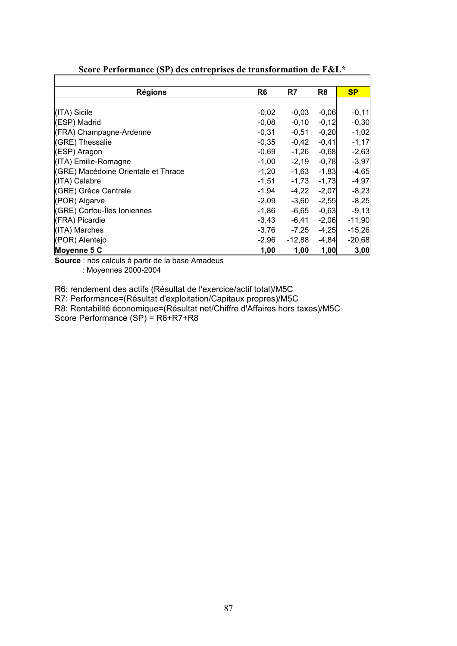| <b>Régions</b>                      | R <sub>6</sub> | R7       | R <sub>8</sub> | <b>SP</b> |
|-------------------------------------|----------------|----------|----------------|-----------|
|                                     |                |          |                |           |
| (ITA) Sicile                        | $-0,02$        | $-0,03$  | $-0,06$        | $-0,11$   |
| (ESP) Madrid                        | $-0,08$        | $-0,10$  | $-0,12$        | $-0,30$   |
| (FRA) Champagne-Ardenne             | $-0,31$        | $-0,51$  | $-0,20$        | $-1,02$   |
| (GRE) Thessalie                     | $-0,35$        | $-0,42$  | $-0,41$        | $-1,17$   |
| (ESP) Aragon                        | $-0,69$        | $-1,26$  | $-0,68$        | $-2,63$   |
| (ITA) Emilie-Romagne                | $-1,00$        | $-2,19$  | $-0,78$        | $-3,97$   |
| (GRE) Macédoine Orientale et Thrace | $-1,20$        | $-1,63$  | $-1,83$        | $-4,65$   |
| (ITA) Calabre                       | $-1,51$        | $-1,73$  | $-1,73$        | $-4,97$   |
| (GRE) Grèce Centrale                | $-1,94$        | $-4,22$  | $-2,07$        | $-8,23$   |
| (POR) Algarve                       | $-2,09$        | $-3,60$  | $-2,55$        | $-8,25$   |
| (GRE) Corfou-Îles Ioniennes         | $-1,86$        | -6,65    | $-0,63$        | $-9,13$   |
| (FRA) Picardie                      | $-3,43$        | -6,41    | $-2,06$        | $-11,90$  |
| (ITA) Marches                       | $-3,76$        | $-7,25$  | $-4,25$        | $-15,26$  |
| (POR) Alentejo                      | $-2,96$        | $-12,88$ | $-4,84$        | $-20,68$  |
| Moyenne 5 C                         | 1,00           | 1,00     | 1,00           | 3,00      |

**Score Performance (SP) des entreprises de transformation de F&L\*** 

**Source** : nos calculs à partir de la base Amadeus

• : Moyennes 2000-2004

R6: rendement des actifs (Résultat de l'exercice/actif total)/M5C

R7: Performance=(Résultat d'exploitation/Capitaux propres)/M5C

R8: Rentabilité économique=(Résultat net/Chiffre d'Affaires hors taxes)/M5C Score Performance (SP) = R6+R7+R8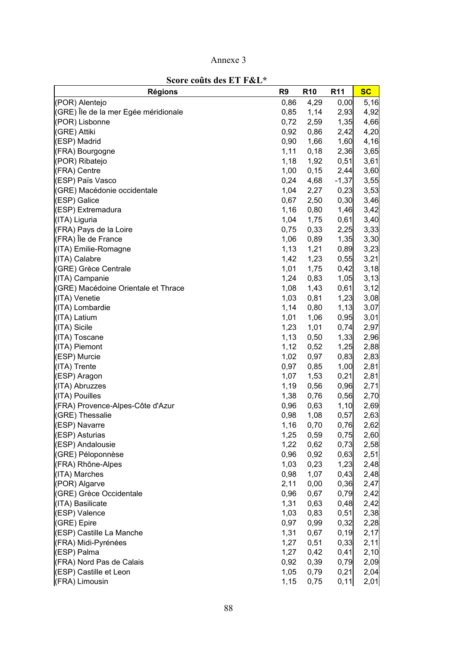| Score couts des El F&L^              | R <sub>9</sub> |                 |                 | <b>SC</b> |
|--------------------------------------|----------------|-----------------|-----------------|-----------|
| <b>Régions</b>                       |                | R <sub>10</sub> | R <sub>11</sub> |           |
| (POR) Alentejo                       | 0,86           | 4,29            | 0,00            | 5,16      |
| (GRE) Île de la mer Egée méridionale | 0,85           | 1,14            | 2,93            | 4,92      |
| (POR) Lisbonne                       | 0,72           | 2,59            | 1,35            | 4,66      |
| (GRE) Attiki                         | 0,92           | 0,86            | 2,42            | 4,20      |
| (ESP) Madrid                         | 0,90           | 1,66            | 1,60            | 4,16      |
| (FRA) Bourgogne                      | 1,11           | 0,18            | 2,36            | 3,65      |
| (POR) Ribatejo                       | 1,18           | 1,92            | 0,51            | 3,61      |
| (FRA) Centre                         | 1,00           | 0,15            | 2,44            | 3,60      |
| (ESP) Païs Vasco                     | 0,24           | 4,68            | $-1,37$         | 3,55      |
| (GRE) Macédonie occidentale          | 1,04           | 2,27            | 0,23            | 3,53      |
| (ESP) Galice                         | 0,67           | 2,50            | 0,30            | 3,46      |
| (ESP) Extremadura                    | 1,16           | 0,80            | 1,46            | 3,42      |
| (ITA) Liguria                        | 1,04           | 1,75            | 0,61            | 3,40      |
| (FRA) Pays de la Loire               | 0,75           | 0,33            | 2,25            | 3,33      |
| (FRA) Île de France                  | 1,06           | 0,89            | 1,35            | 3,30      |
| (ITA) Emilie-Romagne                 | 1,13           | 1,21            | 0,89            | 3,23      |
| (ITA) Calabre                        | 1,42           | 1,23            | 0,55            | 3,21      |
| (GRE) Grèce Centrale                 | 1,01           | 1,75            | 0,42            | 3,18      |
| (ITA) Campanie                       | 1,24           | 0,83            | 1,05            | 3,13      |
| (GRE) Macédoine Orientale et Thrace  | 1,08           | 1,43            | 0,61            | 3,12      |
| (ITA) Venetie                        | 1,03           | 0,81            | 1,23            | 3,08      |
| (ITA) Lombardie                      | 1,14           | 0,80            | 1,13            | 3,07      |
| (ITA) Latium                         | 1,01           | 1,06            | 0,95            | 3,01      |
| (ITA) Sicile                         | 1,23           | 1,01            | 0,74            | 2,97      |
| (ITA) Toscane                        | 1,13           | 0,50            | 1,33            | 2,96      |
| (ITA) Piemont                        | 1,12           | 0,52            | 1,25            | 2,88      |
| (ESP) Murcie                         | 1,02           | 0,97            | 0,83            | 2,83      |
| (ITA) Trente                         | 0,97           | 0,85            | 1,00            | 2,81      |
| (ESP) Aragon                         | 1,07           | 1,53            | 0,21            | 2,81      |
| (ITA) Abruzzes                       | 1,19           | 0,56            | 0,96            | 2,71      |
| (ITA) Pouilles                       | 1,38           | 0,76            | 0,56            | 2,70      |
| (FRA) Provence-Alpes-Côte d'Azur     | 0,96           | 0,63            | 1,10            | 2,69      |
| (GRE) Thessalie                      | 0,98           | 1,08            | 0,57            | 2,63      |
| (ESP) Navarre                        | 1,16           | 0,70            | 0,76            | 2,62      |
| (ESP) Asturias                       | 1,25           | 0,59            | 0,75            | 2,60      |
| (ESP) Andalousie                     | 1,22           | 0,62            | 0,73            | 2,58      |
| (GRE) Péloponnèse                    | 0,96           | 0,92            | 0,63            | 2,51      |
| (FRA) Rhône-Alpes                    | 1,03           | 0,23            | 1,23            | 2,48      |
| (ITA) Marches                        | 0,98           | 1,07            | 0,43            | 2,48      |
| (POR) Algarve                        | 2,11           | 0,00            | 0,36            | 2,47      |
| (GRE) Grèce Occidentale              | 0,96           | 0,67            | 0,79            | 2,42      |
| (ITA) Basilicate                     |                |                 |                 |           |
|                                      | 1,31           | 0,63            | 0,48            | 2,42      |
| (ESP) Valence                        | 1,03           | 0,83            | 0,51            | 2,38      |
| (GRE) Epire                          | 0,97           | 0,99            | 0,32            | 2,28      |
| (ESP) Castille La Manche             | 1,31           | 0,67            | 0, 19           | 2,17      |
| (FRA) Midi-Pyrénées                  | 1,27           | 0,51            | 0,33            | 2,11      |
| (ESP) Palma                          | 1,27           | 0,42            | 0,41            | 2,10      |
| (FRA) Nord Pas de Calais             | 0,92           | 0,39            | 0,79            | 2,09      |
| (ESP) Castille et Leon               | 1,05           | 0,79            | 0,21            | 2,04      |
| (FRA) Limousin                       | 1,15           | 0,75            | 0,11            | 2,01      |

**Score coûts des ET F&L\***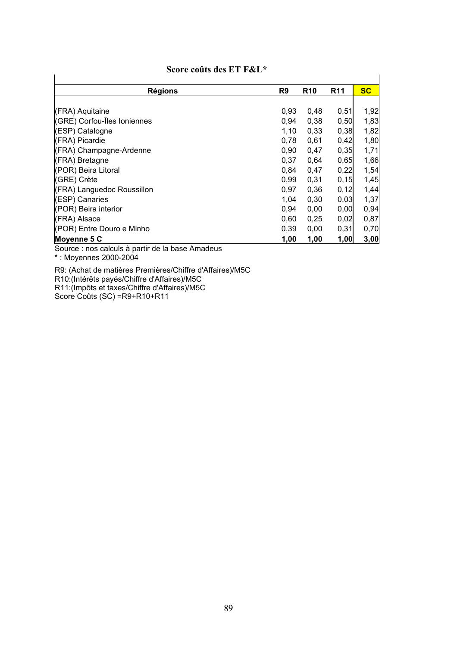| <b>Régions</b>              | R <sub>9</sub> | <b>R10</b> | R <sub>11</sub> | <b>SC</b> |
|-----------------------------|----------------|------------|-----------------|-----------|
|                             |                |            |                 |           |
| (FRA) Aquitaine             | 0,93           | 0,48       | 0,51            | 1,92      |
| (GRE) Corfou-Îles Ioniennes | 0,94           | 0,38       | 0,50            | 1,83      |
| (ESP) Catalogne             | 1,10           | 0,33       | 0,38            | 1,82      |
| (FRA) Picardie              | 0,78           | 0,61       | 0,42            | 1,80      |
| (FRA) Champagne-Ardenne     | 0,90           | 0,47       | 0,35            | 1,71      |
| (FRA) Bretagne              | 0,37           | 0,64       | 0,65            | 1,66      |
| (POR) Beira Litoral         | 0,84           | 0,47       | 0,22            | 1,54      |
| (GRE) Crète                 | 0,99           | 0,31       | 0, 15           | 1,45      |
| (FRA) Languedoc Roussillon  | 0,97           | 0,36       | 0,12            | 1,44      |
| (ESP) Canaries              | 1.04           | 0,30       | 0,03            | 1,37      |
| (POR) Beira interior        | 0,94           | 0,00       | 0,00            | 0,94      |
| (FRA) Alsace                | 0,60           | 0,25       | 0,02            | 0,87      |
| (POR) Entre Douro e Minho   | 0,39           | 0,00       | 0,31            | 0,70      |
| Moyenne 5 C                 | 1,00           | 1,00       | 1,00            | 3,00      |

#### **Score coûts des ET F&L\***

Source : nos calculs à partir de la base Amadeus

\* : Moyennes 2000-2004

R9: (Achat de matières Premières/Chiffre d'Affaires)/M5C R10:(Intérêts payés/Chiffre d'Affaires)/M5C R11:(Impôts et taxes/Chiffre d'Affaires)/M5C Score Coûts (SC) =R9+R10+R11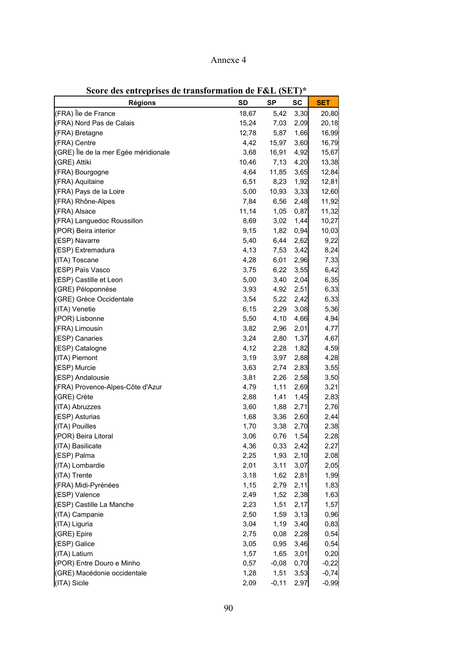# Annexe 4

| <b>Régions</b>                                  | SD    | ៶∼<br>SP     | <b>SC</b> | <b>SET</b> |
|-------------------------------------------------|-------|--------------|-----------|------------|
|                                                 |       |              |           |            |
| (FRA) Île de France<br>(FRA) Nord Pas de Calais | 18,67 | 5,42<br>7,03 | 3,30      | 20,80      |
|                                                 | 15,24 |              | 2,09      | 20,18      |
| (FRA) Bretagne                                  | 12,78 | 5,87         | 1,66      | 16,99      |
| (FRA) Centre                                    | 4,42  | 15,97        | 3,60      | 16,79      |
| (GRE) Île de la mer Egée méridionale            | 3,68  | 16,91        | 4,92      | 15,67      |
| (GRE) Attiki                                    | 10,46 | 7,13         | 4,20      | 13,38      |
| (FRA) Bourgogne                                 | 4,64  | 11,85        | 3,65      | 12,84      |
| (FRA) Aquitaine                                 | 6,51  | 8,23         | 1,92      | 12,81      |
| (FRA) Pays de la Loire                          | 5,00  | 10,93        | 3,33      | 12,60      |
| (FRA) Rhône-Alpes                               | 7,84  | 6,56         | 2,48      | 11,92      |
| (FRA) Alsace                                    | 11,14 | 1,05         | 0,87      | 11,32      |
| (FRA) Languedoc Roussillon                      | 8,69  | 3,02         | 1,44      | 10,27      |
| (POR) Beira interior                            | 9,15  | 1,82         | 0,94      | 10,03      |
| (ESP) Navarre                                   | 5,40  | 6,44         | 2,62      | 9,22       |
| (ESP) Extremadura                               | 4,13  | 7,53         | 3,42      | 8,24       |
| (ITA) Toscane                                   | 4,28  | 6,01         | 2,96      | 7,33       |
| (ESP) Païs Vasco                                | 3,75  | 6,22         | 3,55      | 6,42       |
| (ESP) Castille et Leon                          | 5,00  | 3,40         | 2,04      | 6,35       |
| (GRE) Péloponnèse                               | 3,93  | 4,92         | 2,51      | 6,33       |
| (GRE) Grèce Occidentale                         | 3,54  | 5,22         | 2,42      | 6,33       |
| (ITA) Venetie                                   | 6, 15 | 2,29         | 3,08      | 5,36       |
| (POR) Lisbonne                                  | 5,50  | 4,10         | 4,66      | 4,94       |
| (FRA) Limousin                                  | 3,82  | 2,96         | 2,01      | 4,77       |
| (ESP) Canaries                                  | 3,24  | 2,80         | 1,37      | 4,67       |
| (ESP) Catalogne                                 | 4,12  | 2,28         | 1,82      | 4,59       |
| (ITA) Piemont                                   | 3,19  | 3,97         | 2,88      | 4,28       |
| (ESP) Murcie                                    | 3,63  | 2,74         | 2,83      | 3,55       |
| (ESP) Andalousie                                | 3,81  | 2,26         | 2,58      | 3,50       |
| (FRA) Provence-Alpes-Côte d'Azur                | 4,79  | 1,11         | 2,69      | 3,21       |
| (GRE) Crète                                     | 2,88  | 1,41         | 1,45      | 2,83       |
| (ITA) Abruzzes                                  | 3,60  | 1,88         | 2,71      | 2,76       |
| (ESP) Asturias                                  | 1,68  | 3,36         | 2,60      | 2,44       |
| (ITA) Pouilles                                  | 1,70  | 3,38         | 2,70      | 2,38       |
| (POR) Beira Litoral                             | 3,06  | 0,76         | 1,54      | 2,28       |
| (ITA) Basilicate                                | 4,36  | 0,33         | 2,42      | 2,27       |
| (ESP) Palma                                     | 2,25  | 1,93         | 2,10      | 2,08       |
| (ITA) Lombardie                                 | 2,01  | 3,11         | 3,07      | 2,05       |
| (ITA) Trente                                    | 3,18  | 1,62         | 2,81      | 1,99       |
| (FRA) Midi-Pyrénées                             | 1,15  | 2,79         | 2,11      | 1,83       |
| (ESP) Valence                                   |       |              |           |            |
|                                                 | 2,49  | 1,52         | 2,38      | 1,63       |
| (ESP) Castille La Manche                        | 2,23  | 1,51         | 2,17      | 1,57       |
| (ITA) Campanie                                  | 2,50  | 1,59         | 3,13      | 0,96       |
| (ITA) Liguria                                   | 3,04  | 1,19         | 3,40      | 0,83       |
| (GRE) Epire                                     | 2,75  | 0,08         | 2,28      | 0,54       |
| (ESP) Galice                                    | 3,05  | 0,95         | 3,46      | 0,54       |
| (ITA) Latium                                    | 1,57  | 1,65         | 3,01      | 0,20       |
| (POR) Entre Douro e Minho                       | 0,57  | $-0,08$      | 0,70      | $-0,22$    |
| (GRE) Macédonie occidentale                     | 1,28  | 1,51         | 3,53      | $-0,74$    |
| (ITA) Sicile                                    | 2,09  | $-0,11$      | 2,97      | $-0,99$    |

**Score des entreprises de transformation de F&L (SET)\***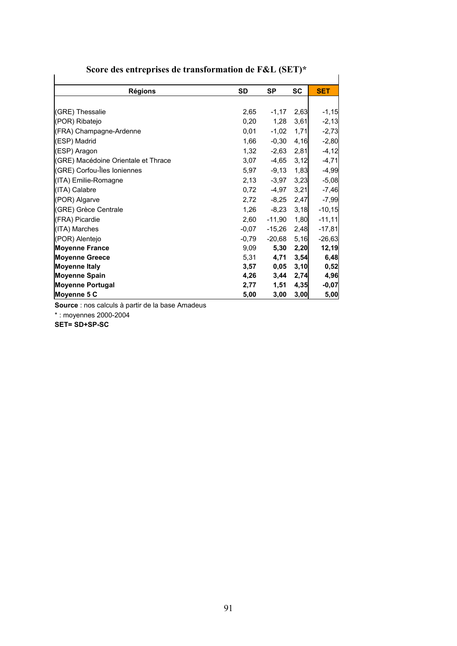| $\beta$ core des entreprises de transionination de r $\alpha$ l $\beta$ lerr |           |           |           |            |
|------------------------------------------------------------------------------|-----------|-----------|-----------|------------|
| <b>Régions</b>                                                               | <b>SD</b> | <b>SP</b> | <b>SC</b> | <b>SET</b> |
|                                                                              |           |           |           |            |
| (GRE) Thessalie                                                              | 2,65      | $-1,17$   | 2,63      | $-1, 15$   |
| (POR) Ribatejo                                                               | 0,20      | 1,28      | 3,61      | $-2,13$    |
| (FRA) Champagne-Ardenne                                                      | 0,01      | $-1,02$   | 1,71      | $-2,73$    |
| (ESP) Madrid                                                                 | 1,66      | $-0,30$   | 4,16      | $-2,80$    |
| (ESP) Aragon                                                                 | 1,32      | $-2,63$   | 2,81      | $-4, 12$   |
| (GRE) Macédoine Orientale et Thrace                                          | 3,07      | $-4,65$   | 3,12      | $-4,71$    |
| (GRE) Corfou-Îles Ioniennes                                                  | 5,97      | $-9,13$   | 1,83      | $-4,99$    |
| (ITA) Emilie-Romagne                                                         | 2,13      | $-3,97$   | 3,23      | $-5,08$    |
| (ITA) Calabre                                                                | 0,72      | $-4,97$   | 3,21      | $-7,46$    |
| (POR) Algarve                                                                | 2,72      | $-8,25$   | 2,47      | $-7,99$    |
| (GRE) Grèce Centrale                                                         | 1,26      | $-8,23$   | 3,18      | $-10,15$   |
| (FRA) Picardie                                                               | 2,60      | $-11,90$  | 1,80      | $-11,11$   |
| (ITA) Marches                                                                | $-0,07$   | $-15,26$  | 2,48      | $-17,81$   |
| (POR) Alentejo                                                               | $-0,79$   | $-20,68$  | 5,16      | $-26,63$   |
| <b>Moyenne France</b>                                                        | 9,09      | 5,30      | 2,20      | 12,19      |
| <b>Moyenne Greece</b>                                                        | 5,31      | 4,71      | 3,54      | 6,48       |
| Moyenne Italy                                                                | 3,57      | 0,05      | 3,10      | 0,52       |
| <b>Moyenne Spain</b>                                                         | 4,26      | 3,44      | 2,74      | 4,96       |
| <b>Moyenne Portugal</b>                                                      | 2,77      | 1,51      | 4,35      | $-0,07$    |
| Moyenne 5 C                                                                  | 5,00      | 3,00      | 3,00      | 5,00       |

**Score des entreprises de transformation de F&L (SET)\*** 

**Source** : nos calculs à partir de la base Amadeus

\* : moyennes 2000-2004

**SET= SD+SP-SC**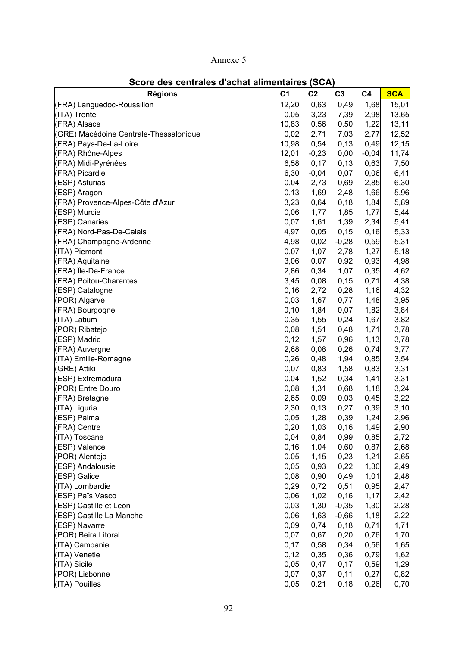## Annexe 5

| <b>Régions</b>                         | C <sub>1</sub> | C <sub>2</sub> | C <sub>3</sub> | C <sub>4</sub> | <b>SCA</b> |
|----------------------------------------|----------------|----------------|----------------|----------------|------------|
| (FRA) Languedoc-Roussillon             | 12,20          | 0,63           | 0,49           | 1,68           | 15,01      |
| (ITA) Trente                           | 0,05           | 3,23           | 7,39           | 2,98           | 13,65      |
| (FRA) Alsace                           | 10,83          | 0,56           | 0,50           | 1,22           | 13,11      |
| (GRE) Macédoine Centrale-Thessalonique | 0,02           | 2,71           | 7,03           | 2,77           | 12,52      |
| (FRA) Pays-De-La-Loire                 | 10,98          | 0,54           | 0, 13          | 0,49           | 12,15      |
| (FRA) Rhône-Alpes                      | 12,01          | $-0,23$        | 0,00           | $-0,04$        | 11,74      |
| (FRA) Midi-Pyrénées                    | 6,58           | 0,17           | 0,13           | 0,63           | 7,50       |
| (FRA) Picardie                         | 6,30           | $-0,04$        | 0,07           | 0,06           | 6,41       |
| (ESP) Asturias                         | 0,04           | 2,73           | 0,69           | 2,85           | 6,30       |
| (ESP) Aragon                           | 0,13           | 1,69           | 2,48           | 1,66           | 5,96       |
| (FRA) Provence-Alpes-Côte d'Azur       | 3,23           | 0,64           | 0, 18          | 1,84           | 5,89       |
| (ESP) Murcie                           | 0,06           | 1,77           | 1,85           | 1,77           | 5,44       |
| (ESP) Canaries                         | 0,07           | 1,61           | 1,39           | 2,34           | 5,41       |
| (FRA) Nord-Pas-De-Calais               | 4,97           | 0,05           | 0, 15          | 0,16           | 5,33       |
| (FRA) Champagne-Ardenne                | 4,98           | 0,02           | $-0,28$        | 0,59           | 5,31       |
| (ITA) Piemont                          | 0,07           | 1,07           | 2,78           | 1,27           | 5,18       |
| (FRA) Aquitaine                        | 3,06           | 0,07           | 0,92           | 0,93           | 4,98       |
| (FRA) Île-De-France                    | 2,86           | 0,34           | 1,07           | 0,35           | 4,62       |
| (FRA) Poitou-Charentes                 | 3,45           | 0,08           | 0,15           | 0,71           | 4,38       |
| (ESP) Catalogne                        | 0,16           | 2,72           | 0,28           | 1,16           | 4,32       |
| (POR) Algarve                          | 0,03           | 1,67           | 0,77           | 1,48           | 3,95       |
| (FRA) Bourgogne                        | 0, 10          | 1,84           | 0,07           | 1,82           | 3,84       |
| (ITA) Latium                           | 0,35           | 1,55           | 0,24           | 1,67           | 3,82       |
| (POR) Ribatejo                         | 0,08           | 1,51           | 0,48           | 1,71           | 3,78       |
| (ESP) Madrid                           | 0,12           | 1,57           | 0,96           | 1,13           | 3,78       |
| (FRA) Auvergne                         | 2,68           | 0,08           | 0,26           | 0,74           | 3,77       |
| (ITA) Emilie-Romagne                   | 0,26           | 0,48           | 1,94           | 0,85           | 3,54       |
| (GRE) Attiki                           | 0,07           | 0,83           | 1,58           | 0,83           | 3,31       |
| (ESP) Extremadura                      | 0,04           | 1,52           | 0,34           | 1,41           | 3,31       |
| (POR) Entre Douro                      | 0,08           | 1,31           | 0,68           | 1,18           | 3,24       |
| (FRA) Bretagne                         | 2,65           | 0,09           | 0,03           | 0,45           | 3,22       |
| (ITA) Liguria                          | 2,30           | 0,13           | 0,27           | 0,39           | 3,10       |
| (ESP) Palma                            | 0,05           | 1,28           | 0,39           | 1,24           | 2,96       |
| (FRA) Centre                           | 0,20           | 1,03           | 0, 16          | 1,49           | 2,90       |
| (ITA) Toscane                          | 0,04           | 0,84           | 0,99           | 0,85           | 2,72       |
| (ESP) Valence                          | 0,16           | 1,04           | 0,60           | 0,87           | 2,68       |
| (POR) Alentejo                         | 0,05           | 1,15           | 0,23           | 1,21           | 2,65       |
| (ESP) Andalousie                       | 0,05           | 0,93           | 0,22           | 1,30           | 2,49       |
| (ESP) Galice                           | 0,08           | 0,90           | 0,49           | 1,01           | 2,48       |
| (ITA) Lombardie                        | 0,29           | 0,72           | 0,51           | 0,95           | 2,47       |
| (ESP) Païs Vasco                       | 0,06           | 1,02           | 0, 16          | 1,17           | 2,42       |
| (ESP) Castille et Leon                 | 0,03           | 1,30           | $-0,35$        | 1,30           | 2,28       |
| (ESP) Castille La Manche               | 0,06           | 1,63           | $-0,66$        | 1,18           | 2,22       |
| (ESP) Navarre                          | 0,09           | 0,74           | 0, 18          | 0,71           | 1,71       |
| (POR) Beira Litoral                    | 0,07           | 0,67           | 0,20           | 0,76           | 1,70       |
| (ITA) Campanie                         | 0,17           | 0,58           | 0,34           | 0,56           | 1,65       |
| (ITA) Venetie                          | 0,12           | 0,35           | 0,36           | 0,79           | 1,62       |
| (ITA) Sicile                           | 0,05           | 0,47           | 0,17           | 0,59           | 1,29       |
| (POR) Lisbonne                         | 0,07           | 0,37           | 0,11           | 0,27           | 0,82       |
| (ITA) Pouilles                         | 0,05           | 0,21           | 0,18           | 0,26           | 0,70       |

**Score des centrales d'achat alimentaires (SCA)**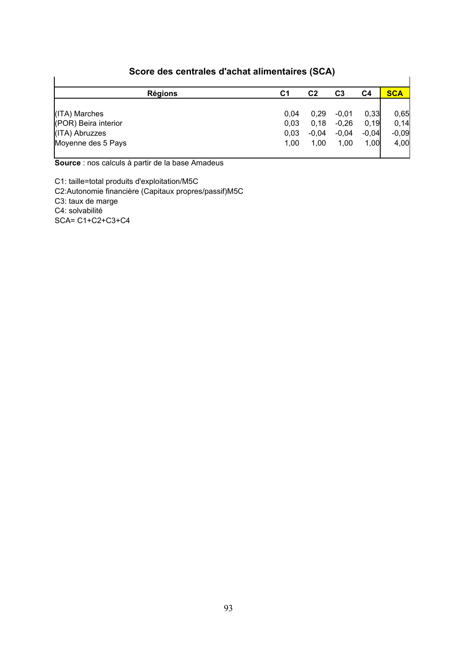| <b>Régions</b>       | C1   | C <sub>2</sub> | C <sub>3</sub> | C4      | <b>SCA</b> |
|----------------------|------|----------------|----------------|---------|------------|
| (ITA) Marches        | 0,04 | 0,29           | $-0,01$        | 0,33    | 0,65       |
| (POR) Beira interior | 0,03 | 0,18           | $-0,26$        | 0, 19   | 0,14       |
| (ITA) Abruzzes       | 0,03 | $-0,04$        | $-0,04$        | $-0.04$ | $-0,09$    |
| Moyenne des 5 Pays   | 1,00 | 1,00           | 1,00           | 1,00    | 4,00       |

### **Score des centrales d'achat alimentaires (SCA)**

**Source** : nos calculs à partir de la base Amadeus

C1: taille=total produits d'exploitation/M5C C2:Autonomie financière (Capitaux propres/passif)M5C C3: taux de marge C4: solvabilité SCA= C1+C2+C3+C4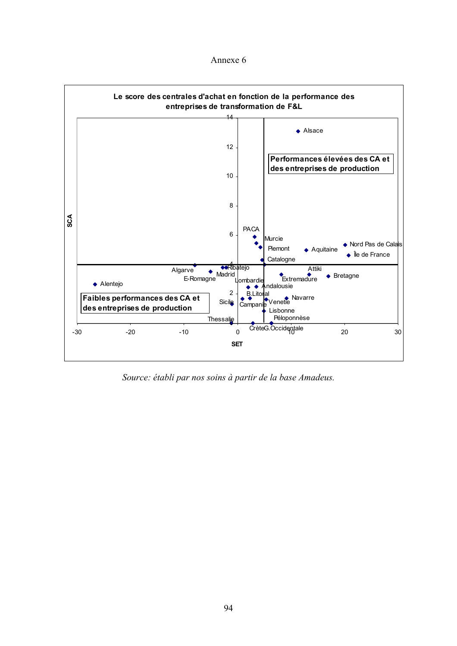Annexe 6



*Source: établi par nos soins à partir de la base Amadeus.*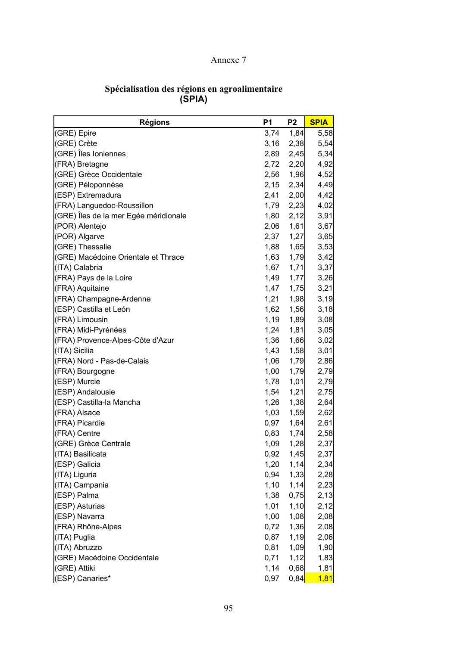### Annexe 7

| <b>Régions</b>                        | P <sub>1</sub> | P <sub>2</sub> | <b>SPIA</b> |
|---------------------------------------|----------------|----------------|-------------|
| (GRE) Epire                           | 3,74           | 1,84           | 5,58        |
| (GRE) Crète                           | 3,16           | 2,38           | 5,54        |
| (GRE) Îles Ioniennes                  | 2,89           | 2,45           | 5,34        |
| (FRA) Bretagne                        | 2,72           | 2,20           | 4,92        |
| (GRE) Grèce Occidentale               | 2,56           | 1,96           | 4,52        |
| (GRE) Péloponnèse                     | 2,15           | 2,34           | 4,49        |
| (ESP) Extremadura                     | 2,41           | 2,00           | 4,42        |
| (FRA) Languedoc-Roussillon            | 1,79           | 2,23           | 4,02        |
| (GRE) Îles de la mer Egée méridionale | 1,80           | 2,12           | 3,91        |
| (POR) Alentejo                        | 2,06           | 1,61           | 3,67        |
| (POR) Algarve                         | 2,37           | 1,27           | 3,65        |
| (GRE) Thessalie                       | 1,88           | 1,65           | 3,53        |
| (GRE) Macédoine Orientale et Thrace   | 1,63           | 1,79           | 3,42        |
| (ITA) Calabria                        | 1,67           | 1,71           | 3,37        |
| (FRA) Pays de la Loire                | 1,49           | 1,77           | 3,26        |
| (FRA) Aquitaine                       | 1,47           | 1,75           | 3,21        |
| (FRA) Champagne-Ardenne               | 1,21           | 1,98           | 3,19        |
| (ESP) Castilla et León                | 1,62           | 1,56           | 3,18        |
| (FRA) Limousin                        | 1,19           | 1,89           | 3,08        |
| (FRA) Midi-Pyrénées                   | 1,24           | 1,81           | 3,05        |
| (FRA) Provence-Alpes-Côte d'Azur      | 1,36           | 1,66           | 3,02        |
| (ITA) Sicilia                         | 1,43           | 1,58           | 3,01        |
| (FRA) Nord - Pas-de-Calais            | 1,06           | 1,79           | 2,86        |
| (FRA) Bourgogne                       | 1,00           | 1,79           | 2,79        |
| (ESP) Murcie                          | 1,78           | 1,01           | 2,79        |
| (ESP) Andalousie                      | 1,54           | 1,21           | 2,75        |
| (ESP) Castilla-la Mancha              | 1,26           | 1,38           | 2,64        |
| (FRA) Alsace                          | 1,03           | 1,59           | 2,62        |
| (FRA) Picardie                        | 0,97           | 1,64           | 2,61        |
| (FRA) Centre                          | 0,83           | 1,74           | 2,58        |
| (GRE) Grèce Centrale                  | 1,09           | 1,28           | 2,37        |
| (ITA) Basilicata                      | 0,92           | 1,45           | 2,37        |
| (ESP) Galicia                         | 1,20           | 1,14           | 2,34        |
| (ITA) Liguria                         | 0,94           | 1,33           | 2,28        |
| (ITA) Campania                        | 1,10           | 1,14           | 2,23        |
| (ESP) Palma                           | 1,38           | 0,75           | 2,13        |
| (ESP) Asturias                        | 1,01           | 1,10           | 2,12        |
| (ESP) Navarra                         | 1,00           | 1,08           | 2,08        |
| (FRA) Rhône-Alpes                     | 0,72           | 1,36           | 2,08        |
| (ITA) Puglia                          | 0,87           | 1,19           | 2,06        |
| (ITA) Abruzzo                         | 0,81           | 1,09           | 1,90        |
| (GRE) Macédoine Occidentale           | 0,71           | 1,12           | 1,83        |
| (GRE) Attiki                          | 1,14           | 0,68           | 1,81        |
| (ESP) Canaries*                       | 0,97           | 0,84           | 1,81        |

#### **Spécialisation des régions en agroalimentaire (SPIA)**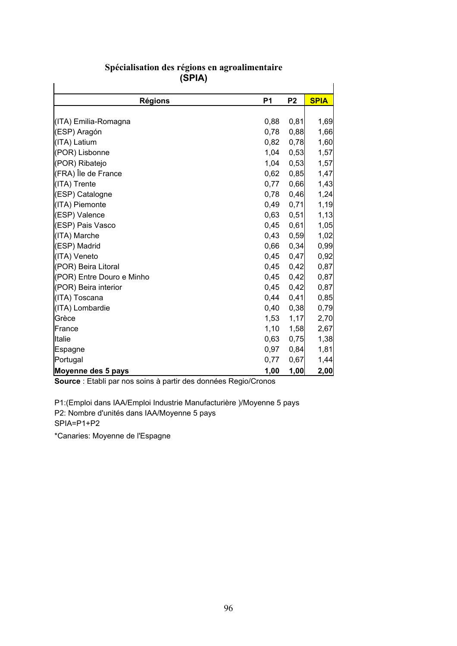| ורי ישן                   |           |                |             |
|---------------------------|-----------|----------------|-------------|
| <b>Régions</b>            | <b>P1</b> | P <sub>2</sub> | <b>SPIA</b> |
|                           |           |                |             |
| (ITA) Emilia-Romagna      | 0,88      | 0,81           | 1,69        |
| (ESP) Aragón              | 0,78      | 0,88           | 1,66        |
| (ITA) Latium              | 0,82      | 0,78           | 1,60        |
| (POR) Lisbonne            | 1,04      | 0,53           | 1,57        |
| (POR) Ribatejo            | 1,04      | 0,53           | 1,57        |
| (FRA) Île de France       | 0,62      | 0,85           | 1,47        |
| (ITA) Trente              | 0,77      | 0,66           | 1,43        |
| (ESP) Catalogne           | 0,78      | 0,46           | 1,24        |
| (ITA) Piemonte            | 0,49      | 0,71           | 1,19        |
| (ESP) Valence             | 0,63      | 0,51           | 1,13        |
| (ESP) Pais Vasco          | 0,45      | 0,61           | 1,05        |
| (ITA) Marche              | 0,43      | 0,59           | 1,02        |
| (ESP) Madrid              | 0,66      | 0,34           | 0,99        |
| (ITA) Veneto              | 0,45      | 0,47           | 0,92        |
| (POR) Beira Litoral       | 0,45      | 0,42           | 0,87        |
| (POR) Entre Douro e Minho | 0,45      | 0,42           | 0,87        |
| (POR) Beira interior      | 0,45      | 0,42           | 0,87        |
| (ITA) Toscana             | 0,44      | 0,41           | 0,85        |
| (ITA) Lombardie           | 0,40      | 0,38           | 0,79        |
| Grèce                     | 1,53      | 1,17           | 2,70        |
| France                    | 1,10      | 1,58           | 2,67        |
| Italie                    | 0,63      | 0,75           | 1,38        |
| Espagne                   | 0,97      | 0,84           | 1,81        |
| Portugal                  | 0,77      | 0,67           | 1,44        |
| Moyenne des 5 pays        | 1,00      | 1,00           | 2,00        |

#### **Spécialisation des régions en agroalimentaire (SPIA)**

**Source** : Etabli par nos soins à partir des données Regio/Cronos

P1:(Emploi dans IAA/Emploi Industrie Manufacturière )/Moyenne 5 pays P2: Nombre d'unités dans IAA/Moyenne 5 pays SPIA=P1+P2

\*Canaries: Moyenne de l'Espagne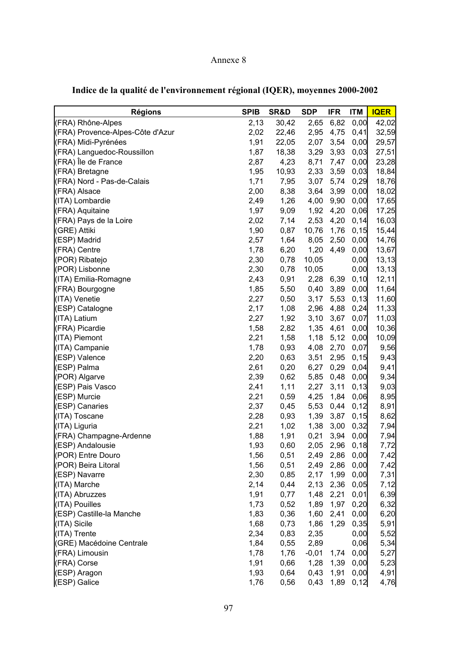## Annexe 8

| <b>Régions</b>                   | <b>SPIB</b> | SR&D  | <b>SDP</b> | <b>IFR</b> | <b>ITM</b> | <b>IQER</b> |
|----------------------------------|-------------|-------|------------|------------|------------|-------------|
| (FRA) Rhône-Alpes                | 2,13        | 30,42 | 2,65       | 6,82       | 0,00       | 42,02       |
| (FRA) Provence-Alpes-Côte d'Azur | 2,02        | 22,46 | 2,95       | 4,75       | 0,41       | 32,59       |
| (FRA) Midi-Pyrénées              | 1,91        | 22,05 | 2,07       | 3,54       | 0,00       | 29,57       |
| (FRA) Languedoc-Roussillon       | 1,87        | 18,38 | 3,29       | 3,93       | 0,03       | 27,51       |
| (FRA) Île de France              | 2,87        | 4,23  | 8,71       | 7,47       | 0,00       | 23,28       |
| (FRA) Bretagne                   | 1,95        | 10,93 | 2,33       | 3,59       | 0,03       | 18,84       |
| (FRA) Nord - Pas-de-Calais       | 1,71        | 7,95  | 3,07       | 5,74       | 0,29       | 18,76       |
| (FRA) Alsace                     | 2,00        | 8,38  | 3,64       | 3,99       | 0,00       | 18,02       |
| (ITA) Lombardie                  | 2,49        | 1,26  | 4,00       | 9,90       | 0,00       | 17,65       |
| (FRA) Aquitaine                  | 1,97        | 9,09  | 1,92       | 4,20       | 0,06       | 17,25       |
| (FRA) Pays de la Loire           | 2,02        | 7,14  | 2,53       | 4,20       | 0,14       | 16,03       |
| (GRE) Attiki                     | 1,90        | 0,87  | 10,76      | 1,76       | 0, 15      | 15,44       |
| (ESP) Madrid                     | 2,57        | 1,64  | 8,05       | 2,50       | 0,00       | 14,76       |
| (FRA) Centre                     | 1,78        | 6,20  | 1,20       | 4,49       | 0,00       | 13,67       |
| (POR) Ribatejo                   | 2,30        | 0,78  | 10,05      |            | 0,00       | 13,13       |
| (POR) Lisbonne                   | 2,30        | 0,78  | 10,05      |            | 0,00       | 13, 13      |
| (ITA) Emilia-Romagne             | 2,43        | 0,91  | 2,28       | 6,39       | 0, 10      | 12,11       |
| (FRA) Bourgogne                  | 1,85        | 5,50  | 0,40       | 3,89       | 0,00       | 11,64       |
| (ITA) Venetie                    | 2,27        | 0,50  | 3,17       | 5,53       | 0, 13      | 11,60       |
| (ESP) Catalogne                  | 2,17        | 1,08  | 2,96       | 4,88       | 0,24       | 11,33       |
| (ITA) Latium                     | 2,27        | 1,92  | 3,10       | 3,67       | 0,07       | 11,03       |
| (FRA) Picardie                   | 1,58        | 2,82  | 1,35       | 4,61       | 0,00       | 10,36       |
| (ITA) Piemont                    | 2,21        | 1,58  | 1,18       | 5,12       | 0,00       | 10,09       |
| (ITA) Campanie                   | 1,78        | 0,93  | 4,08       | 2,70       | 0,07       | 9,56        |
| (ESP) Valence                    | 2,20        | 0,63  | 3,51       | 2,95       | 0, 15      | 9,43        |
| (ESP) Palma                      | 2,61        | 0,20  | 6,27       | 0,29       | 0,04       | 9,41        |
| (POR) Algarve                    | 2,39        | 0,62  | 5,85       | 0,48       | 0,00       | 9,34        |
| (ESP) Pais Vasco                 | 2,41        | 1,11  | 2,27       | 3,11       | 0,13       | 9,03        |
| (ESP) Murcie                     | 2,21        | 0,59  | 4,25       | 1,84       | 0,06       | 8,95        |
| (ESP) Canaries                   | 2,37        | 0,45  | 5,53       | 0,44       | 0,12       | 8,91        |
| (ITA) Toscane                    | 2,28        | 0,93  | 1,39       | 3,87       | 0, 15      | 8,62        |
| (ITA) Liguria                    | 2,21        | 1,02  | 1,38       | 3,00       | 0,32       | 7,94        |
| (FRA) Champagne-Ardenne          | 1,88        | 1,91  | 0,21       | 3,94       | 0,00       | 7,94        |
| (ESP) Andalousie                 | 1,93        | 0,60  | 2,05       | 2,96       | 0, 18      | 7,72        |
| (POR) Entre Douro                | 1,56        | 0,51  | 2,49       | 2,86       | 0,00       | 7,42        |
| (POR) Beira Litoral              | 1,56        | 0,51  | 2,49       | 2,86       | 0,00       | 7,42        |
| (ESP) Navarre                    | 2,30        | 0,85  | 2,17       | 1,99       | 0,00       | 7,31        |
| (ITA) Marche                     | 2,14        | 0,44  | 2,13       | 2,36       | 0,05       | 7,12        |
| (ITA) Abruzzes                   | 1,91        | 0,77  | 1,48       | 2,21       | 0,01       | 6,39        |
| (ITA) Pouilles                   | 1,73        | 0,52  | 1,89       | 1,97       | 0,20       | 6,32        |
| (ESP) Castille-la Manche         | 1,83        | 0,36  | 1,60       | 2,41       | 0,00       | 6,20        |
| (ITA) Sicile                     | 1,68        | 0,73  | 1,86       | 1,29       | 0,35       | 5,91        |
| (ITA) Trente                     | 2,34        | 0,83  | 2,35       |            | 0,00       | 5,52        |
| (GRE) Macédoine Centrale         | 1,84        | 0,55  | 2,89       |            | 0,06       | 5,34        |
| (FRA) Limousin                   | 1,78        | 1,76  | $-0,01$    | 1,74       | 0,00       | 5,27        |
| (FRA) Corse                      | 1,91        | 0,66  | 1,28       | 1,39       | 0,00       | 5,23        |
| (ESP) Aragon                     | 1,93        | 0,64  | 0,43       | 1,91       | 0,00       | 4,91        |
| (ESP) Galice                     | 1,76        | 0,56  | 0,43       | 1,89       | 0,12       | 4,76        |

# **Indice de la qualité de l'environnement régional (IQER), moyennes 2000-2002**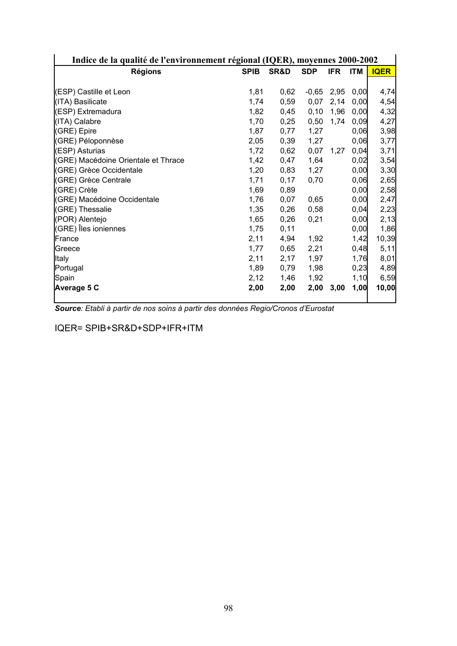| Indice de la qualité de l'environnement régional (IQER), moyennes 2000-2002 |             |      |            |            |            |             |
|-----------------------------------------------------------------------------|-------------|------|------------|------------|------------|-------------|
| <b>Régions</b>                                                              | <b>SPIB</b> | SR&D | <b>SDP</b> | <b>IFR</b> | <b>ITM</b> | <b>IQER</b> |
|                                                                             |             |      |            |            |            |             |
| (ESP) Castille et Leon                                                      | 1,81        | 0,62 | $-0,65$    | 2,95       | 0,00       | 4,74        |
| (ITA) Basilicate                                                            | 1,74        | 0,59 | 0,07       | 2,14       | 0,00       | 4,54        |
| (ESP) Extremadura                                                           | 1,82        | 0,45 | 0, 10      | 1,96       | 0,00       | 4,32        |
| (ITA) Calabre                                                               | 1,70        | 0,25 | 0,50       | 1,74       | 0,09       | 4,27        |
| (GRE) Epire                                                                 | 1,87        | 0,77 | 1,27       |            | 0,06       | 3,98        |
| (GRE) Péloponnèse                                                           | 2,05        | 0,39 | 1,27       |            | 0,06       | 3,77        |
| (ESP) Asturias                                                              | 1,72        | 0,62 | 0,07       | 1,27       | 0,04       | 3,71        |
| (GRE) Macédoine Orientale et Thrace                                         | 1,42        | 0,47 | 1,64       |            | 0,02       | 3,54        |
| (GRE) Grèce Occidentale                                                     | 1,20        | 0,83 | 1,27       |            | 0,00       | 3,30        |
| (GRE) Grèce Centrale                                                        | 1,71        | 0,17 | 0,70       |            | 0,06       | 2,65        |
| (GRE) Crète                                                                 | 1,69        | 0,89 |            |            | 0,00       | 2,58        |
| (GRE) Macédoine Occidentale                                                 | 1,76        | 0,07 | 0,65       |            | 0,00       | 2,47        |
| (GRE) Thessalie                                                             | 1,35        | 0,26 | 0,58       |            | 0,04       | 2,23        |
| (POR) Alentejo                                                              | 1,65        | 0,26 | 0,21       |            | 0,00       | 2,13        |
| (GRE) Îles ioniennes                                                        | 1,75        | 0,11 |            |            | 0,00       | 1,86        |
| France                                                                      | 2,11        | 4,94 | 1,92       |            | 1,42       | 10,39       |
| Greece                                                                      | 1,77        | 0,65 | 2,21       |            | 0,48       | 5,11        |
| Italy                                                                       | 2,11        | 2,17 | 1,97       |            | 1,76       | 8,01        |
| Portugal                                                                    | 1,89        | 0,79 | 1,98       |            | 0,23       | 4,89        |
| Spain                                                                       | 2,12        | 1,46 | 1,92       |            | 1,10       | 6,59        |
| Average 5 C                                                                 | 2,00        | 2,00 | 2,00       | 3,00       | 1,00       | 10,00       |

*Source: Etabli à partir de nos soins à partir des données Regio/Cronos d'Eurostat* 

IQER= SPIB+SR&D+SDP+IFR+ITM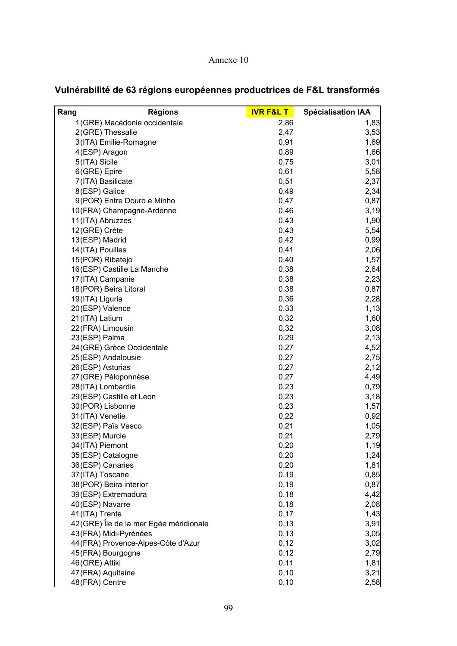#### Annexe 10

| Rang | <b>Régions</b>                         | <b>IVR F&amp;L T</b> | <b>Spécialisation IAA</b> |
|------|----------------------------------------|----------------------|---------------------------|
|      | 1(GRE) Macédonie occidentale           | 2,86                 | 1,83                      |
|      | 2(GRE) Thessalie                       | 2,47                 | 3,53                      |
|      | 3(ITA) Emilie-Romagne                  | 0,91                 | 1,69                      |
|      | 4(ESP) Aragon                          | 0,89                 | 1,66                      |
|      | 5(ITA) Sicile                          | 0,75                 | 3,01                      |
|      | 6(GRE) Epire                           | 0,61                 | 5,58                      |
|      | 7(ITA) Basilicate                      | 0,51                 | 2,37                      |
|      | 8(ESP) Galice                          | 0,49                 | 2,34                      |
|      | 9(POR) Entre Douro e Minho             | 0,47                 | 0,87                      |
|      | 10(FRA) Champagne-Ardenne              | 0,46                 | 3,19                      |
|      | 11(ITA) Abruzzes                       | 0,43                 | 1,90                      |
|      | 12(GRE) Crète                          | 0,43                 | 5,54                      |
|      | 13(ESP) Madrid                         | 0,42                 | 0,99                      |
|      | 14 (ITA) Pouilles                      | 0,41                 | 2,06                      |
|      | 15(POR) Ribatejo                       | 0,40                 | 1,57                      |
|      | 16(ESP) Castille La Manche             | 0,38                 | 2,64                      |
|      | 17(ITA) Campanie                       | 0,38                 | 2,23                      |
|      | 18 (POR) Beira Litoral                 | 0,38                 | 0,87                      |
|      | 19(ITA) Liguria                        | 0,36                 | 2,28                      |
|      | 20(ESP) Valence                        | 0,33                 | 1,13                      |
|      | 21 (ITA) Latium                        | 0,32                 | 1,60                      |
|      | 22 (FRA) Limousin                      | 0,32                 | 3,08                      |
|      | 23(ESP) Palma                          | 0,29                 | 2,13                      |
|      | 24 (GRE) Grèce Occidentale             | 0,27                 | 4,52                      |
|      | 25(ESP) Andalousie                     | 0,27                 | 2,75                      |
|      | 26(ESP) Asturias                       | 0,27                 | 2,12                      |
|      | 27 (GRE) Péloponnèse                   | 0,27                 | 4,49                      |
|      | 28(ITA) Lombardie                      | 0,23                 | 0,79                      |
|      | 29(ESP) Castille et Leon               | 0,23                 | 3,18                      |
|      | 30(POR) Lisbonne                       | 0,23                 | 1,57                      |
|      | 31 (ITA) Venetie                       | 0,22                 | 0,92                      |
|      | 32(ESP) Païs Vasco                     | 0,21                 | 1,05                      |
|      | 33(ESP) Murcie                         | 0,21                 | 2,79                      |
|      | 34 (ITA) Piemont                       | 0,20                 | 1,19                      |
|      | 35(ESP) Catalogne                      | 0,20                 | 1,24                      |
|      | 36(ESP) Canaries                       | 0,20                 | 1,81                      |
|      | 37 (ITA) Toscane                       | 0, 19                | 0,85                      |
|      | 38 (POR) Beira interior                | 0, 19                | 0,87                      |
|      | 39(ESP) Extremadura                    | 0, 18                | 4,42                      |
|      | 40(ESP) Navarre                        | 0, 18                | 2,08                      |
|      | 41(ITA) Trente                         | 0,17                 | 1,43                      |
|      | 42(GRE) Île de la mer Egée méridionale | 0, 13                | 3,91                      |
|      | 43 (FRA) Midi-Pyrénées                 | 0, 13                | 3,05                      |
|      | 44 (FRA) Provence-Alpes-Côte d'Azur    | 0,12                 | 3,02                      |
|      | 45(FRA) Bourgogne                      | 0,12                 | 2,79                      |
|      | 46(GRE) Attiki                         | 0,11                 | 1,81                      |
|      | 47 (FRA) Aquitaine                     | 0, 10                | 3,21                      |
|      | 48(FRA) Centre                         | 0, 10                | 2,58                      |

# **Vulnérabilité de 63 régions européennes productrices de F&L transformés**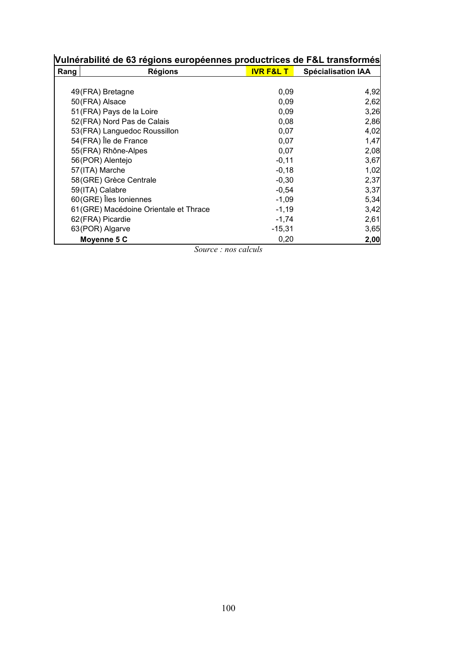| Vulnérabilité de 63 régions européennes productrices de F&L transformés |                                        |                      |                           |  |  |
|-------------------------------------------------------------------------|----------------------------------------|----------------------|---------------------------|--|--|
| Rang                                                                    | <b>Régions</b>                         | <b>IVR F&amp;L T</b> | <b>Spécialisation IAA</b> |  |  |
|                                                                         |                                        |                      |                           |  |  |
|                                                                         | 49(FRA) Bretagne                       | 0,09                 | 4,92                      |  |  |
|                                                                         | 50 (FRA) Alsace                        | 0,09                 | 2,62                      |  |  |
|                                                                         | 51 (FRA) Pays de la Loire              | 0,09                 | 3,26                      |  |  |
|                                                                         | 52 (FRA) Nord Pas de Calais            | 0,08                 | 2,86                      |  |  |
|                                                                         | 53 (FRA) Languedoc Roussillon          | 0,07                 | 4,02                      |  |  |
|                                                                         | 54 (FRA) Île de France                 | 0,07                 | 1,47                      |  |  |
|                                                                         | 55 (FRA) Rhône-Alpes                   | 0,07                 | 2,08                      |  |  |
|                                                                         | 56 (POR) Alentejo                      | $-0,11$              | 3,67                      |  |  |
|                                                                         | 57 (ITA) Marche                        | $-0,18$              | 1,02                      |  |  |
|                                                                         | 58(GRE) Grèce Centrale                 | $-0,30$              | 2,37                      |  |  |
|                                                                         | 59(ITA) Calabre                        | $-0,54$              | 3,37                      |  |  |
|                                                                         | 60(GRE) Îles Ioniennes                 | $-1,09$              | 5,34                      |  |  |
|                                                                         | 61 (GRE) Macédoine Orientale et Thrace | $-1,19$              | 3,42                      |  |  |
|                                                                         | 62(FRA) Picardie                       | $-1,74$              | 2,61                      |  |  |
|                                                                         | 63(POR) Algarve                        | $-15,31$             | 3,65                      |  |  |
|                                                                         | Moyenne 5 C                            | 0,20                 | 2,00                      |  |  |

*Source : nos calculs*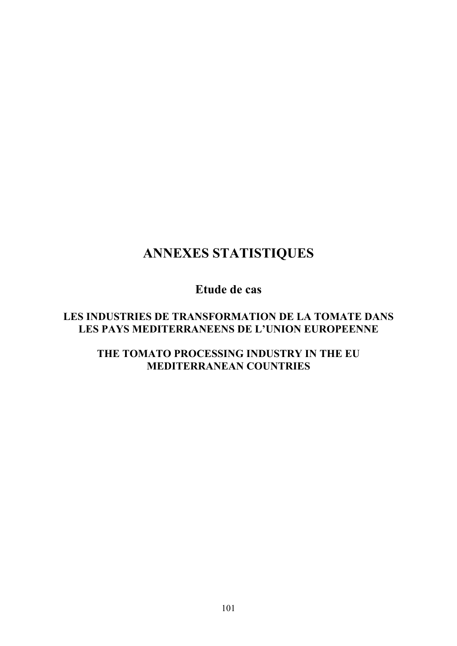# **ANNEXES STATISTIQUES**

# **Etude de cas**

# **LES INDUSTRIES DE TRANSFORMATION DE LA TOMATE DANS LES PAYS MEDITERRANEENS DE L'UNION EUROPEENNE**

# **THE TOMATO PROCESSING INDUSTRY IN THE EU MEDITERRANEAN COUNTRIES**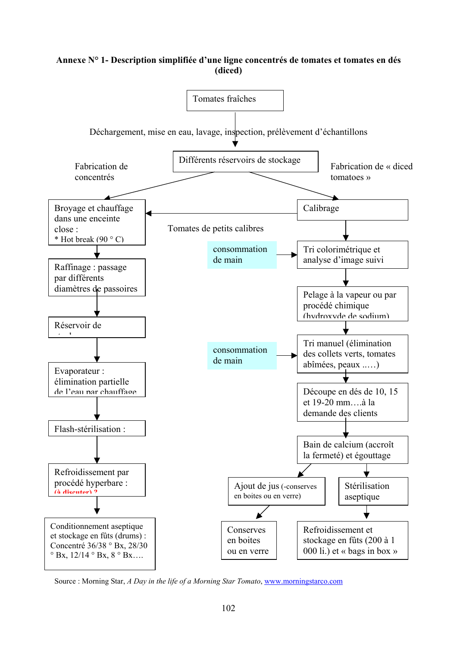#### **Annexe N° 1- Description simplifiée d'une ligne concentrés de tomates et tomates en dés (diced)**



Source : Morning Star, *A Day in the life of a Morning Star Tomato*, www.morningstarco.com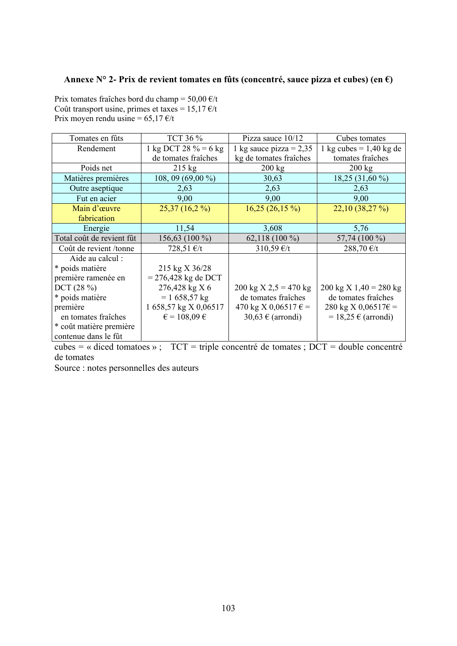#### **Annexe N° 2- Prix de revient tomates en fûts (concentré, sauce pizza et cubes) (en €)**

Prix tomates fraîches bord du champ =  $50,00 \text{ } \infty$ /t Coût transport usine, primes et taxes =  $15,17 \text{ } \text{\textsterling}t$ Prix moyen rendu usine =  $65,17 \text{ } \infty$ /t

| Tomates en fûts           | TCT 36 %                       | Pizza sauce $10/12$           | Cubes tomates                    |
|---------------------------|--------------------------------|-------------------------------|----------------------------------|
| Rendement                 | 1 kg DCT 28 $\% = 6$ kg        | 1 kg sauce pizza = $2,35$     | 1 kg cubes $= 1,40$ kg de        |
|                           | de tomates fraîches            | kg de tomates fraîches        | tomates fraîches                 |
| Poids net                 | $215 \text{ kg}$               | $200 \text{ kg}$              | $200 \text{ kg}$                 |
| Matières premières        | $108, 09(69,00\%)$             | 30,63                         | 18,25 (31,60 %)                  |
| Outre aseptique           | 2,63                           | 2,63                          | 2,63                             |
| Fut en acier              | 9,00                           | 9,00                          | 9,00                             |
| Main d'œuvre              | $25,37(16,2\%)$                | $16,25(26,15\%)$              | 22,10(38,27%)                    |
| fabrication               |                                |                               |                                  |
| Energie                   | 11,54                          | 3,608                         | 5,76                             |
| Total coût de revient fût | 156,63 (100 %)                 | $62,118(100\%)$               | 57,74 (100 %)                    |
| Coût de revient/tonne     | 728,51 €/t                     | 310,59 €/t                    | 288,70 €/t                       |
| Aide au calcul :          |                                |                               |                                  |
| * poids matière           | 215 kg X 36/28                 |                               |                                  |
| première ramenée en       | $= 276,428$ kg de DCT          |                               |                                  |
| DCT (28%)                 | 276,428 kg X 6                 | 200 kg X 2,5 = 470 kg         | $200 \text{ kg X}$ 1,40 = 280 kg |
| * poids matière           | $= 1658,57 \text{ kg}$         | de tomates fraîches           | de tomates fraîches              |
| première                  | 1 658,57 kg X 0,06517          | 470 kg X 0,06517 $\epsilon$ = | $280 \text{ kg X } 0,06517 \in$  |
| en tomates fraîches       | $\epsilon$ = 108,09 $\epsilon$ | 30,63 $\in$ (arrondi)         | $= 18,25 \in (arrondi)$          |
| * coût matière première   |                                |                               |                                  |
| contenue dans le fût      |                                |                               |                                  |

cubes = « diced tomatoes » ;  $TCT = triple$  concentré de tomates ;  $DCT =$  double concentré de tomates

Source : notes personnelles des auteurs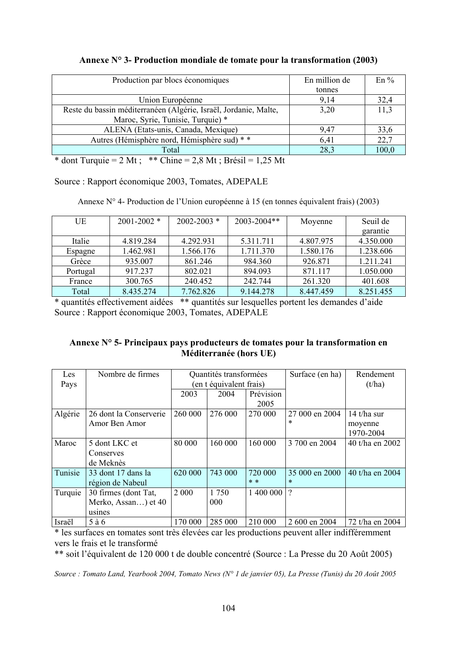| Annexe $N^{\circ}$ 3- Production mondiale de tomate pour la transformation (2003) |  |  |
|-----------------------------------------------------------------------------------|--|--|
|                                                                                   |  |  |

| Production par blocs économiques                                                                                                                           | En million de | $En\%$ |
|------------------------------------------------------------------------------------------------------------------------------------------------------------|---------------|--------|
|                                                                                                                                                            | tonnes        |        |
| Union Européenne                                                                                                                                           | 9,14          | 32,4   |
| Reste du bassin méditerranéen (Algérie, Israël, Jordanie, Malte,                                                                                           | 3,20          | 11.3   |
| Maroc, Syrie, Tunisie, Turquie) *                                                                                                                          |               |        |
| ALENA (Etats-unis, Canada, Mexique)                                                                                                                        | 9.47          | 33,6   |
| Autres (Hémisphère nord, Hémisphère sud) * *                                                                                                               | 6.41          | 22,7   |
| Total                                                                                                                                                      | 28,3          | 100,0  |
| $\sim$ $\sim$ $\sim$ $\sim$ $\sim$<br>$\mathbf{d}$ $\mathbf{d}$ $\mathbf{d}$<br>$2.011 \times 2.11 \times 1.251$<br>$\overline{a}$<br>$\sim$ $\sim$ $\sim$ |               |        |

\* dont Turquie = 2 Mt ; \*\* Chine =  $2,\overline{8}$  Mt ; Brésil = 1,25 Mt

Source : Rapport économique 2003, Tomates, ADEPALE

Annexe N° 4- Production de l'Union européenne à 15 (en tonnes équivalent frais) (2003)

| UE       | $2001 - 2002$ * | $2002 - 2003$ * | $2003 - 2004$ ** | Moyenne   | Seuil de  |
|----------|-----------------|-----------------|------------------|-----------|-----------|
|          |                 |                 |                  |           | garantie  |
| Italie   | 4.819.284       | 4.292.931       | 5.311.711        | 4.807.975 | 4.350.000 |
| Espagne  | 1.462.981       | 1.566.176       | 1.711.370        | 1.580.176 | 1.238.606 |
| Grèce    | 935.007         | 861.246         | 984.360          | 926.871   | 1.211.241 |
| Portugal | 917.237         | 802.021         | 894.093          | 871.117   | 1.050.000 |
| France   | 300.765         | 240.452         | 242.744          | 261.320   | 401.608   |
| Total    | 8.435.274       | 7.762.826       | 9.144.278        | 8.447.459 | 8.251.455 |

\* quantités effectivement aidées \*\* quantités sur lesquelles portent les demandes d'aide Source : Rapport économique 2003, Tomates, ADEPALE

#### **Annexe N° 5- Principaux pays producteurs de tomates pour la transformation en Méditerranée (hors UE)**

| Les     | Nombre de firmes       | Quantités transformées  |         |           | Surface (en ha) | Rendement       |
|---------|------------------------|-------------------------|---------|-----------|-----------------|-----------------|
| Pays    |                        | (en t équivalent frais) |         |           |                 | (t/ha)          |
|         |                        | 2003                    | 2004    | Prévision |                 |                 |
|         |                        |                         |         | 2005      |                 |                 |
| Algérie | 26 dont la Conserverie | 260 000                 | 276 000 | 270 000   | 27 000 en 2004  | 14 t/ha sur     |
|         | Amor Ben Amor          |                         |         |           | *               | moyenne         |
|         |                        |                         |         |           |                 | 1970-2004       |
| Maroc   | 5 dont LKC et          | 80 000                  | 160 000 | 160 000   | 3 700 en 2004   | 40 t/ha en 2002 |
|         | Conserves              |                         |         |           |                 |                 |
|         | de Meknès              |                         |         |           |                 |                 |
| Tunisie | 33 dont 17 dans la     | 620 000                 | 743 000 | 720 000   | 35 000 en 2000  | 40 t/ha en 2004 |
|         | région de Nabeul       |                         |         | $* *$     | *               |                 |
| Turquie | 30 firmes (dont Tat,   | 2 0 0 0                 | 1 750   | 1 400 000 | $\gamma$        |                 |
|         | Merko, Assan) et 40    |                         | 000     |           |                 |                 |
|         | usines                 |                         |         |           |                 |                 |
| Israël  | $5\ \text{à}\ 6$       | 170 000                 | 285 000 | 210 000   | 2 600 en 2004   | 72 t/ha en 2004 |

\* les surfaces en tomates sont très élevées car les productions peuvent aller indifféremment vers le frais et le transformé

\*\* soit l'équivalent de 120 000 t de double concentré (Source : La Presse du 20 Août 2005)

*Source : Tomato Land, Yearbook 2004, Tomato News (N° 1 de janvier 05), La Presse (Tunis) du 20 Août 2005*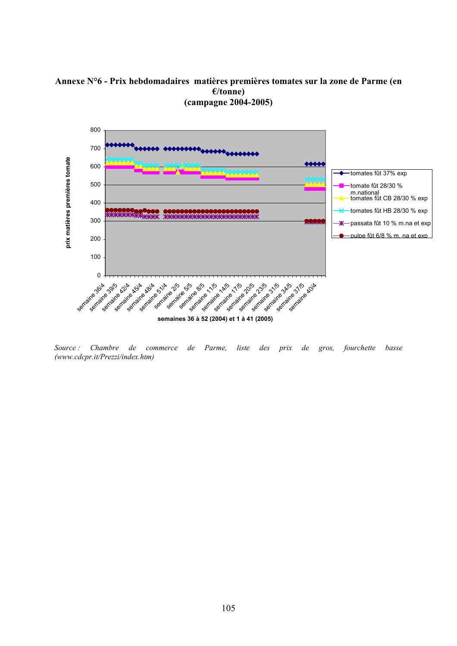#### **Annexe N°6 - Prix hebdomadaires matières premières tomates sur la zone de Parme (en €/tonne) (campagne 2004-2005)**



*Source : Chambre de commerce de Parme, liste des prix de gros, fourchette basse (www.cdcpr.it/Prezzi/index.htm)*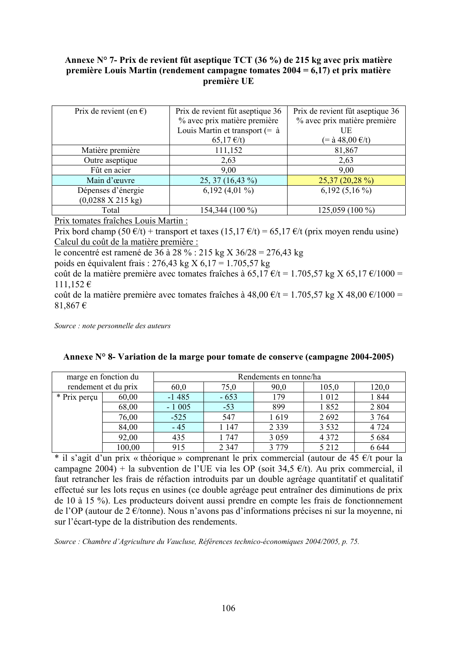#### **Annexe N° 7- Prix de revient fût aseptique TCT (36 %) de 215 kg avec prix matière première Louis Martin (rendement campagne tomates 2004 = 6,17) et prix matière première UE**

| Prix de revient (en $\epsilon$ )     | Prix de revient fût aseptique 36       | Prix de revient fût aseptique 36    |
|--------------------------------------|----------------------------------------|-------------------------------------|
|                                      | % avec prix matière première           | % avec prix matière première        |
|                                      | Louis Martin et transport $(=\dot{a})$ | UE                                  |
|                                      | $65,17 \text{ } \infty$                | $(=\hat{a} 48,00 \hat{\epsilon}/t)$ |
| Matière première                     | 111,152                                | 81,867                              |
| Outre aseptique                      | 2,63                                   | 2,63                                |
| Fût en acier                         | 9,00                                   | 9,00                                |
| Main d'œuvre                         | 25, 37 (16,43 %)                       | $25,37(20,28\%)$                    |
| Dépenses d'énergie                   | 6,192 $(4,01\%)$                       | $6,192$ $(5,16\%)$                  |
| $(0,0288 \text{ X } 215 \text{ kg})$ |                                        |                                     |
| Total                                | 154,344 (100 %)                        | 125,059 (100 %)                     |

Prix tomates fraîches Louis Martin :

Prix bord champ (50  $\epsilon/t$ ) + transport et taxes (15,17  $\epsilon/t$ ) = 65,17  $\epsilon/t$  (prix moyen rendu usine) Calcul du coût de la matière première :

le concentré est ramené de 36 à 28 % : 215 kg X 36/28 = 276,43 kg

poids en équivalent frais : 276,43 kg X 6,17 = 1.705,57 kg

coût de la matière première avec tomates fraîches à 65,17 €/t = 1.705,57 kg X 65,17 €/1000 = 111,152 €

coût de la matière première avec tomates fraîches à 48,00 €/t = 1.705,57 kg X 48,00 €/1000 = 81,867 €

*Source : note personnelle des auteurs* 

| marge en fonction du |        | Rendements en tonne/ha |         |         |         |         |  |
|----------------------|--------|------------------------|---------|---------|---------|---------|--|
| rendement et du prix |        | 60,0                   | 75,0    | 90,0    | 105,0   | 120,0   |  |
| * Prix perçu         | 60,00  | $-1485$                | $-653$  | 179     | 1 0 1 2 | 1844    |  |
|                      | 68,00  | $-1005$                | $-53$   | 899     | 1852    | 2 8 0 4 |  |
|                      | 76,00  | $-525$                 | 547     | 1619    | 2 6 9 2 | 3 7 6 4 |  |
|                      | 84,00  | $-45$                  | 1 1 4 7 | 2 3 3 9 | 3 5 3 2 | 4 7 2 4 |  |
|                      | 92,00  | 435                    | 1747    | 3 0 5 9 | 4 3 7 2 | 5 6 8 4 |  |
|                      | 100,00 | 915                    | 2 3 4 7 | 3 7 7 9 | 5 2 1 2 | 6 6 4 4 |  |

|  |  | Annexe N° 8- Variation de la marge pour tomate de conserve (campagne 2004-2005) |  |
|--|--|---------------------------------------------------------------------------------|--|
|  |  |                                                                                 |  |

\* il s'agit d'un prix « théorique » comprenant le prix commercial (autour de 45 €/t pour la campagne 2004) + la subvention de l'UE via les OP (soit 34,5  $\epsilon/t$ ). Au prix commercial, il faut retrancher les frais de réfaction introduits par un double agréage quantitatif et qualitatif effectué sur les lots reçus en usines (ce double agréage peut entraîner des diminutions de prix de 10 à 15 %). Les producteurs doivent aussi prendre en compte les frais de fonctionnement de l'OP (autour de 2 €/tonne). Nous n'avons pas d'informations précises ni sur la moyenne, ni sur l'écart-type de la distribution des rendements.

*Source : Chambre d'Agriculture du Vaucluse, Références technico-économiques 2004/2005, p. 75.*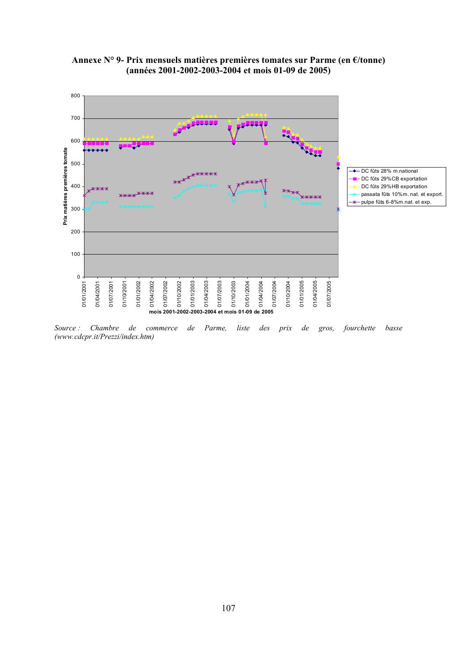

#### **Annexe N° 9- Prix mensuels matières premières tomates sur Parme (en €/tonne) (années 2001-2002-2003-2004 et mois 01-09 de 2005)**

*Source : Chambre de commerce de Parme, liste des prix de gros, fourchette basse (www.cdcpr.it/Prezzi/index.htm)*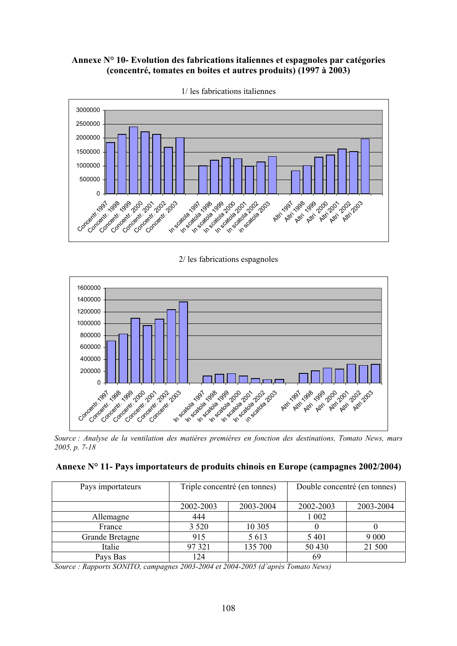## **Annexe N° 10- Evolution des fabrications italiennes et espagnoles par catégories (concentré, tomates en boites et autres produits) (1997 à 2003)**



1/ les fabrications italiennes

2/ les fabrications espagnoles



*Source : Analyse de la ventilation des matières premières en fonction des destinations, Tomato News, mars 2005, p. 7-18* 

|  |  |  | Annexe N° 11- Pays importateurs de produits chinois en Europe (campagnes 2002/2004) |
|--|--|--|-------------------------------------------------------------------------------------|
|--|--|--|-------------------------------------------------------------------------------------|

| Pays importateurs |           | Triple concentré (en tonnes) | Double concentré (en tonnes) |           |  |
|-------------------|-----------|------------------------------|------------------------------|-----------|--|
|                   | 2002-2003 | 2003-2004                    | 2002-2003                    | 2003-2004 |  |
| Allemagne         | 444       |                              | 1 002                        |           |  |
| France            | 3 5 2 0   | 10 30 5                      |                              |           |  |
| Grande Bretagne   | 915       | 5 6 1 3                      | 5401                         | 9 0 0 0   |  |
| Italie            | 97 321    | 135 700                      | 50 430                       | 21 500    |  |
| Pays Bas          | 124       |                              | 69                           |           |  |

*Source : Rapports SONITO, campagnes 2003-2004 et 2004-2005 (d'après Tomato News)*